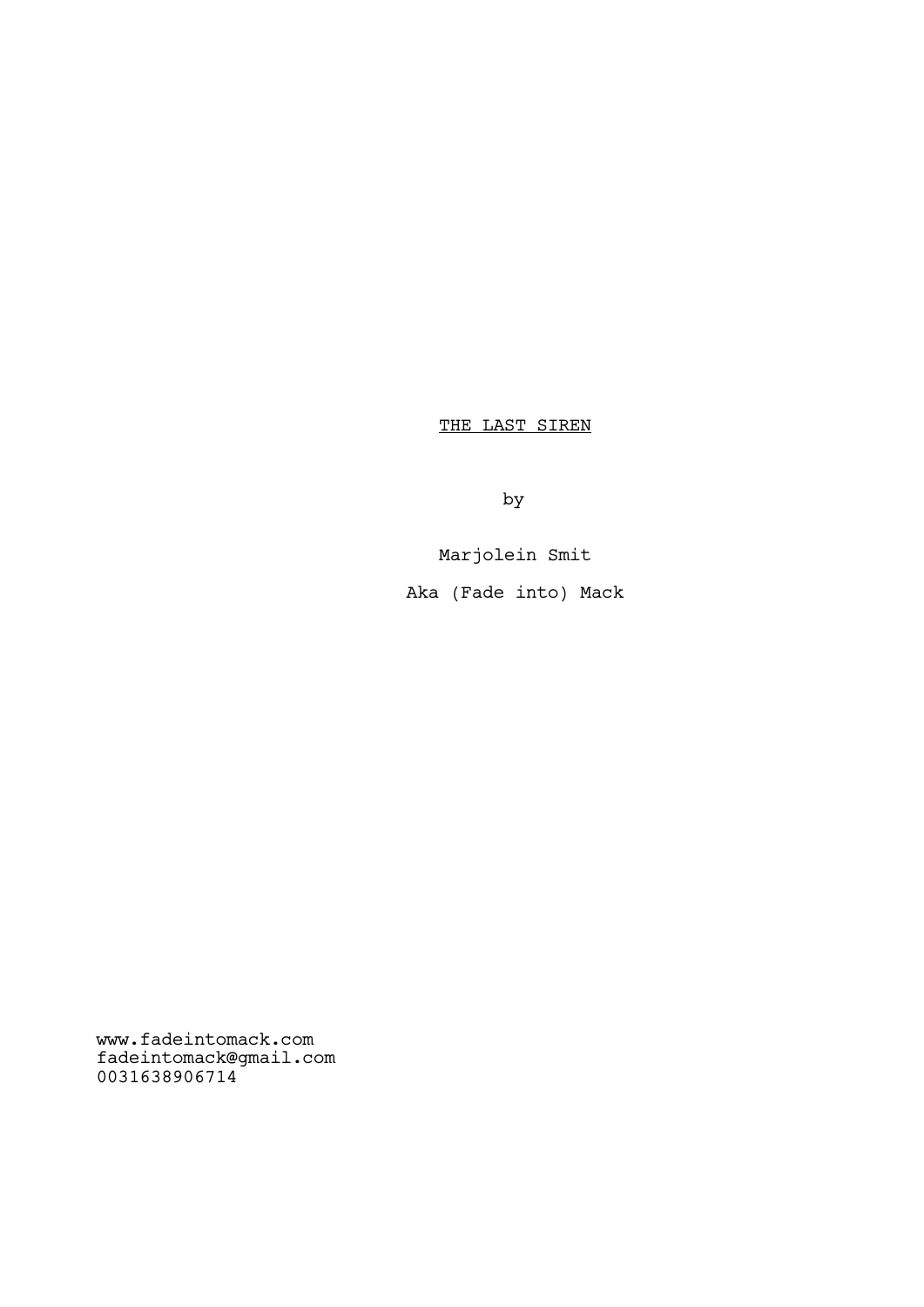THE LAST SIREN

by

Marjolein Smit

Aka (Fade into) Mack

www.fadeintomack.com fadeintomack@gmail.com 0031638906714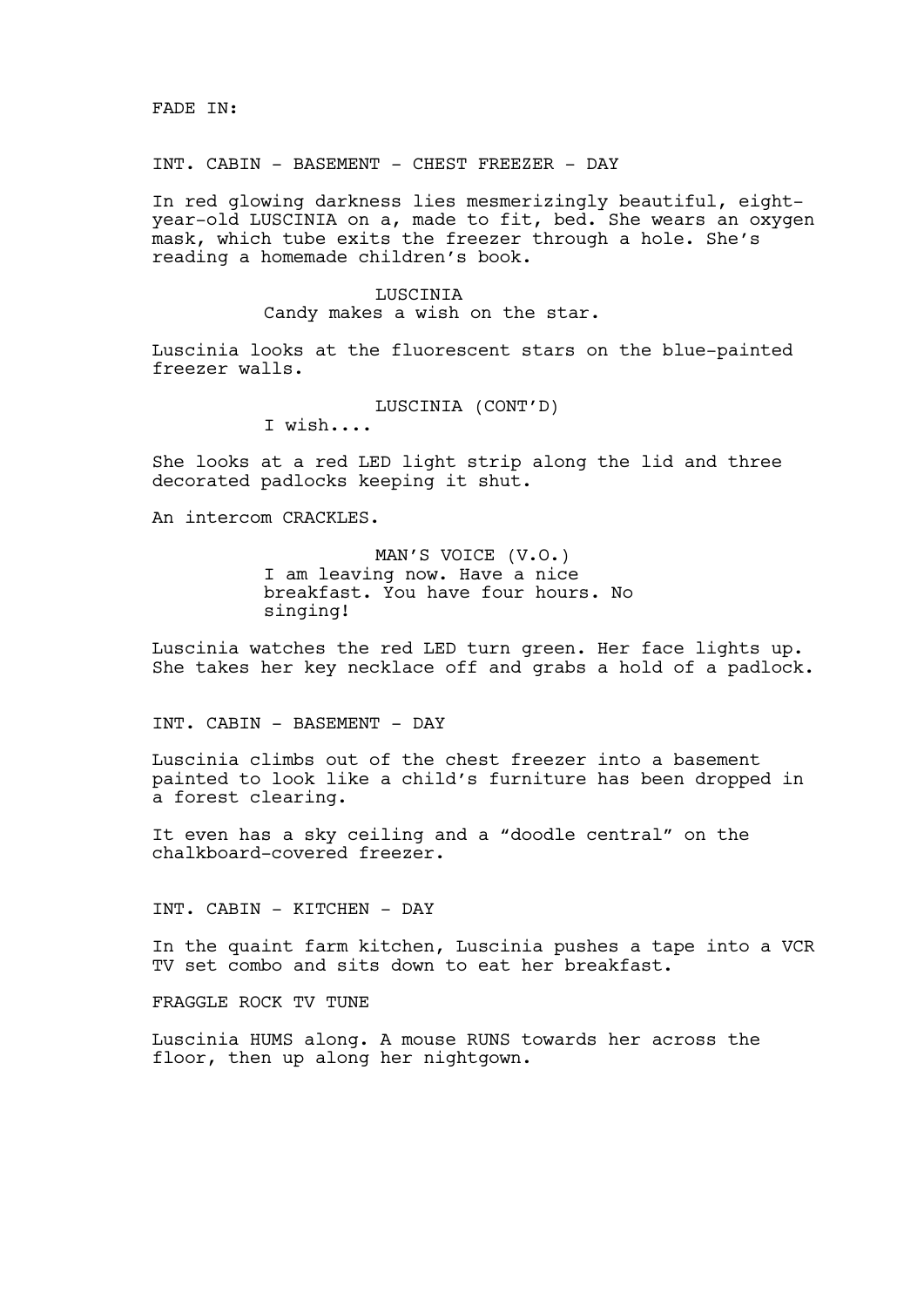INT. CABIN - BASEMENT - CHEST FREEZER - DAY

In red glowing darkness lies mesmerizingly beautiful, eightyear-old LUSCINIA on a, made to fit, bed. She wears an oxygen mask, which tube exits the freezer through a hole. She's reading a homemade children's book.

### LUSCINIA

Candy makes a wish on the star.

Luscinia looks at the fluorescent stars on the blue-painted freezer walls.

LUSCINIA (CONT'D)

I wish....

She looks at a red LED light strip along the lid and three decorated padlocks keeping it shut.

An intercom CRACKLES.

MAN'S VOICE (V.O.) I am leaving now. Have a nice breakfast. You have four hours. No singing!

Luscinia watches the red LED turn green. Her face lights up. She takes her key necklace off and grabs a hold of a padlock.

INT. CABIN - BASEMENT - DAY

Luscinia climbs out of the chest freezer into a basement painted to look like a child's furniture has been dropped in a forest clearing.

It even has a sky ceiling and a "doodle central" on the chalkboard-covered freezer.

INT. CABIN - KITCHEN - DAY

In the quaint farm kitchen, Luscinia pushes a tape into a VCR TV set combo and sits down to eat her breakfast.

FRAGGLE ROCK TV TUNE

Luscinia HUMS along. A mouse RUNS towards her across the floor, then up along her nightgown.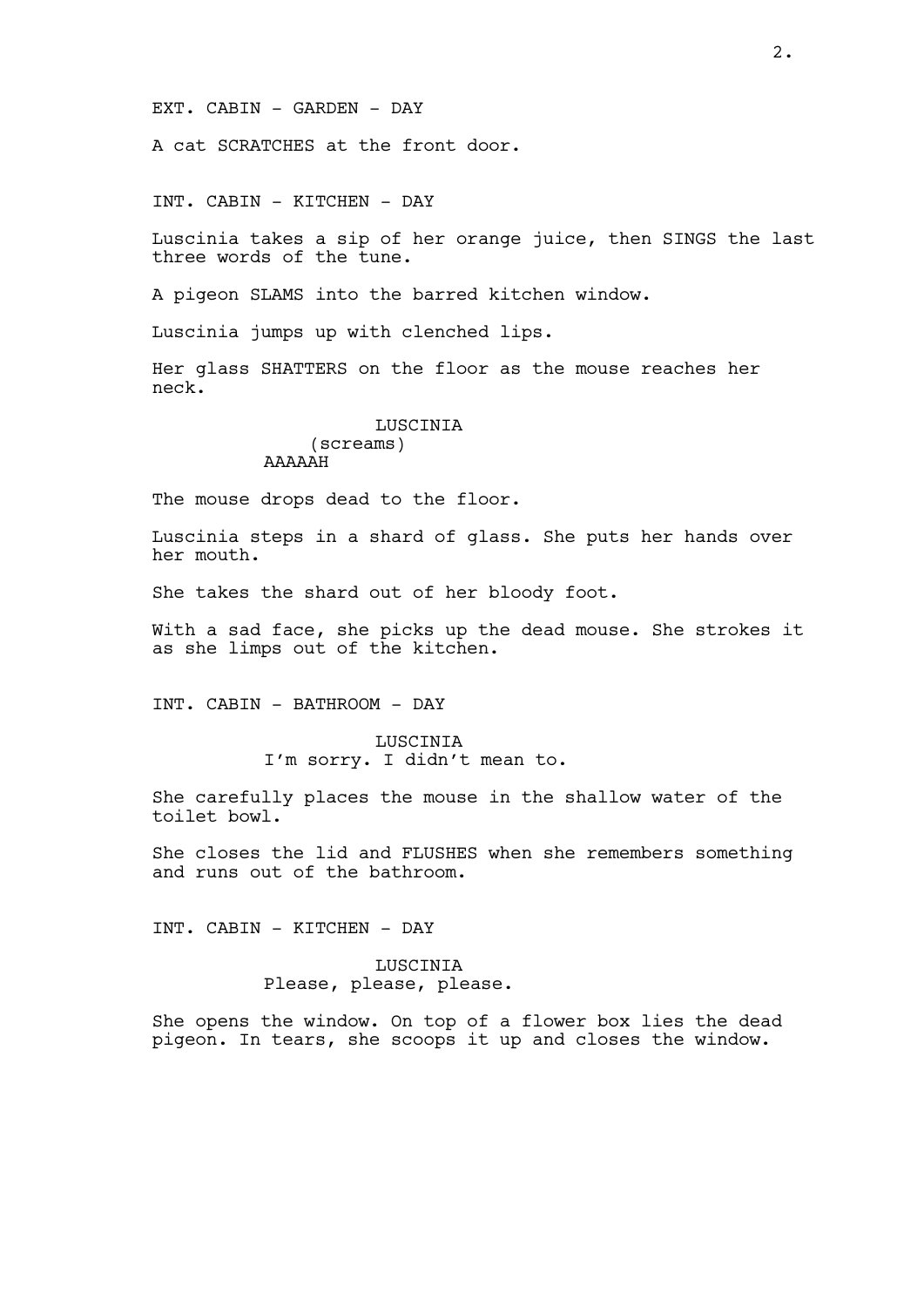EXT. CABIN - GARDEN - DAY

A cat SCRATCHES at the front door.

INT. CABIN - KITCHEN - DAY

Luscinia takes a sip of her orange juice, then SINGS the last three words of the tune.

A pigeon SLAMS into the barred kitchen window.

Luscinia jumps up with clenched lips.

Her glass SHATTERS on the floor as the mouse reaches her neck.

### LUSCINIA (screams) AAAAAH

The mouse drops dead to the floor.

Luscinia steps in a shard of glass. She puts her hands over her mouth.

She takes the shard out of her bloody foot.

With a sad face, she picks up the dead mouse. She strokes it as she limps out of the kitchen.

INT. CABIN - BATHROOM - DAY

**LUSCINIA** I'm sorry. I didn't mean to.

She carefully places the mouse in the shallow water of the toilet bowl.

She closes the lid and FLUSHES when she remembers something and runs out of the bathroom.

INT. CABIN - KITCHEN - DAY

LUSCINIA Please, please, please.

She opens the window. On top of a flower box lies the dead pigeon. In tears, she scoops it up and closes the window.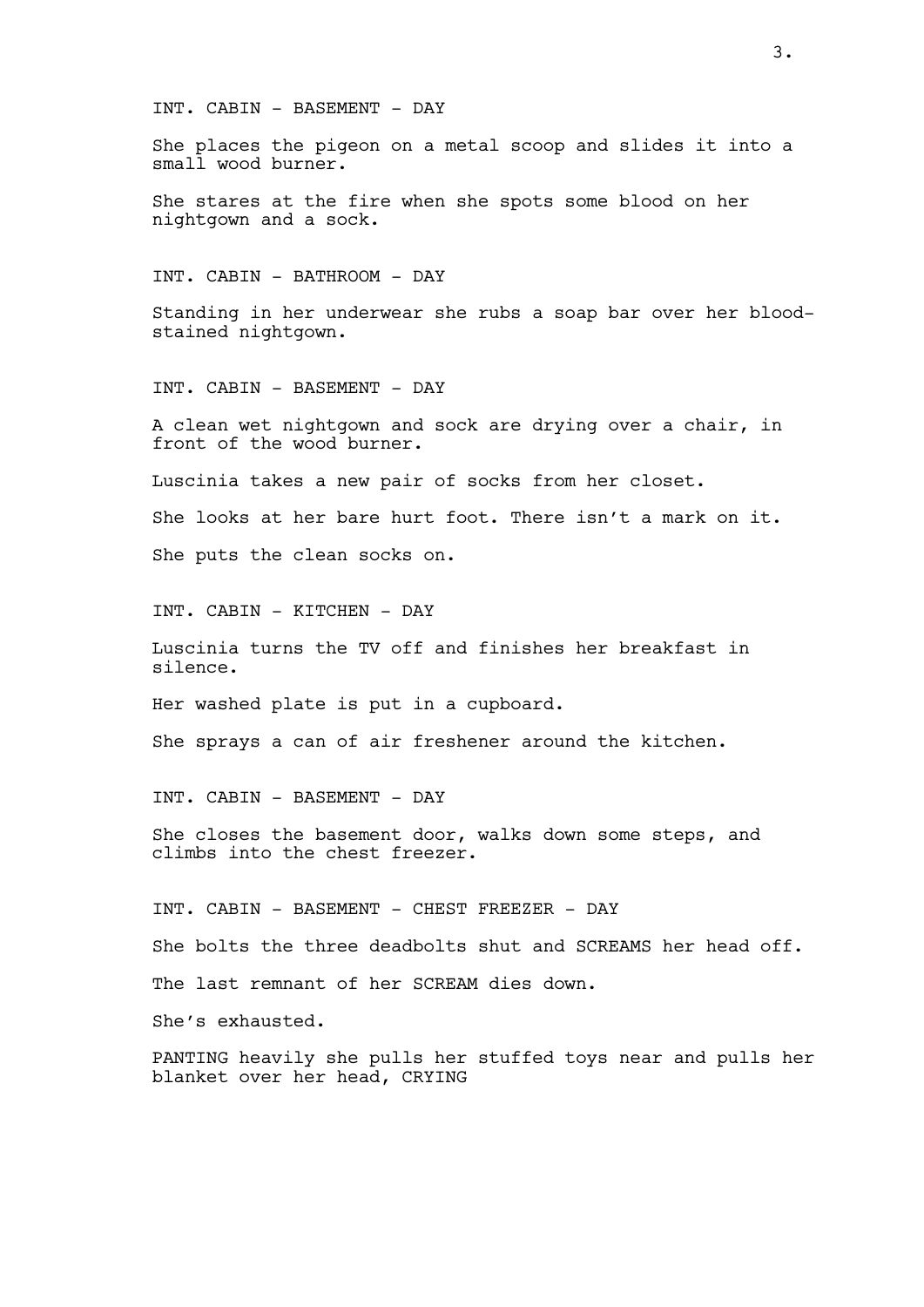INT. CABIN - BASEMENT - DAY

She places the pigeon on a metal scoop and slides it into a small wood burner.

She stares at the fire when she spots some blood on her nightgown and a sock.

INT. CABIN - BATHROOM - DAY

Standing in her underwear she rubs a soap bar over her bloodstained nightgown.

INT. CABIN - BASEMENT - DAY

A clean wet nightgown and sock are drying over a chair, in front of the wood burner.

Luscinia takes a new pair of socks from her closet.

She looks at her bare hurt foot. There isn't a mark on it.

She puts the clean socks on.

INT. CABIN - KITCHEN - DAY

Luscinia turns the TV off and finishes her breakfast in silence.

Her washed plate is put in a cupboard.

She sprays a can of air freshener around the kitchen.

INT. CABIN - BASEMENT - DAY

She closes the basement door, walks down some steps, and climbs into the chest freezer.

INT. CABIN - BASEMENT - CHEST FREEZER - DAY

She bolts the three deadbolts shut and SCREAMS her head off.

The last remnant of her SCREAM dies down.

She's exhausted.

PANTING heavily she pulls her stuffed toys near and pulls her blanket over her head, CRYING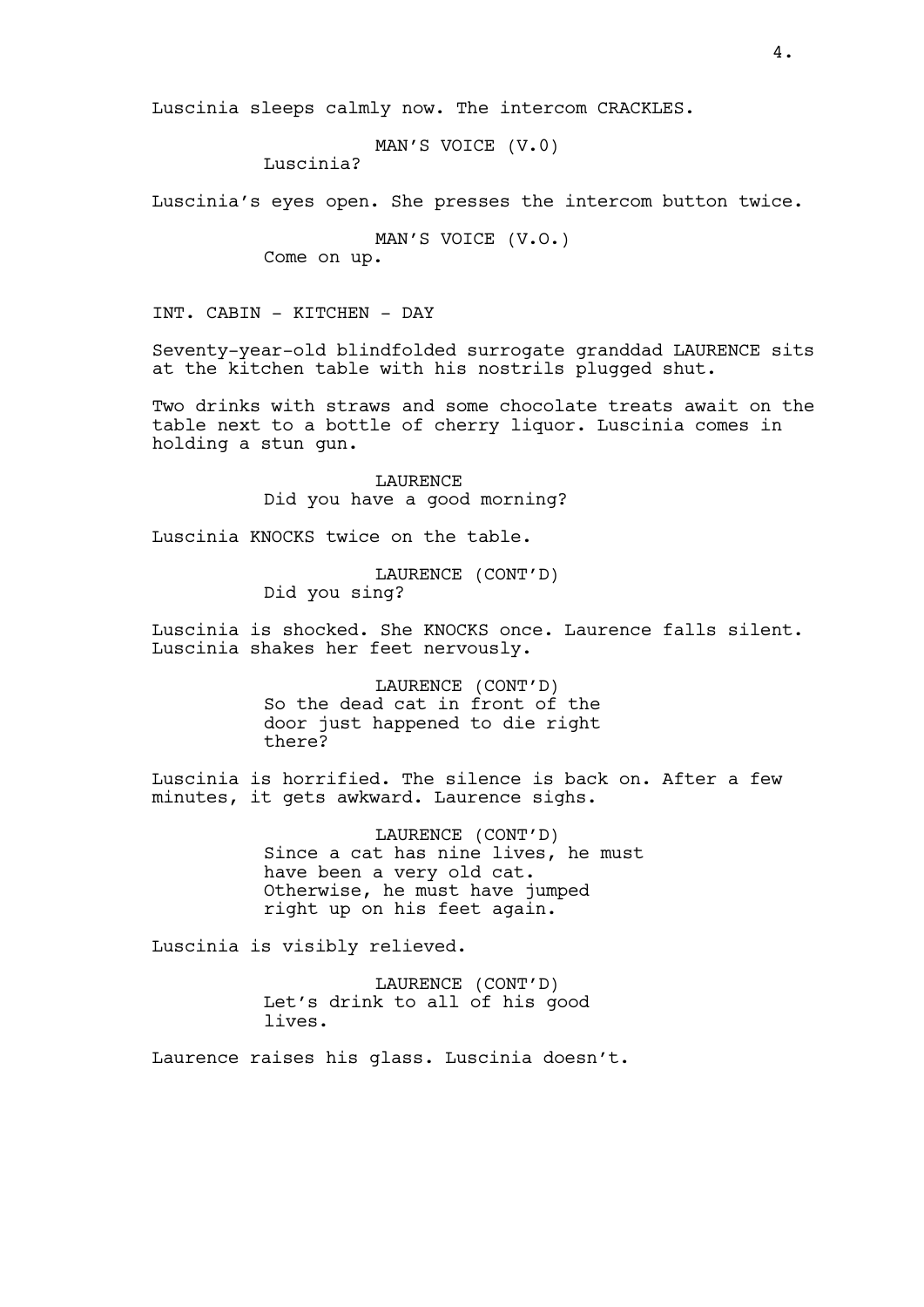Luscinia sleeps calmly now. The intercom CRACKLES.

MAN'S VOICE (V.0)

Luscinia?

Luscinia's eyes open. She presses the intercom button twice.

MAN'S VOICE (V.O.)

Come on up.

INT. CABIN - KITCHEN - DAY

Seventy-year-old blindfolded surrogate granddad LAURENCE sits at the kitchen table with his nostrils plugged shut.

Two drinks with straws and some chocolate treats await on the table next to a bottle of cherry liquor. Luscinia comes in holding a stun gun.

> LAURENCE Did you have a good morning?

Luscinia KNOCKS twice on the table.

LAURENCE (CONT'D) Did you sing?

Luscinia is shocked. She KNOCKS once. Laurence falls silent. Luscinia shakes her feet nervously.

> LAURENCE (CONT'D) So the dead cat in front of the door just happened to die right there?

Luscinia is horrified. The silence is back on. After a few minutes, it gets awkward. Laurence sighs.

> LAURENCE (CONT'D) Since a cat has nine lives, he must have been a very old cat. Otherwise, he must have jumped right up on his feet again.

Luscinia is visibly relieved.

LAURENCE (CONT'D) Let's drink to all of his good lives.

Laurence raises his glass. Luscinia doesn't.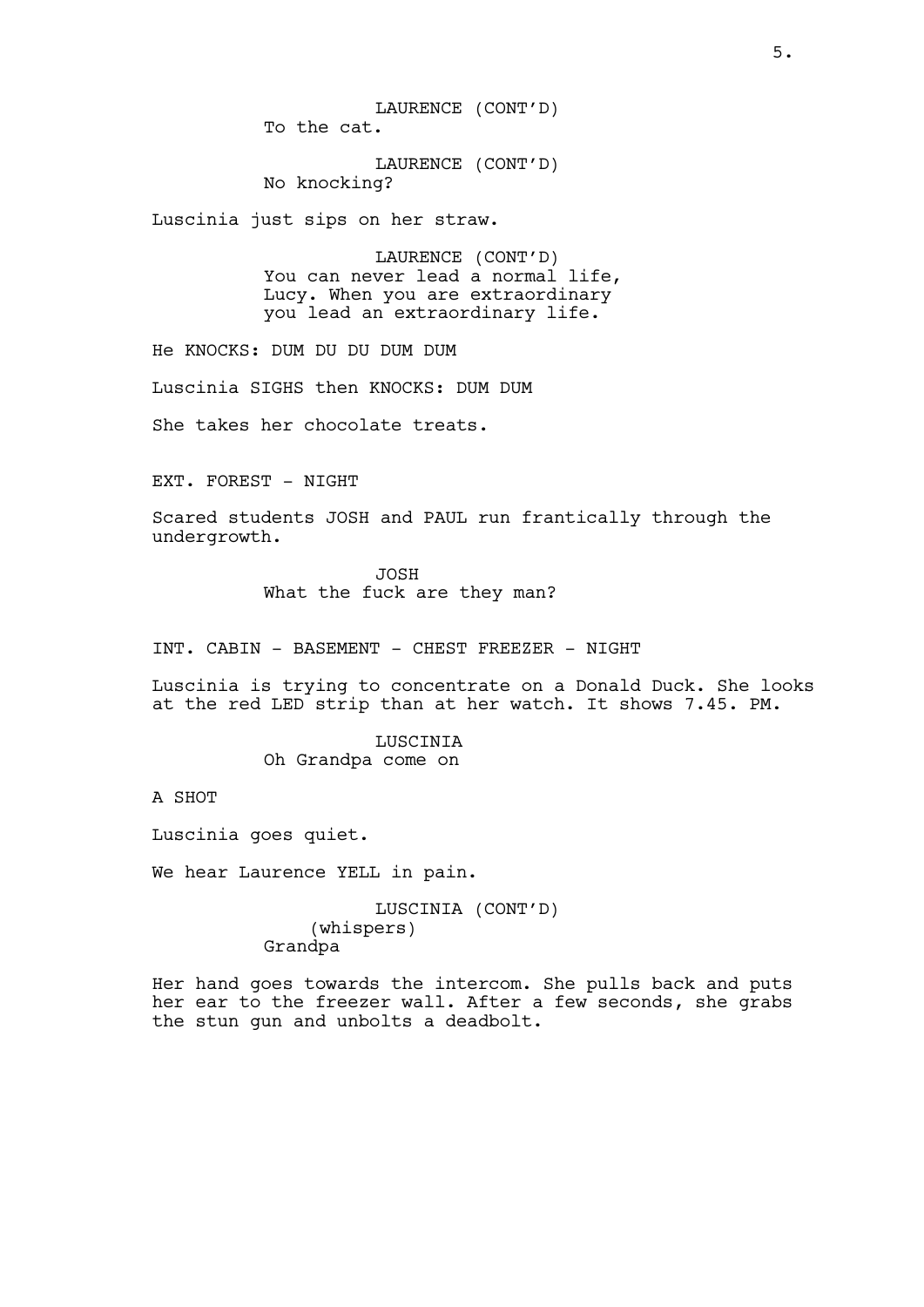LAURENCE (CONT'D) To the cat.

LAURENCE (CONT'D) No knocking?

Luscinia just sips on her straw.

LAURENCE (CONT'D) You can never lead a normal life, Lucy. When you are extraordinary you lead an extraordinary life.

He KNOCKS: DUM DU DU DUM DUM

Luscinia SIGHS then KNOCKS: DUM DUM

She takes her chocolate treats.

EXT. FOREST - NIGHT

Scared students JOSH and PAUL run frantically through the undergrowth.

> JOSH What the fuck are they man?

INT. CABIN - BASEMENT - CHEST FREEZER - NIGHT

Luscinia is trying to concentrate on a Donald Duck. She looks at the red LED strip than at her watch. It shows 7.45. PM.

> LUSCINIA Oh Grandpa come on

A SHOT

Luscinia goes quiet.

We hear Laurence YELL in pain.

LUSCINIA (CONT'D) (whispers) Grandpa

Her hand goes towards the intercom. She pulls back and puts her ear to the freezer wall. After a few seconds, she grabs the stun gun and unbolts a deadbolt.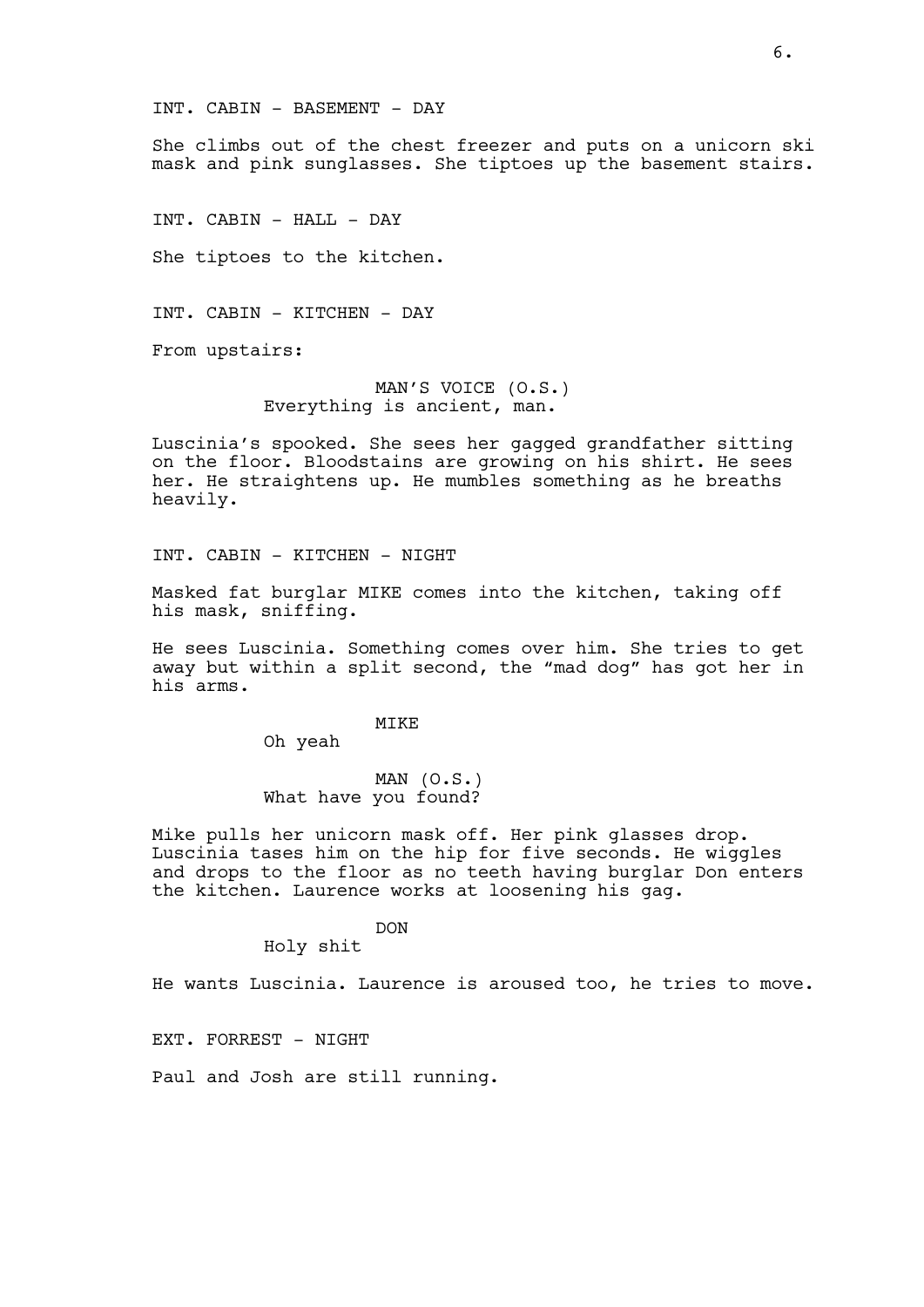INT. CABIN - BASEMENT - DAY

She climbs out of the chest freezer and puts on a unicorn ski mask and pink sunglasses. She tiptoes up the basement stairs.

INT. CABIN - HALL - DAY

She tiptoes to the kitchen.

INT. CABIN - KITCHEN - DAY

From upstairs:

MAN'S VOICE (O.S.) Everything is ancient, man.

Luscinia's spooked. She sees her gagged grandfather sitting on the floor. Bloodstains are growing on his shirt. He sees her. He straightens up. He mumbles something as he breaths heavily.

INT. CABIN - KITCHEN - NIGHT

Masked fat burglar MIKE comes into the kitchen, taking off his mask, sniffing.

He sees Luscinia. Something comes over him. She tries to get away but within a split second, the "mad dog" has got her in his arms.

MIKE

Oh yeah

MAN (O.S.) What have you found?

Mike pulls her unicorn mask off. Her pink glasses drop. Luscinia tases him on the hip for five seconds. He wiggles and drops to the floor as no teeth having burglar Don enters the kitchen. Laurence works at loosening his gag.

DON

Holy shit

He wants Luscinia. Laurence is aroused too, he tries to move.

EXT. FORREST - NIGHT

Paul and Josh are still running.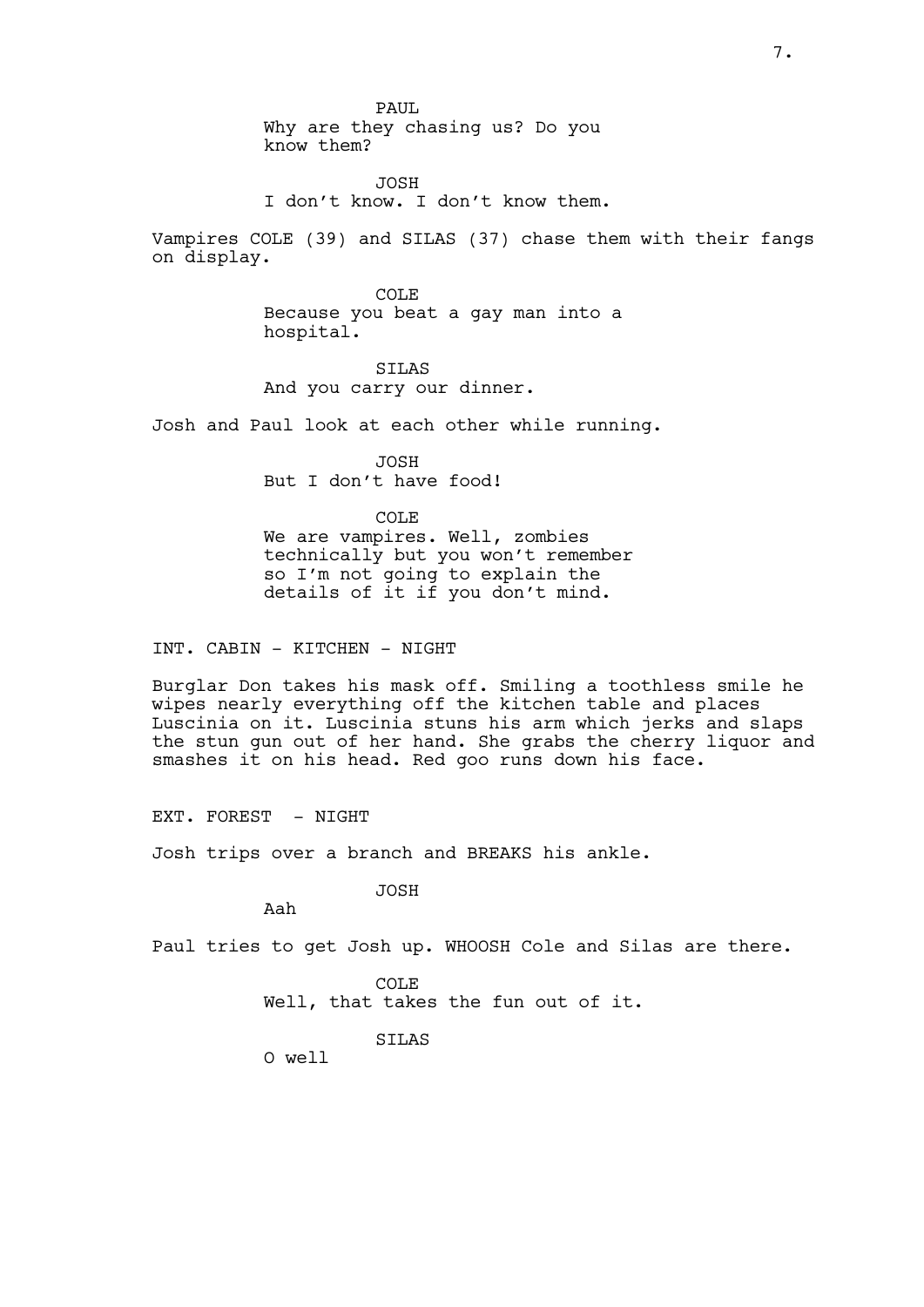PAUL Why are they chasing us? Do you know them?

JOSH I don't know. I don't know them.

Vampires COLE (39) and SILAS (37) chase them with their fangs on display.

> COLE Because you beat a gay man into a hospital.

SILAS And you carry our dinner.

Josh and Paul look at each other while running.

JOSH But I don't have food!

COLE We are vampires. Well, zombies technically but you won't remember so I'm not going to explain the details of it if you don't mind.

INT. CABIN - KITCHEN - NIGHT

Burglar Don takes his mask off. Smiling a toothless smile he wipes nearly everything off the kitchen table and places Luscinia on it. Luscinia stuns his arm which jerks and slaps the stun gun out of her hand. She grabs the cherry liquor and smashes it on his head. Red goo runs down his face.

EXT. FOREST - NIGHT

Josh trips over a branch and BREAKS his ankle.

JOSH

Aah

Paul tries to get Josh up. WHOOSH Cole and Silas are there.

COLE Well, that takes the fun out of it.

SILAS

O well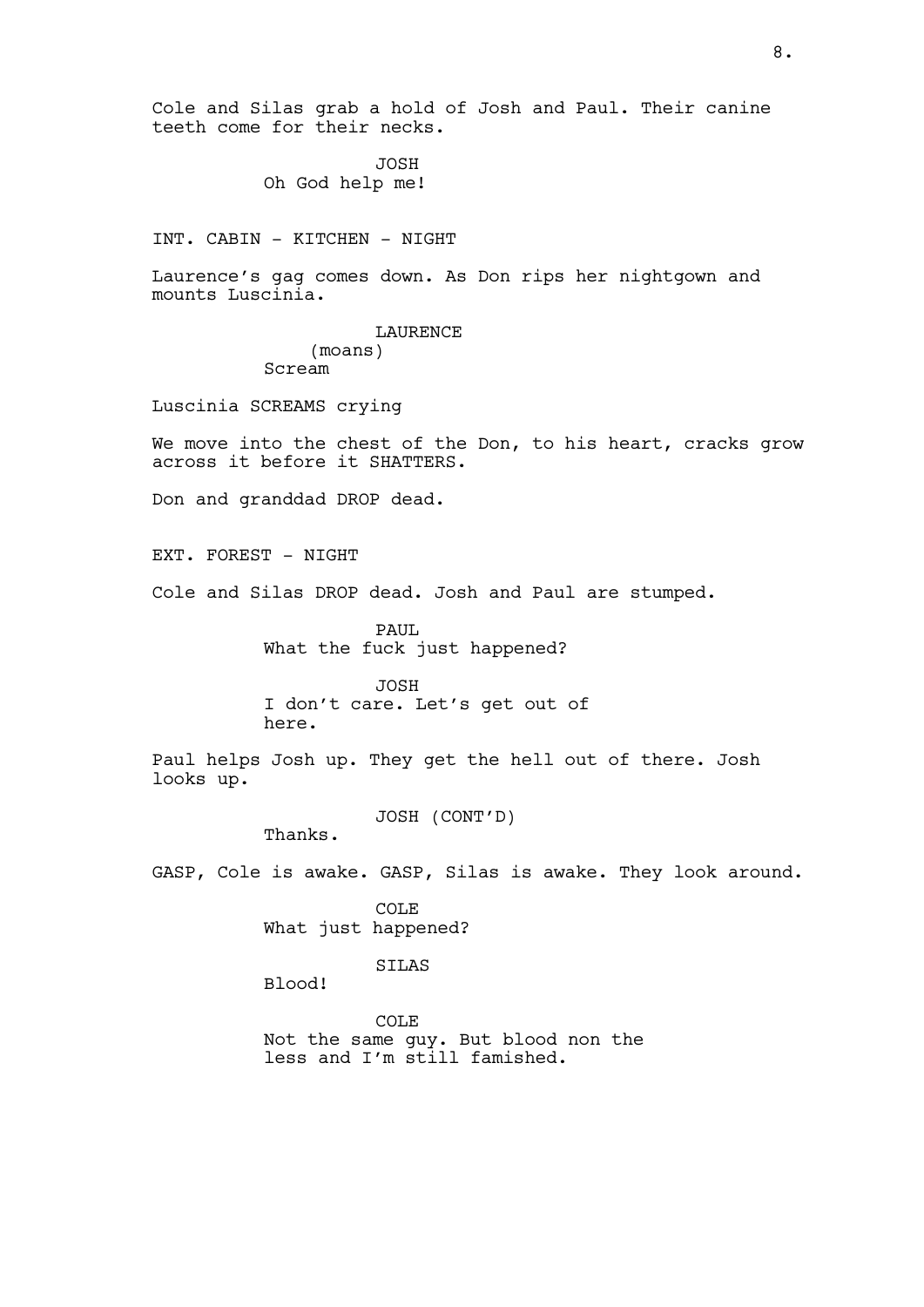Cole and Silas grab a hold of Josh and Paul. Their canine teeth come for their necks.

> JOSH Oh God help me!

INT. CABIN - KITCHEN - NIGHT

Laurence's gag comes down. As Don rips her nightgown and mounts Luscinia.

> LAURENCE (moans) Scream

Luscinia SCREAMS crying

We move into the chest of the Don, to his heart, cracks grow across it before it SHATTERS.

Don and granddad DROP dead.

EXT. FOREST - NIGHT

Cole and Silas DROP dead. Josh and Paul are stumped.

PAUL What the fuck just happened?

JOSH I don't care. Let's get out of here.

Paul helps Josh up. They get the hell out of there. Josh looks up.

JOSH (CONT'D)

Thanks.

GASP, Cole is awake. GASP, Silas is awake. They look around.

COLE What just happened?

SILAS

Blood!

COLE Not the same guy. But blood non the less and I'm still famished.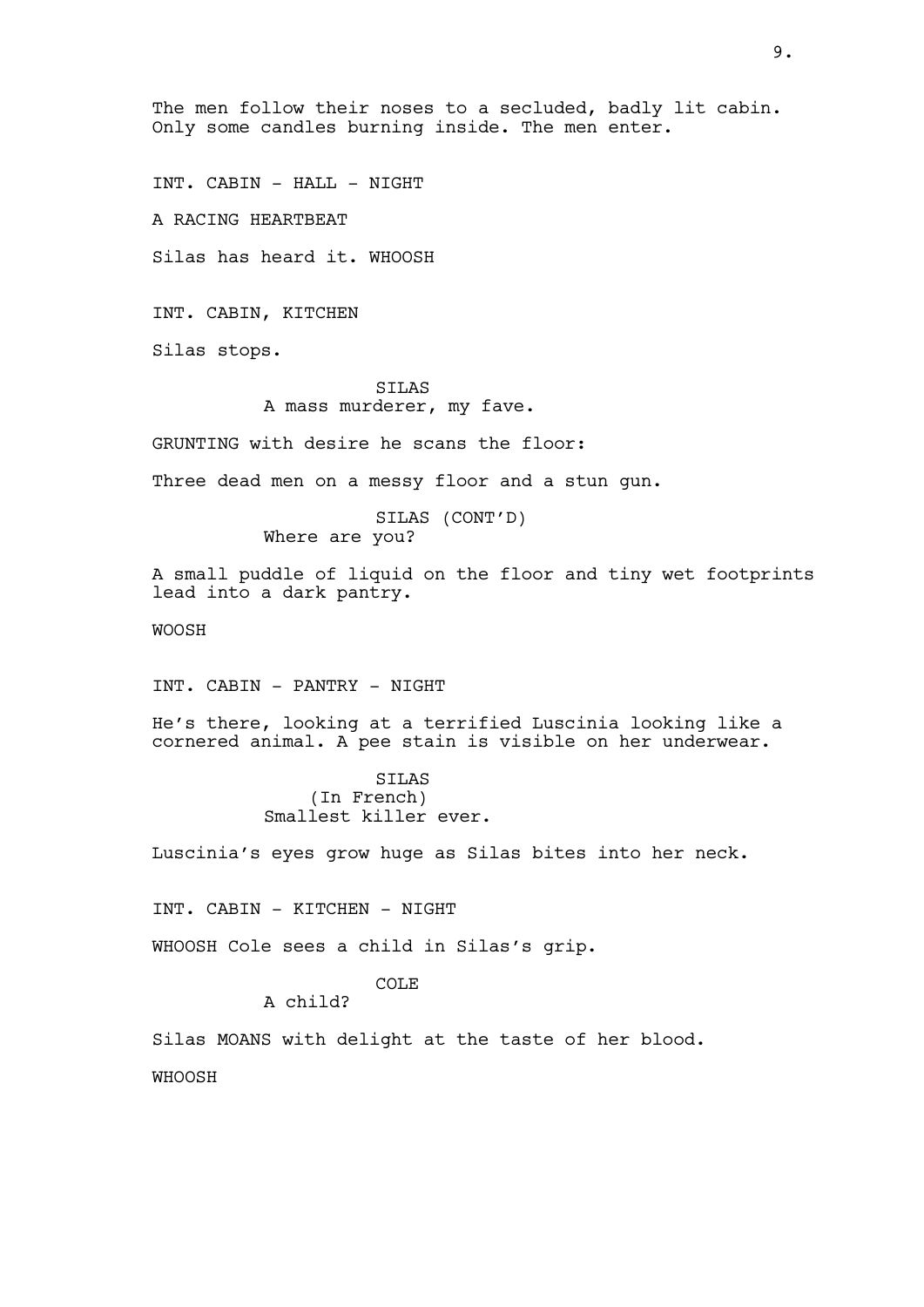The men follow their noses to a secluded, badly lit cabin. Only some candles burning inside. The men enter.

INT. CABIN - HALL - NIGHT

A RACING HEARTBEAT

Silas has heard it. WHOOSH

INT. CABIN, KITCHEN

Silas stops.

## SILAS A mass murderer, my fave.

GRUNTING with desire he scans the floor:

Three dead men on a messy floor and a stun gun.

SILAS (CONT'D) Where are you?

A small puddle of liquid on the floor and tiny wet footprints lead into a dark pantry.

WOOSH

INT. CABIN - PANTRY - NIGHT

He's there, looking at a terrified Luscinia looking like a cornered animal. A pee stain is visible on her underwear.

> SILAS (In French) Smallest killer ever.

Luscinia's eyes grow huge as Silas bites into her neck.

INT. CABIN - KITCHEN - NIGHT

WHOOSH Cole sees a child in Silas's grip.

COLE

A child?

Silas MOANS with delight at the taste of her blood.

WHOOSH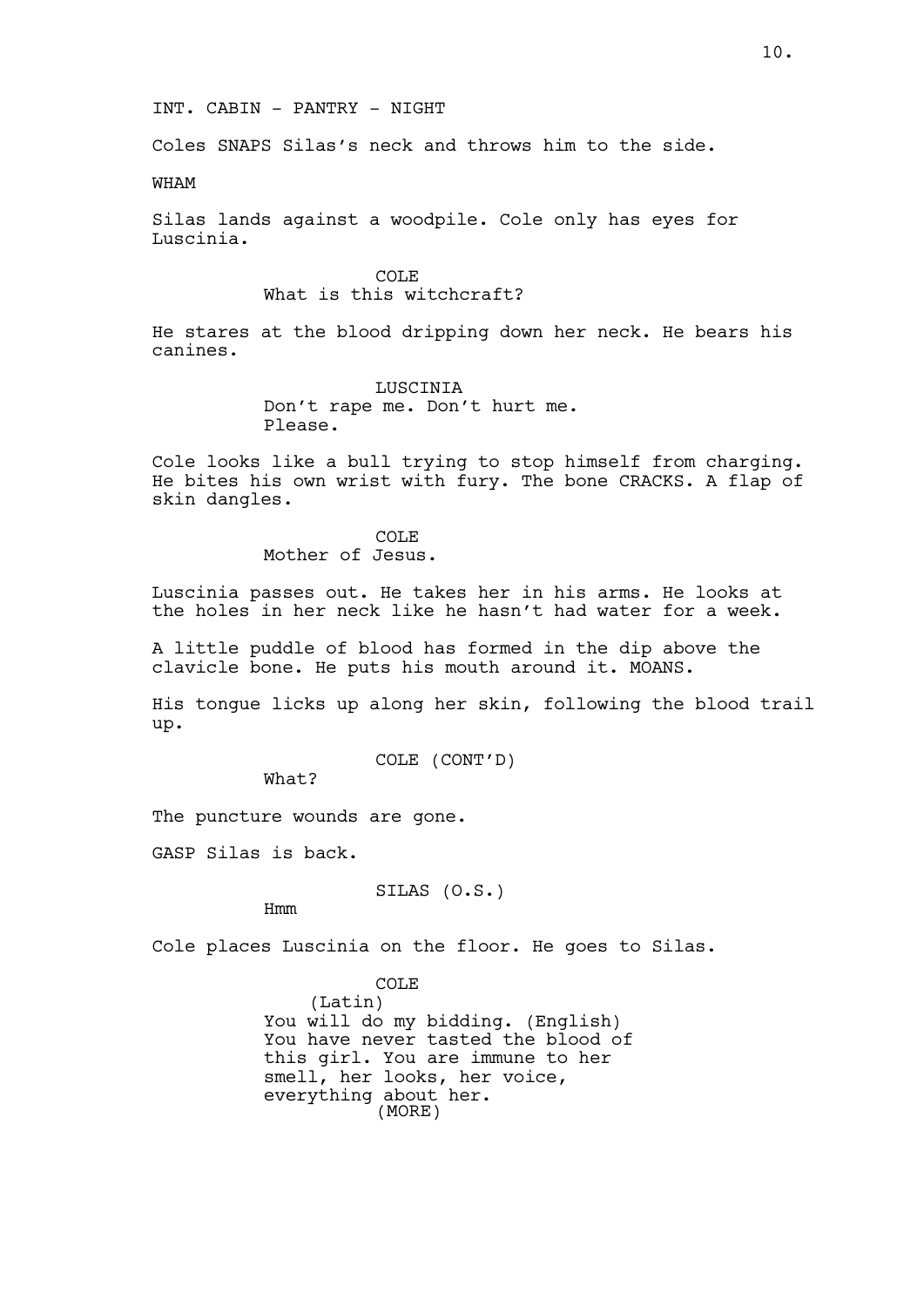Coles SNAPS Silas's neck and throws him to the side.

WHAM

Silas lands against a woodpile. Cole only has eyes for Luscinia.

> COLE What is this witchcraft?

He stares at the blood dripping down her neck. He bears his canines.

> LUSCINIA Don't rape me. Don't hurt me. Please.

Cole looks like a bull trying to stop himself from charging. He bites his own wrist with fury. The bone CRACKS. A flap of skin dangles.

> COLE Mother of Jesus.

Luscinia passes out. He takes her in his arms. He looks at the holes in her neck like he hasn't had water for a week.

A little puddle of blood has formed in the dip above the clavicle bone. He puts his mouth around it. MOANS.

His tongue licks up along her skin, following the blood trail up.

COLE (CONT'D)

What?

The puncture wounds are gone.

GASP Silas is back.

SILAS (O.S.)

Hmm

Cole places Luscinia on the floor. He goes to Silas.

COLE (Latin) You will do my bidding. (English) You have never tasted the blood of this girl. You are immune to her smell, her looks, her voice, everything about her. (MORE)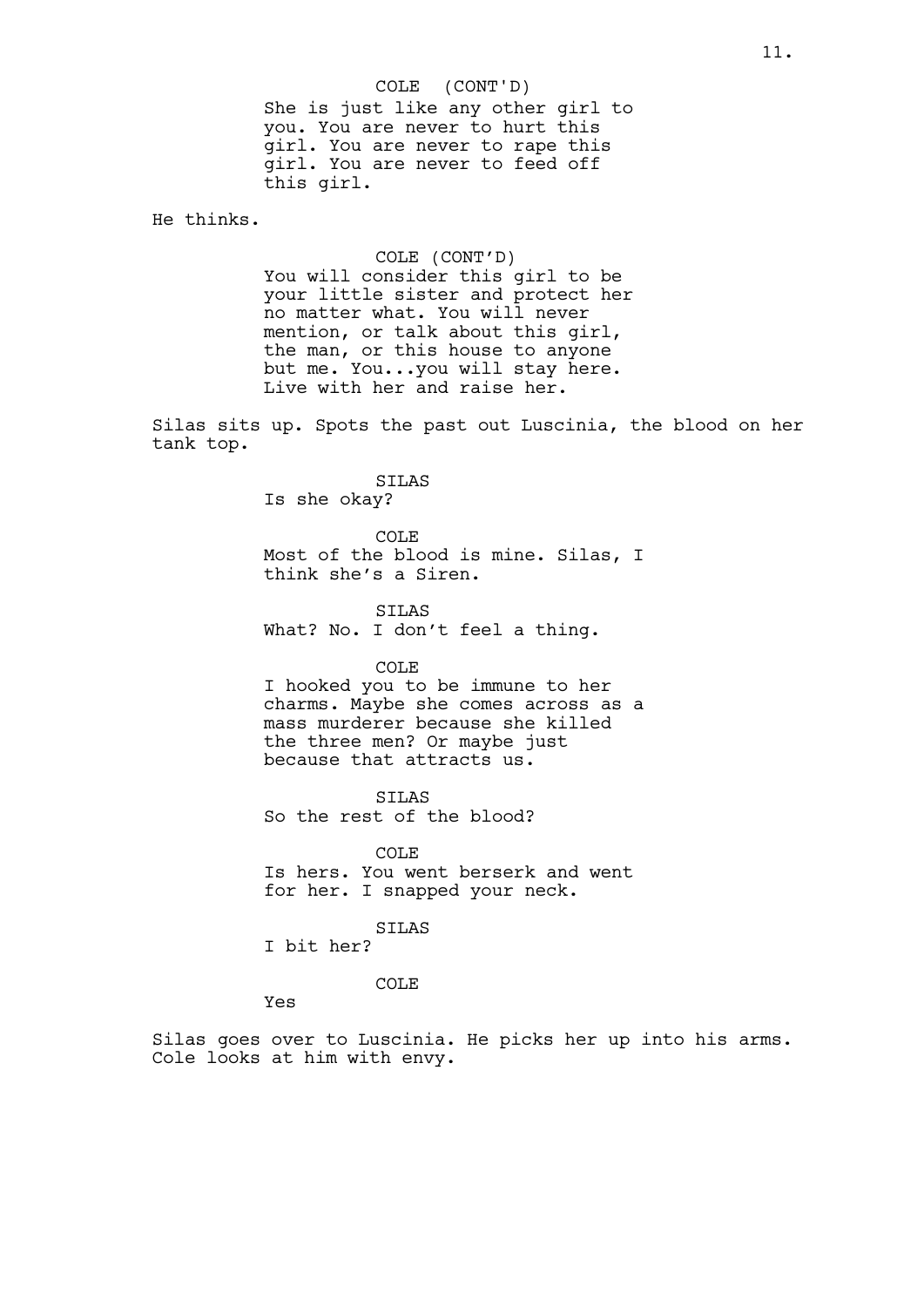She is just like any other girl to you. You are never to hurt this girl. You are never to rape this girl. You are never to feed off this girl. COLE (CONT'D)

He thinks.

COLE (CONT'D) You will consider this girl to be your little sister and protect her no matter what. You will never mention, or talk about this girl, the man, or this house to anyone but me. You...you will stay here. Live with her and raise her.

Silas sits up. Spots the past out Luscinia, the blood on her tank top.

#### SILAS

Is she okay?

COLE Most of the blood is mine. Silas, I think she's a Siren.

SILAS What? No. I don't feel a thing.

#### COLE

I hooked you to be immune to her charms. Maybe she comes across as a mass murderer because she killed the three men? Or maybe just because that attracts us.

SILAS So the rest of the blood?

COLE Is hers. You went berserk and went for her. I snapped your neck.

SILAS I bit her?

COLE

Yes

Silas goes over to Luscinia. He picks her up into his arms. Cole looks at him with envy.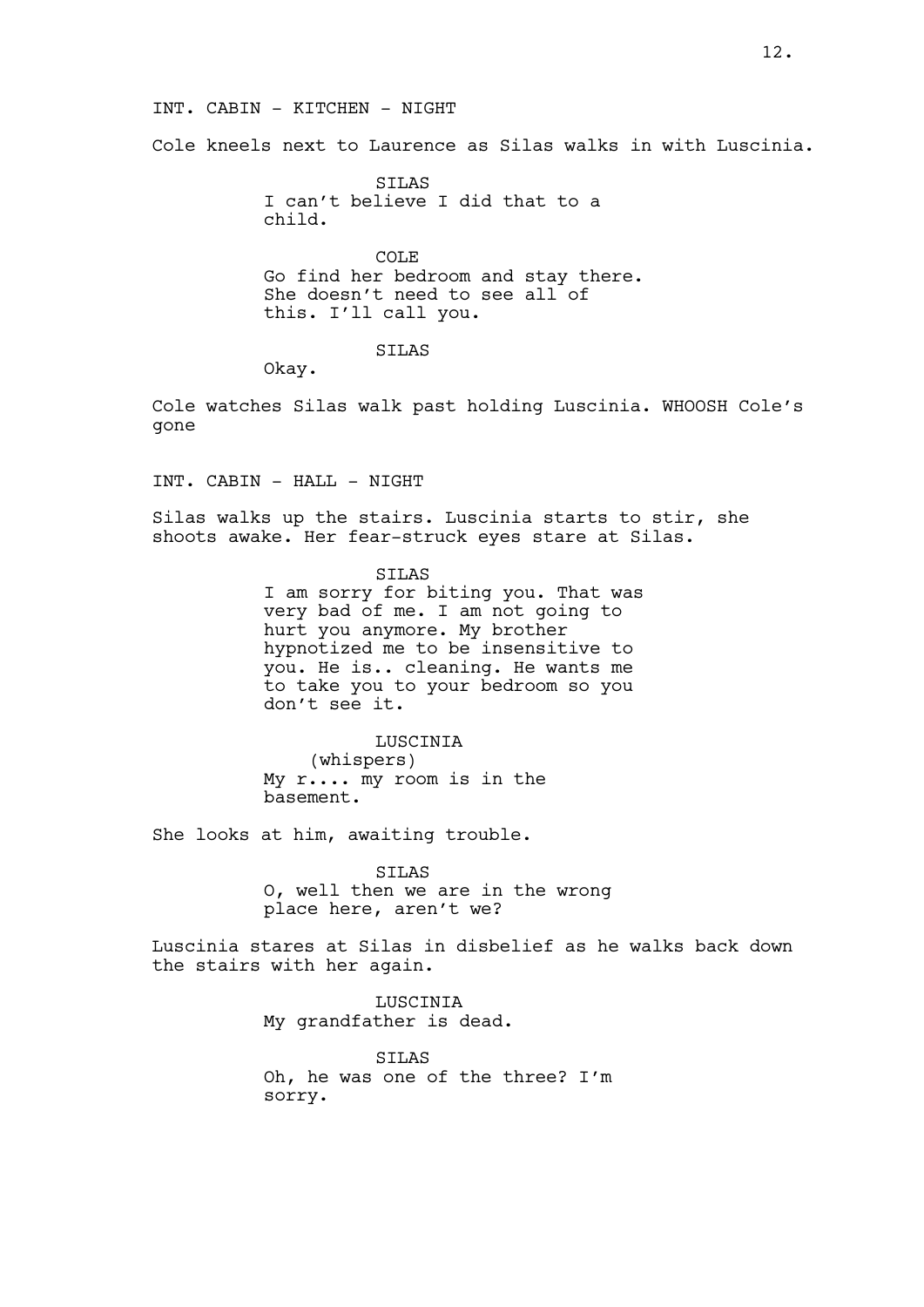### INT. CABIN - KITCHEN - NIGHT

Cole kneels next to Laurence as Silas walks in with Luscinia.

SILAS I can't believe I did that to a child.

COLE Go find her bedroom and stay there. She doesn't need to see all of this. I'll call you.

SILAS

Okay.

Cole watches Silas walk past holding Luscinia. WHOOSH Cole's gone

INT. CABIN - HALL - NIGHT

Silas walks up the stairs. Luscinia starts to stir, she shoots awake. Her fear-struck eyes stare at Silas.

SILAS

I am sorry for biting you. That was very bad of me. I am not going to hurt you anymore. My brother hypnotized me to be insensitive to you. He is.. cleaning. He wants me to take you to your bedroom so you don't see it.

LUSCINIA

(whispers) My r.... my room is in the basement.

She looks at him, awaiting trouble.

SILAS O, well then we are in the wrong place here, aren't we?

Luscinia stares at Silas in disbelief as he walks back down the stairs with her again.

> LUSCINIA My grandfather is dead.

SILAS Oh, he was one of the three? I'm sorry.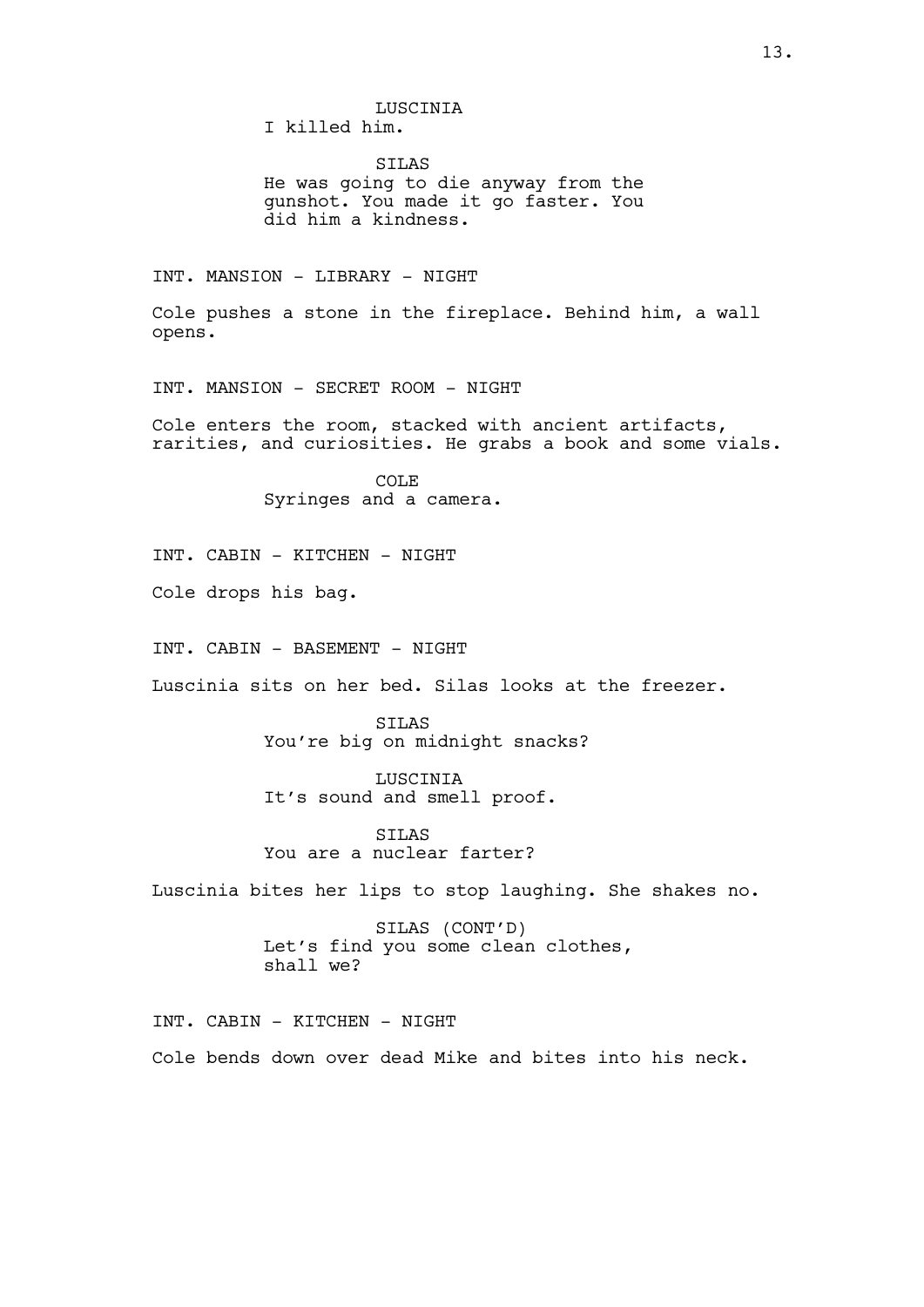LUSCINIA I killed him.

SILAS He was going to die anyway from the gunshot. You made it go faster. You did him a kindness.

INT. MANSION - LIBRARY - NIGHT

Cole pushes a stone in the fireplace. Behind him, a wall opens.

INT. MANSION - SECRET ROOM - NIGHT

Cole enters the room, stacked with ancient artifacts, rarities, and curiosities. He grabs a book and some vials.

> COLE Syringes and a camera.

INT. CABIN - KITCHEN - NIGHT

Cole drops his bag.

INT. CABIN - BASEMENT - NIGHT

Luscinia sits on her bed. Silas looks at the freezer.

SILAS You're big on midnight snacks?

LUSCINIA It's sound and smell proof.

**STLAS** You are a nuclear farter?

Luscinia bites her lips to stop laughing. She shakes no.

SILAS (CONT'D) Let's find you some clean clothes, shall we?

INT. CABIN - KITCHEN - NIGHT Cole bends down over dead Mike and bites into his neck.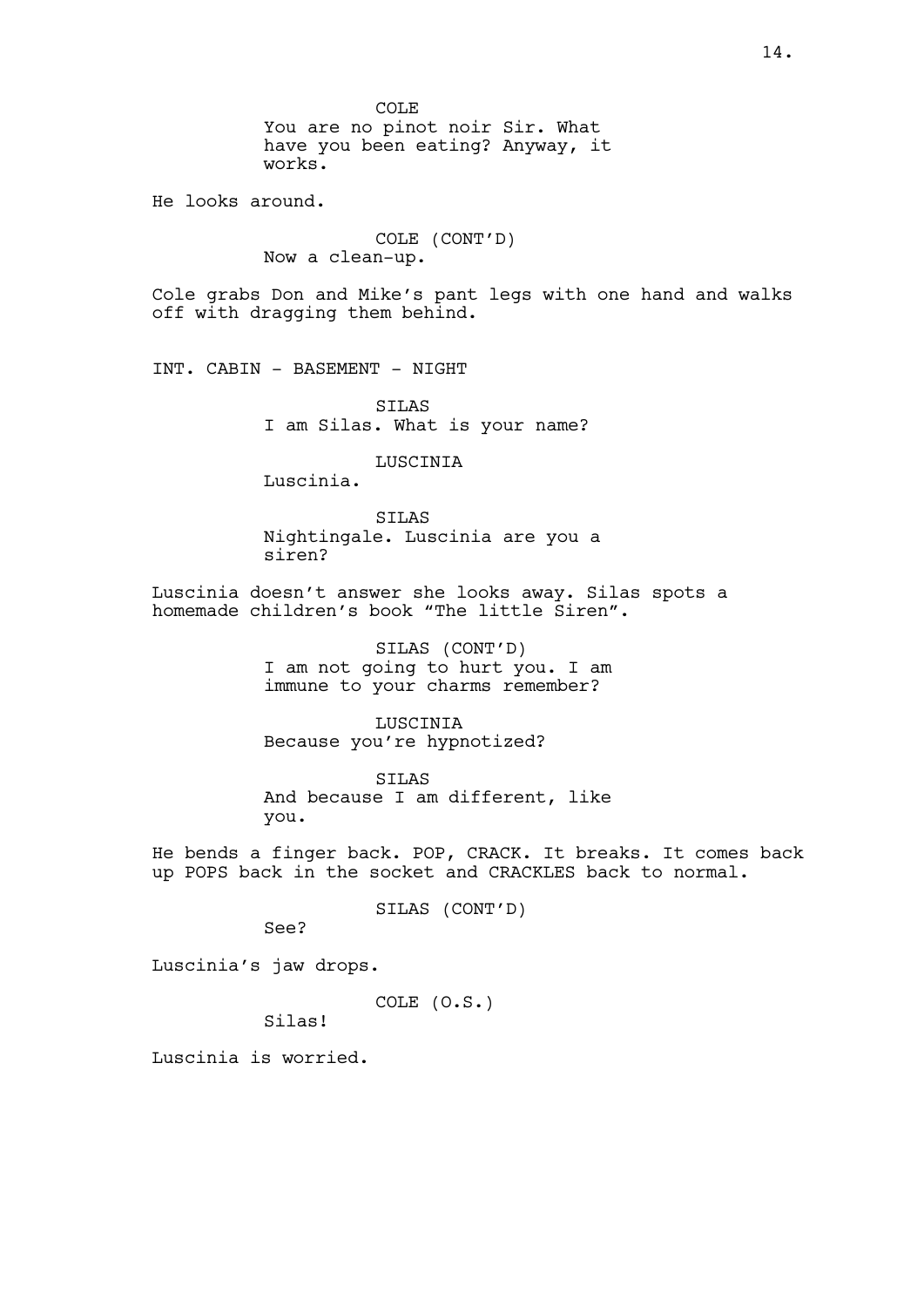COLE You are no pinot noir Sir. What have you been eating? Anyway, it works.

He looks around.

COLE (CONT'D) Now a clean-up.

Cole grabs Don and Mike's pant legs with one hand and walks off with dragging them behind.

INT. CABIN - BASEMENT - NIGHT

SILAS I am Silas. What is your name?

LUSCINIA

Luscinia.

SILAS Nightingale. Luscinia are you a siren?

Luscinia doesn't answer she looks away. Silas spots a homemade children's book "The little Siren".

> SILAS (CONT'D) I am not going to hurt you. I am immune to your charms remember?

LUSCINIA Because you're hypnotized?

SILAS And because I am different, like you.

He bends a finger back. POP, CRACK. It breaks. It comes back up POPS back in the socket and CRACKLES back to normal.

SILAS (CONT'D)

See?

Luscinia's jaw drops.

COLE (O.S.)

Silas!

Luscinia is worried.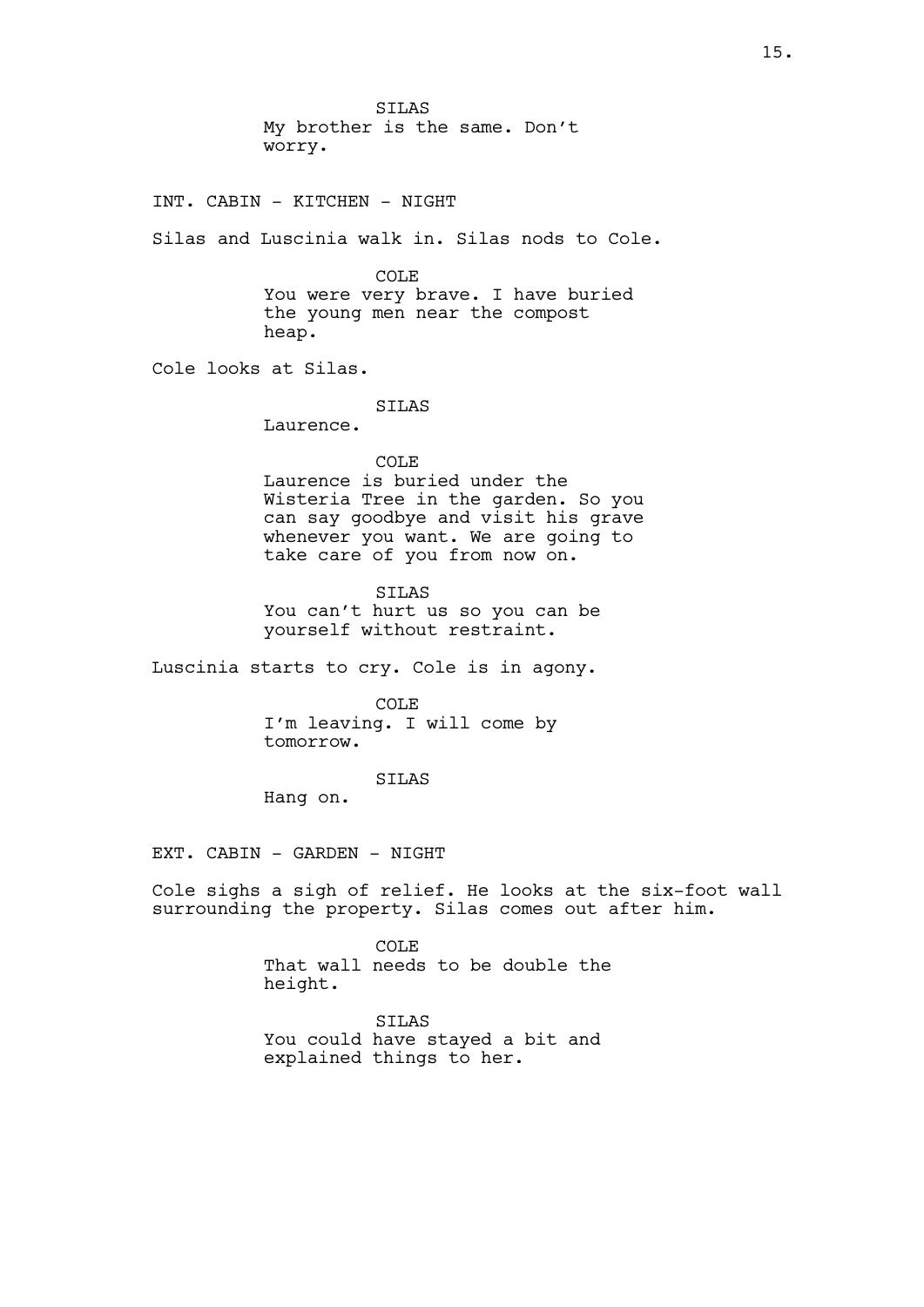SILAS My brother is the same. Don't worry.

INT. CABIN - KITCHEN - NIGHT

Silas and Luscinia walk in. Silas nods to Cole.

COLE You were very brave. I have buried the young men near the compost heap.

Cole looks at Silas.

SILAS

Laurence.

COLE Laurence is buried under the Wisteria Tree in the garden. So you can say goodbye and visit his grave whenever you want. We are going to take care of you from now on.

SILAS You can't hurt us so you can be yourself without restraint.

Luscinia starts to cry. Cole is in agony.

COLE I'm leaving. I will come by tomorrow.

SILAS

Hang on.

EXT. CABIN - GARDEN - NIGHT

Cole sighs a sigh of relief. He looks at the six-foot wall surrounding the property. Silas comes out after him.

> COLE That wall needs to be double the height.

SILAS You could have stayed a bit and explained things to her.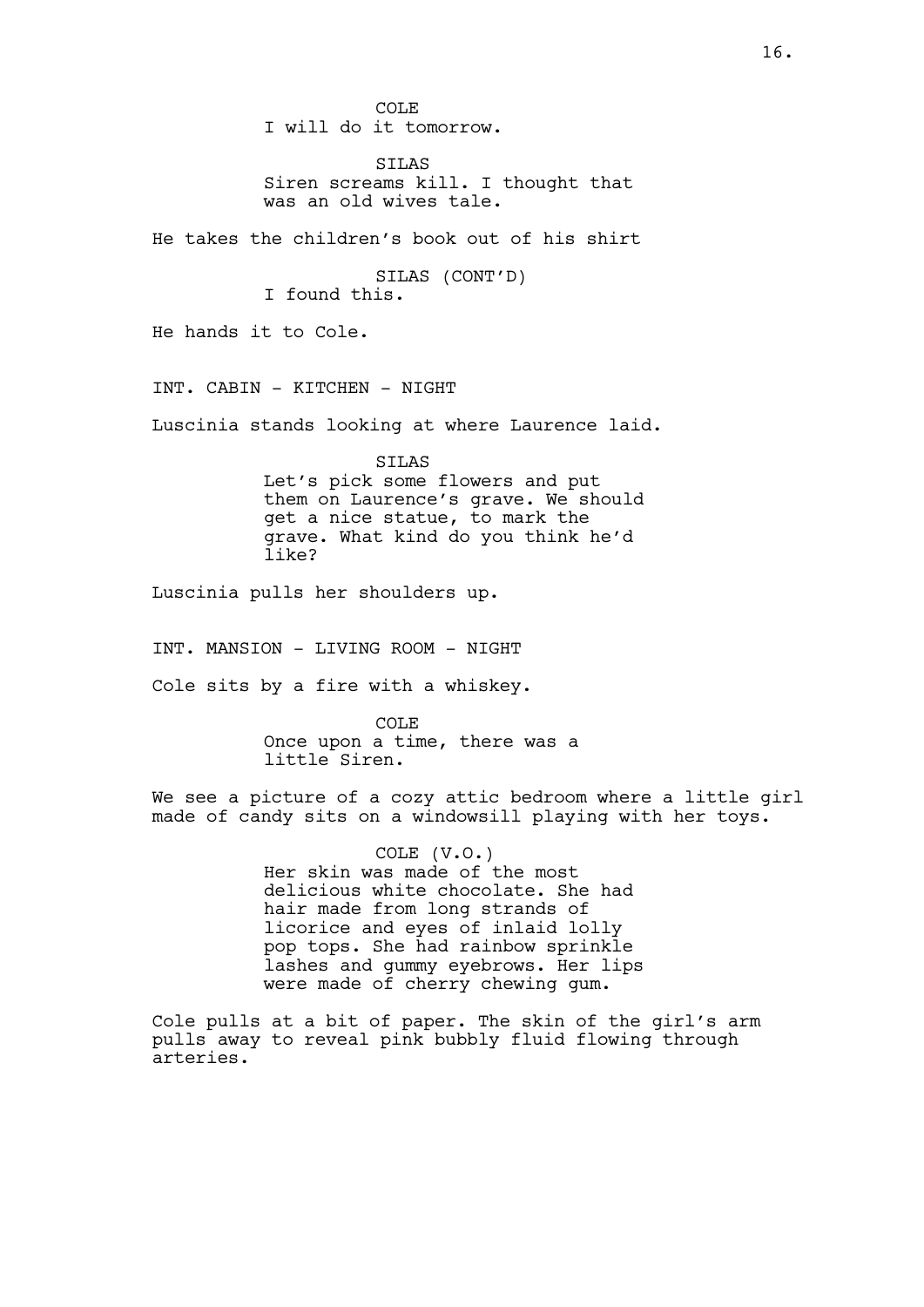COLE I will do it tomorrow.

SILAS Siren screams kill. I thought that was an old wives tale.

He takes the children's book out of his shirt

SILAS (CONT'D) I found this.

He hands it to Cole.

INT. CABIN - KITCHEN - NIGHT

Luscinia stands looking at where Laurence laid.

SILAS Let's pick some flowers and put them on Laurence's grave. We should get a nice statue, to mark the grave. What kind do you think he'd like?

Luscinia pulls her shoulders up.

INT. MANSION - LIVING ROOM - NIGHT

Cole sits by a fire with a whiskey.

COLE Once upon a time, there was a little Siren.

We see a picture of a cozy attic bedroom where a little girl made of candy sits on a windowsill playing with her toys.

> COLE (V.O.) Her skin was made of the most delicious white chocolate. She had hair made from long strands of licorice and eyes of inlaid lolly pop tops. She had rainbow sprinkle lashes and gummy eyebrows. Her lips were made of cherry chewing gum.

Cole pulls at a bit of paper. The skin of the girl's arm pulls away to reveal pink bubbly fluid flowing through arteries.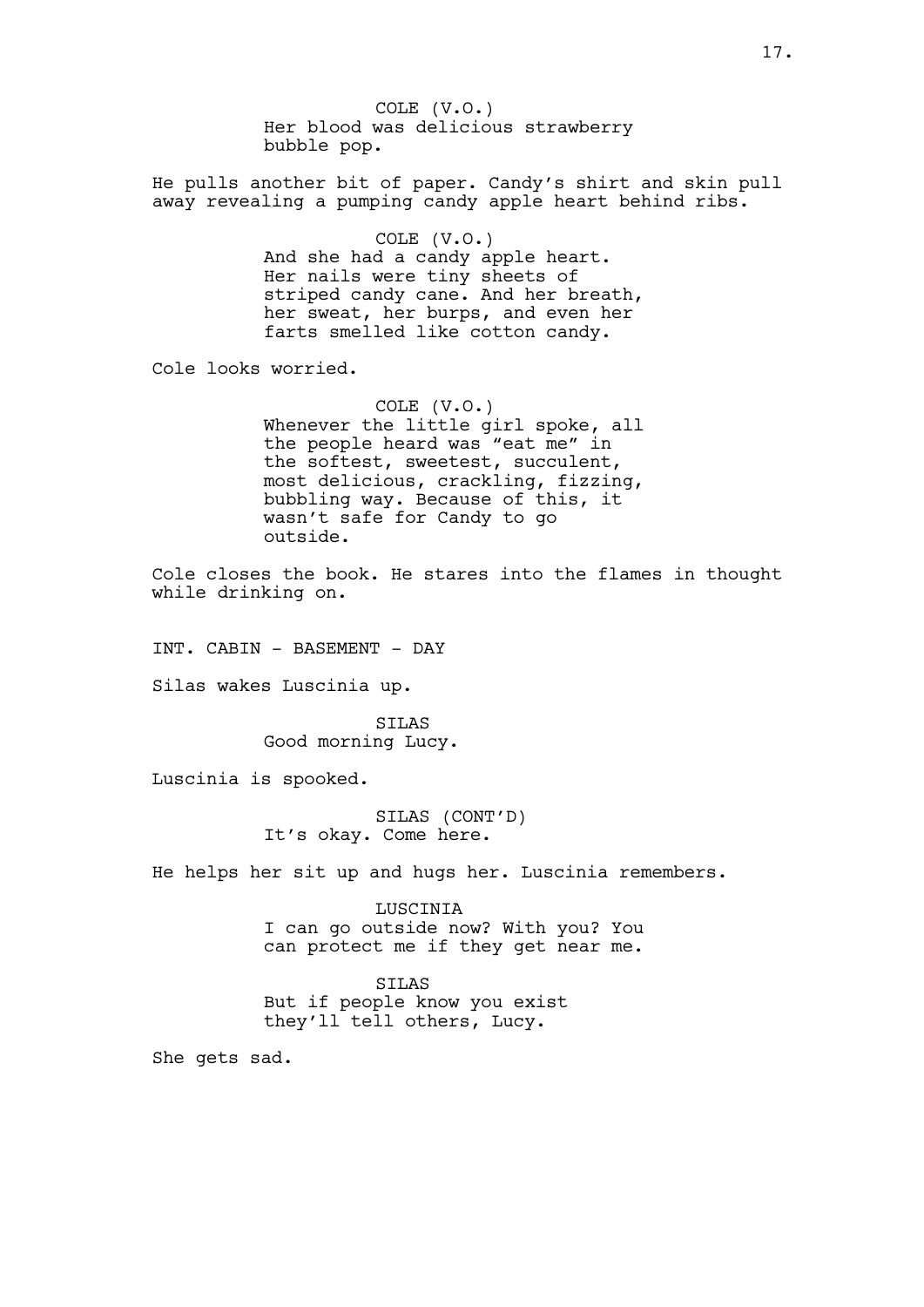COLE (V.O.) Her blood was delicious strawberry bubble pop.

He pulls another bit of paper. Candy's shirt and skin pull away revealing a pumping candy apple heart behind ribs.

> COLE (V.O.) And she had a candy apple heart. Her nails were tiny sheets of striped candy cane. And her breath, her sweat, her burps, and even her farts smelled like cotton candy.

Cole looks worried.

COLE (V.O.) Whenever the little girl spoke, all the people heard was "eat me" in the softest, sweetest, succulent, most delicious, crackling, fizzing, bubbling way. Because of this, it wasn't safe for Candy to go outside.

Cole closes the book. He stares into the flames in thought while drinking on.

INT. CABIN - BASEMENT - DAY

Silas wakes Luscinia up.

SILAS Good morning Lucy.

Luscinia is spooked.

SILAS (CONT'D) It's okay. Come here.

He helps her sit up and hugs her. Luscinia remembers.

LUSCINIA I can go outside now? With you? You can protect me if they get near me.

SILAS But if people know you exist they'll tell others, Lucy.

She gets sad.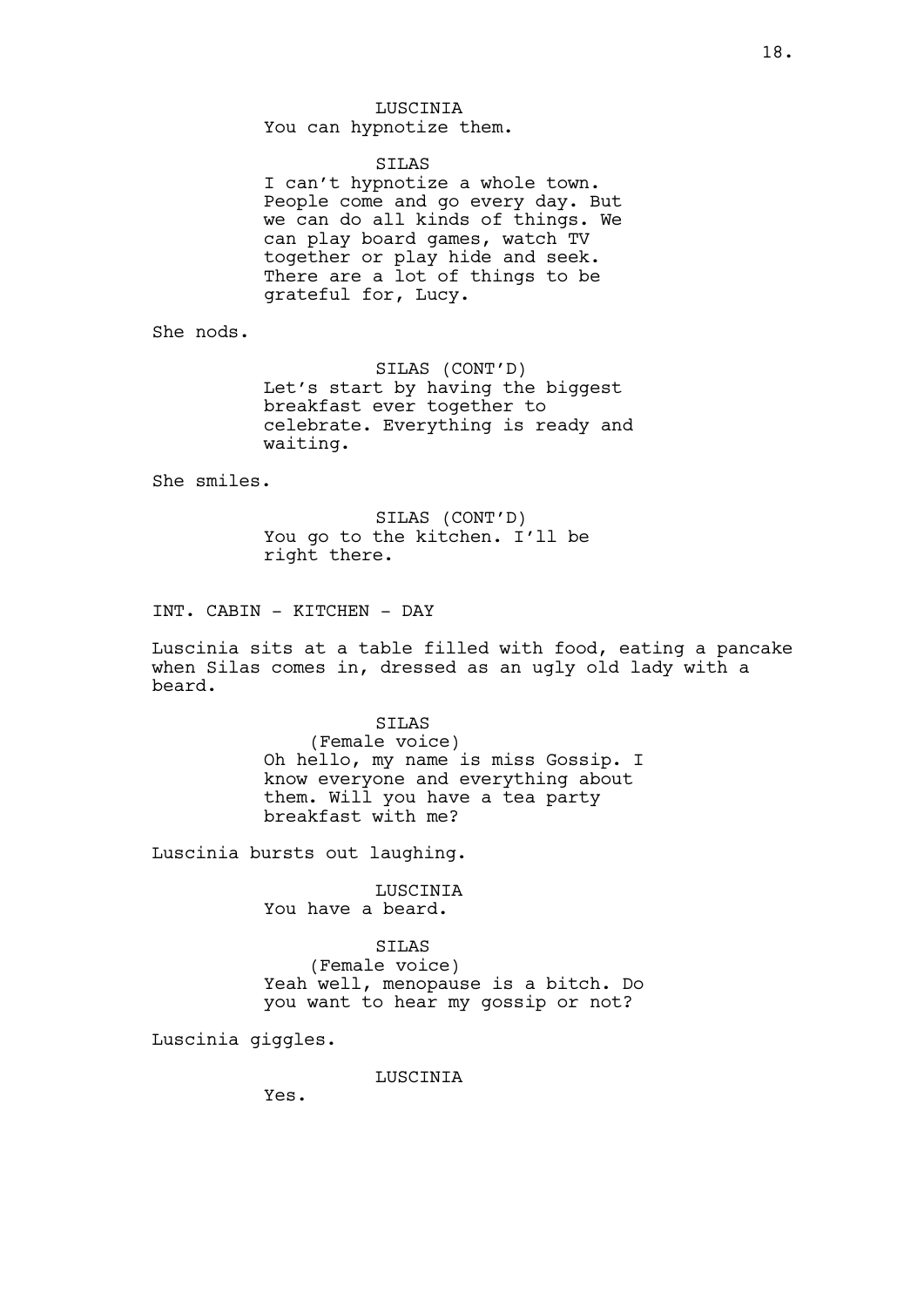#### SILAS

I can't hypnotize a whole town. People come and go every day. But we can do all kinds of things. We can play board games, watch TV together or play hide and seek. There are a lot of things to be grateful for, Lucy.

She nods.

SILAS (CONT'D) Let's start by having the biggest breakfast ever together to celebrate. Everything is ready and waiting.

She smiles.

SILAS (CONT'D) You go to the kitchen. I'll be right there.

INT. CABIN - KITCHEN - DAY

Luscinia sits at a table filled with food, eating a pancake when Silas comes in, dressed as an ugly old lady with a beard.

> SILAS (Female voice) Oh hello, my name is miss Gossip. I know everyone and everything about them. Will you have a tea party breakfast with me?

Luscinia bursts out laughing.

LUSCINIA You have a beard.

SILAS

(Female voice) Yeah well, menopause is a bitch. Do you want to hear my gossip or not?

Luscinia giggles.

LUSCINIA

Yes.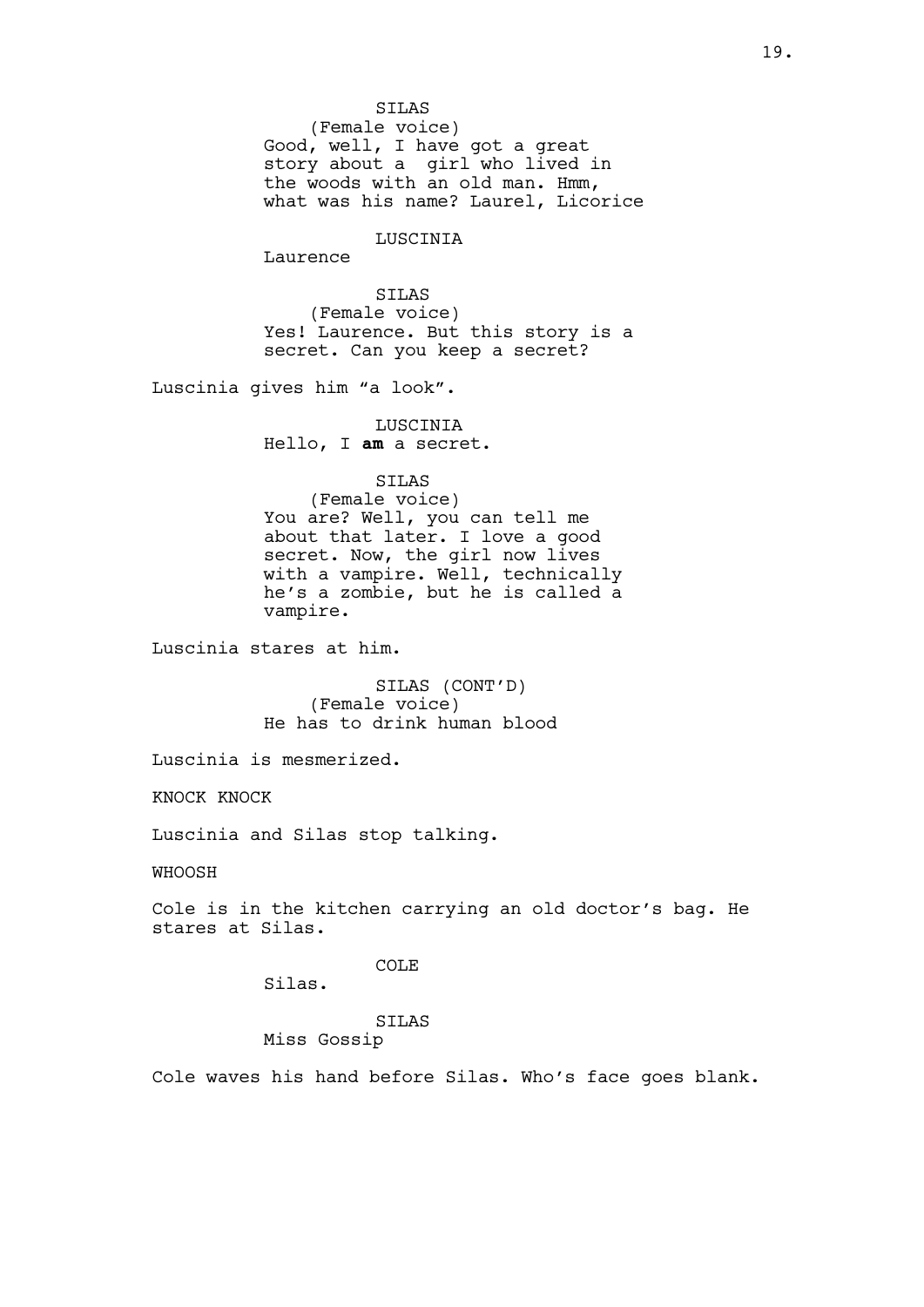SILAS (Female voice) Good, well, I have got a great story about a girl who lived in the woods with an old man. Hmm, what was his name? Laurel, Licorice

LUSCINIA

Laurence

SILAS (Female voice) Yes! Laurence. But this story is a secret. Can you keep a secret?

Luscinia gives him "a look".

LUSCINIA Hello, I am a secret.

SILAS

(Female voice) You are? Well, you can tell me about that later. I love a good secret. Now, the girl now lives with a vampire. Well, technically he's a zombie, but he is called a vampire.

Luscinia stares at him.

SILAS (CONT'D) (Female voice) He has to drink human blood

Luscinia is mesmerized.

KNOCK KNOCK

Luscinia and Silas stop talking.

WHOOSH

Cole is in the kitchen carrying an old doctor's bag. He stares at Silas.

COLE

Silas.

## SILAS

Miss Gossip

Cole waves his hand before Silas. Who's face goes blank.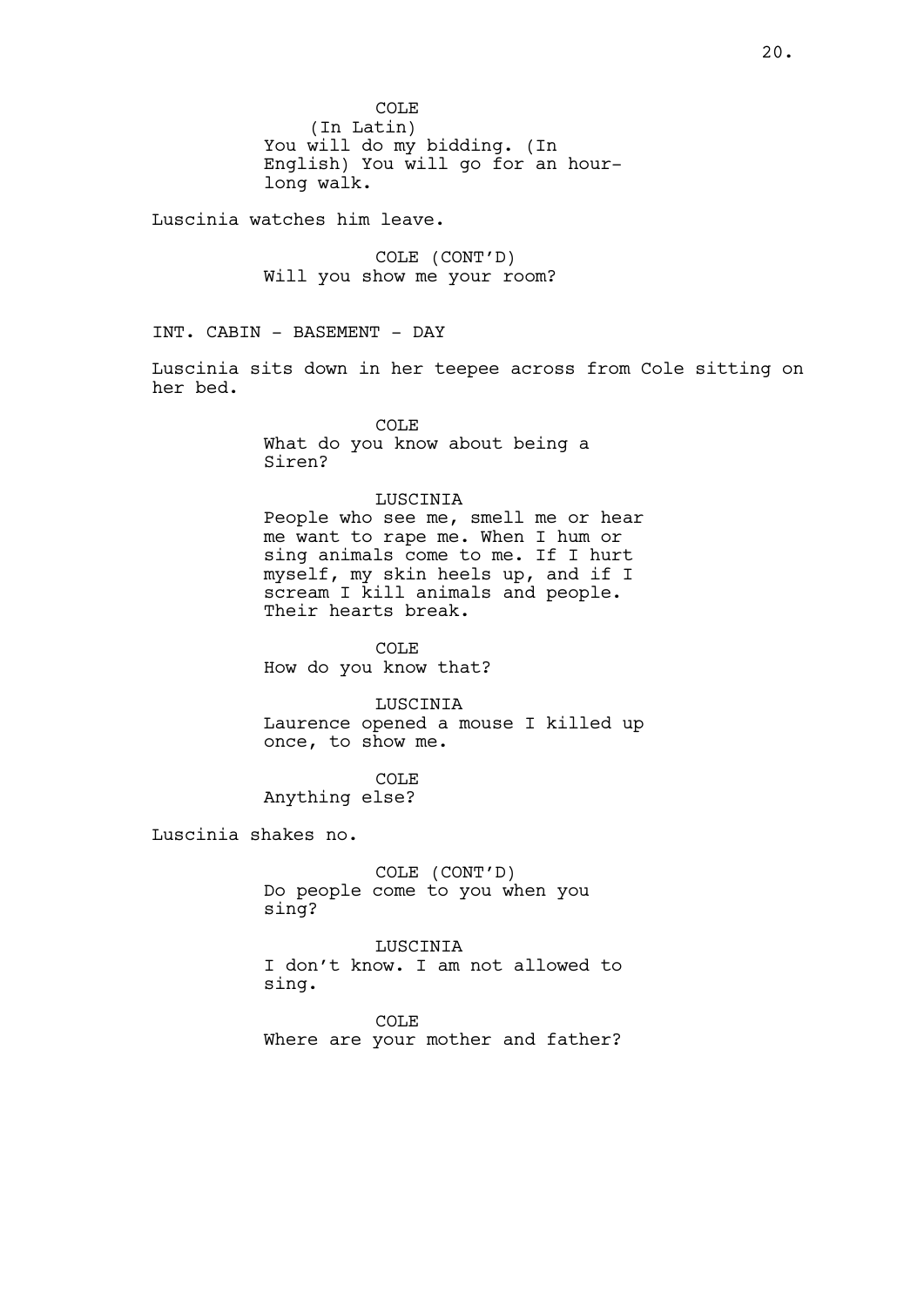Luscinia watches him leave.

COLE (CONT'D) Will you show me your room?

INT. CABIN - BASEMENT - DAY

Luscinia sits down in her teepee across from Cole sitting on her bed.

> COLE What do you know about being a Siren?

## LUSCINIA

People who see me, smell me or hear me want to rape me. When I hum or sing animals come to me. If I hurt myself, my skin heels up, and if I myself, my shin notes of, a<br>scream I kill animals and people. Their hearts break.

COLE How do you know that?

LUSCINIA Laurence opened a mouse I killed up once, to show me.

COLE Anything else?

Luscinia shakes no.

COLE (CONT'D) Do people come to you when you sing?

**LUSCINIA** I don't know. I am not allowed to sing.

COLE Where are your mother and father?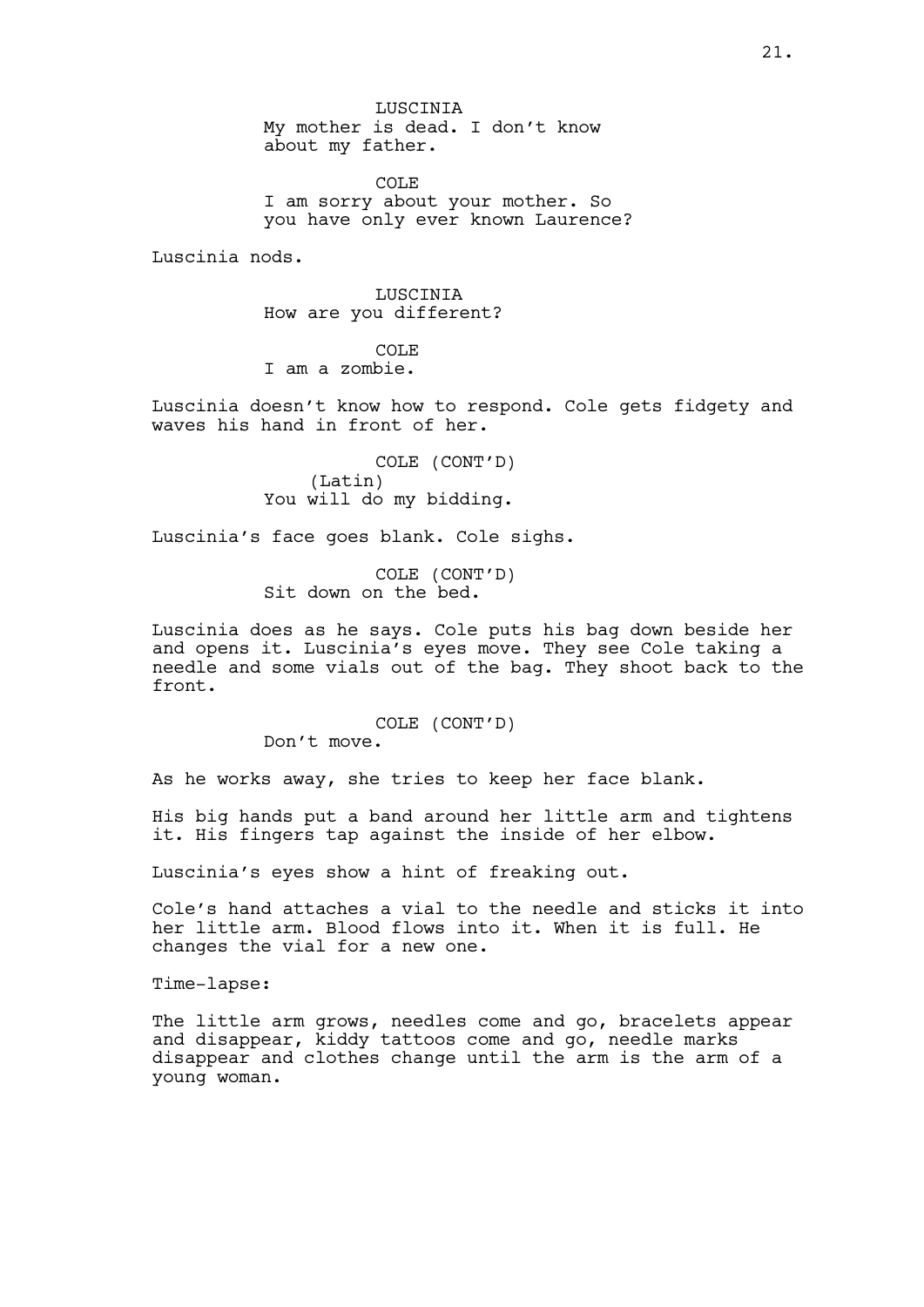LUSCINIA My mother is dead. I don't know about my father.

COLE I am sorry about your mother. So you have only ever known Laurence?

Luscinia nods.

LUSCINIA How are you different?

COLE I am a zombie.

Luscinia doesn't know how to respond. Cole gets fidgety and waves his hand in front of her.

> COLE (CONT'D) (Latin) You will do my bidding.

Luscinia's face goes blank. Cole sighs.

COLE (CONT'D) Sit down on the bed.

Luscinia does as he says. Cole puts his bag down beside her and opens it. Luscinia's eyes move. They see Cole taking a needle and some vials out of the bag. They shoot back to the front.

> COLE (CONT'D) Don't move.

As he works away, she tries to keep her face blank.

His big hands put a band around her little arm and tightens it. His fingers tap against the inside of her elbow.

Luscinia's eyes show a hint of freaking out.

Cole's hand attaches a vial to the needle and sticks it into her little arm. Blood flows into it. When it is full. He changes the vial for a new one.

Time-lapse:

The little arm grows, needles come and go, bracelets appear and disappear, kiddy tattoos come and go, needle marks disappear and clothes change until the arm is the arm of a young woman.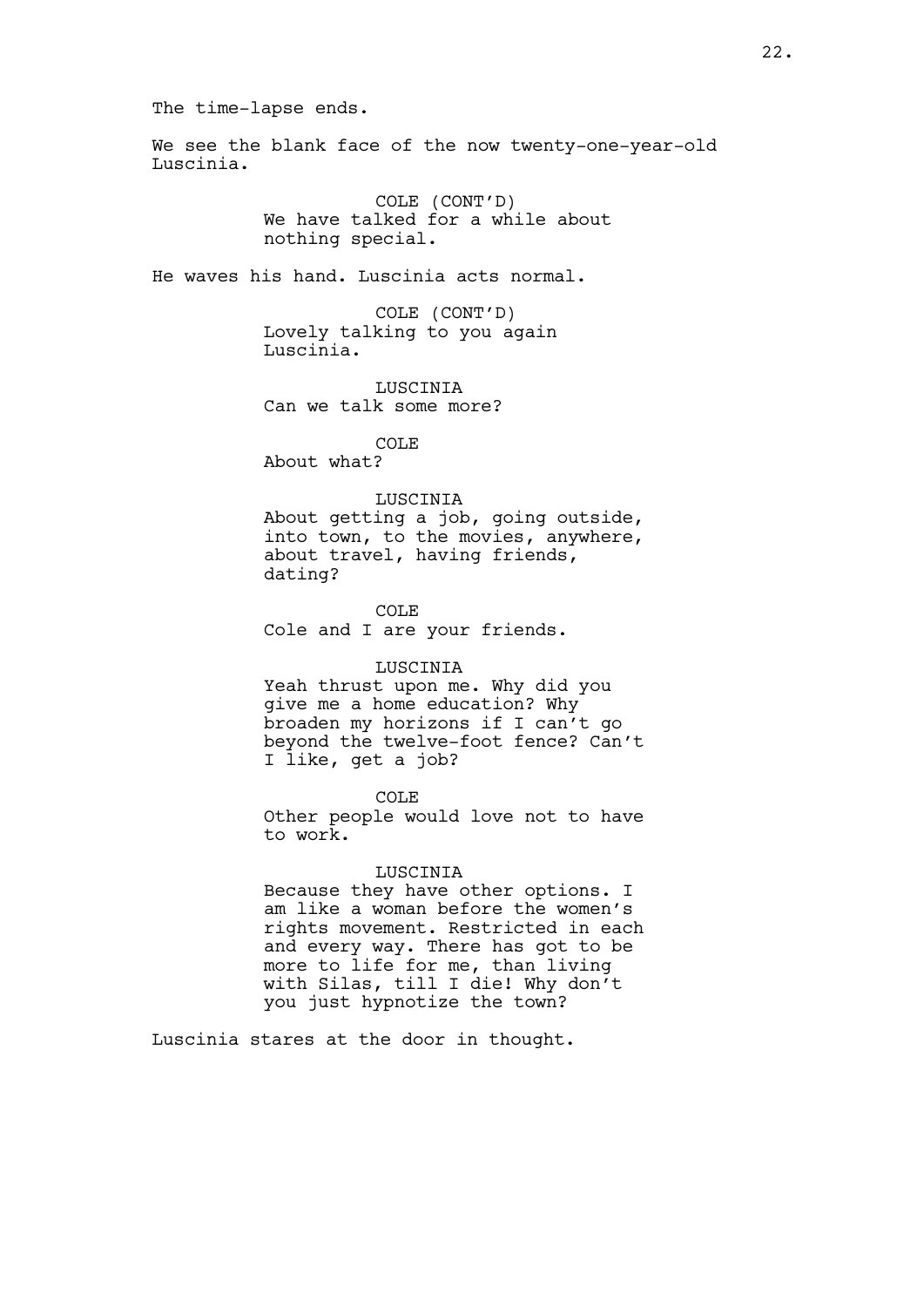The time-lapse ends.

We see the blank face of the now twenty-one-year-old Luscinia.

> COLE (CONT'D) We have talked for a while about nothing special.

He waves his hand. Luscinia acts normal.

COLE (CONT'D) Lovely talking to you again Luscinia.

LUSCINIA Can we talk some more?

COLE

About what?

# LUSCINIA

About getting a job, going outside, into town, to the movies, anywhere, about travel, having friends, dating?

COLE Cole and I are your friends.

### LUSCINIA

Yeah thrust upon me. Why did you give me a home education? Why broaden my horizons if I can't go beyond the twelve-foot fence? Can't I like, get a job?

COLE Other people would love not to have to work.

#### LUSCINIA

Because they have other options. I am like a woman before the women's rights movement. Restricted in each and every way. There has got to be more to life for me, than living with Silas, till I die! Why don't you just hypnotize the town?

Luscinia stares at the door in thought.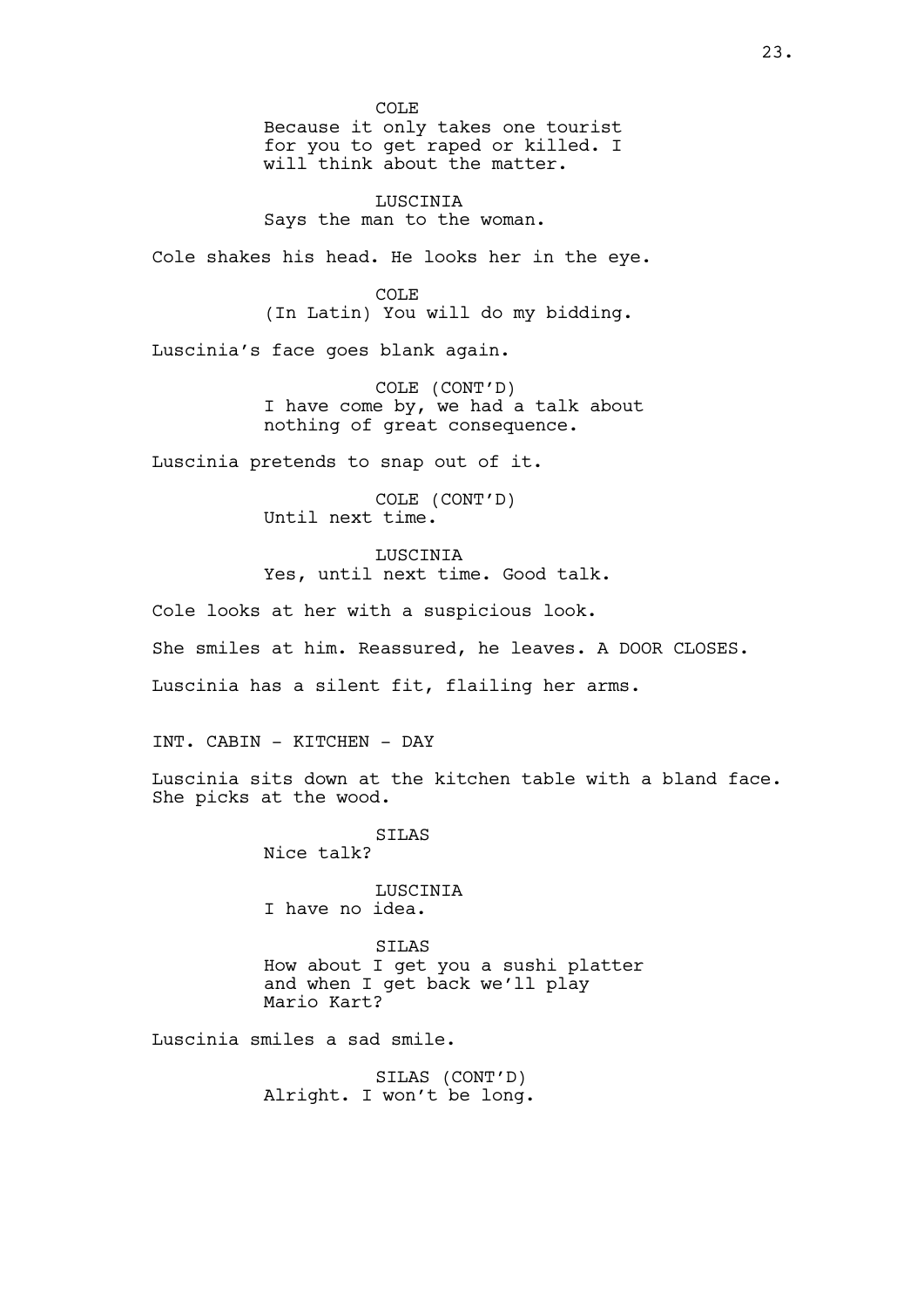COLE Because it only takes one tourist for you to get raped or killed. I will think about the matter.

LUSCINIA Says the man to the woman.

Cole shakes his head. He looks her in the eye.

COLE (In Latin) You will do my bidding.

Luscinia's face goes blank again.

COLE (CONT'D) I have come by, we had a talk about nothing of great consequence.

Luscinia pretends to snap out of it.

COLE (CONT'D) Until next time.

LUSCINIA Yes, until next time. Good talk.

Cole looks at her with a suspicious look. She smiles at him. Reassured, he leaves. A DOOR CLOSES. Luscinia has a silent fit, flailing her arms.

INT. CABIN - KITCHEN - DAY

Luscinia sits down at the kitchen table with a bland face. She picks at the wood.

> SILAS Nice talk?

LUSCINIA I have no idea.

SILAS How about I get you a sushi platter and when I get back we'll play Mario Kart?

Luscinia smiles a sad smile.

SILAS (CONT'D) Alright. I won't be long.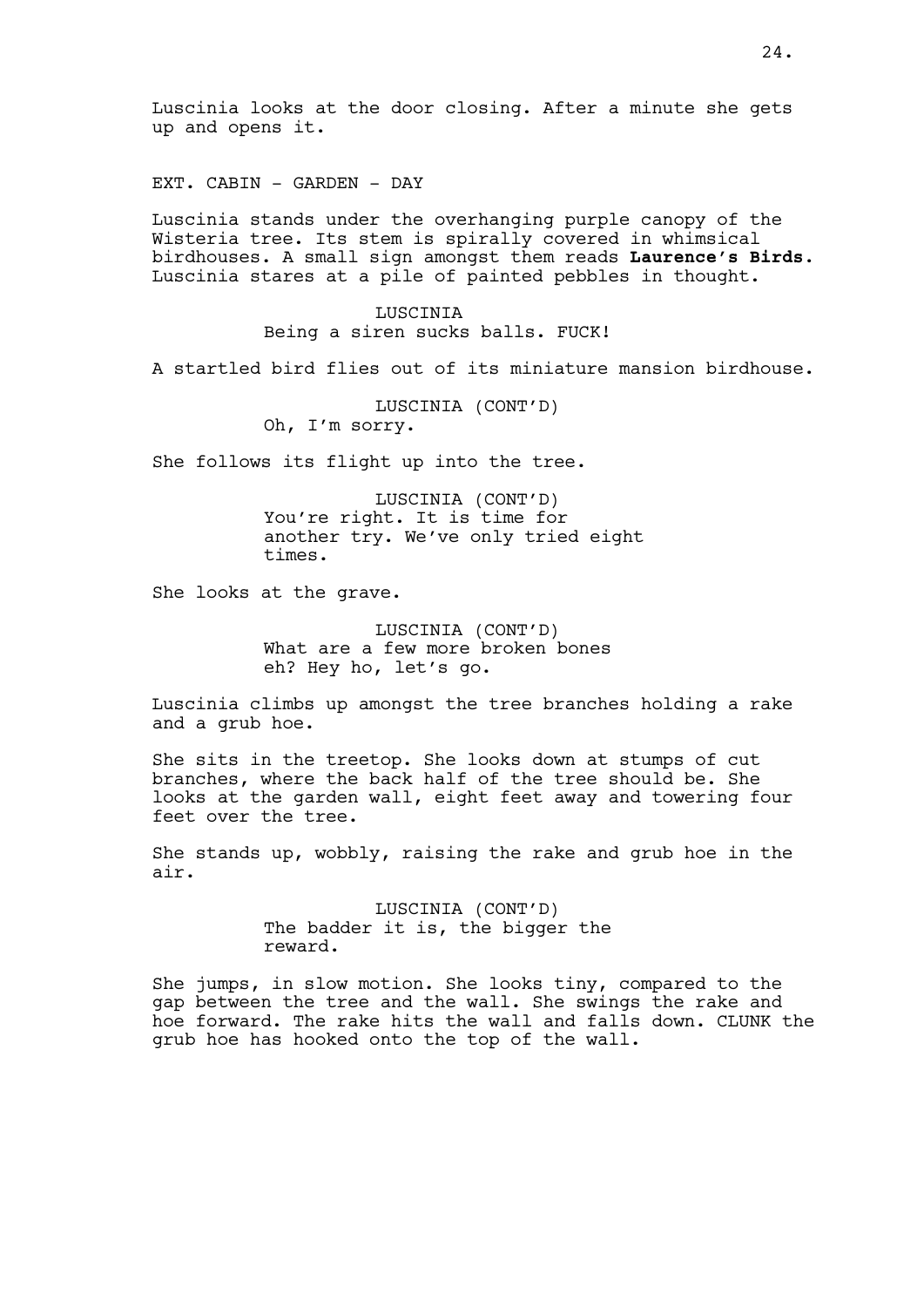Luscinia looks at the door closing. After a minute she gets up and opens it.

EXT. CABIN - GARDEN - DAY

Luscinia stands under the overhanging purple canopy of the Wisteria tree. Its stem is spirally covered in whimsical birdhouses. A small sign amongst them reads Laurence's Birds. Luscinia stares at a pile of painted pebbles in thought.

> LUSCINIA Being a siren sucks balls. FUCK!

A startled bird flies out of its miniature mansion birdhouse.

LUSCINIA (CONT'D)

Oh, I'm sorry.

She follows its flight up into the tree.

LUSCINIA (CONT'D) You're right. It is time for another try. We've only tried eight times.

She looks at the grave.

LUSCINIA (CONT'D) What are a few more broken bones eh? Hey ho, let's go.

Luscinia climbs up amongst the tree branches holding a rake and a grub hoe.

She sits in the treetop. She looks down at stumps of cut branches, where the back half of the tree should be. She looks at the garden wall, eight feet away and towering four feet over the tree.

She stands up, wobbly, raising the rake and grub hoe in the air.

> LUSCINIA (CONT'D) The badder it is, the bigger the reward.

She jumps, in slow motion. She looks tiny, compared to the gap between the tree and the wall. She swings the rake and hoe forward. The rake hits the wall and falls down. CLUNK the grub hoe has hooked onto the top of the wall.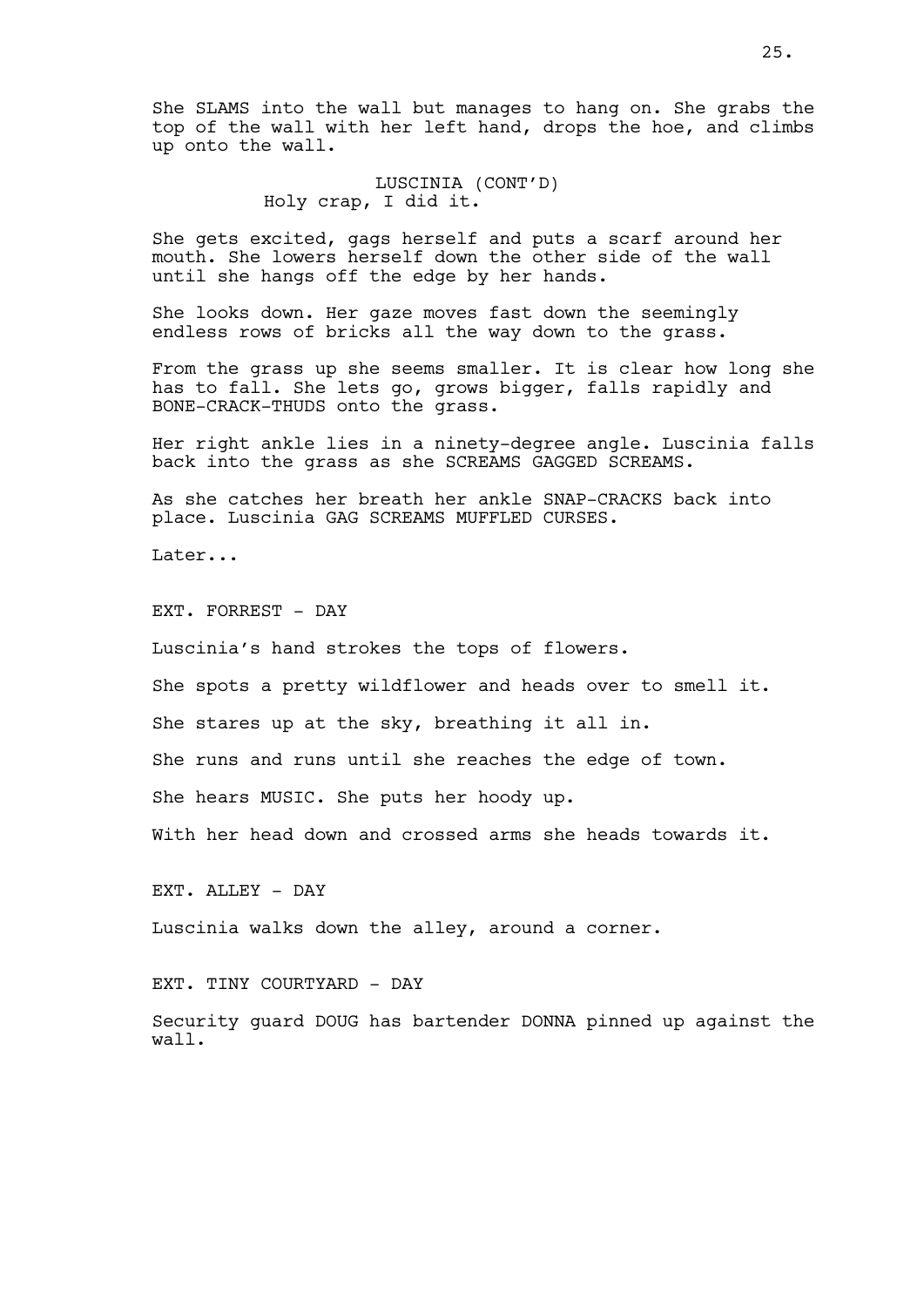She SLAMS into the wall but manages to hang on. She grabs the top of the wall with her left hand, drops the hoe, and climbs up onto the wall.

> LUSCINIA (CONT'D) Holy crap, I did it.

She gets excited, gags herself and puts a scarf around her mouth. She lowers herself down the other side of the wall until she hangs off the edge by her hands.

She looks down. Her gaze moves fast down the seemingly endless rows of bricks all the way down to the grass.

From the grass up she seems smaller. It is clear how long she has to fall. She lets go, grows bigger, falls rapidly and BONE-CRACK-THUDS onto the grass.

Her right ankle lies in a ninety-degree angle. Luscinia falls back into the grass as she SCREAMS GAGGED SCREAMS.

As she catches her breath her ankle SNAP-CRACKS back into place. Luscinia GAG SCREAMS MUFFLED CURSES.

Later...

EXT. FORREST - DAY

Luscinia's hand strokes the tops of flowers.

She spots a pretty wildflower and heads over to smell it.

She stares up at the sky, breathing it all in.

She runs and runs until she reaches the edge of town.

She hears MUSIC. She puts her hoody up.

With her head down and crossed arms she heads towards it.

EXT. ALLEY - DAY

Luscinia walks down the alley, around a corner.

EXT. TINY COURTYARD - DAY

Security guard DOUG has bartender DONNA pinned up against the wall.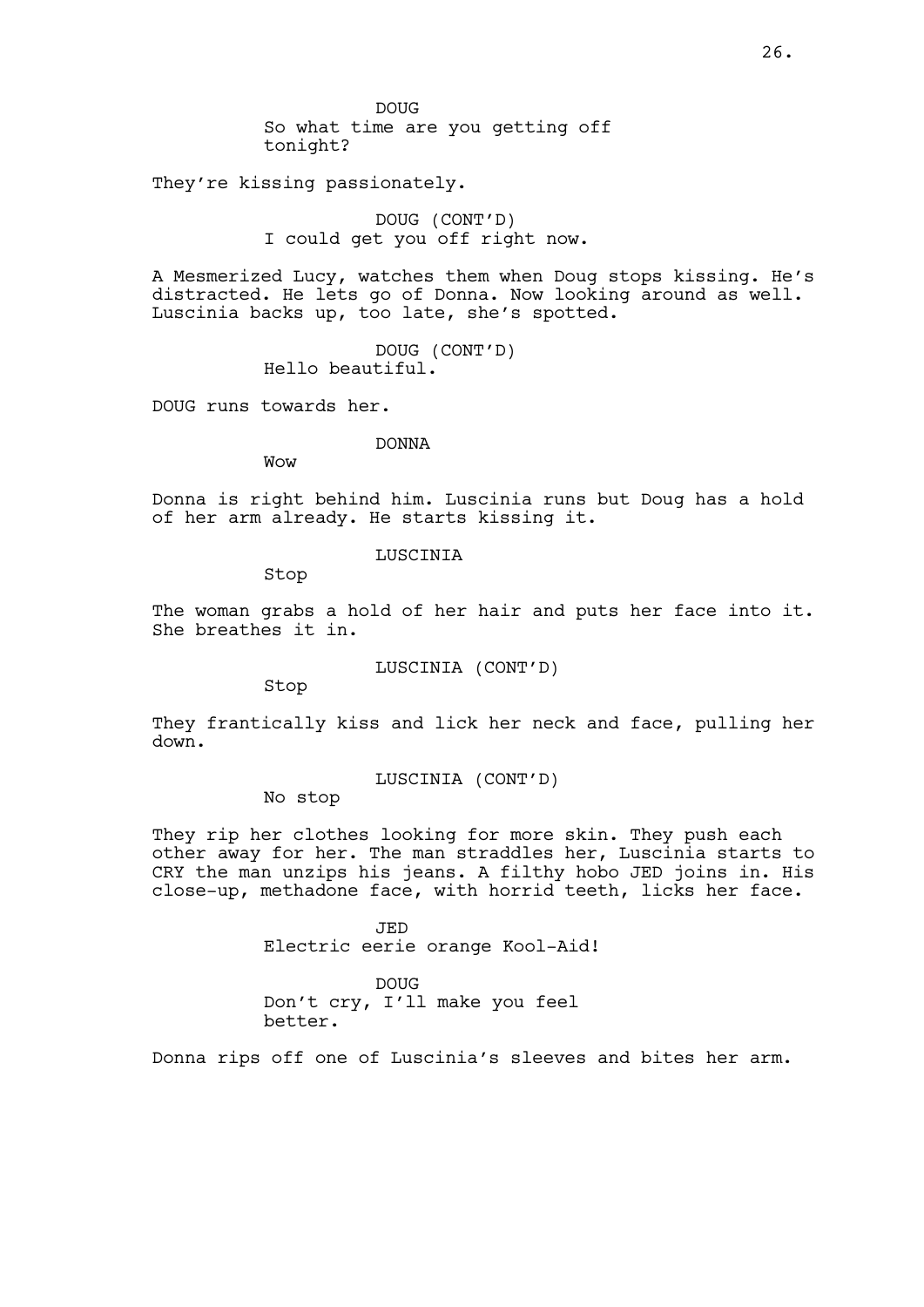They're kissing passionately.

DOUG (CONT'D) I could get you off right now.

A Mesmerized Lucy, watches them when Doug stops kissing. He's distracted. He lets go of Donna. Now looking around as well. Luscinia backs up, too late, she's spotted.

> DOUG (CONT'D) Hello beautiful.

DOUG runs towards her.

DONNA

Wow

Donna is right behind him. Luscinia runs but Doug has a hold of her arm already. He starts kissing it.

LUSCINIA

Stop

The woman grabs a hold of her hair and puts her face into it. She breathes it in.

LUSCINIA (CONT'D)

Stop

They frantically kiss and lick her neck and face, pulling her down.

LUSCINIA (CONT'D)

No stop

They rip her clothes looking for more skin. They push each other away for her. The man straddles her, Luscinia starts to CRY the man unzips his jeans. A filthy hobo JED joins in. His close-up, methadone face, with horrid teeth, licks her face.

> JED Electric eerie orange Kool-Aid!

DOUG Don't cry, I'll make you feel better.

Donna rips off one of Luscinia's sleeves and bites her arm.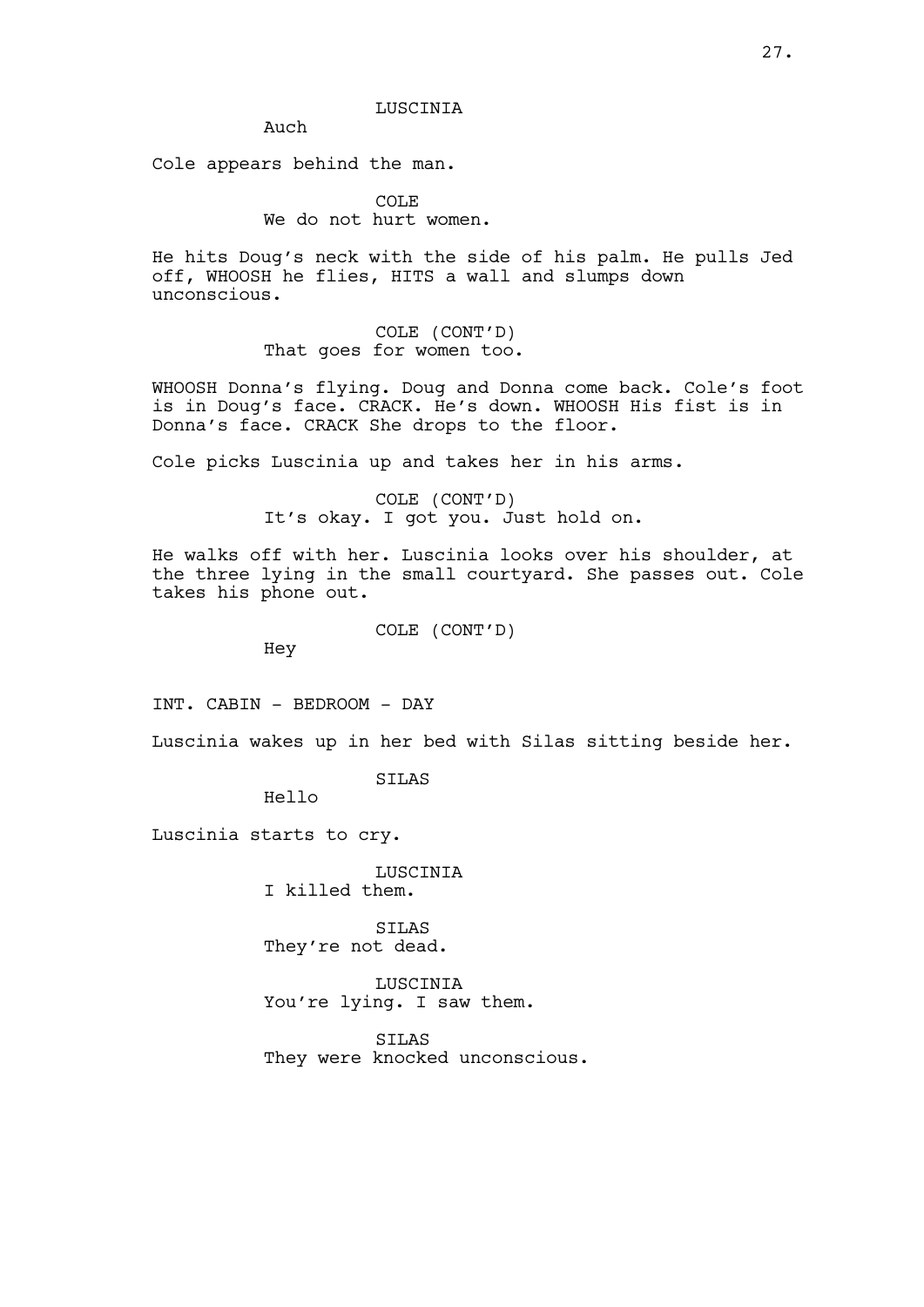Auch

Cole appears behind the man.

COLE We do not hurt women.

He hits Doug's neck with the side of his palm. He pulls Jed off, WHOOSH he flies, HITS a wall and slumps down unconscious.

> COLE (CONT'D) That goes for women too.

WHOOSH Donna's flying. Doug and Donna come back. Cole's foot is in Doug's face. CRACK. He's down. WHOOSH His fist is in Donna's face. CRACK She drops to the floor.

Cole picks Luscinia up and takes her in his arms.

COLE (CONT'D) It's okay. I got you. Just hold on.

He walks off with her. Luscinia looks over his shoulder, at the three lying in the small courtyard. She passes out. Cole takes his phone out.

COLE (CONT'D)

Hey

INT. CABIN - BEDROOM - DAY

Luscinia wakes up in her bed with Silas sitting beside her.

SILAS

Hello

Luscinia starts to cry.

LUSCINIA I killed them.

SILAS They're not dead.

LUSCINIA You're lying. I saw them.

SILAS They were knocked unconscious.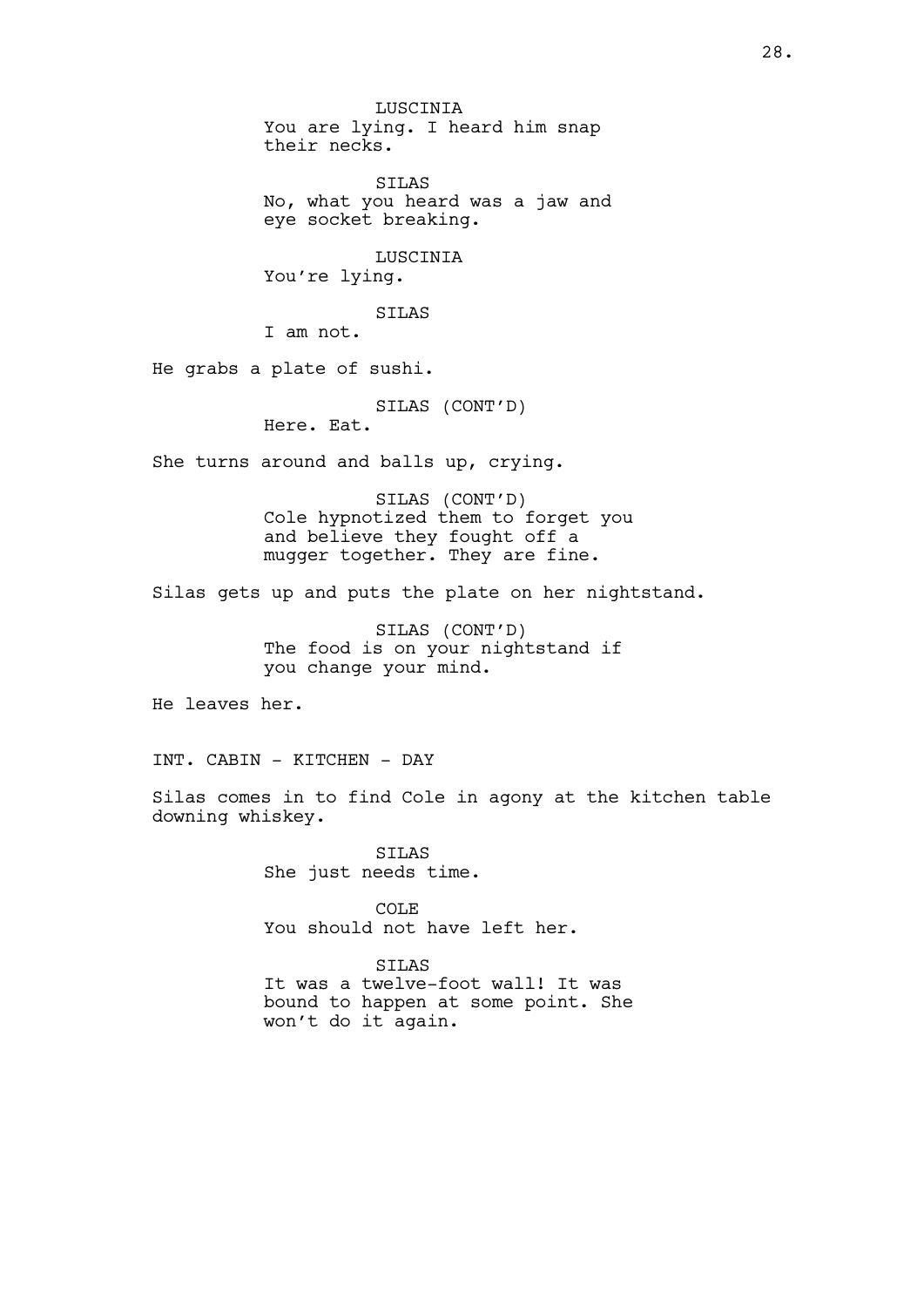LUSCINIA You are lying. I heard him snap their necks. SILAS No, what you heard was a jaw and eye socket breaking. LUSCINIA You're lying. SILAS I am not. He grabs a plate of sushi. SILAS (CONT'D) Here. Eat. She turns around and balls up, crying. SILAS (CONT'D) Cole hypnotized them to forget you and believe they fought off a mugger together. They are fine. Silas gets up and puts the plate on her nightstand. SILAS (CONT'D) The food is on your nightstand if you change your mind. He leaves her. INT. CABIN - KITCHEN - DAY Silas comes in to find Cole in agony at the kitchen table downing whiskey. SILAS She just needs time. COLE You should not have left her. STLAS

It was a twelve-foot wall! It was bound to happen at some point. She won't do it again.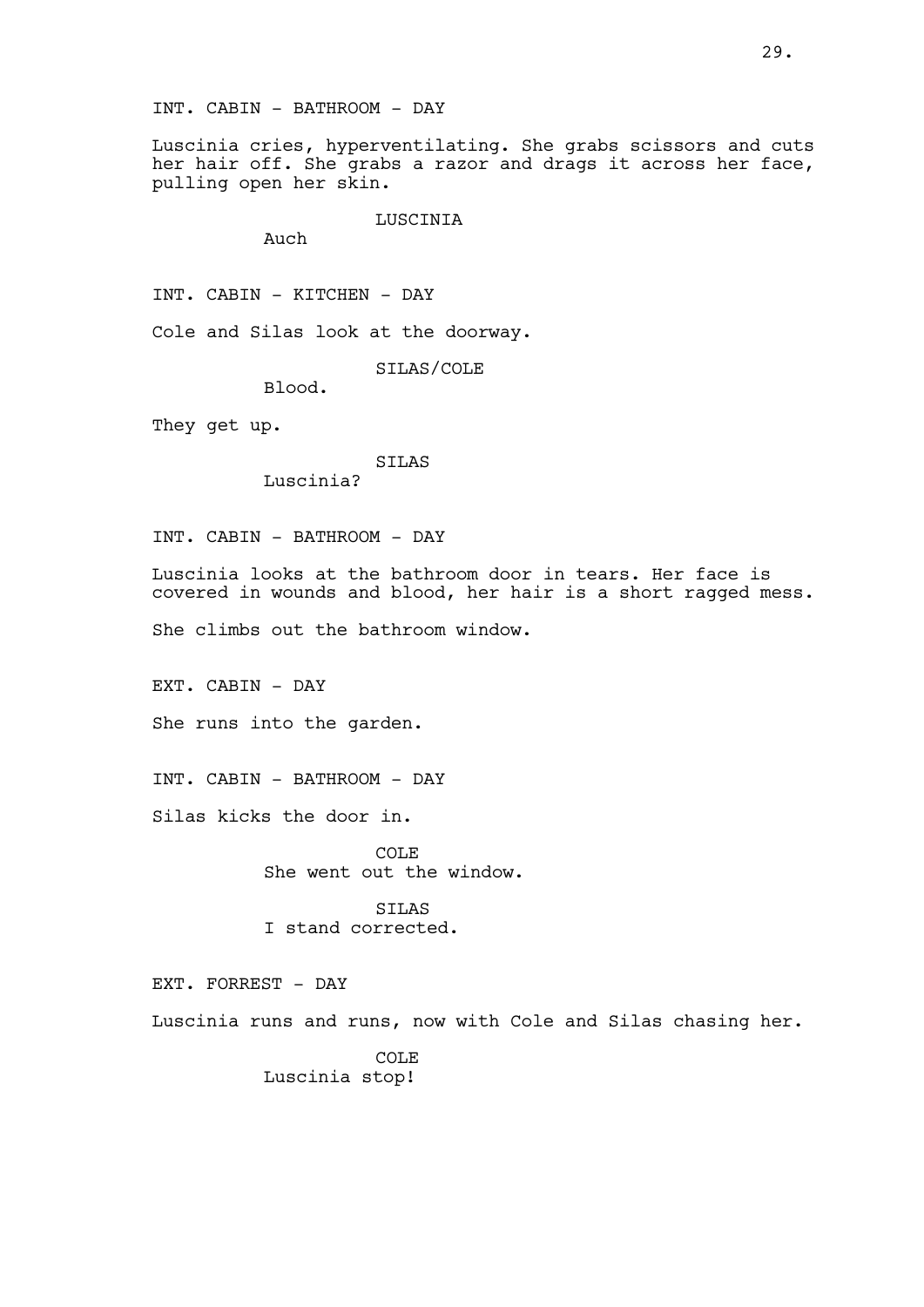Luscinia cries, hyperventilating. She grabs scissors and cuts her hair off. She grabs a razor and drags it across her face, pulling open her skin.

LUSCINIA

Auch

INT. CABIN - KITCHEN - DAY

Cole and Silas look at the doorway.

SILAS/COLE

Blood.

They get up.

SILAS Luscinia?

INT. CABIN - BATHROOM - DAY

Luscinia looks at the bathroom door in tears. Her face is covered in wounds and blood, her hair is a short ragged mess.

She climbs out the bathroom window.

EXT. CABIN - DAY

She runs into the garden.

INT. CABIN - BATHROOM - DAY

Silas kicks the door in.

COLE She went out the window.

SILAS I stand corrected.

EXT. FORREST - DAY

Luscinia runs and runs, now with Cole and Silas chasing her.

COLE Luscinia stop!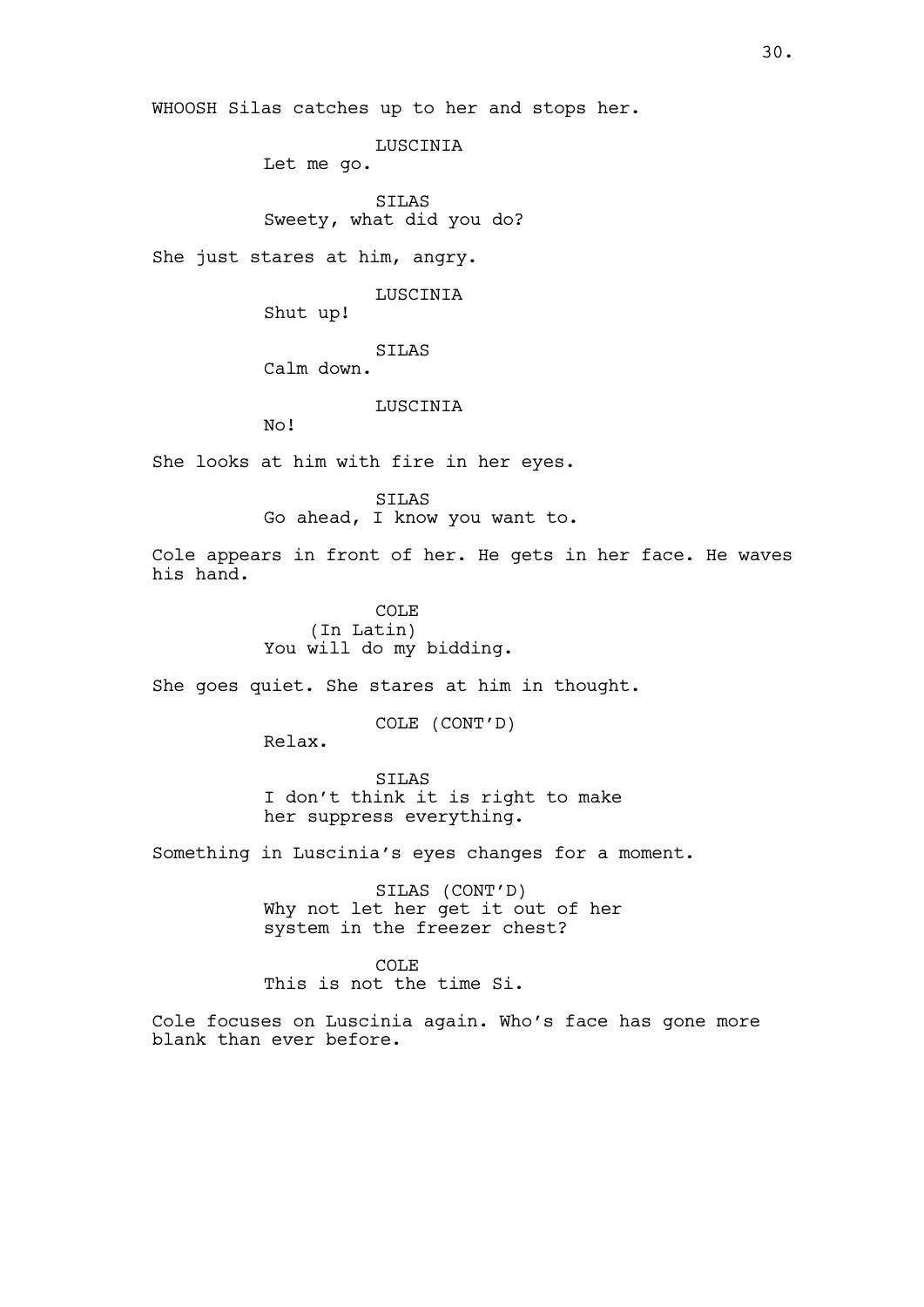WHOOSH Silas catches up to her and stops her.

LUSCINIA

Let me go.

SILAS Sweety, what did you do?

She just stares at him, angry.

LUSCINIA

Shut up!

SILAS

Calm down.

LUSCINIA

No!

She looks at him with fire in her eyes.

SILAS Go ahead, I know you want to.

Cole appears in front of her. He gets in her face. He waves his hand.

> COLE (In Latin) You will do my bidding.

She goes quiet. She stares at him in thought.

COLE (CONT'D)

Relax.

SILAS I don't think it is right to make her suppress everything.

Something in Luscinia's eyes changes for a moment.

SILAS (CONT'D) Why not let her get it out of her system in the freezer chest?

COLE This is not the time Si.

Cole focuses on Luscinia again. Who's face has gone more blank than ever before.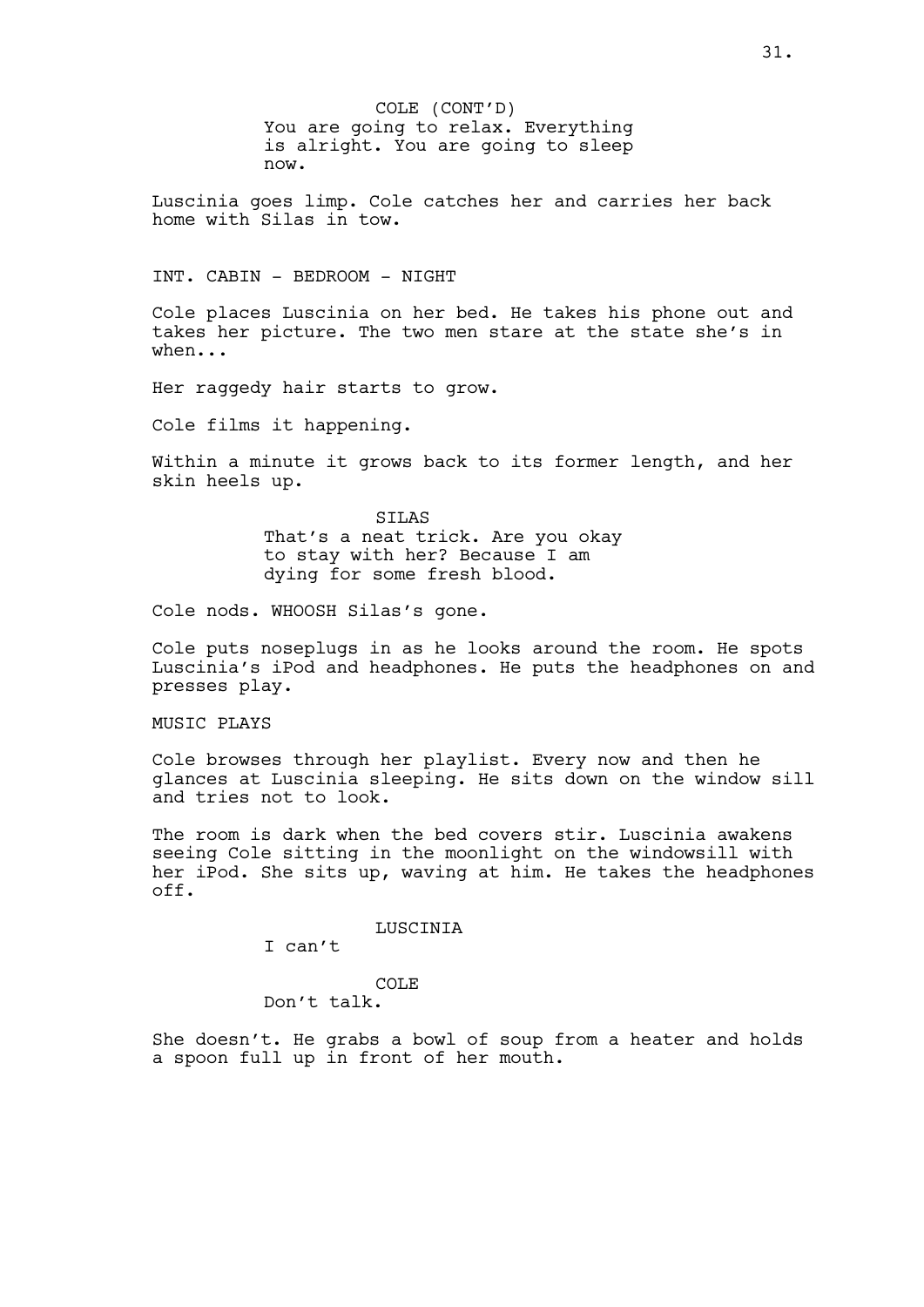COLE (CONT'D) You are going to relax. Everything is alright. You are going to sleep now.

Luscinia goes limp. Cole catches her and carries her back home with Silas in tow.

INT. CABIN - BEDROOM - NIGHT

Cole places Luscinia on her bed. He takes his phone out and takes her picture. The two men stare at the state she's in when...

Her raggedy hair starts to grow.

Cole films it happening.

Within a minute it grows back to its former length, and her skin heels up.

> SILAS That's a neat trick. Are you okay to stay with her? Because I am dying for some fresh blood.

Cole nods. WHOOSH Silas's gone.

Cole puts noseplugs in as he looks around the room. He spots Luscinia's iPod and headphones. He puts the headphones on and presses play.

MUSIC PLAYS

Cole browses through her playlist. Every now and then he glances at Luscinia sleeping. He sits down on the window sill and tries not to look.

The room is dark when the bed covers stir. Luscinia awakens seeing Cole sitting in the moonlight on the windowsill with her iPod. She sits up, waving at him. He takes the headphones off.

LUSCINIA

I can't

COLE Don't talk.

She doesn't. He grabs a bowl of soup from a heater and holds a spoon full up in front of her mouth.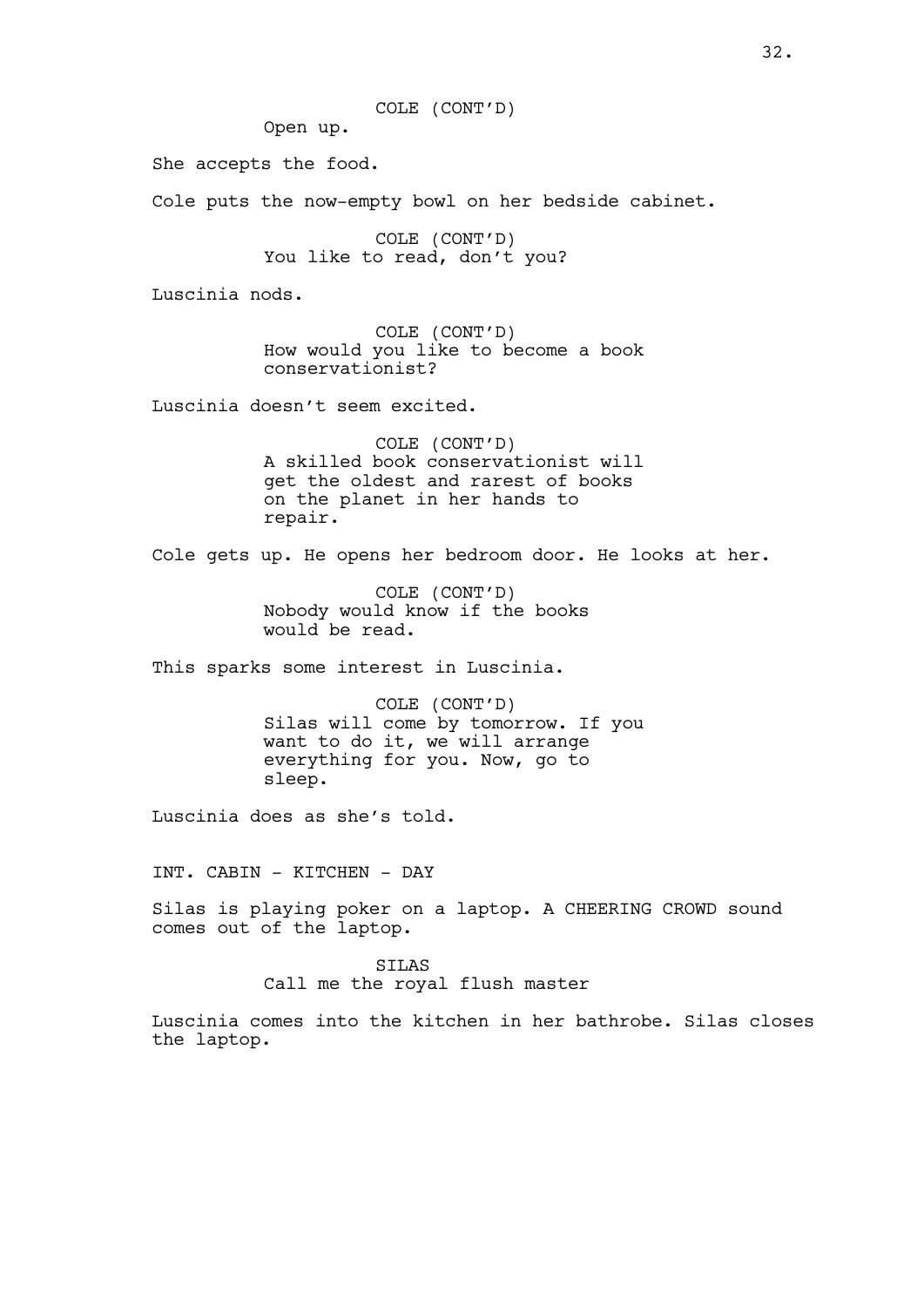COLE (CONT'D)

Open up.

She accepts the food.

Cole puts the now-empty bowl on her bedside cabinet.

COLE (CONT'D) You like to read, don't you?

Luscinia nods.

COLE (CONT'D) How would you like to become a book conservationist?

Luscinia doesn't seem excited.

COLE (CONT'D) A skilled book conservationist will get the oldest and rarest of books on the planet in her hands to repair.

Cole gets up. He opens her bedroom door. He looks at her.

COLE (CONT'D) Nobody would know if the books would be read.

This sparks some interest in Luscinia.

COLE (CONT'D) Silas will come by tomorrow. If you want to do it, we will arrange everything for you. Now, go to sleep.

Luscinia does as she's told.

INT. CABIN - KITCHEN - DAY

Silas is playing poker on a laptop. A CHEERING CROWD sound comes out of the laptop.

> SILAS Call me the royal flush master

Luscinia comes into the kitchen in her bathrobe. Silas closes the laptop.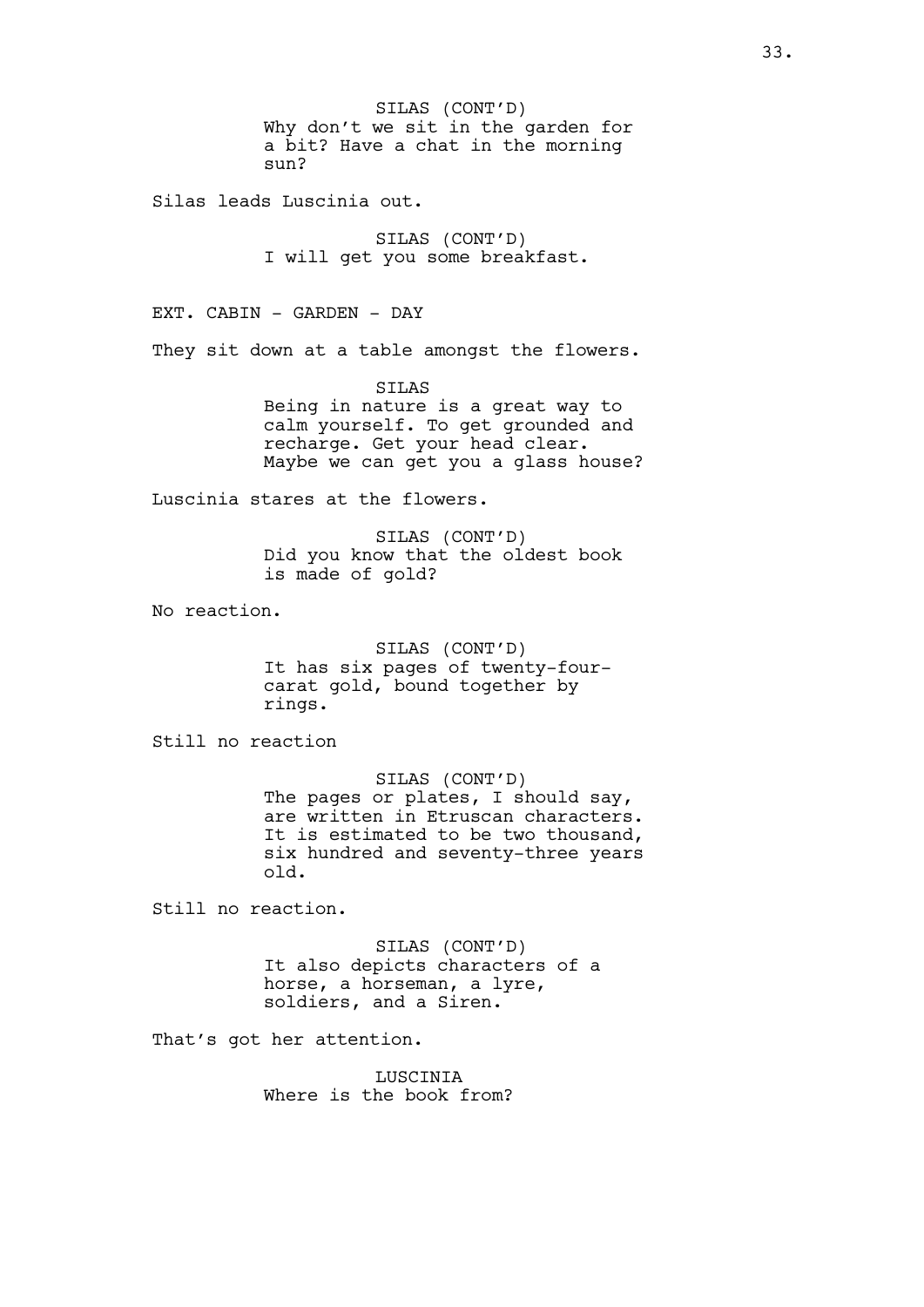SILAS (CONT'D) Why don't we sit in the garden for a bit? Have a chat in the morning sun?

Silas leads Luscinia out.

SILAS (CONT'D) I will get you some breakfast.

EXT. CABIN - GARDEN - DAY They sit down at a table amongst the flowers.

> SILAS Being in nature is a great way to calm yourself. To get grounded and recharge. Get your head clear. Maybe we can get you a glass house?

Luscinia stares at the flowers.

SILAS (CONT'D) Did you know that the oldest book is made of gold?

No reaction.

SILAS (CONT'D) It has six pages of twenty-fourcarat gold, bound together by rings.

Still no reaction

SILAS (CONT'D) The pages or plates, I should say, are written in Etruscan characters. It is estimated to be two thousand, six hundred and seventy-three years old.

Still no reaction.

SILAS (CONT'D) It also depicts characters of a horse, a horseman, a lyre, soldiers, and a Siren.

That's got her attention.

LUSCINIA Where is the book from?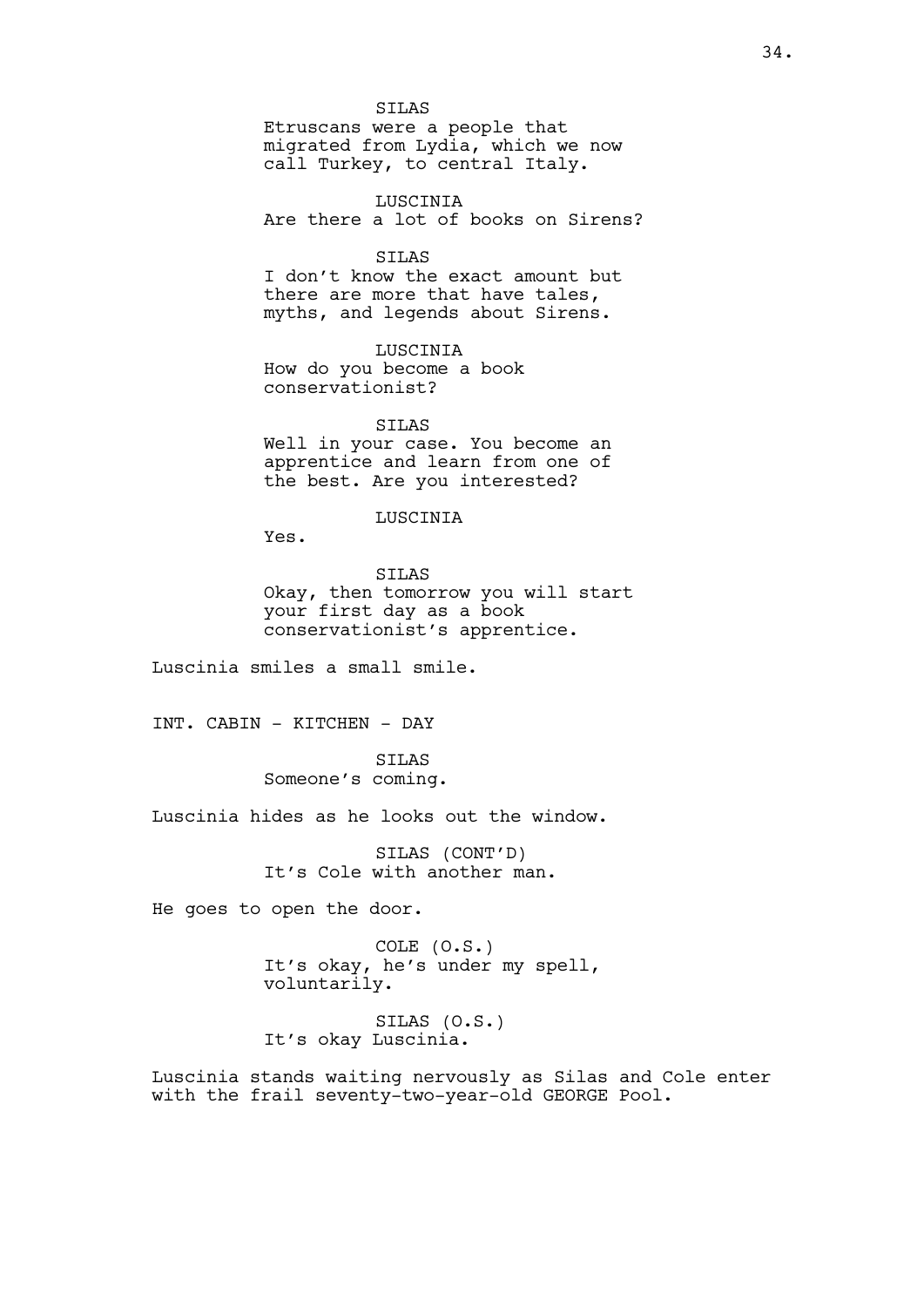SILAS

Etruscans were a people that migrated from Lydia, which we now call Turkey, to central Italy.

LUSCINIA Are there a lot of books on Sirens?

SILAS I don't know the exact amount but there are more that have tales, myths, and legends about Sirens.

LUSCINIA How do you become a book conservationist?

SILAS Well in your case. You become an apprentice and learn from one of the best. Are you interested?

LUSCINIA

Yes.

SILAS Okay, then tomorrow you will start your first day as a book conservationist's apprentice.

Luscinia smiles a small smile.

INT. CABIN - KITCHEN - DAY

SILAS Someone's coming.

Luscinia hides as he looks out the window.

SILAS (CONT'D) It's Cole with another man.

He goes to open the door.

COLE (O.S.) It's okay, he's under my spell, voluntarily.

SILAS (O.S.) It's okay Luscinia.

Luscinia stands waiting nervously as Silas and Cole enter with the frail seventy-two-year-old GEORGE Pool.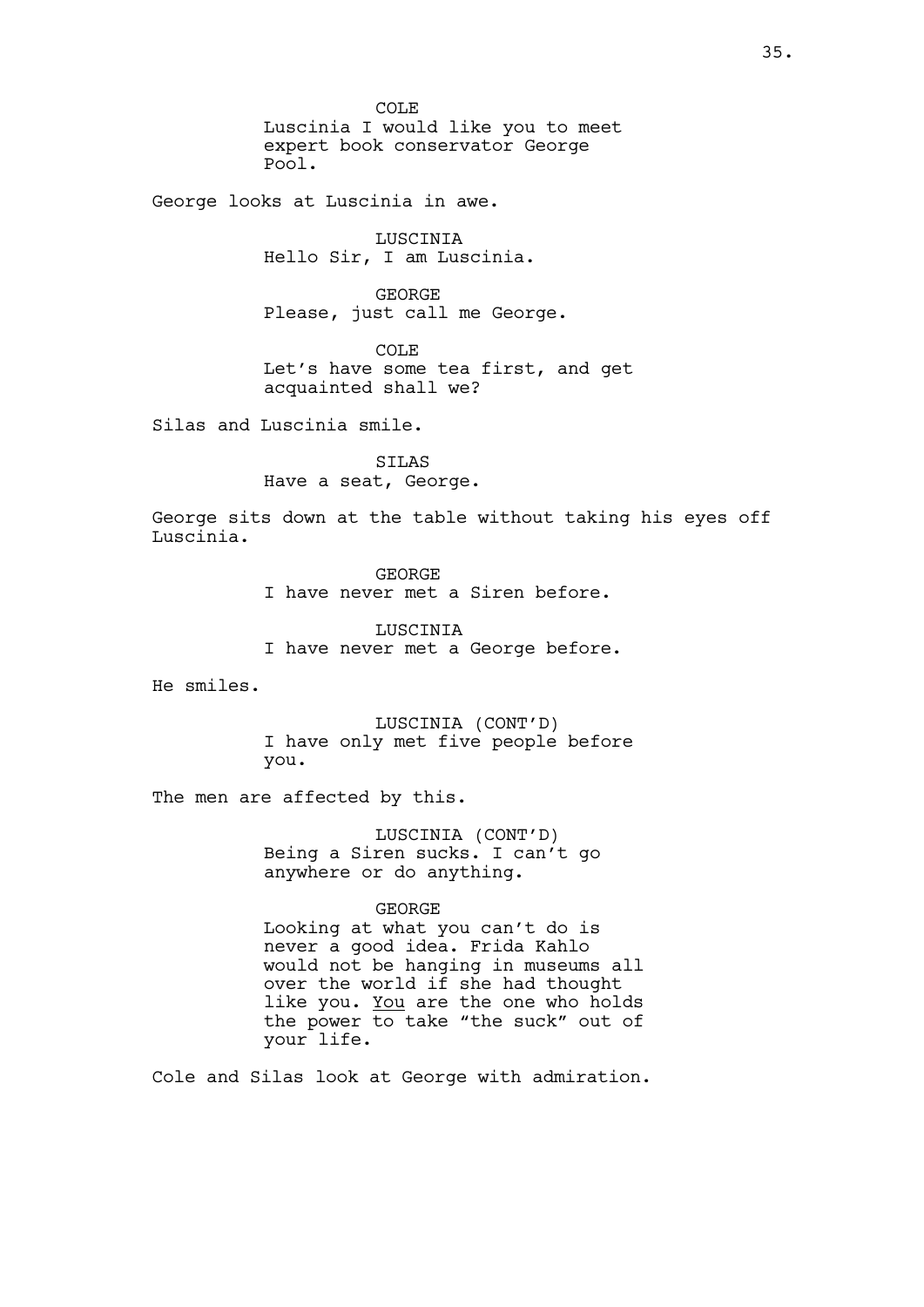COLE Luscinia I would like you to meet expert book conservator George Pool.

George looks at Luscinia in awe.

LUSCINIA Hello Sir, I am Luscinia.

GEORGE Please, just call me George.

COLE Let's have some tea first, and get acquainted shall we?

Silas and Luscinia smile.

SILAS Have a seat, George.

George sits down at the table without taking his eyes off Luscinia.

> GEORGE I have never met a Siren before.

LUSCINIA I have never met a George before.

He smiles.

LUSCINIA (CONT'D) I have only met five people before you.

The men are affected by this.

LUSCINIA (CONT'D) Being a Siren sucks. I can't go anywhere or do anything.

## GEORGE

Looking at what you can't do is never a good idea. Frida Kahlo would not be hanging in museums all over the world if she had thought like you. You are the one who holds the power to take "the suck" out of your life.

Cole and Silas look at George with admiration.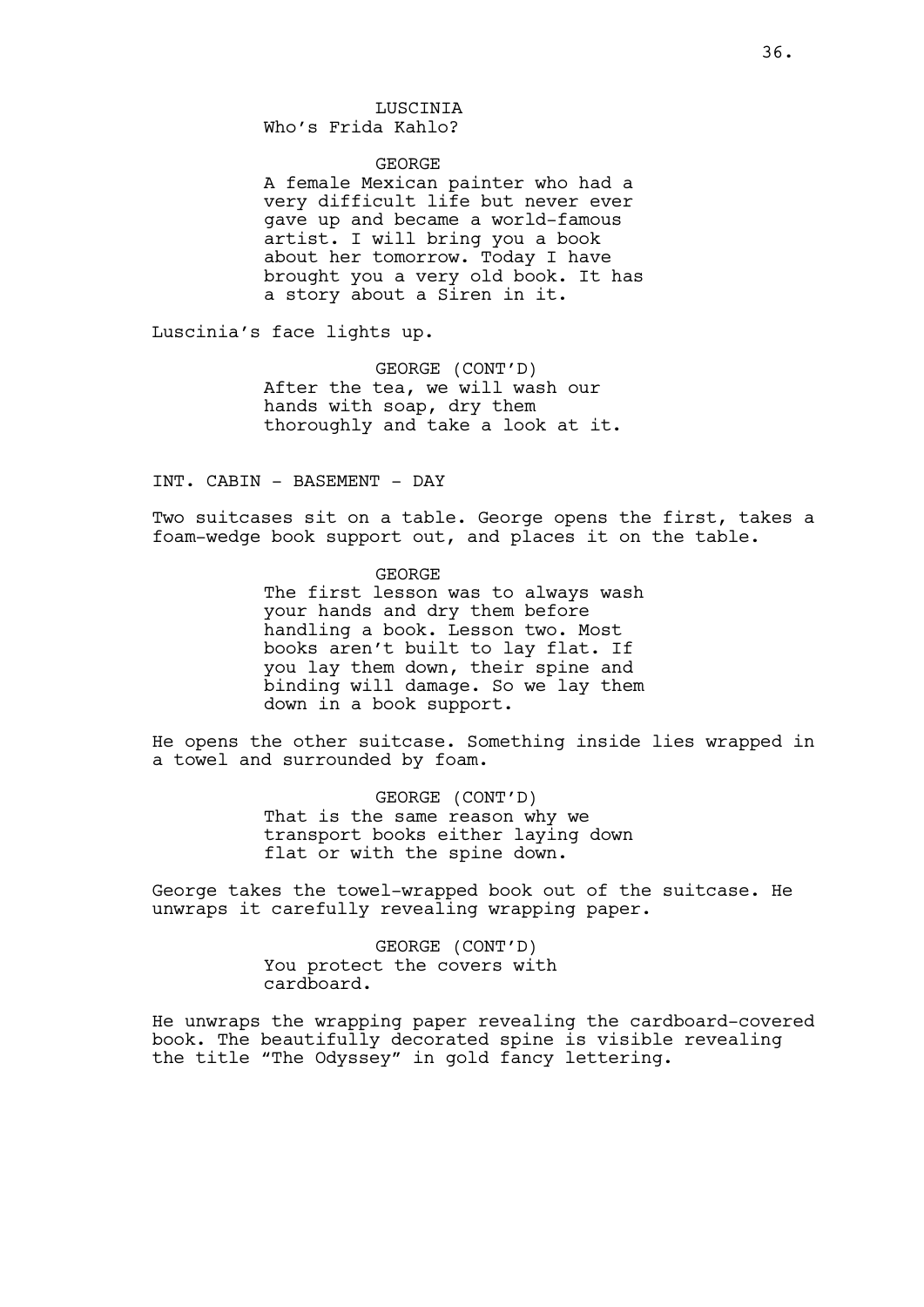## LUSCINIA Who's Frida Kahlo?

#### GEORGE

A female Mexican painter who had a very difficult life but never ever gave up and became a world-famous artist. I will bring you a book about her tomorrow. Today I have brought you a very old book. It has a story about a Siren in it.

Luscinia's face lights up.

GEORGE (CONT'D) After the tea, we will wash our hands with soap, dry them thoroughly and take a look at it.

INT. CABIN - BASEMENT - DAY

Two suitcases sit on a table. George opens the first, takes a foam-wedge book support out, and places it on the table.

> GEORGE The first lesson was to always wash your hands and dry them before handling a book. Lesson two. Most books aren't built to lay flat. If you lay them down, their spine and binding will damage. So we lay them down in a book support.

He opens the other suitcase. Something inside lies wrapped in a towel and surrounded by foam.

> GEORGE (CONT'D) That is the same reason why we transport books either laying down flat or with the spine down.

George takes the towel-wrapped book out of the suitcase. He unwraps it carefully revealing wrapping paper.

> GEORGE (CONT'D) You protect the covers with cardboard.

He unwraps the wrapping paper revealing the cardboard-covered book. The beautifully decorated spine is visible revealing the title "The Odyssey" in gold fancy lettering.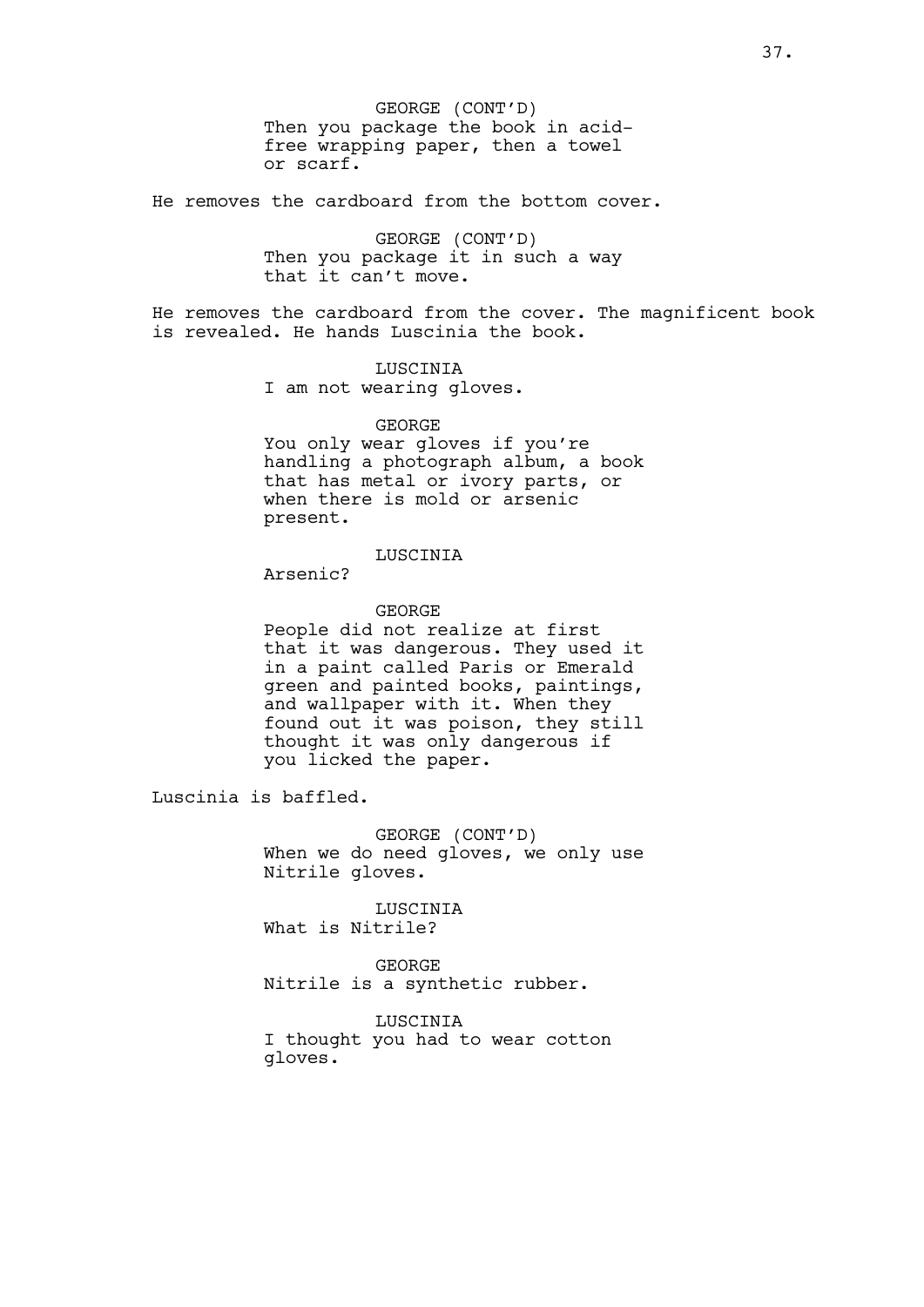GEORGE (CONT'D) Then you package the book in acidfree wrapping paper, then a towel or scarf.

He removes the cardboard from the bottom cover.

GEORGE (CONT'D) Then you package it in such a way that it can't move.

He removes the cardboard from the cover. The magnificent book is revealed. He hands Luscinia the book.

> LUSCINIA I am not wearing gloves.

### GEORGE

You only wear gloves if you're handling a photograph album, a book that has metal or ivory parts, or when there is mold or arsenic present.

# LUSCINIA

Arsenic?

# GEORGE

People did not realize at first that it was dangerous. They used it in a paint called Paris or Emerald green and painted books, paintings, and wallpaper with it. When they found out it was poison, they still thought it was only dangerous if you licked the paper.

Luscinia is baffled.

GEORGE (CONT'D) When we do need gloves, we only use Nitrile gloves.

LUSCINIA What is Nitrile?

GEORGE Nitrile is a synthetic rubber.

LUSCINIA

I thought you had to wear cotton gloves.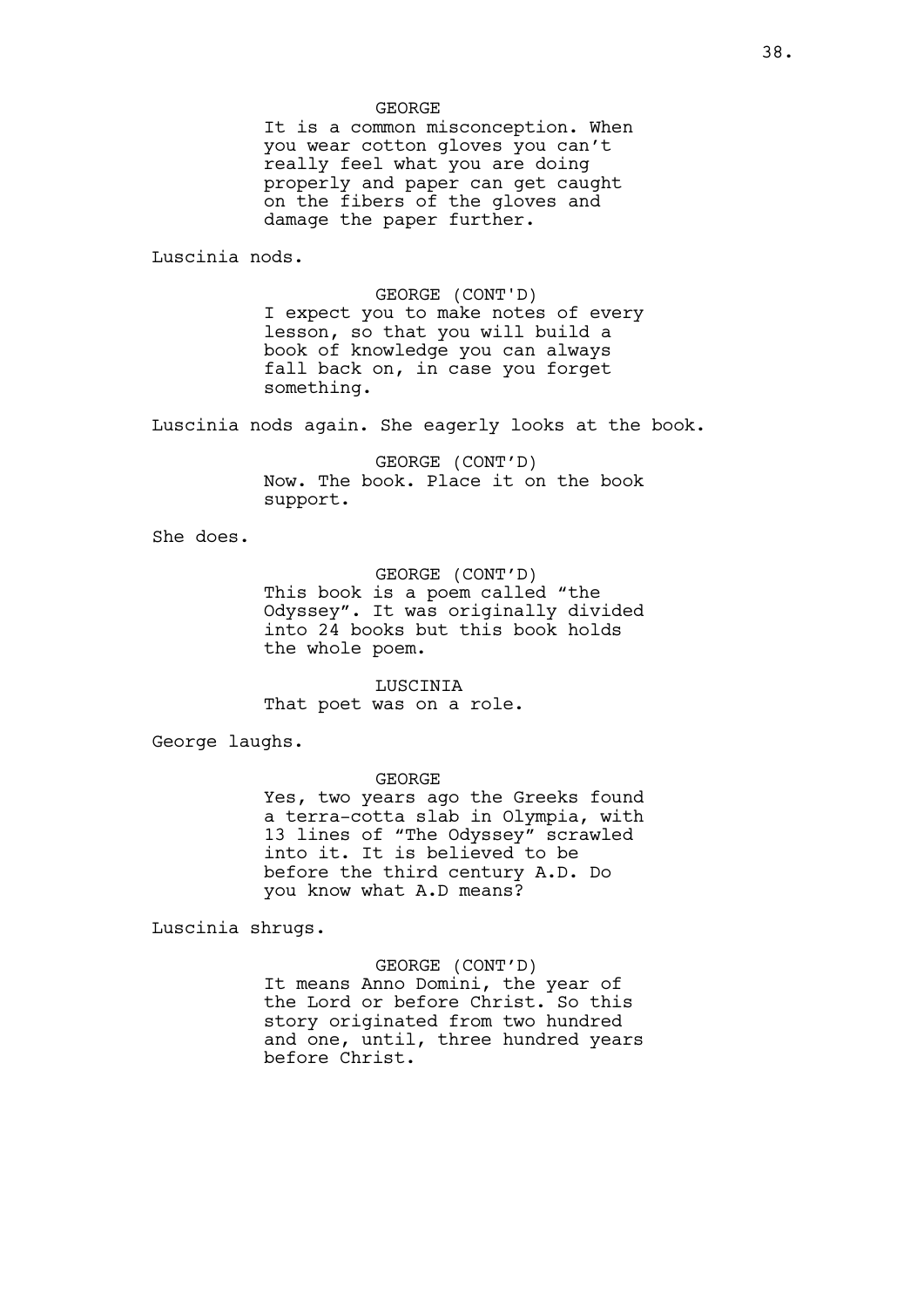#### GEORGE

It is a common misconception. When you wear cotton gloves you can't really feel what you are doing properly and paper can get caught on the fibers of the gloves and damage the paper further.

Luscinia nods.

GEORGE (CONT'D) I expect you to make notes of every lesson, so that you will build a book of knowledge you can always fall back on, in case you forget something.

Luscinia nods again. She eagerly looks at the book.

GEORGE (CONT'D) Now. The book. Place it on the book support.

She does.

### GEORGE (CONT'D)

This book is a poem called "the Odyssey". It was originally divided into 24 books but this book holds the whole poem.

LUSCINIA That poet was on a role.

George laughs.

### GEORGE

Yes, two years ago the Greeks found a terra-cotta slab in Olympia, with 13 lines of "The Odyssey" scrawled into it. It is believed to be before the third century A.D. Do you know what A.D means?

Luscinia shrugs.

## GEORGE (CONT'D)

It means Anno Domini, the year of the Lord or before Christ. So this story originated from two hundred and one, until, three hundred years before Christ.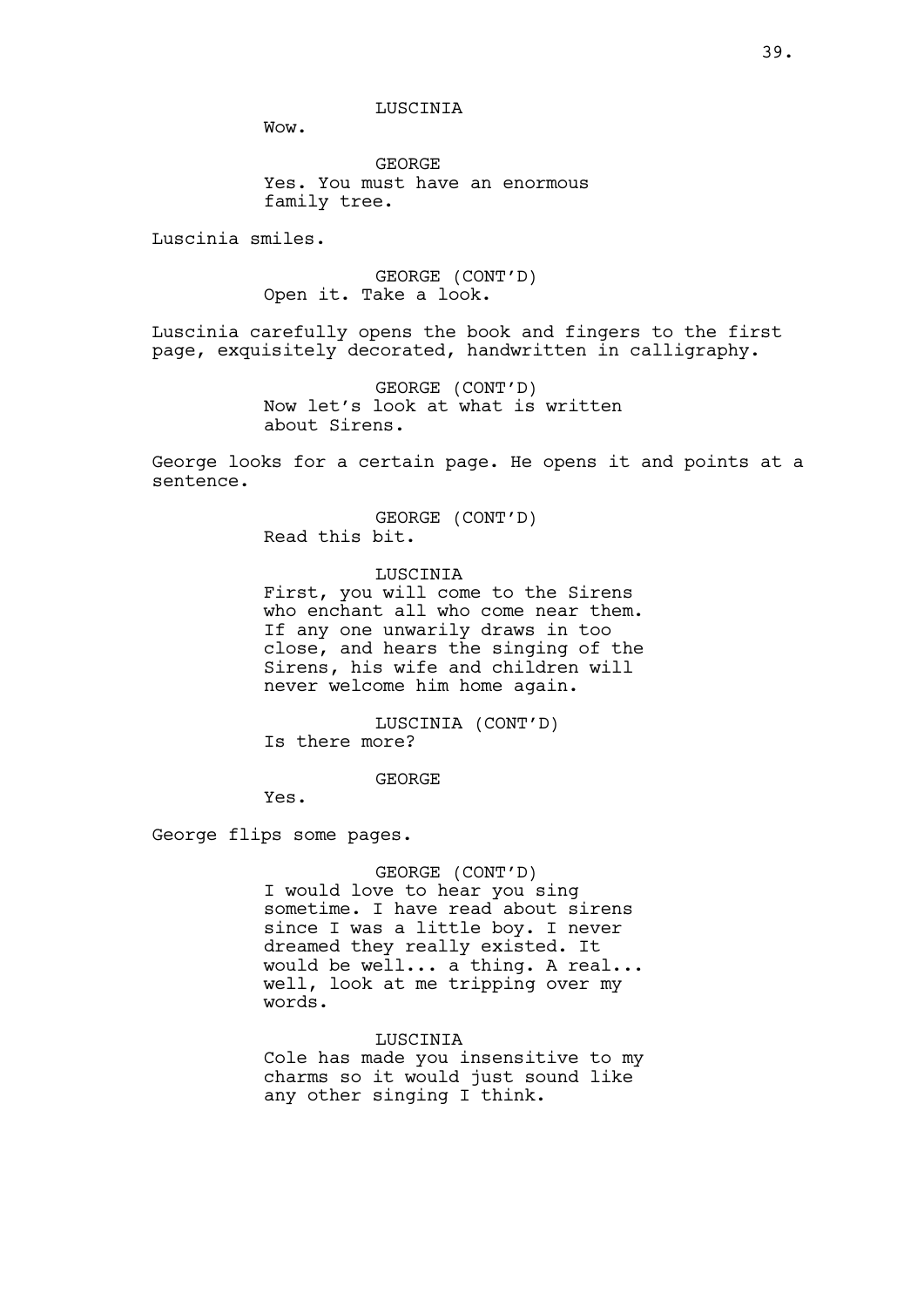LUSCINIA

Wow.

GEORGE Yes. You must have an enormous family tree.

Luscinia smiles.

GEORGE (CONT'D) Open it. Take a look.

Luscinia carefully opens the book and fingers to the first page, exquisitely decorated, handwritten in calligraphy.

> GEORGE (CONT'D) Now let's look at what is written about Sirens.

George looks for a certain page. He opens it and points at a sentence.

> GEORGE (CONT'D) Read this bit.

> > LUSCINIA

First, you will come to the Sirens who enchant all who come near them. If any one unwarily draws in too close, and hears the singing of the Sirens, his wife and children will never welcome him home again.

LUSCINIA (CONT'D) Is there more?

GEORGE

Yes.

George flips some pages.

## GEORGE (CONT'D)

I would love to hear you sing sometime. I have read about sirens since I was a little boy. I never dreamed they really existed. It would be well... a thing. A real... well, look at me tripping over my words.

LUSCINIA

Cole has made you insensitive to my charms so it would just sound like any other singing I think.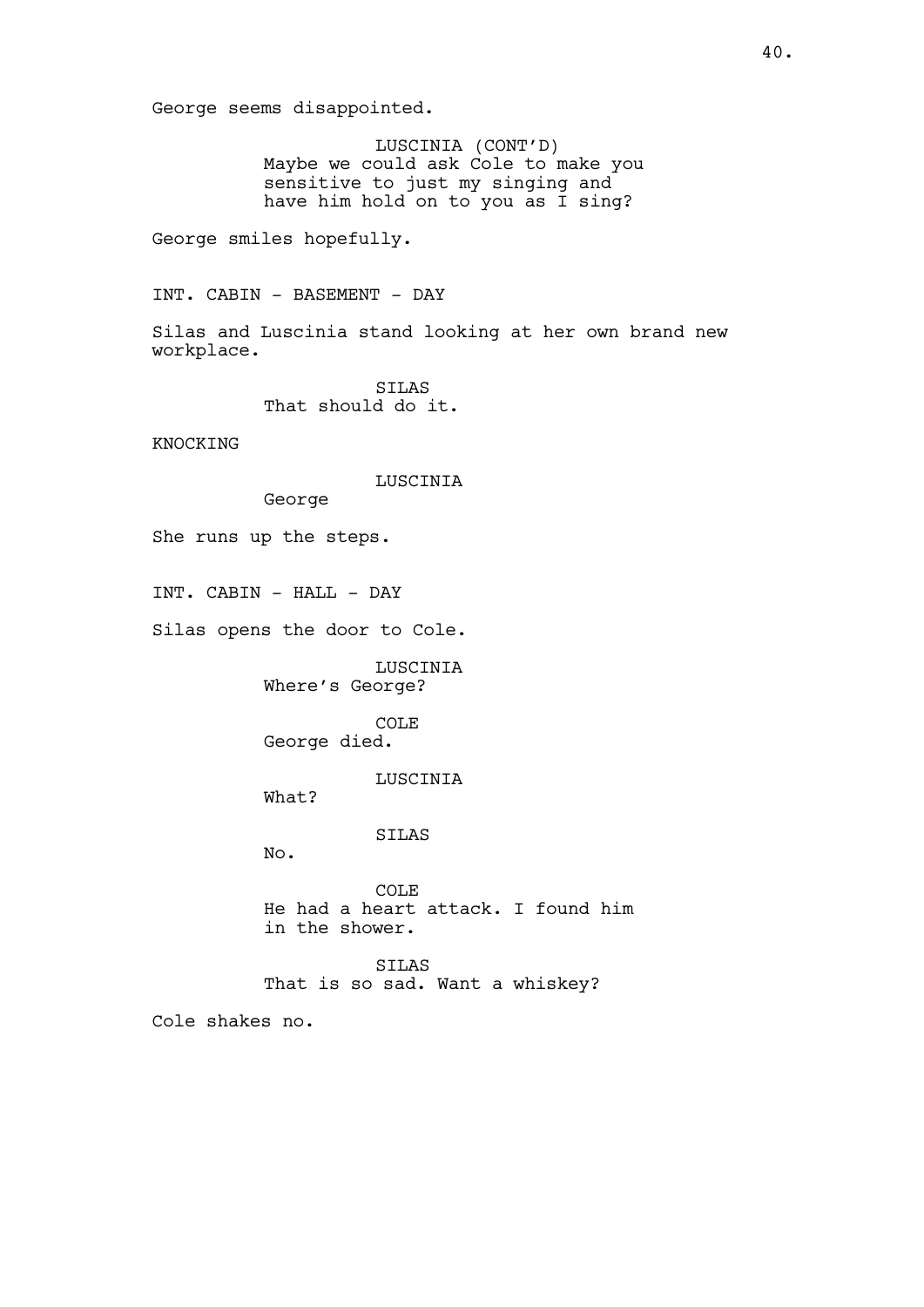George seems disappointed.

LUSCINIA (CONT'D) Maybe we could ask Cole to make you sensitive to just my singing and have him hold on to you as I sing?

George smiles hopefully.

INT. CABIN - BASEMENT - DAY

Silas and Luscinia stand looking at her own brand new workplace.

> SILAS That should do it.

KNOCKING

LUSCINIA

George

She runs up the steps.

INT. CABIN - HALL - DAY

Silas opens the door to Cole.

LUSCINIA Where's George?

COLE George died.

LUSCINIA

What?

SILAS

No.

COLE He had a heart attack. I found him in the shower.

SILAS That is so sad. Want a whiskey?

Cole shakes no.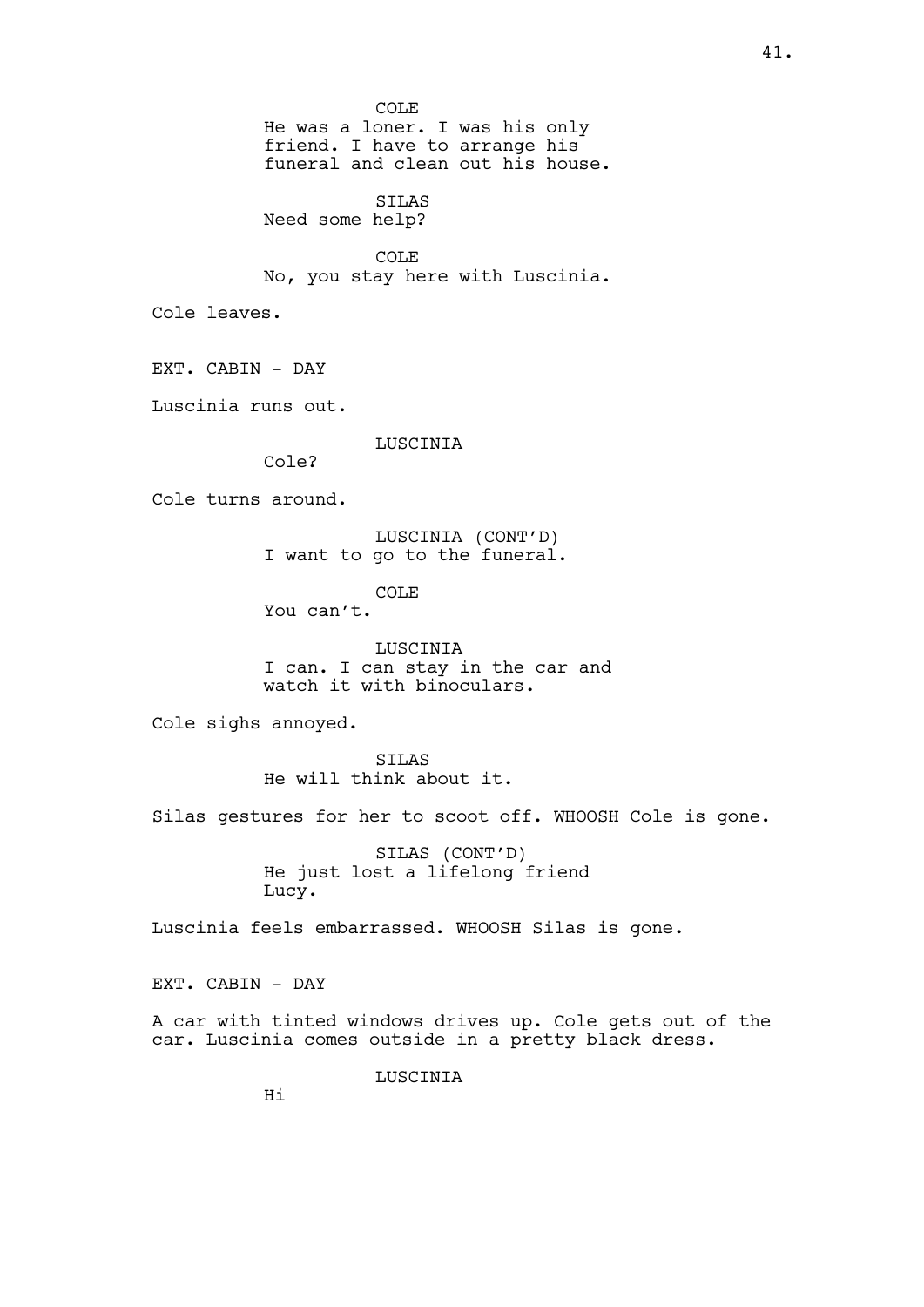COLE He was a loner. I was his only friend. I have to arrange his funeral and clean out his house. SILAS Need some help? COLE No, you stay here with Luscinia. Cole leaves. EXT. CABIN - DAY Luscinia runs out. LUSCINIA Cole? Cole turns around. LUSCINIA (CONT'D) I want to go to the funeral. COLE You can't. LUSCINIA I can. I can stay in the car and watch it with binoculars. Cole sighs annoyed. STLAS He will think about it. Silas gestures for her to scoot off. WHOOSH Cole is gone. SILAS (CONT'D) He just lost a lifelong friend Lucy. Luscinia feels embarrassed. WHOOSH Silas is gone. EXT. CABIN - DAY A car with tinted windows drives up. Cole gets out of the car. Luscinia comes outside in a pretty black dress. LUSCINIA

Hi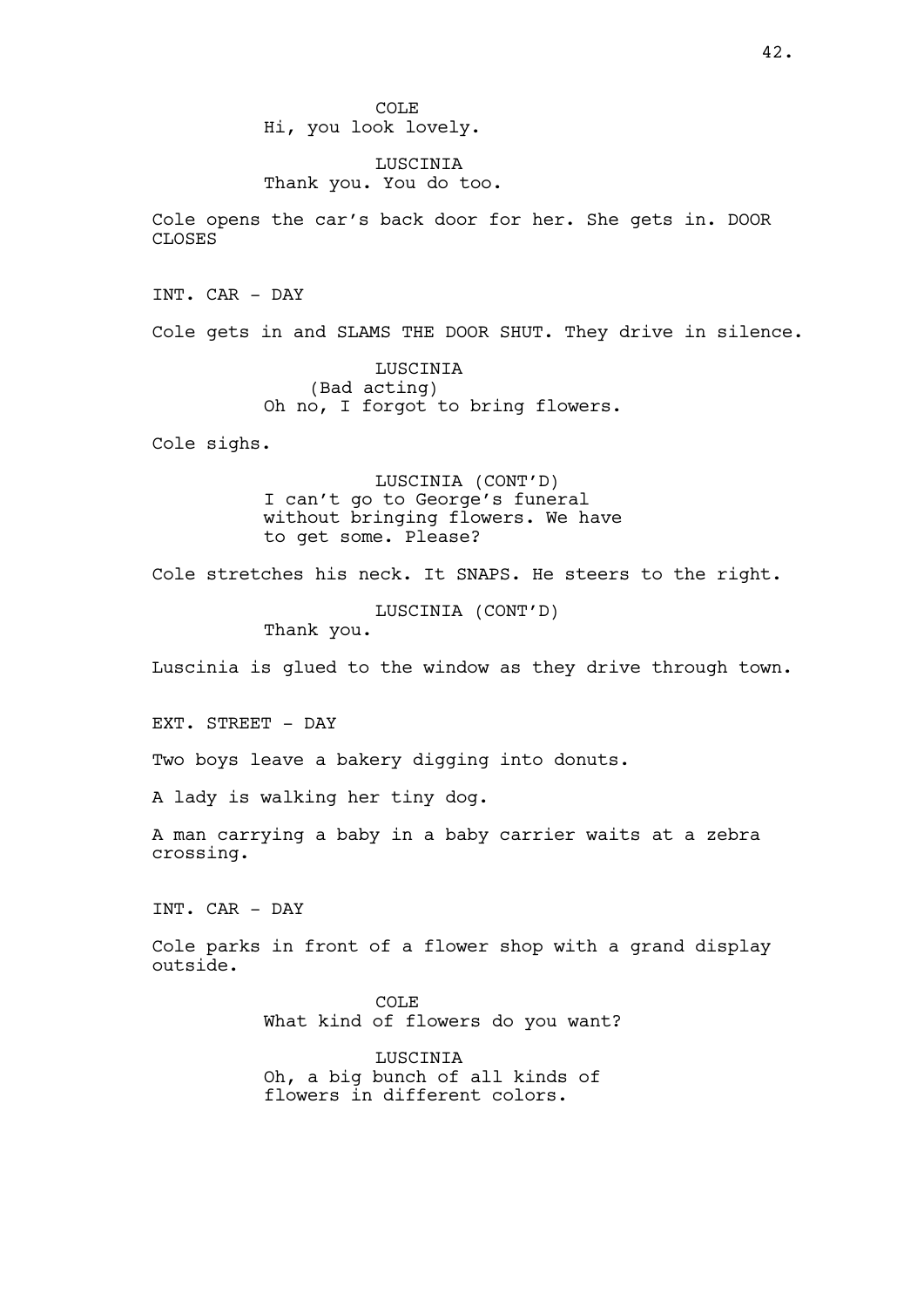COLE Hi, you look lovely.

LUSCINIA Thank you. You do too.

Cole opens the car's back door for her. She gets in. DOOR CLOSES

INT. CAR - DAY

Cole gets in and SLAMS THE DOOR SHUT. They drive in silence.

LUSCINIA (Bad acting) Oh no, I forgot to bring flowers.

Cole sighs.

LUSCINIA (CONT'D) I can't go to George's funeral without bringing flowers. We have to get some. Please?

Cole stretches his neck. It SNAPS. He steers to the right.

LUSCINIA (CONT'D) Thank you.

Luscinia is glued to the window as they drive through town.

EXT. STREET - DAY

Two boys leave a bakery digging into donuts.

A lady is walking her tiny dog.

A man carrying a baby in a baby carrier waits at a zebra crossing.

INT. CAR - DAY

Cole parks in front of a flower shop with a grand display outside.

> COLE What kind of flowers do you want?

LUSCINIA Oh, a big bunch of all kinds of flowers in different colors.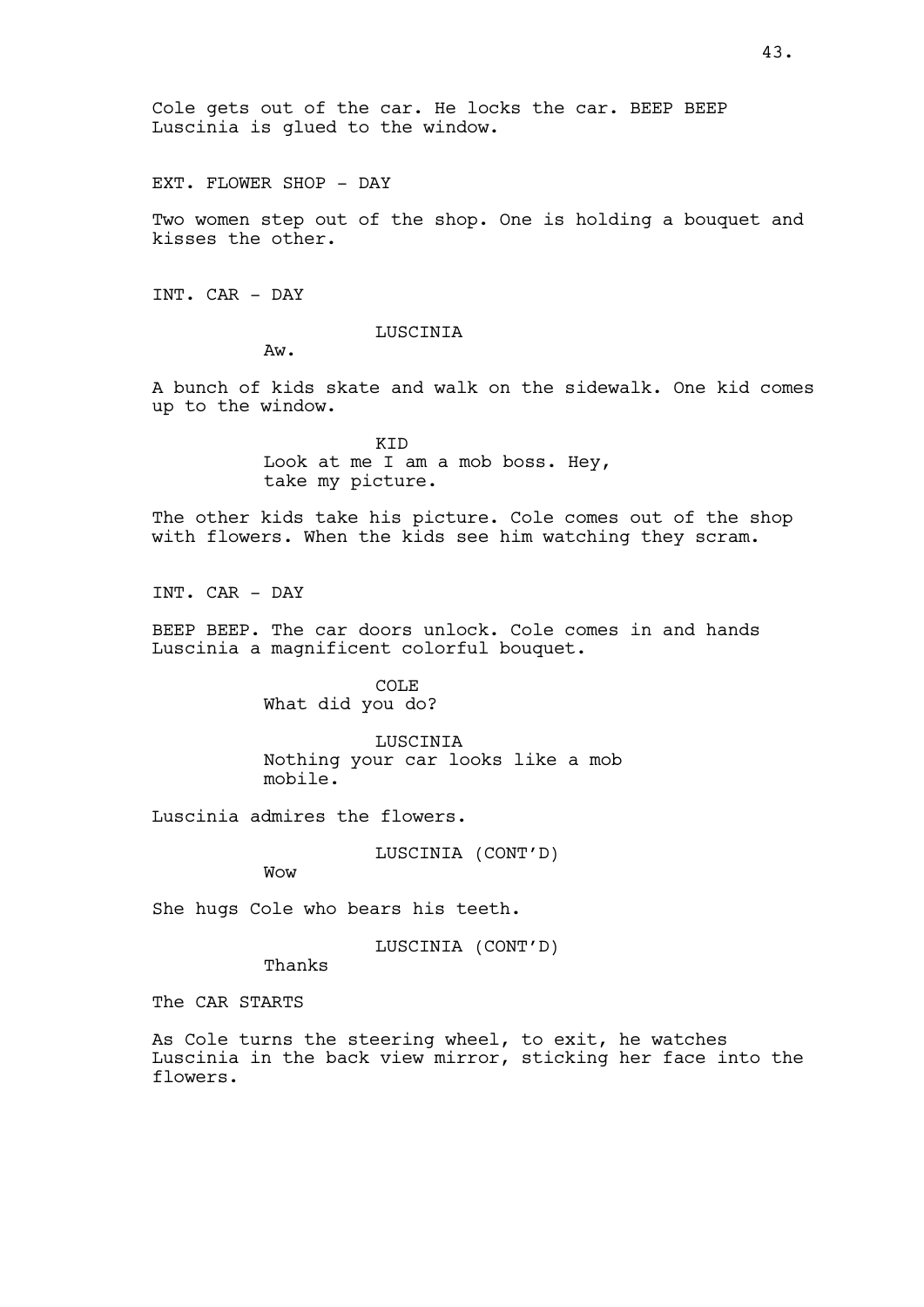EXT. FLOWER SHOP - DAY

Two women step out of the shop. One is holding a bouquet and kisses the other.

INT. CAR - DAY

# LUSCINIA

Aw.

A bunch of kids skate and walk on the sidewalk. One kid comes up to the window.

> KID Look at me I am a mob boss. Hey, take my picture.

The other kids take his picture. Cole comes out of the shop with flowers. When the kids see him watching they scram.

INT. CAR - DAY

BEEP BEEP. The car doors unlock. Cole comes in and hands Luscinia a magnificent colorful bouquet.

> COLE What did you do?

**LUSCINIA** Nothing your car looks like a mob mobile.

Luscinia admires the flowers.

LUSCINIA (CONT'D)

Wow

She hugs Cole who bears his teeth.

LUSCINIA (CONT'D)

Thanks

The CAR STARTS

As Cole turns the steering wheel, to exit, he watches Luscinia in the back view mirror, sticking her face into the flowers.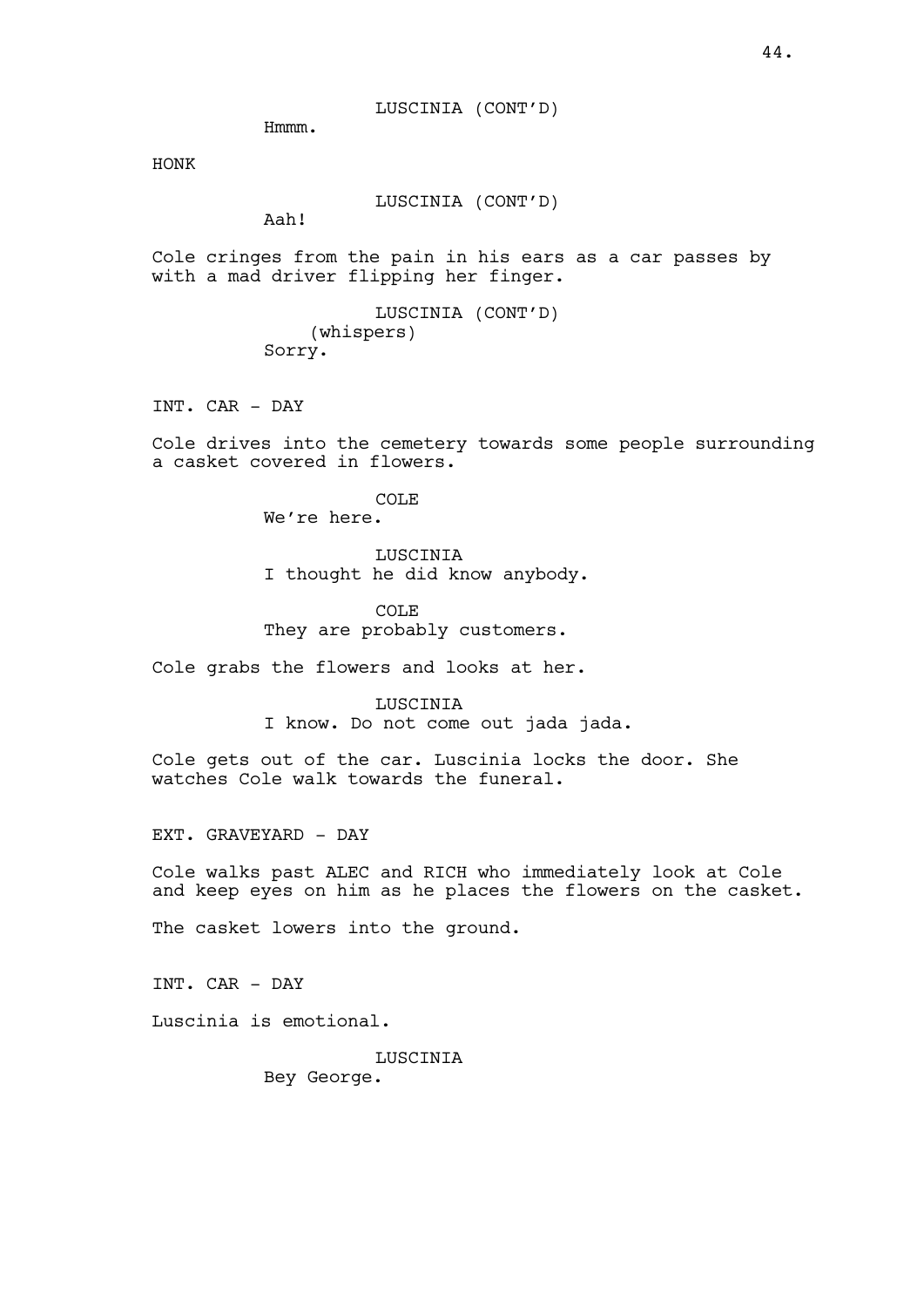LUSCINIA (CONT'D)

Hmmm.

HONK

LUSCINIA (CONT'D)

Aah!

Cole cringes from the pain in his ears as a car passes by with a mad driver flipping her finger.

> LUSCINIA (CONT'D) (whispers) Sorry.

INT. CAR - DAY

Cole drives into the cemetery towards some people surrounding a casket covered in flowers.

> COLE We're here.

LUSCINIA I thought he did know anybody.

COLE They are probably customers.

Cole grabs the flowers and looks at her.

LUSCINIA I know. Do not come out jada jada.

Cole gets out of the car. Luscinia locks the door. She watches Cole walk towards the funeral.

EXT. GRAVEYARD - DAY

Cole walks past ALEC and RICH who immediately look at Cole and keep eyes on him as he places the flowers on the casket.

The casket lowers into the ground.

INT. CAR - DAY

Luscinia is emotional.

LUSCINIA Bey George.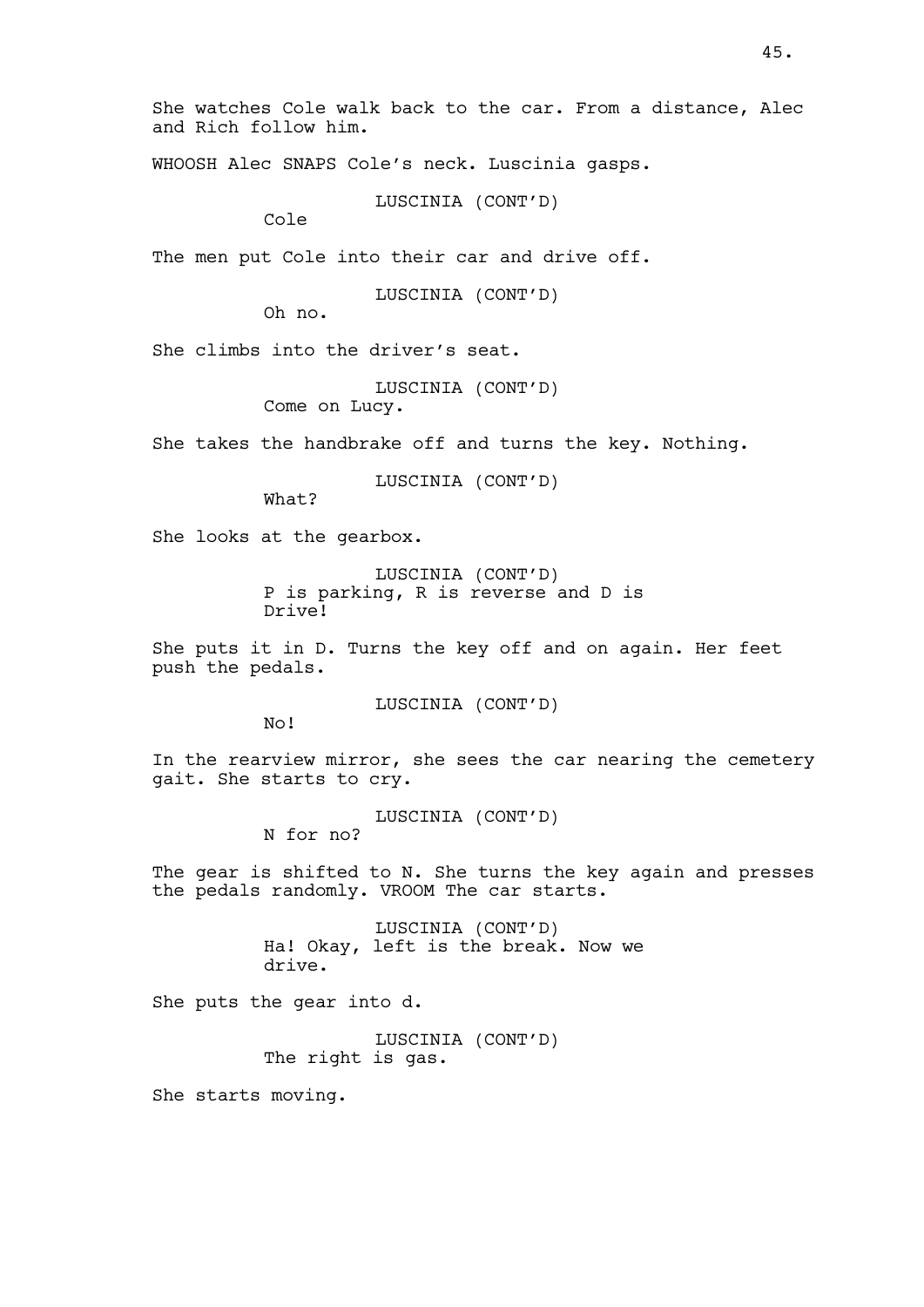She watches Cole walk back to the car. From a distance, Alec and Rich follow him.

WHOOSH Alec SNAPS Cole's neck. Luscinia gasps.

LUSCINIA (CONT'D)

Cole

The men put Cole into their car and drive off.

LUSCINIA (CONT'D)

Oh no.

She climbs into the driver's seat.

```
LUSCINIA (CONT'D)
```
Come on Lucy.

She takes the handbrake off and turns the key. Nothing.

LUSCINIA (CONT'D)

What?

She looks at the gearbox.

LUSCINIA (CONT'D) P is parking, R is reverse and D is Drive!

She puts it in D. Turns the key off and on again. Her feet push the pedals.

LUSCINIA (CONT'D)

No!

In the rearview mirror, she sees the car nearing the cemetery gait. She starts to cry.

LUSCINIA (CONT'D)

N for no?

The gear is shifted to N. She turns the key again and presses the pedals randomly. VROOM The car starts.

> LUSCINIA (CONT'D) Ha! Okay, left is the break. Now we drive.

She puts the gear into d.

LUSCINIA (CONT'D) The right is gas.

She starts moving.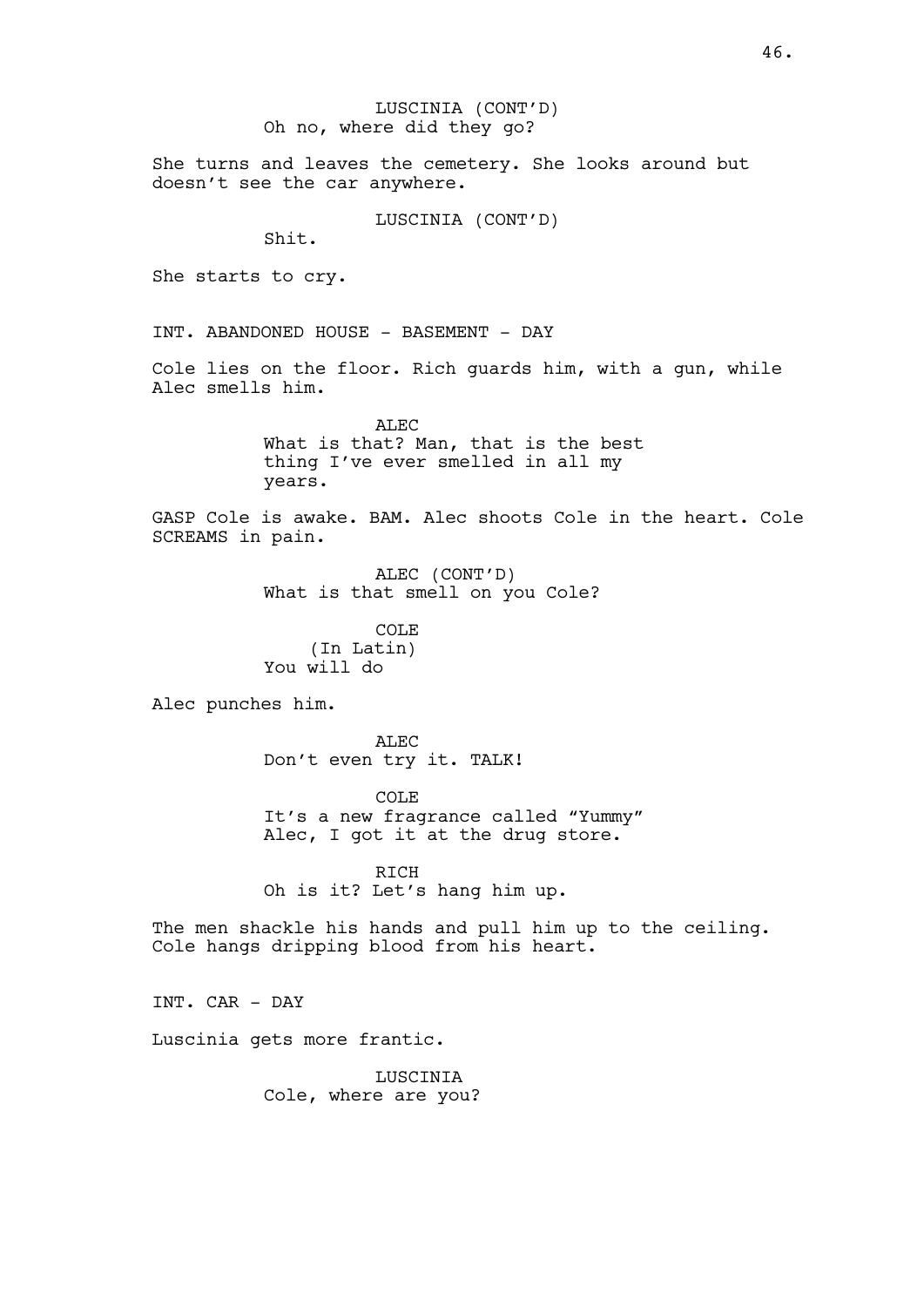LUSCINIA (CONT'D) Oh no, where did they go?

She turns and leaves the cemetery. She looks around but doesn't see the car anywhere.

LUSCINIA (CONT'D)

Shit.

She starts to cry.

INT. ABANDONED HOUSE - BASEMENT - DAY

Cole lies on the floor. Rich guards him, with a gun, while Alec smells him.

> ALEC What is that? Man, that is the best thing I've ever smelled in all my years.

GASP Cole is awake. BAM. Alec shoots Cole in the heart. Cole SCREAMS in pain.

> ALEC (CONT'D) What is that smell on you Cole?

COLE (In Latin) You will do

Alec punches him.

ALEC. Don't even try it. TALK!

COLE It's a new fragrance called "Yummy" Alec, I got it at the drug store.

RICH Oh is it? Let's hang him up.

The men shackle his hands and pull him up to the ceiling. Cole hangs dripping blood from his heart.

INT. CAR - DAY

Luscinia gets more frantic.

LUSCINIA Cole, where are you?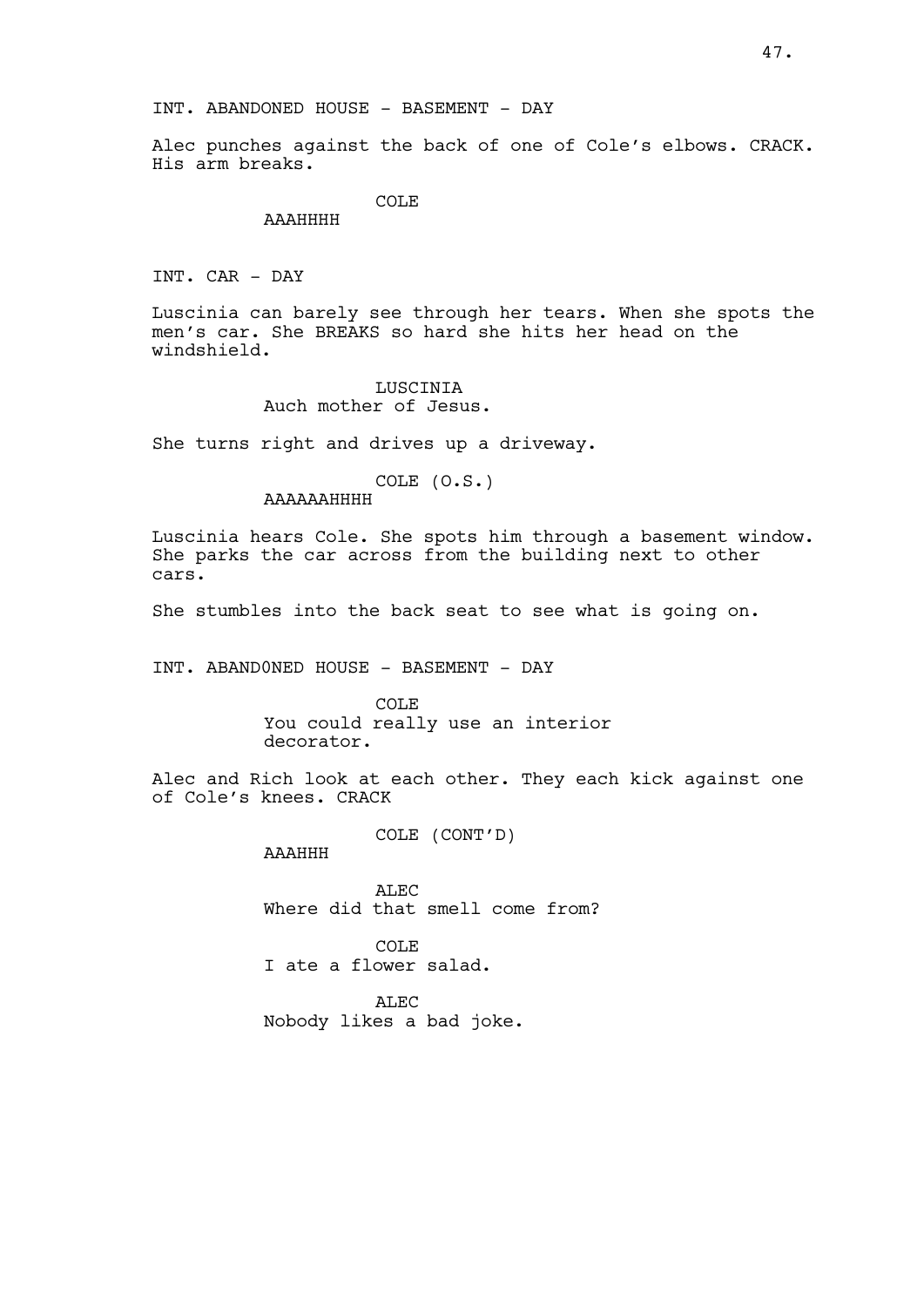Alec punches against the back of one of Cole's elbows. CRACK. His arm breaks.

COLE<sub></sub>

AAAHHHH

INT. CAR - DAY

Luscinia can barely see through her tears. When she spots the men's car. She BREAKS so hard she hits her head on the windshield.

## LUSCINIA Auch mother of Jesus.

She turns right and drives up a driveway.

COLE (O.S.)

AAAAAAHHHH

Luscinia hears Cole. She spots him through a basement window. She parks the car across from the building next to other cars.

She stumbles into the back seat to see what is going on.

INT. ABAND0NED HOUSE - BASEMENT - DAY

COLE You could really use an interior decorator.

Alec and Rich look at each other. They each kick against one of Cole's knees. CRACK

COLE (CONT'D)

AAAHHH

ALEC Where did that smell come from?

COLE I ate a flower salad.

ALEC Nobody likes a bad joke.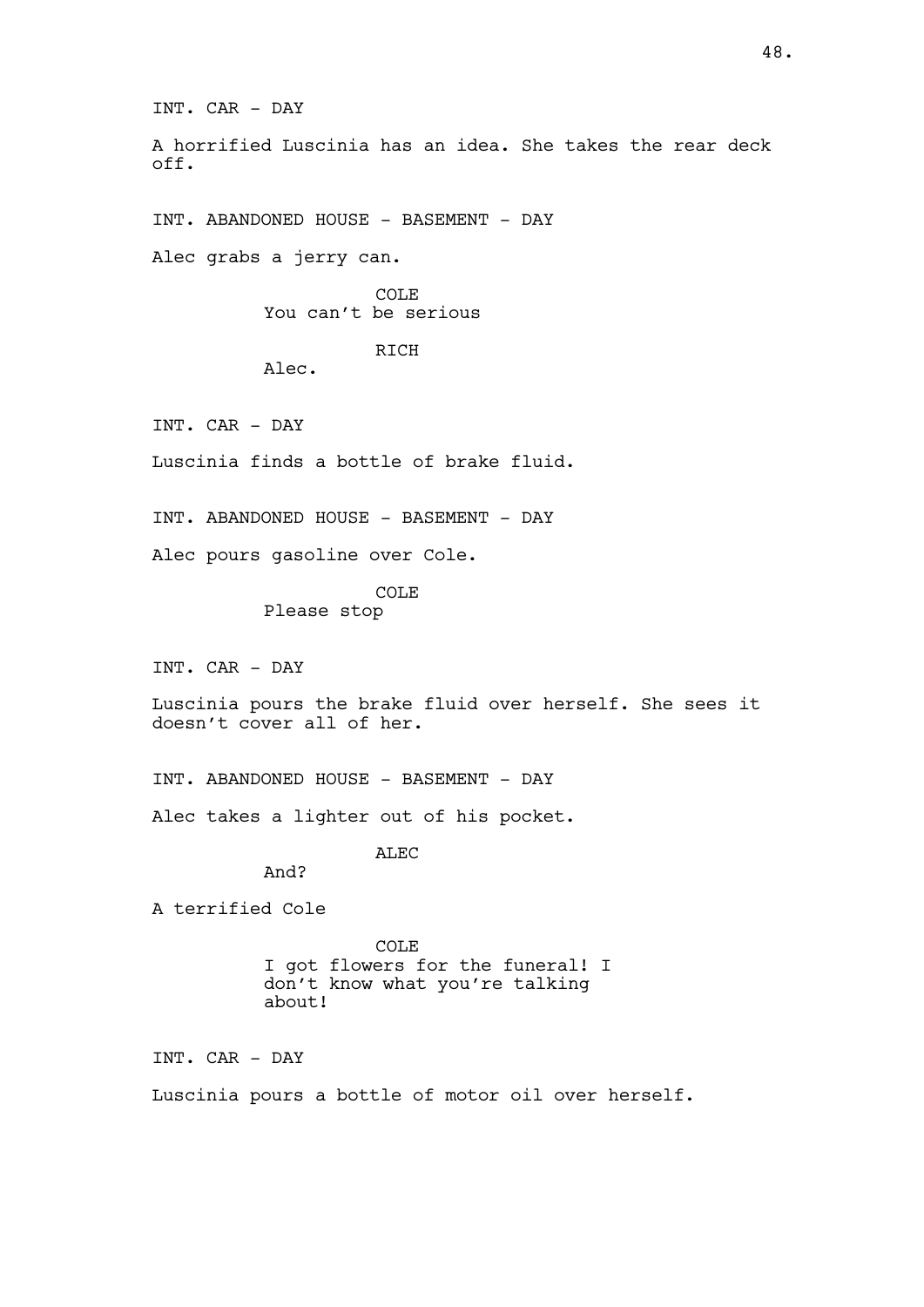INT. CAR - DAY A horrified Luscinia has an idea. She takes the rear deck off. INT. ABANDONED HOUSE - BASEMENT - DAY Alec grabs a jerry can.

> COLE You can't be serious

> > RICH

INT. CAR - DAY

Luscinia finds a bottle of brake fluid.

INT. ABANDONED HOUSE - BASEMENT - DAY

Alec pours gasoline over Cole.

Alec.

COLE

Please stop

INT. CAR - DAY

Luscinia pours the brake fluid over herself. She sees it doesn't cover all of her.

INT. ABANDONED HOUSE - BASEMENT - DAY

Alec takes a lighter out of his pocket.

ALEC

And?

A terrified Cole

COLE I got flowers for the funeral! I don't know what you're talking about!

INT. CAR - DAY

Luscinia pours a bottle of motor oil over herself.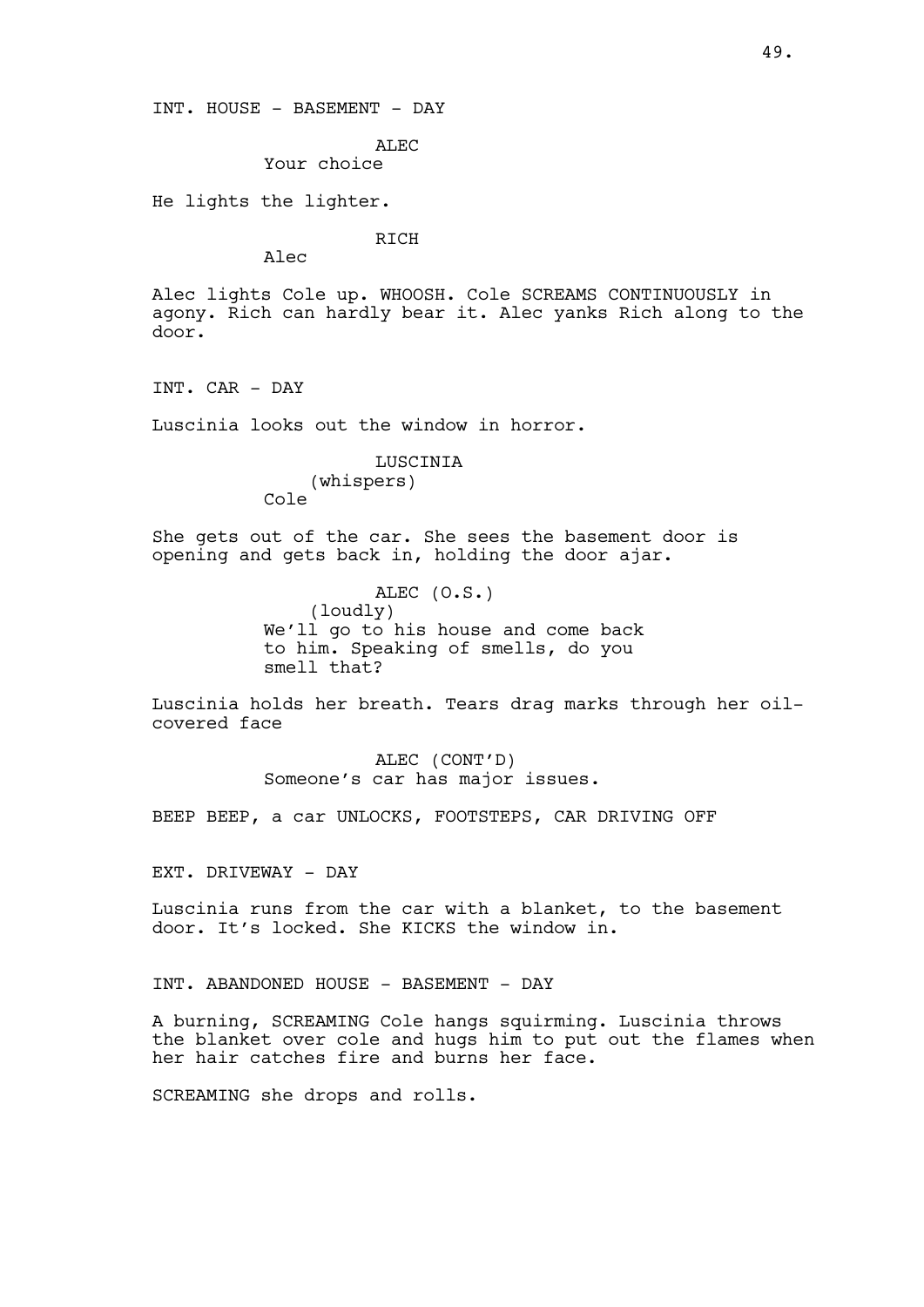INT. HOUSE - BASEMENT - DAY

ALEC

Your choice

He lights the lighter.

RICH

Alec

Alec lights Cole up. WHOOSH. Cole SCREAMS CONTINUOUSLY in agony. Rich can hardly bear it. Alec yanks Rich along to the door.

INT. CAR - DAY

Luscinia looks out the window in horror.

LUSCINIA (whispers) Cole

She gets out of the car. She sees the basement door is opening and gets back in, holding the door ajar.

> ALEC (O.S.) (loudly) We'll go to his house and come back to him. Speaking of smells, do you smell that?

Luscinia holds her breath. Tears drag marks through her oilcovered face

> ALEC (CONT'D) Someone's car has major issues.

BEEP BEEP, a car UNLOCKS, FOOTSTEPS, CAR DRIVING OFF

EXT. DRIVEWAY - DAY

Luscinia runs from the car with a blanket, to the basement door. It's locked. She KICKS the window in.

INT. ABANDONED HOUSE - BASEMENT - DAY

A burning, SCREAMING Cole hangs squirming. Luscinia throws the blanket over cole and hugs him to put out the flames when her hair catches fire and burns her face.

SCREAMING she drops and rolls.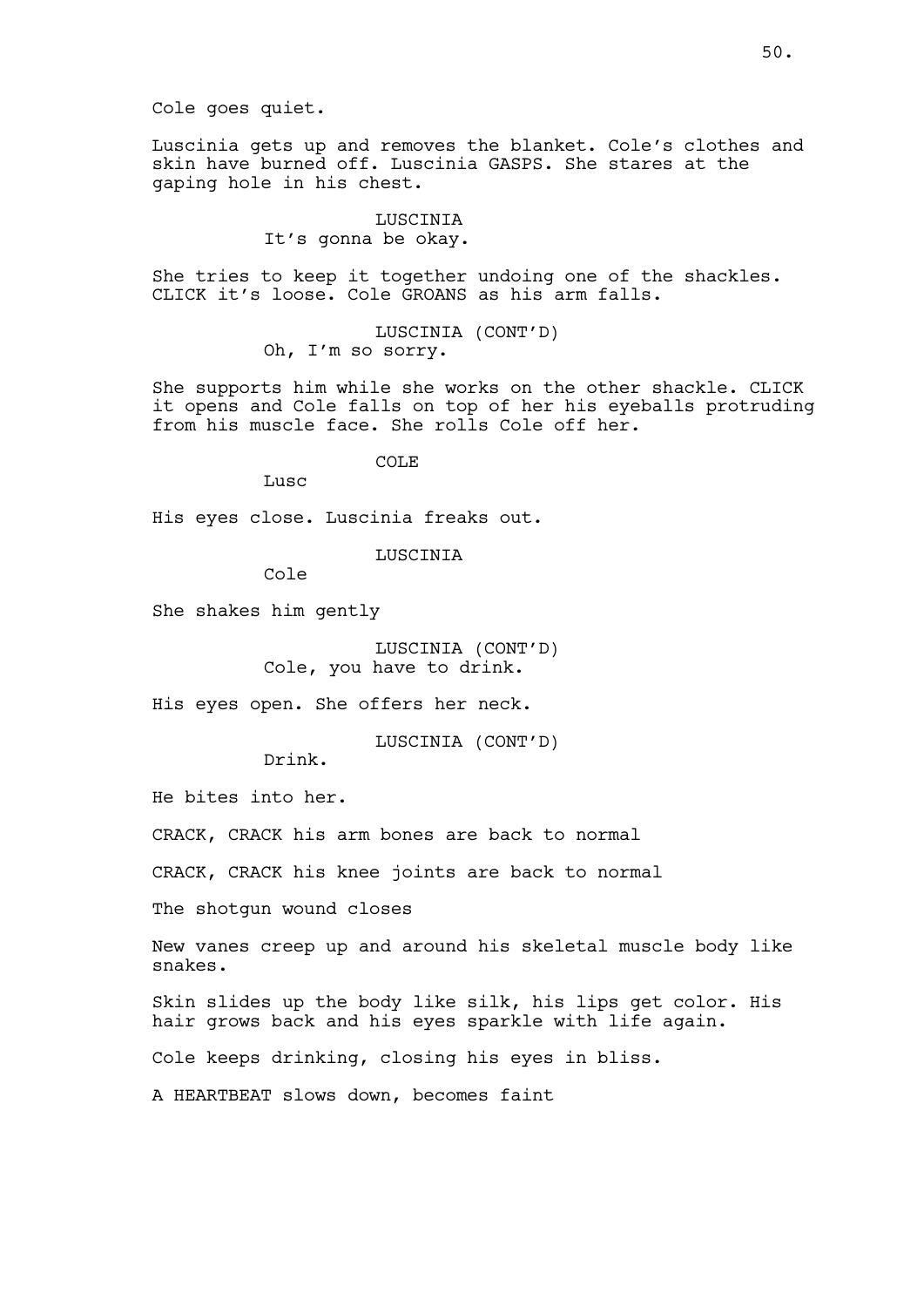Cole goes quiet.

Luscinia gets up and removes the blanket. Cole's clothes and skin have burned off. Luscinia GASPS. She stares at the gaping hole in his chest.

> LUSCINIA It's gonna be okay.

She tries to keep it together undoing one of the shackles. CLICK it's loose. Cole GROANS as his arm falls.

> LUSCINIA (CONT'D) Oh, I'm so sorry.

She supports him while she works on the other shackle. CLICK it opens and Cole falls on top of her his eyeballs protruding from his muscle face. She rolls Cole off her.

COLE

**Lusc** 

His eyes close. Luscinia freaks out.

LUSCINIA

Cole

She shakes him gently

LUSCINIA (CONT'D) Cole, you have to drink.

His eyes open. She offers her neck.

LUSCINIA (CONT'D)

Drink.

He bites into her.

CRACK, CRACK his arm bones are back to normal

CRACK, CRACK his knee joints are back to normal

The shotgun wound closes

New vanes creep up and around his skeletal muscle body like snakes.

Skin slides up the body like silk, his lips get color. His hair grows back and his eyes sparkle with life again.

Cole keeps drinking, closing his eyes in bliss.

A HEARTBEAT slows down, becomes faint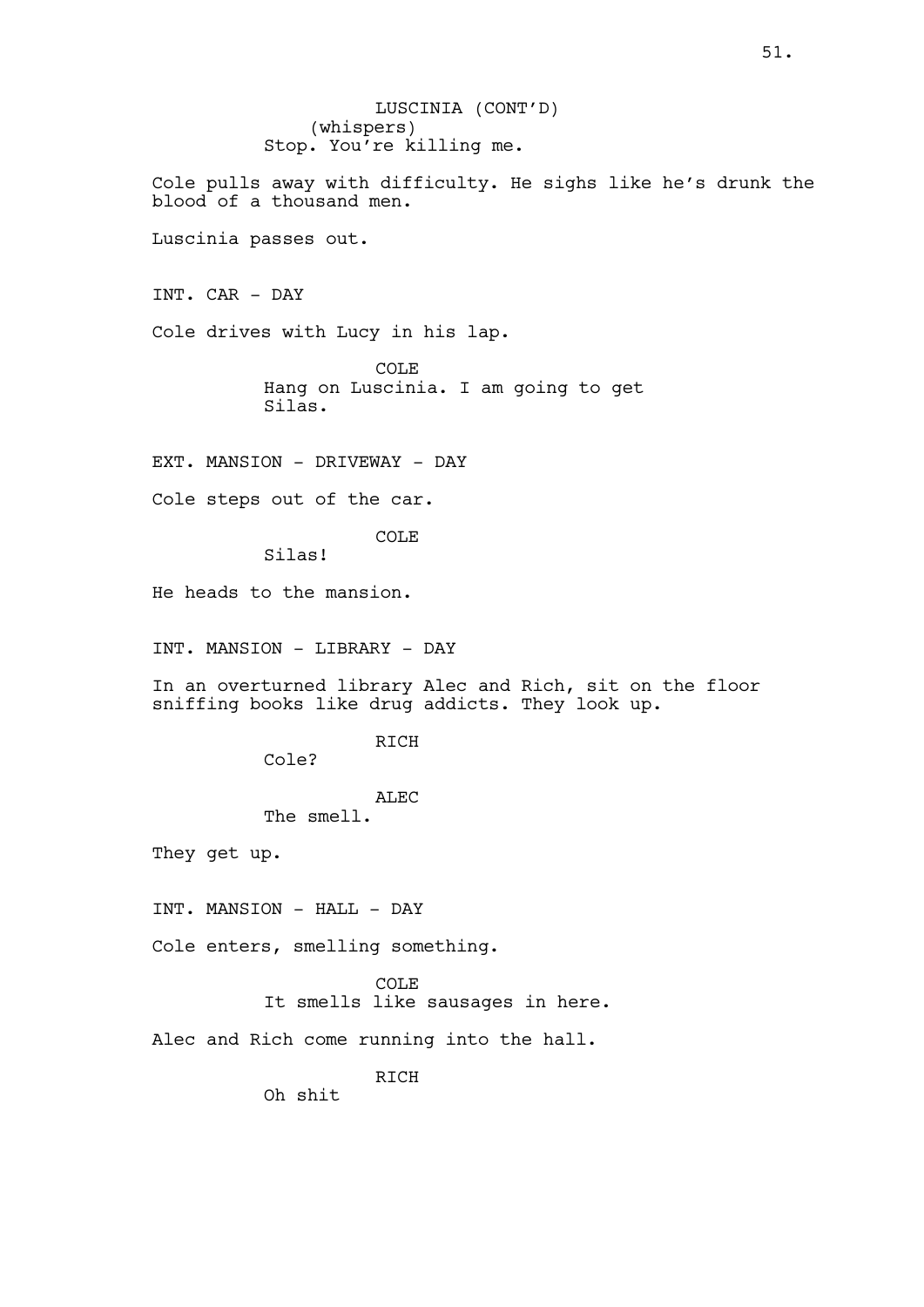LUSCINIA (CONT'D) (whispers) Stop. You're killing me.

Cole pulls away with difficulty. He sighs like he's drunk the blood of a thousand men.

Luscinia passes out.

INT. CAR - DAY

Cole drives with Lucy in his lap.

COLE Hang on Luscinia. I am going to get Silas.

EXT. MANSION - DRIVEWAY - DAY

Cole steps out of the car.

COLE

Silas!

He heads to the mansion.

INT. MANSION - LIBRARY - DAY

In an overturned library Alec and Rich, sit on the floor sniffing books like drug addicts. They look up.

RICH

Cole?

# ALEC

The smell.

They get up.

INT. MANSION - HALL - DAY

Cole enters, smelling something.

COLE It smells like sausages in here.

Alec and Rich come running into the hall.

RICH

Oh shit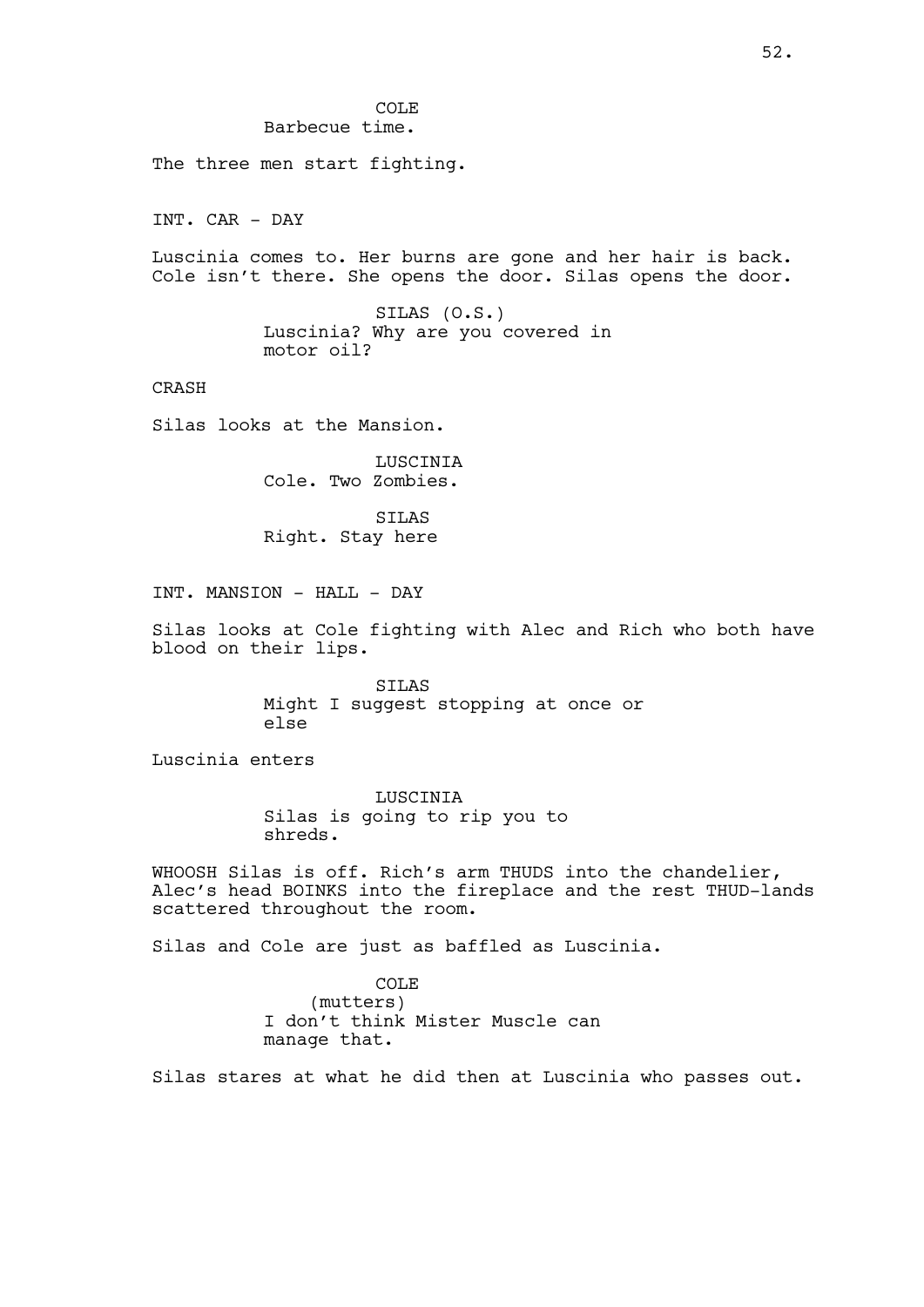The three men start fighting.

INT. CAR - DAY

Luscinia comes to. Her burns are gone and her hair is back. Cole isn't there. She opens the door. Silas opens the door.

> SILAS (O.S.) Luscinia? Why are you covered in motor oil?

CRASH

Silas looks at the Mansion.

LUSCINIA Cole. Two Zombies.

SILAS Right. Stay here

INT. MANSION - HALL - DAY

Silas looks at Cole fighting with Alec and Rich who both have blood on their lips.

> SILAS Might I suggest stopping at once or else

Luscinia enters

LUSCINIA Silas is going to rip you to shreds.

WHOOSH Silas is off. Rich's arm THUDS into the chandelier, Alec's head BOINKS into the fireplace and the rest THUD-lands scattered throughout the room.

Silas and Cole are just as baffled as Luscinia.

COLE (mutters) I don't think Mister Muscle can manage that.

Silas stares at what he did then at Luscinia who passes out.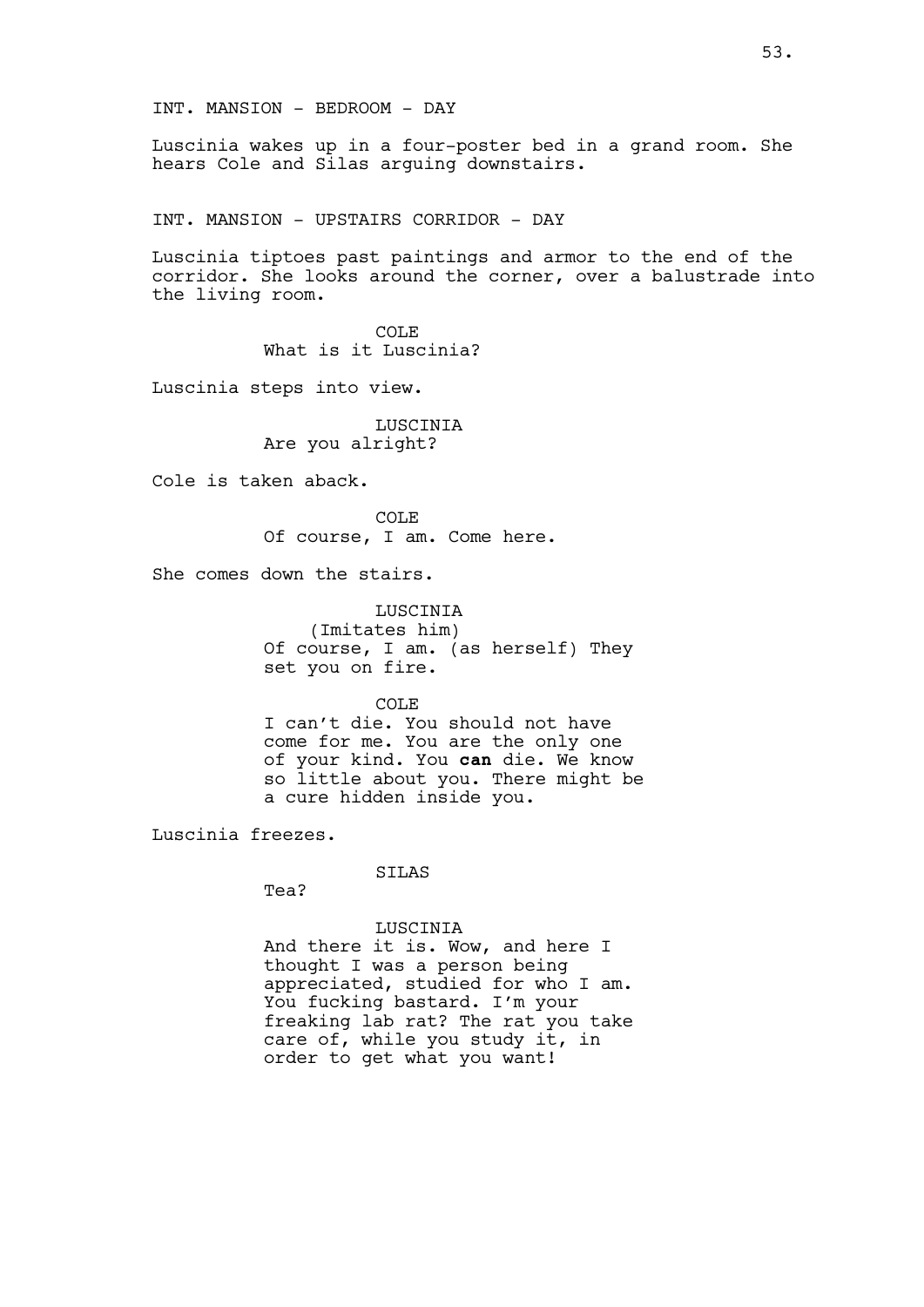Luscinia wakes up in a four-poster bed in a grand room. She hears Cole and Silas arguing downstairs.

INT. MANSION - UPSTAIRS CORRIDOR - DAY

Luscinia tiptoes past paintings and armor to the end of the corridor. She looks around the corner, over a balustrade into the living room.

> COLE What is it Luscinia?

Luscinia steps into view.

LUSCINIA Are you alright?

Cole is taken aback.

COLE Of course, I am. Come here.

She comes down the stairs.

LUSCINIA (Imitates him) Of course, I am. (as herself) They set you on fire.

COLE

I can't die. You should not have come for me. You are the only one of your kind. You can die. We know so little about you. There might be a cure hidden inside you.

Luscinia freezes.

SILAS

Tea?

#### LUSCINIA

And there it is. Wow, and here I thought I was a person being appreciated, studied for who I am. You fucking bastard. I'm your freaking lab rat? The rat you take care of, while you study it, in order to get what you want!

53.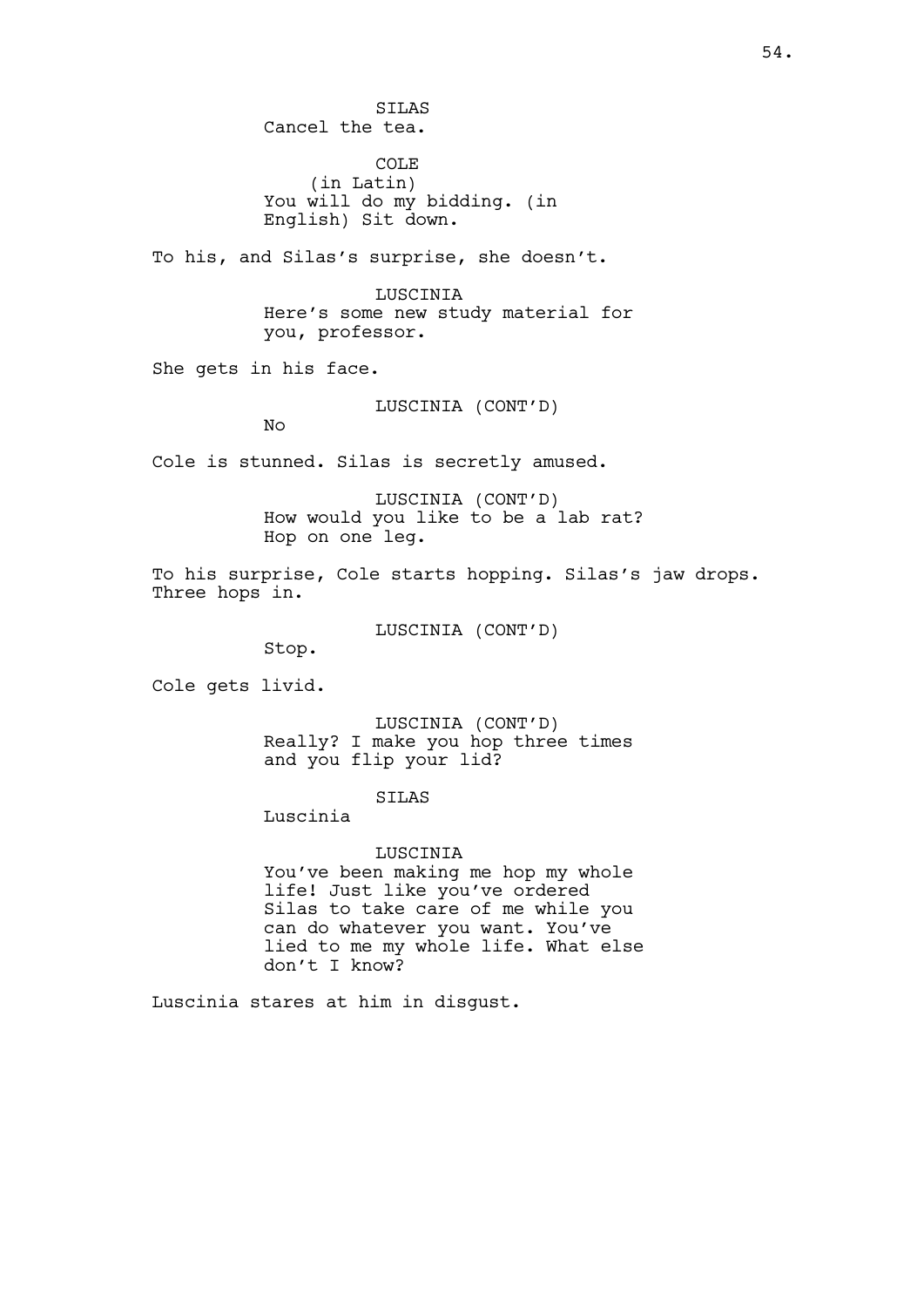SILAS Cancel the tea.

COLE (in Latin) You will do my bidding. (in English) Sit down.

To his, and Silas's surprise, she doesn't.

LUSCINIA Here's some new study material for you, professor.

She gets in his face.

LUSCINIA (CONT'D)

No

Cole is stunned. Silas is secretly amused.

LUSCINIA (CONT'D) How would you like to be a lab rat? Hop on one leg.

To his surprise, Cole starts hopping. Silas's jaw drops. Three hops in.

LUSCINIA (CONT'D)

Stop.

Cole gets livid.

LUSCINIA (CONT'D) Really? I make you hop three times and you flip your lid?

### SILAS

Luscinia

LUSCINIA You've been making me hop my whole life! Just like you've ordered Silas to take care of me while you can do whatever you want. You've lied to me my whole life. What else don't I know?

Luscinia stares at him in disgust.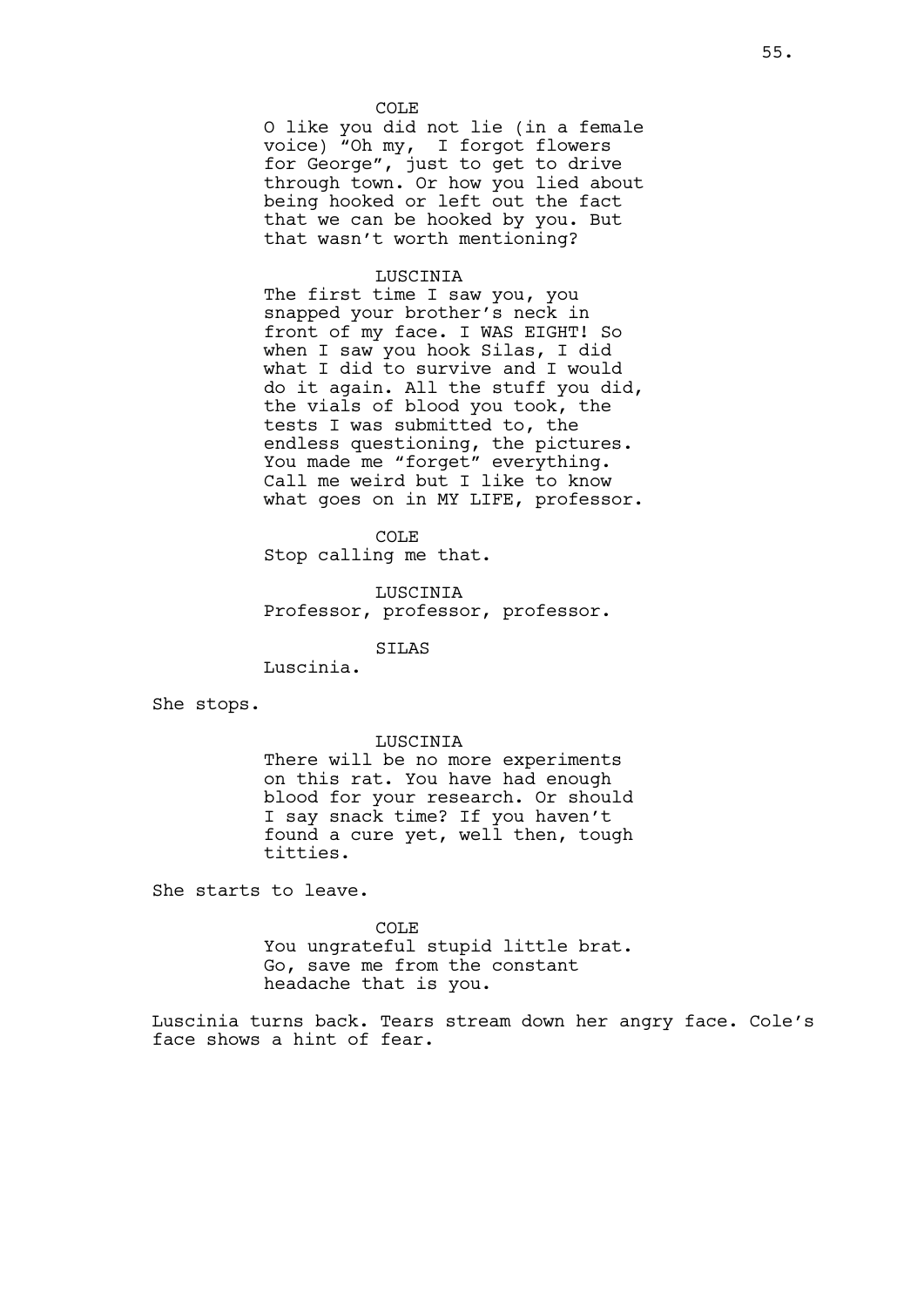COLE O like you did not lie (in a female voice) "Oh my, I forgot flowers for George", just to get to drive through town. Or how you lied about being hooked or left out the fact that we can be hooked by you. But that wasn't worth mentioning?

#### LUSCINIA

The first time I saw you, you snapped your brother's neck in front of my face. I WAS EIGHT! So when I saw you hook Silas, I did what I did to survive and I would do it again. All the stuff you did, the vials of blood you took, the tests I was submitted to, the endless questioning, the pictures. You made me "forget" everything. Call me weird but I like to know what goes on in MY LIFE, professor.

COLE

Stop calling me that.

LUSCINIA Professor, professor, professor.

SILAS

Luscinia.

She stops.

### LUSCINIA

There will be no more experiments on this rat. You have had enough blood for your research. Or should I say snack time? If you haven't found a cure yet, well then, tough titties.

She starts to leave.

### COLE

You ungrateful stupid little brat. Go, save me from the constant headache that is you.

Luscinia turns back. Tears stream down her angry face. Cole's face shows a hint of fear.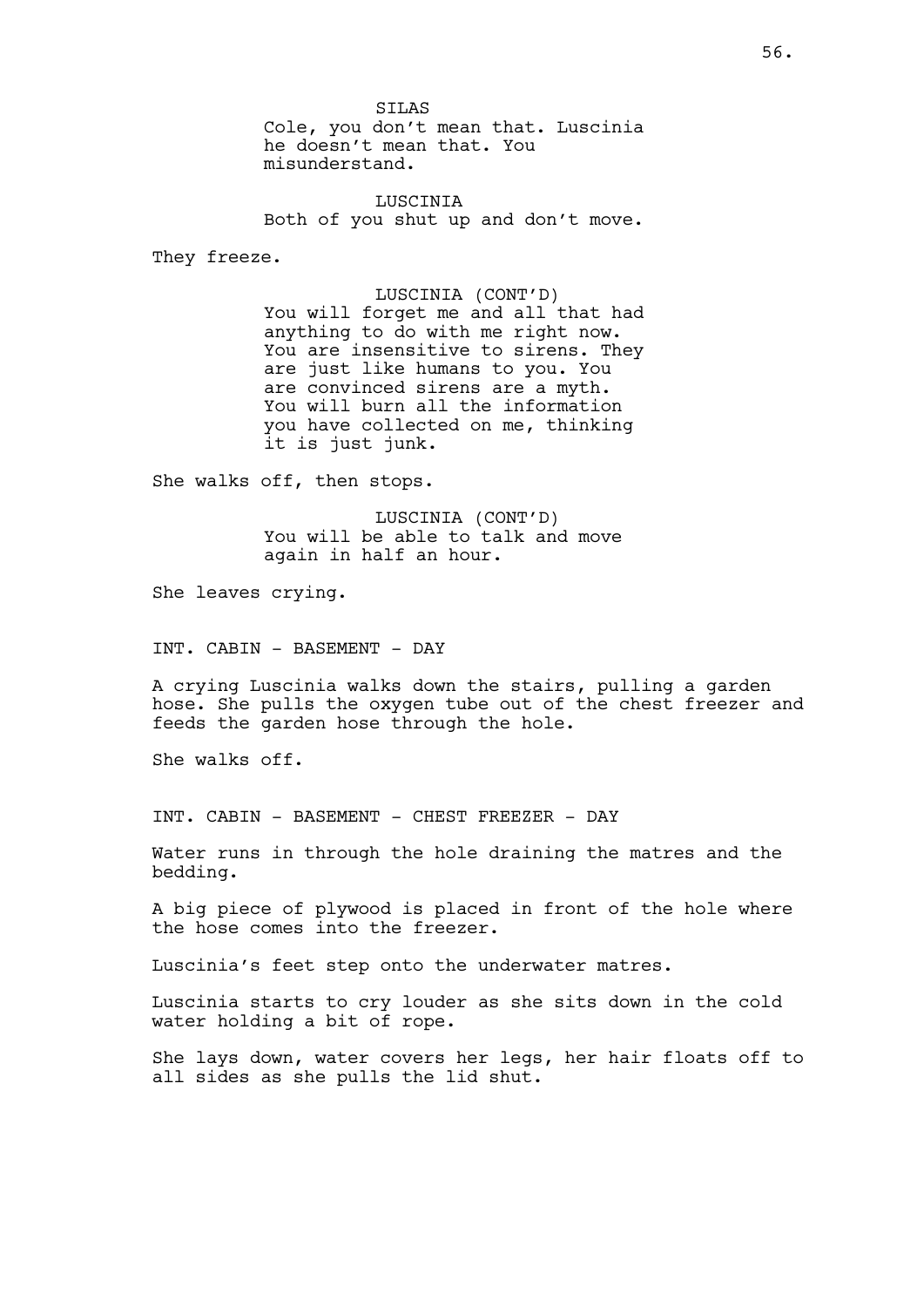SILAS Cole, you don't mean that. Luscinia he doesn't mean that. You misunderstand.

LUSCINIA Both of you shut up and don't move.

They freeze.

LUSCINIA (CONT'D) You will forget me and all that had anything to do with me right now. You are insensitive to sirens. They are just like humans to you. You are convinced sirens are a myth. You will burn all the information you have collected on me, thinking it is just junk.

She walks off, then stops.

LUSCINIA (CONT'D) You will be able to talk and move again in half an hour.

She leaves crying.

INT. CABIN - BASEMENT - DAY

A crying Luscinia walks down the stairs, pulling a garden hose. She pulls the oxygen tube out of the chest freezer and feeds the garden hose through the hole.

She walks off.

INT. CABIN - BASEMENT - CHEST FREEZER - DAY

Water runs in through the hole draining the matres and the bedding.

A big piece of plywood is placed in front of the hole where the hose comes into the freezer.

Luscinia's feet step onto the underwater matres.

Luscinia starts to cry louder as she sits down in the cold water holding a bit of rope.

She lays down, water covers her legs, her hair floats off to all sides as she pulls the lid shut.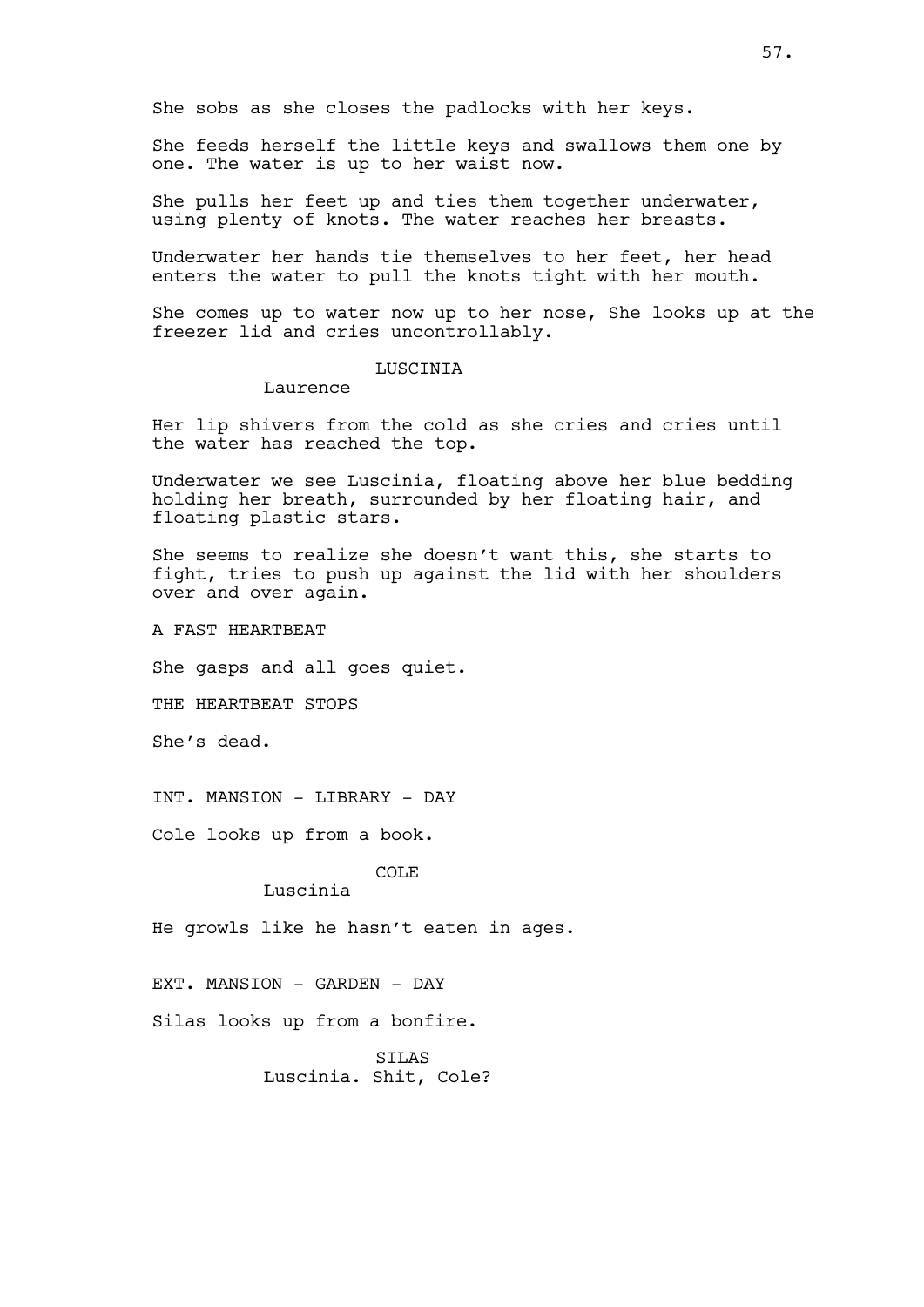She sobs as she closes the padlocks with her keys.

She feeds herself the little keys and swallows them one by one. The water is up to her waist now.

She pulls her feet up and ties them together underwater, using plenty of knots. The water reaches her breasts.

Underwater her hands tie themselves to her feet, her head enters the water to pull the knots tight with her mouth.

She comes up to water now up to her nose, She looks up at the freezer lid and cries uncontrollably.

### LUSCINIA

Laurence

Her lip shivers from the cold as she cries and cries until the water has reached the top.

Underwater we see Luscinia, floating above her blue bedding holding her breath, surrounded by her floating hair, and floating plastic stars.

She seems to realize she doesn't want this, she starts to fight, tries to push up against the lid with her shoulders over and over again.

A FAST HEARTBEAT

She gasps and all goes quiet.

THE HEARTBEAT STOPS

She's dead.

INT. MANSION - LIBRARY - DAY

Cole looks up from a book.

# COLE

Luscinia

He growls like he hasn't eaten in ages.

EXT. MANSION - GARDEN - DAY

Silas looks up from a bonfire.

SILAS Luscinia. Shit, Cole?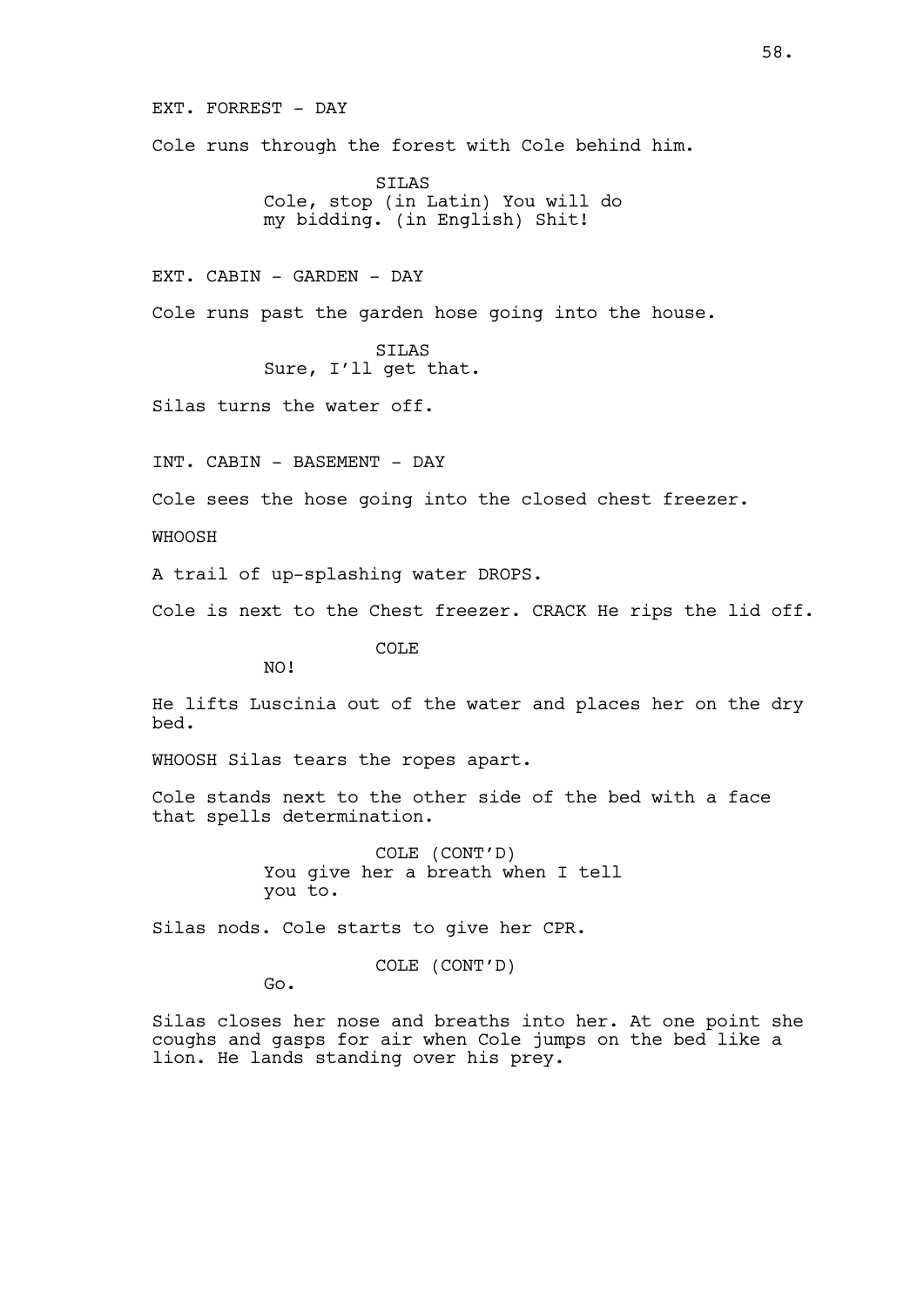EXT. FORREST - DAY Cole runs through the forest with Cole behind him.

> SILAS Cole, stop (in Latin) You will do my bidding. (in English) Shit!

EXT. CABIN - GARDEN - DAY

Cole runs past the garden hose going into the house.

SILAS Sure, I'll get that.

Silas turns the water off.

INT. CABIN - BASEMENT - DAY

Cole sees the hose going into the closed chest freezer.

WHOOSH

A trail of up-splashing water DROPS.

Cole is next to the Chest freezer. CRACK He rips the lid off.

COLE

NO!

He lifts Luscinia out of the water and places her on the dry bed.

WHOOSH Silas tears the ropes apart.

Cole stands next to the other side of the bed with a face that spells determination.

> COLE (CONT'D) You give her a breath when I tell you to.

Silas nods. Cole starts to give her CPR.

COLE (CONT'D)

Go.

Silas closes her nose and breaths into her. At one point she coughs and gasps for air when Cole jumps on the bed like a lion. He lands standing over his prey.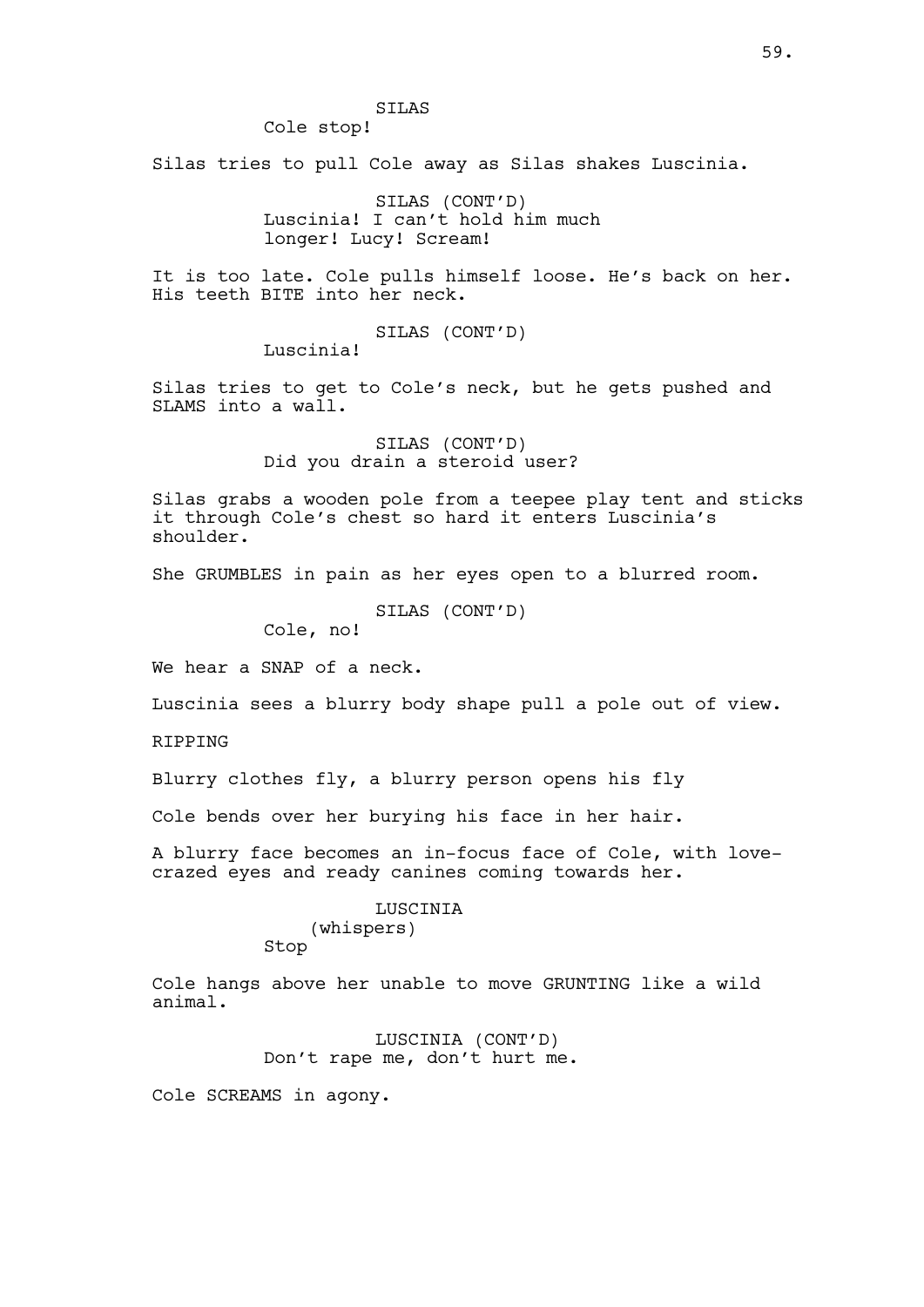# SILAS

Cole stop!

Silas tries to pull Cole away as Silas shakes Luscinia.

SILAS (CONT'D) Luscinia! I can't hold him much longer! Lucy! Scream!

It is too late. Cole pulls himself loose. He's back on her. His teeth BITE into her neck.

SILAS (CONT'D)

Luscinia!

Silas tries to get to Cole's neck, but he gets pushed and SLAMS into a wall.

> SILAS (CONT'D) Did you drain a steroid user?

Silas grabs a wooden pole from a teepee play tent and sticks it through Cole's chest so hard it enters Luscinia's shoulder.

She GRUMBLES in pain as her eyes open to a blurred room.

SILAS (CONT'D)

Cole, no!

We hear a SNAP of a neck.

Luscinia sees a blurry body shape pull a pole out of view.

RIPPING

Blurry clothes fly, a blurry person opens his fly

Cole bends over her burying his face in her hair.

A blurry face becomes an in-focus face of Cole, with lovecrazed eyes and ready canines coming towards her.

### LUSCINIA (whispers) Stop

Cole hangs above her unable to move GRUNTING like a wild animal.

> LUSCINIA (CONT'D) Don't rape me, don't hurt me.

Cole SCREAMS in agony.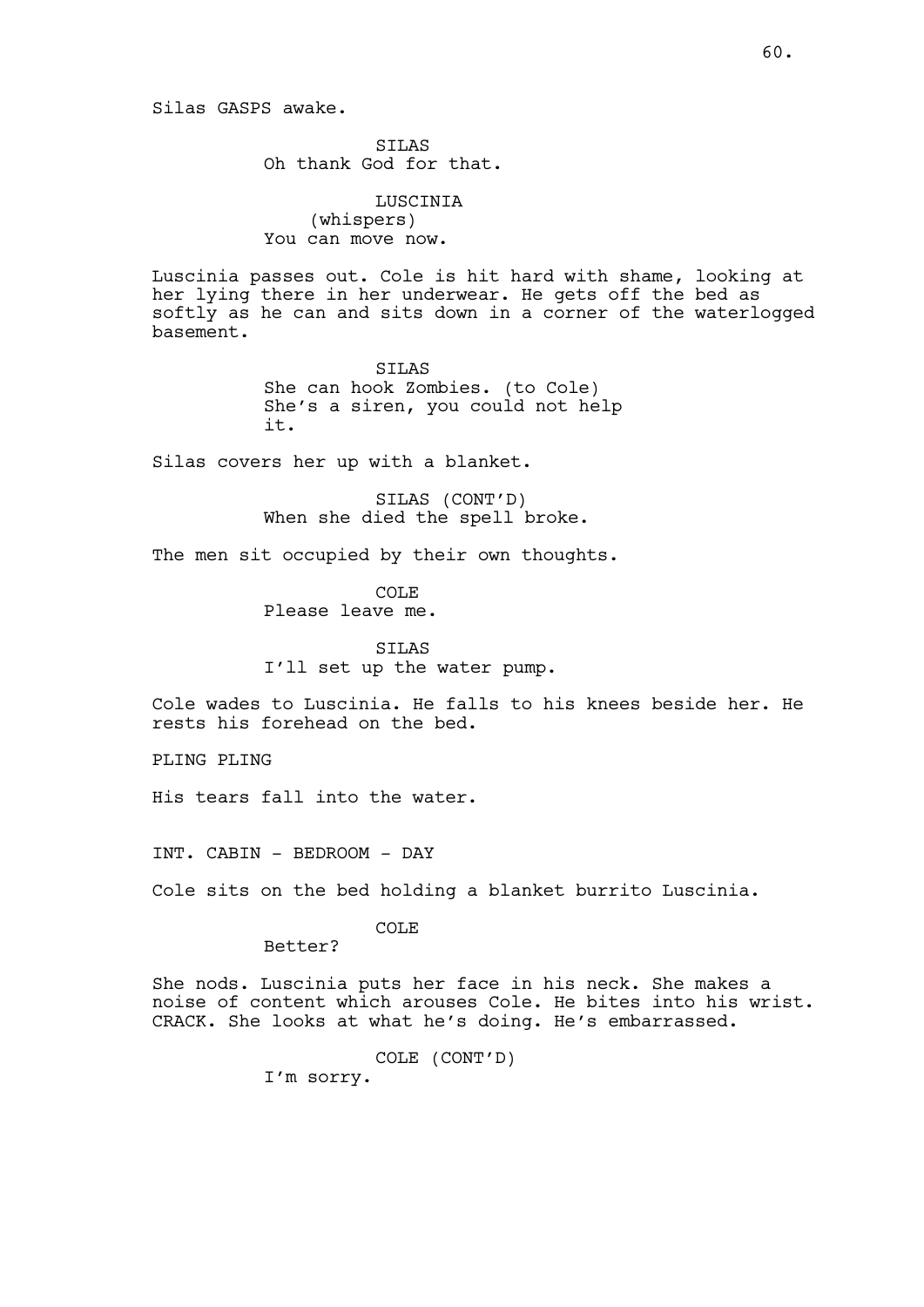Silas GASPS awake.

SILAS Oh thank God for that.

LUSCINIA (whispers) You can move now.

Luscinia passes out. Cole is hit hard with shame, looking at her lying there in her underwear. He gets off the bed as softly as he can and sits down in a corner of the waterlogged basement.

> SILAS She can hook Zombies. (to Cole) She's a siren, you could not help it.

Silas covers her up with a blanket.

SILAS (CONT'D) When she died the spell broke.

The men sit occupied by their own thoughts.

COLE Please leave me.

SILAS I'll set up the water pump.

Cole wades to Luscinia. He falls to his knees beside her. He rests his forehead on the bed.

PLING PLING

His tears fall into the water.

INT. CABIN - BEDROOM - DAY

Cole sits on the bed holding a blanket burrito Luscinia.

COLE

Better?

She nods. Luscinia puts her face in his neck. She makes a noise of content which arouses Cole. He bites into his wrist. CRACK. She looks at what he's doing. He's embarrassed.

COLE (CONT'D)

I'm sorry.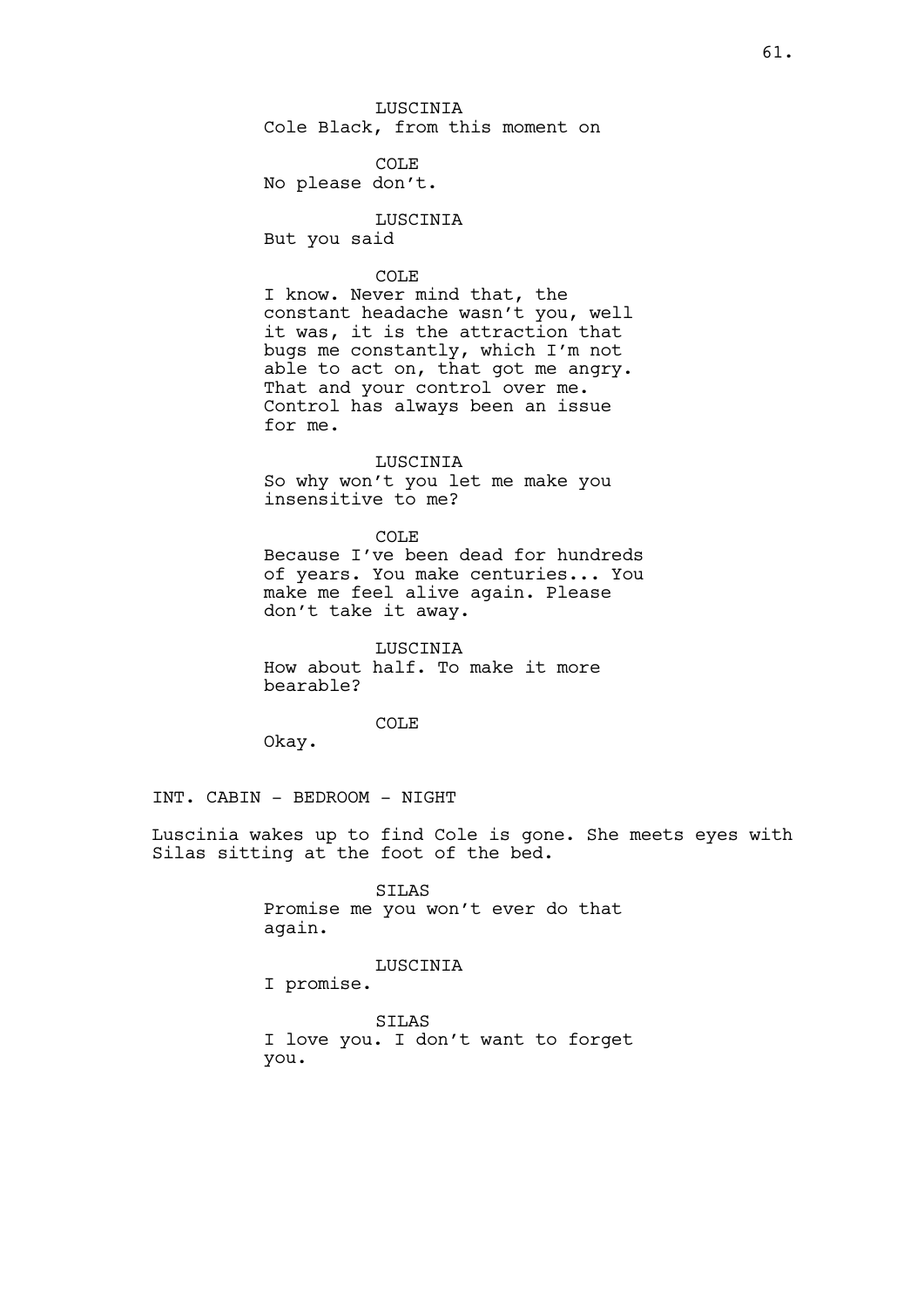LUSCINIA Cole Black, from this moment on

COLE No please don't.

LUSCINIA But you said

### COLE

I know. Never mind that, the constant headache wasn't you, well it was, it is the attraction that bugs me constantly, which I'm not able to act on, that got me angry. That and your control over me. Control has always been an issue for me.

#### LUSCINIA

So why won't you let me make you insensitive to me?

# COLE

Because I've been dead for hundreds of years. You make centuries... You make me feel alive again. Please don't take it away.

LUSCINIA How about half. To make it more bearable?

### COLE

Okay.

INT. CABIN - BEDROOM - NIGHT

Luscinia wakes up to find Cole is gone. She meets eyes with Silas sitting at the foot of the bed.

> SILAS Promise me you won't ever do that again.

# LUSCINIA

I promise.

SILAS I love you. I don't want to forget you.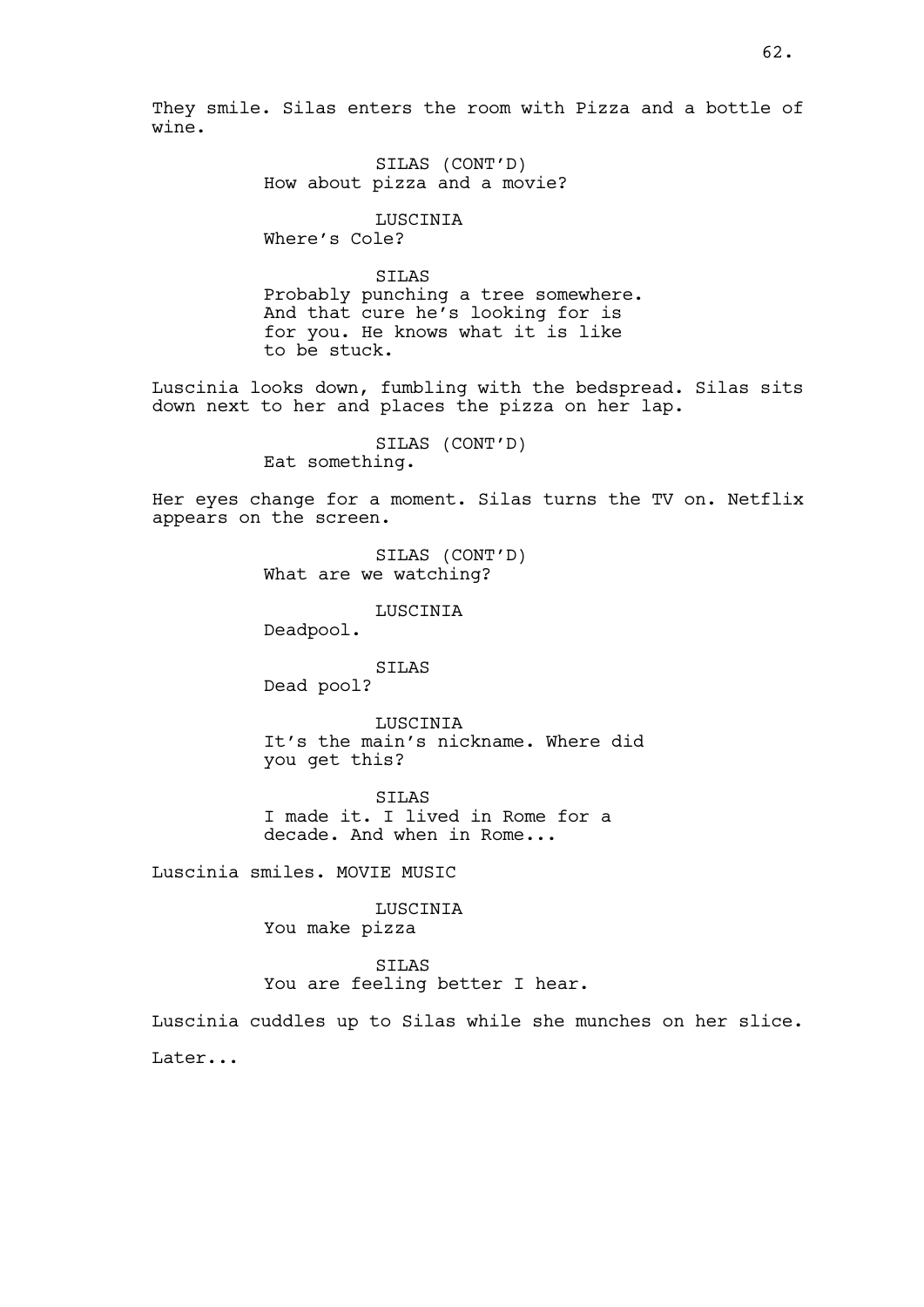They smile. Silas enters the room with Pizza and a bottle of wine.

> SILAS (CONT'D) How about pizza and a movie?

LUSCINIA Where's Cole?

SILAS Probably punching a tree somewhere. And that cure he's looking for is for you. He knows what it is like to be stuck.

Luscinia looks down, fumbling with the bedspread. Silas sits down next to her and places the pizza on her lap.

> SILAS (CONT'D) Eat something.

Her eyes change for a moment. Silas turns the TV on. Netflix appears on the screen.

> SILAS (CONT'D) What are we watching?

> > LUSCINIA

Deadpool.

SILAS Dead pool?

LUSCINIA

It's the main's nickname. Where did you get this?

SILAS I made it. I lived in Rome for a decade. And when in Rome...

Luscinia smiles. MOVIE MUSIC

LUSCINIA You make pizza

SILAS You are feeling better I hear.

Luscinia cuddles up to Silas while she munches on her slice. Later...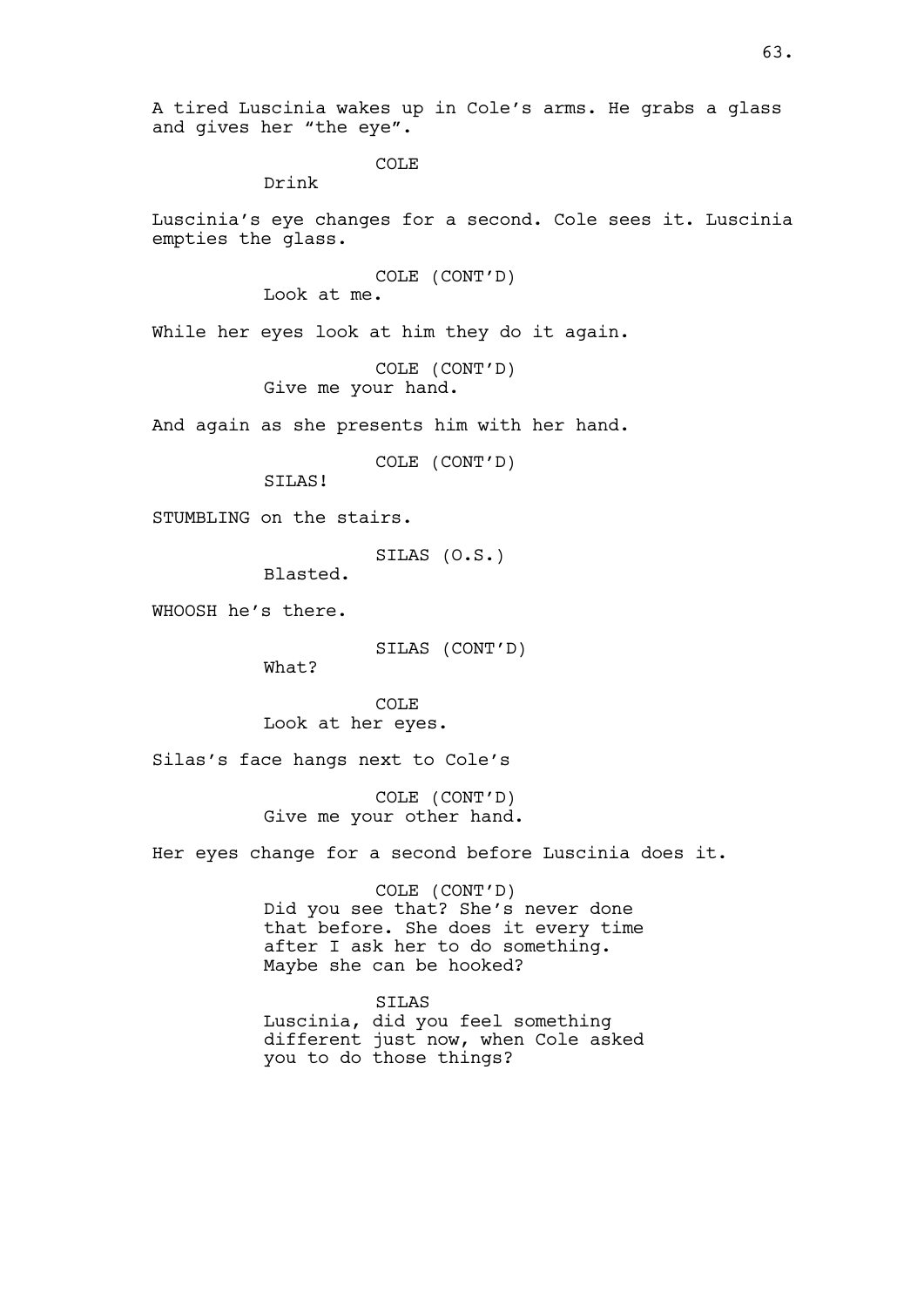A tired Luscinia wakes up in Cole's arms. He grabs a glass and gives her "the eye".

COLE

Drink

Luscinia's eye changes for a second. Cole sees it. Luscinia empties the glass.

> COLE (CONT'D) Look at me.

While her eyes look at him they do it again.

COLE (CONT'D) Give me your hand.

And again as she presents him with her hand.

COLE (CONT'D)

SILAS!

STUMBLING on the stairs.

SILAS (O.S.)

Blasted.

WHOOSH he's there.

SILAS (CONT'D)

What?

COLE Look at her eyes.

Silas's face hangs next to Cole's

COLE (CONT'D) Give me your other hand.

Her eyes change for a second before Luscinia does it.

COLE (CONT'D) Did you see that? She's never done that before. She does it every time after I ask her to do something. Maybe she can be hooked?

SILAS Luscinia, did you feel something different just now, when Cole asked you to do those things?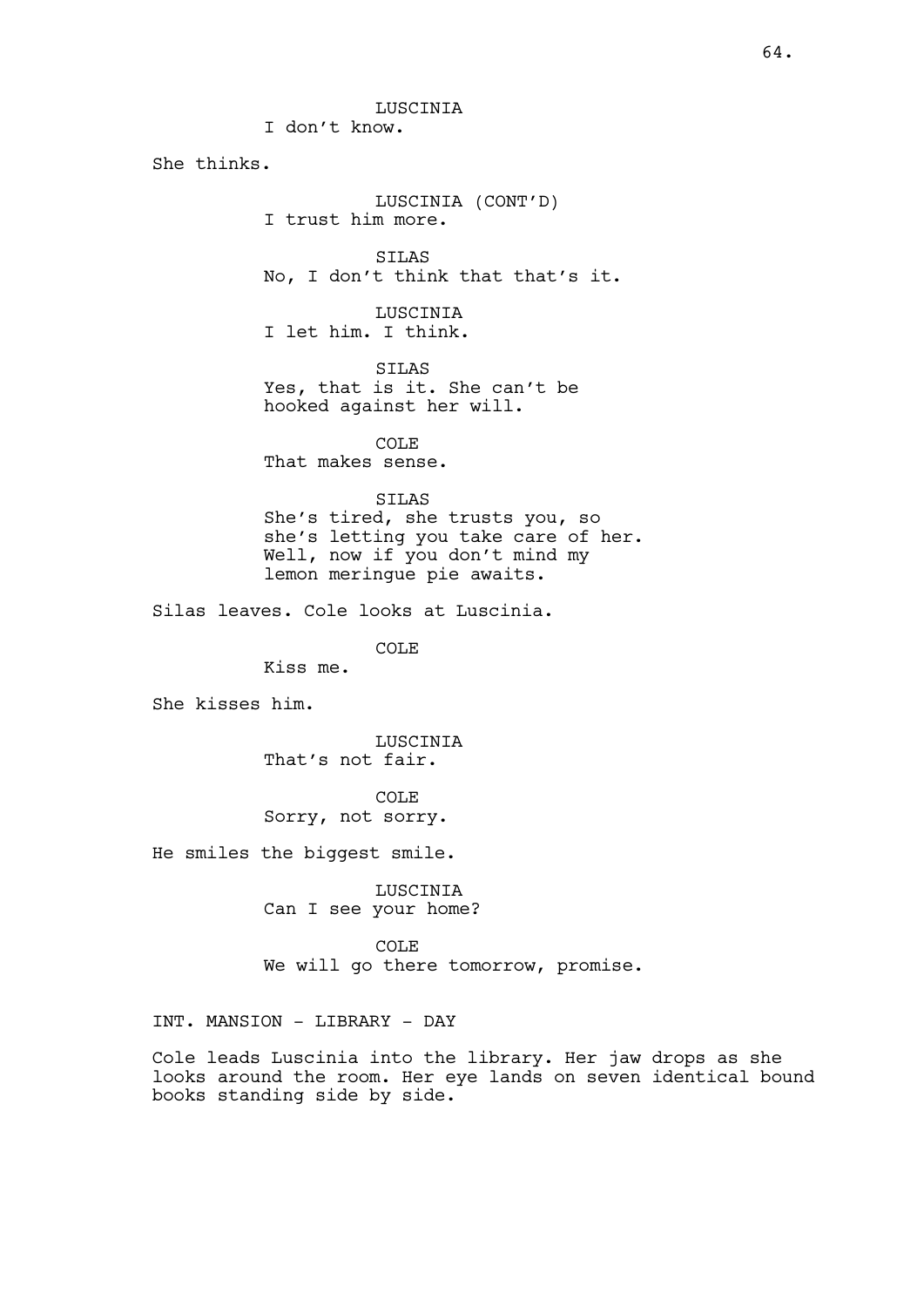LUSCINIA I don't know. She thinks. LUSCINIA (CONT'D) I trust him more. SILAS No, I don't think that that's it. LUSCINIA I let him. I think. SILAS Yes, that is it. She can't be hooked against her will. COLE That makes sense. SILAS She's tired, she trusts you, so she's letting you take care of her. Well, now if you don't mind my lemon meringue pie awaits. Silas leaves. Cole looks at Luscinia. COLE Kiss me. She kisses him. **LUSCINIA** That's not fair. COLE Sorry, not sorry. He smiles the biggest smile. LUSCINIA Can I see your home? COLE We will go there tomorrow, promise. INT. MANSION - LIBRARY - DAY Cole leads Luscinia into the library. Her jaw drops as she looks around the room. Her eye lands on seven identical bound books standing side by side.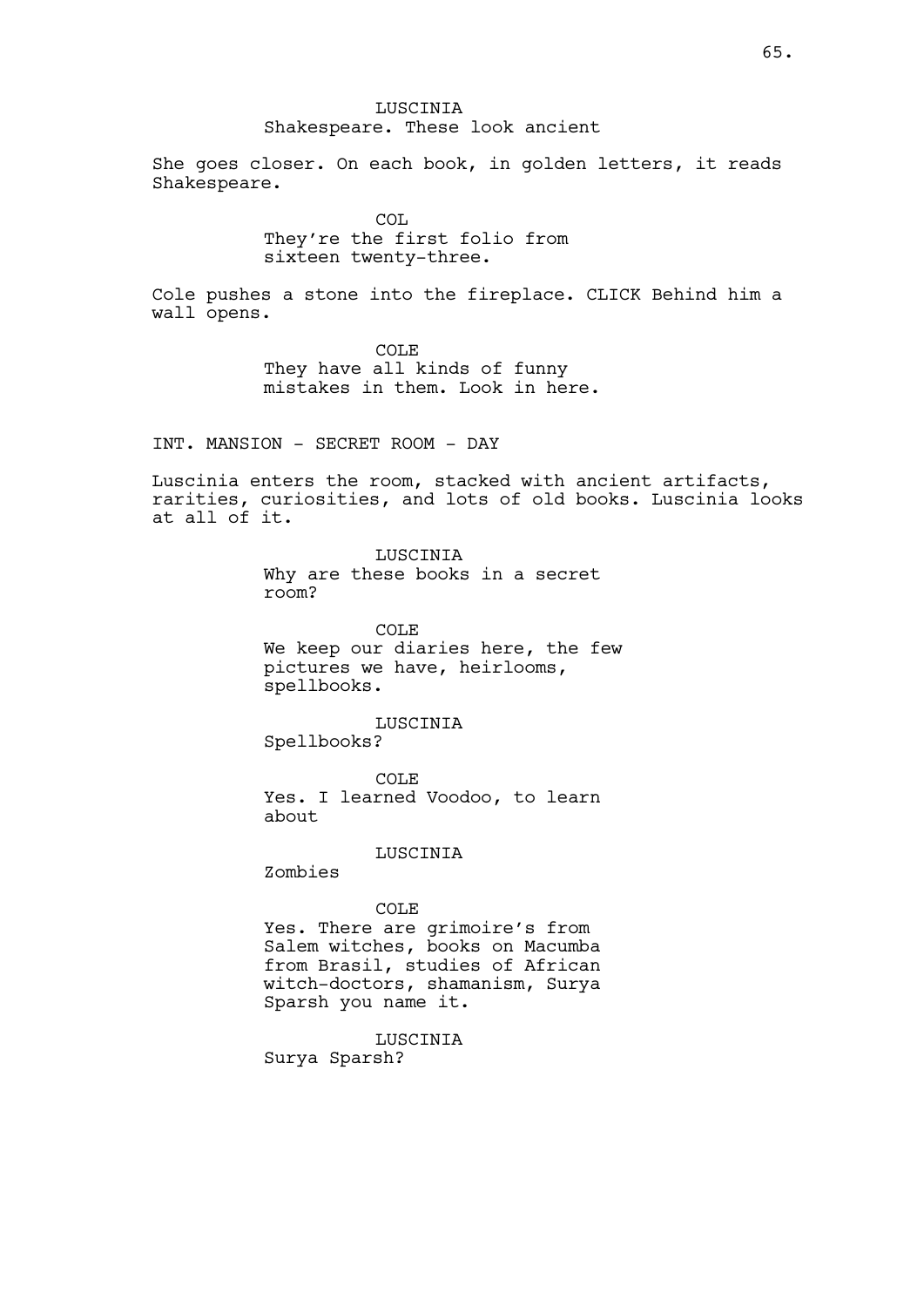# LUSCINIA Shakespeare. These look ancient

She goes closer. On each book, in golden letters, it reads Shakespeare.

> **COL** They're the first folio from sixteen twenty-three.

Cole pushes a stone into the fireplace. CLICK Behind him a wall opens.

> COLE They have all kinds of funny mistakes in them. Look in here.

INT. MANSION - SECRET ROOM - DAY

Luscinia enters the room, stacked with ancient artifacts, rarities, curiosities, and lots of old books. Luscinia looks at all of it.

> LUSCINIA Why are these books in a secret room?

COLE We keep our diaries here, the few pictures we have, heirlooms, spellbooks.

LUSCINIA Spellbooks?

COLE Yes. I learned Voodoo, to learn about

LUSCINIA

Zombies

COLE

Yes. There are grimoire's from Salem witches, books on Macumba from Brasil, studies of African witch-doctors, shamanism, Surya Sparsh you name it.

LUSCINIA

Surya Sparsh?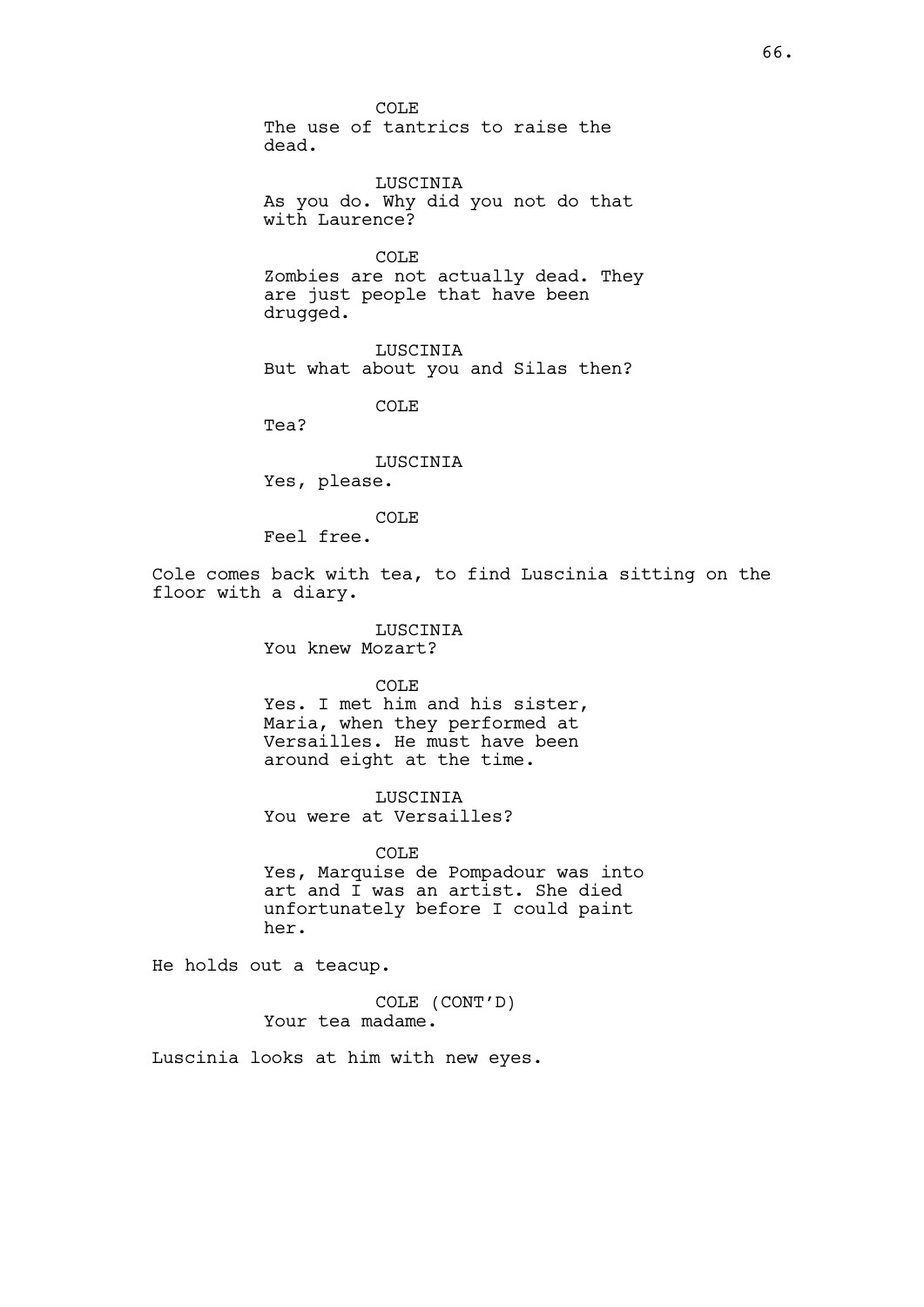COLE The use of tantrics to raise the dead.

LUSCINIA As you do. Why did you not do that with Laurence?

COLE Zombies are not actually dead. They are just people that have been drugged.

LUSCINIA But what about you and Silas then?

COLE

Tea?

LUSCINIA Yes, please.

COLE

Feel free.

Cole comes back with tea, to find Luscinia sitting on the floor with a diary.

> LUSCINIA You knew Mozart?

COLE Yes. I met him and his sister, Maria, when they performed at Versailles. He must have been around eight at the time.

LUSCINIA You were at Versailles?

COLE Yes, Marquise de Pompadour was into art and I was an artist. She died unfortunately before I could paint her.

He holds out a teacup.

COLE (CONT'D) Your tea madame.

Luscinia looks at him with new eyes.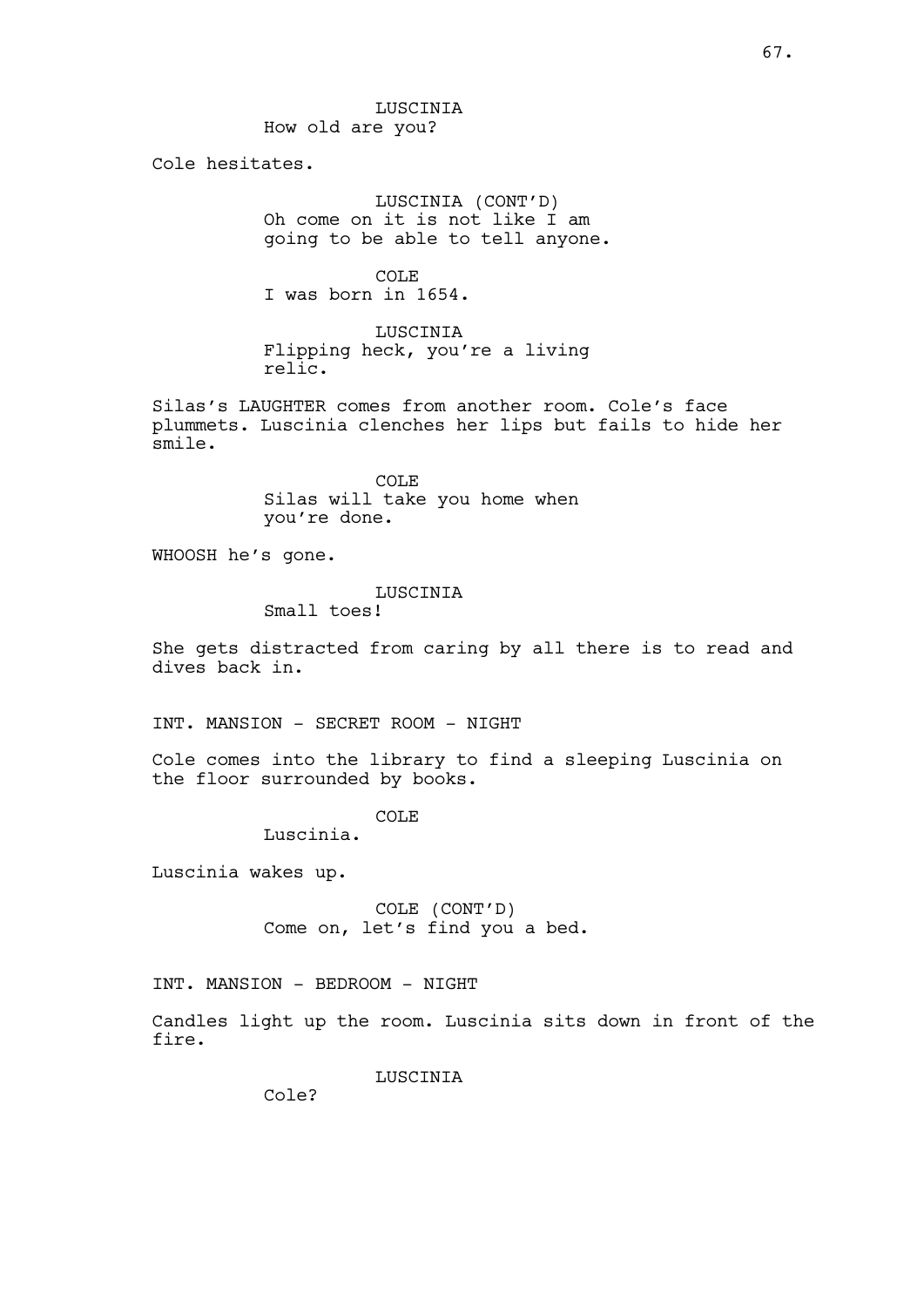LUSCINIA How old are you?

Cole hesitates.

LUSCINIA (CONT'D) Oh come on it is not like I am going to be able to tell anyone.

COLE I was born in 1654.

LUSCINIA Flipping heck, you're a living relic.

Silas's LAUGHTER comes from another room. Cole's face plummets. Luscinia clenches her lips but fails to hide her smile.

> COLE Silas will take you home when you're done.

WHOOSH he's gone.

#### LUSCINIA

Small toes!

She gets distracted from caring by all there is to read and dives back in.

INT. MANSION - SECRET ROOM - NIGHT

Cole comes into the library to find a sleeping Luscinia on the floor surrounded by books.

# COLE

Luscinia.

Luscinia wakes up.

COLE (CONT'D) Come on, let's find you a bed.

INT. MANSION - BEDROOM - NIGHT

Candles light up the room. Luscinia sits down in front of the fire.

LUSCINIA

Cole?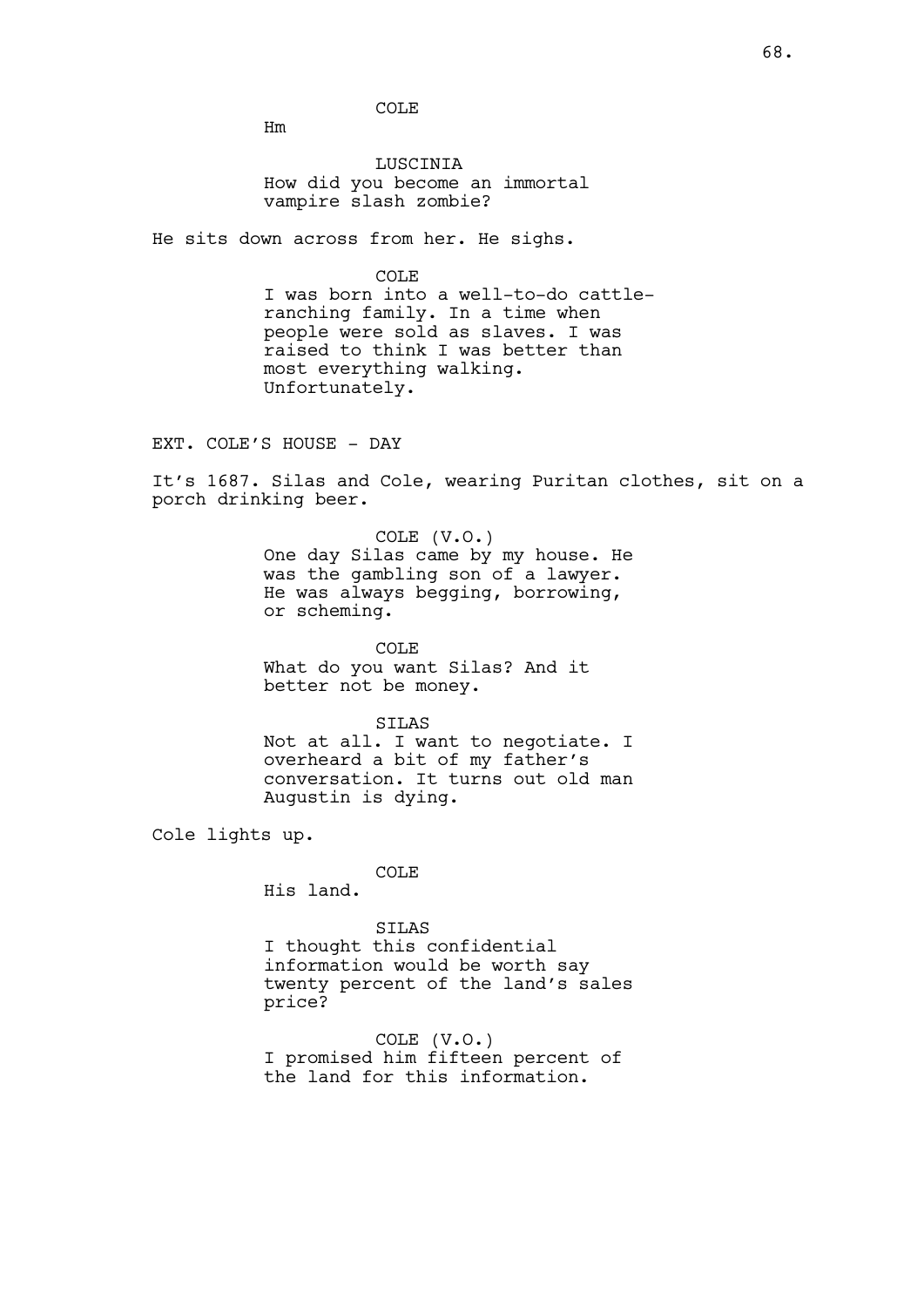COLE

Hm

LUSCINIA How did you become an immortal vampire slash zombie?

He sits down across from her. He sighs.

COLE

I was born into a well-to-do cattleranching family. In a time when people were sold as slaves. I was raised to think I was better than most everything walking. Unfortunately.

EXT. COLE'S HOUSE - DAY

It's 1687. Silas and Cole, wearing Puritan clothes, sit on a porch drinking beer.

> COLE (V.O.) One day Silas came by my house. He was the gambling son of a lawyer. He was always begging, borrowing, or scheming.

COLE What do you want Silas? And it better not be money.

SILAS Not at all. I want to negotiate. I overheard a bit of my father's conversation. It turns out old man Augustin is dying.

Cole lights up.

COLE

His land.

SILAS

I thought this confidential information would be worth say twenty percent of the land's sales price?

COLE (V.O.) I promised him fifteen percent of the land for this information.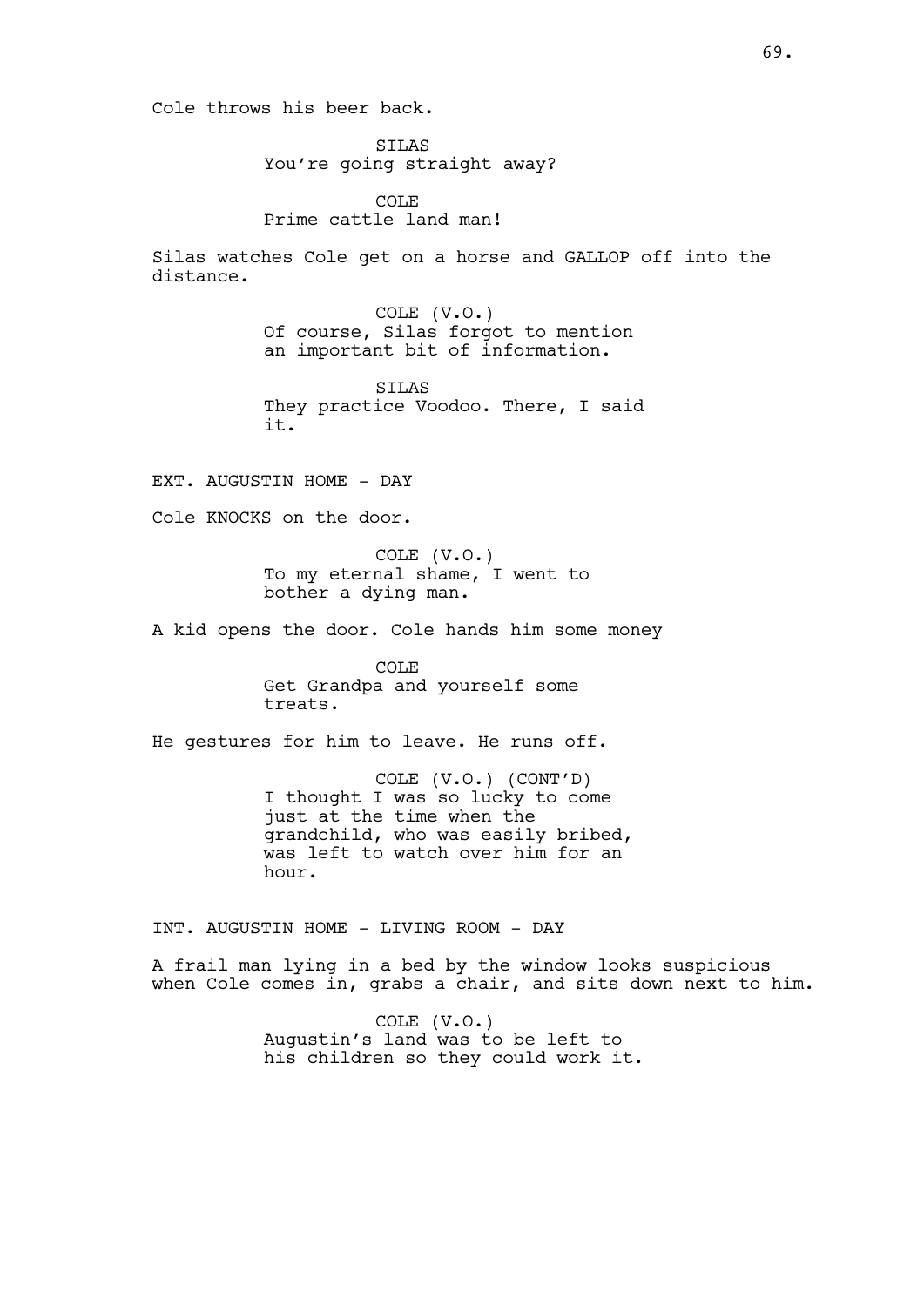Cole throws his beer back.

SILAS You're going straight away?

COLE Prime cattle land man!

Silas watches Cole get on a horse and GALLOP off into the distance.

> COLE (V.O.) Of course, Silas forgot to mention an important bit of information.

SILAS They practice Voodoo. There, I said it.

EXT. AUGUSTIN HOME - DAY

Cole KNOCKS on the door.

COLE (V.O.) To my eternal shame, I went to bother a dying man.

A kid opens the door. Cole hands him some money

COLE Get Grandpa and yourself some treats.

He gestures for him to leave. He runs off.

COLE (V.O.) (CONT'D) I thought I was so lucky to come just at the time when the grandchild, who was easily bribed, was left to watch over him for an hour.

INT. AUGUSTIN HOME - LIVING ROOM - DAY

A frail man lying in a bed by the window looks suspicious when Cole comes in, grabs a chair, and sits down next to him.

> COLE (V.O.) Augustin's land was to be left to his children so they could work it.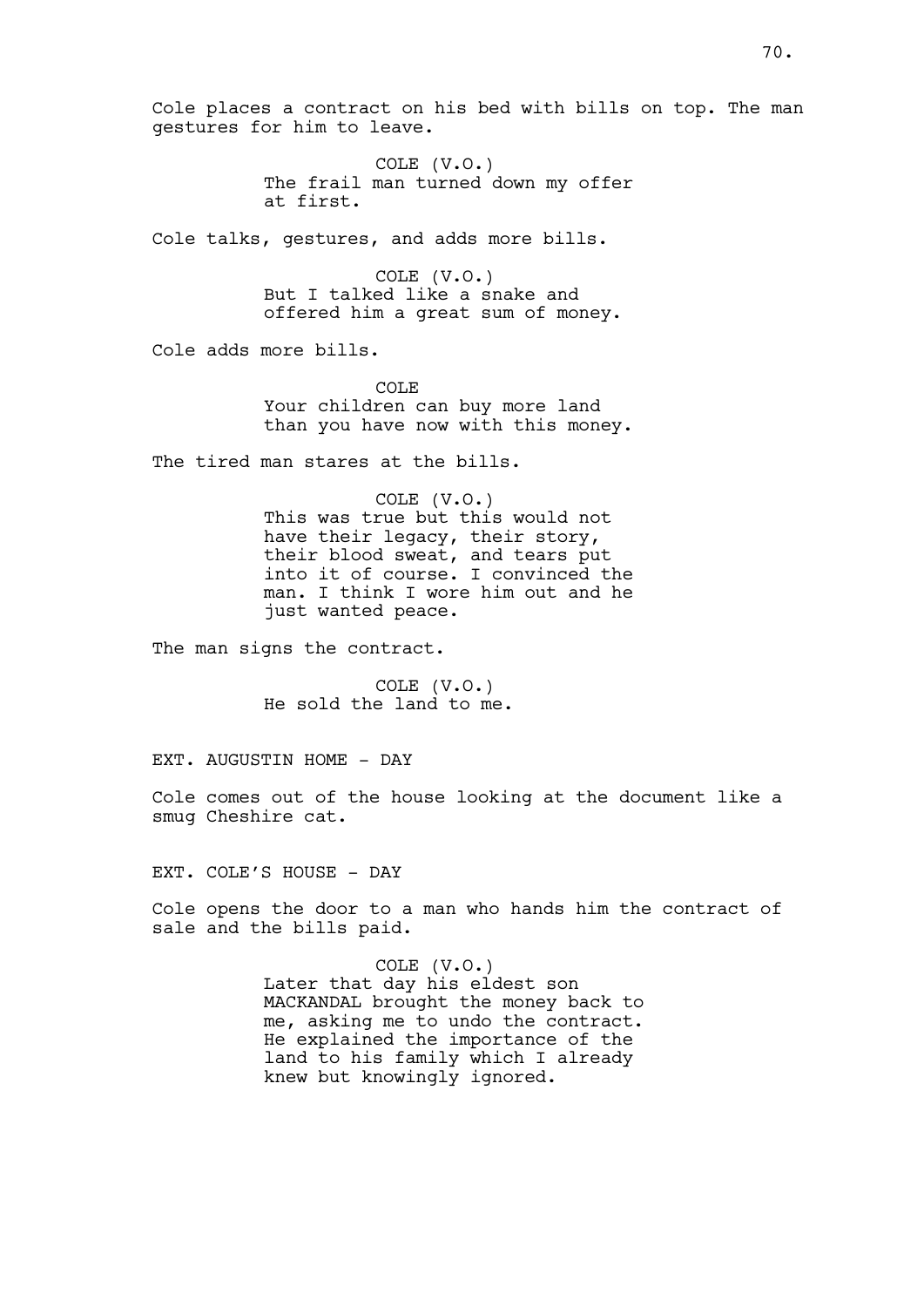Cole places a contract on his bed with bills on top. The man gestures for him to leave.

> COLE (V.O.) The frail man turned down my offer at first.

Cole talks, gestures, and adds more bills.

COLE (V.O.) But I talked like a snake and offered him a great sum of money.

Cole adds more bills.

COLE Your children can buy more land than you have now with this money.

The tired man stares at the bills.

COLE (V.O.) This was true but this would not have their legacy, their story, their blood sweat, and tears put into it of course. I convinced the man. I think I wore him out and he just wanted peace.

The man signs the contract.

COLE (V.O.) He sold the land to me.

EXT. AUGUSTIN HOME - DAY

Cole comes out of the house looking at the document like a smug Cheshire cat.

EXT. COLE'S HOUSE - DAY

Cole opens the door to a man who hands him the contract of sale and the bills paid.

> COLE (V.O.) Later that day his eldest son MACKANDAL brought the money back to me, asking me to undo the contract. He explained the importance of the land to his family which I already knew but knowingly ignored.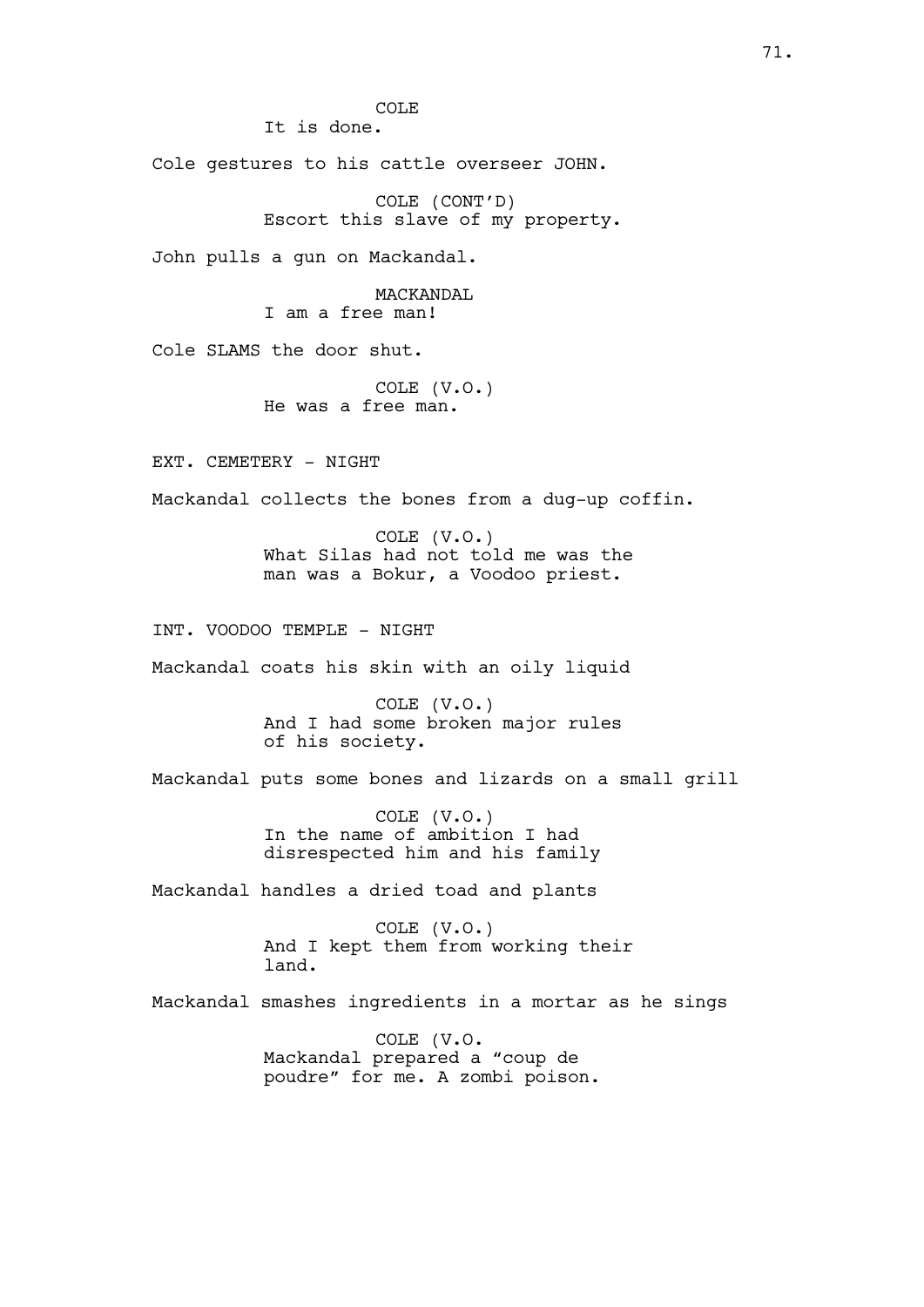COLE

It is done.

Cole gestures to his cattle overseer JOHN.

COLE (CONT'D) Escort this slave of my property.

John pulls a gun on Mackandal.

MACKANDAL I am a free man!

Cole SLAMS the door shut.

COLE (V.O.) He was a free man.

EXT. CEMETERY - NIGHT

Mackandal collects the bones from a dug-up coffin.

COLE (V.O.) What Silas had not told me was the man was a Bokur, a Voodoo priest.

INT. VOODOO TEMPLE - NIGHT

Mackandal coats his skin with an oily liquid

COLE (V.O.) And I had some broken major rules of his society.

Mackandal puts some bones and lizards on a small grill

COLE (V.O.) In the name of ambition I had disrespected him and his family

Mackandal handles a dried toad and plants

COLE (V.O.) And I kept them from working their land.

Mackandal smashes ingredients in a mortar as he sings

COLE (V.O. Mackandal prepared a "coup de poudre" for me. A zombi poison.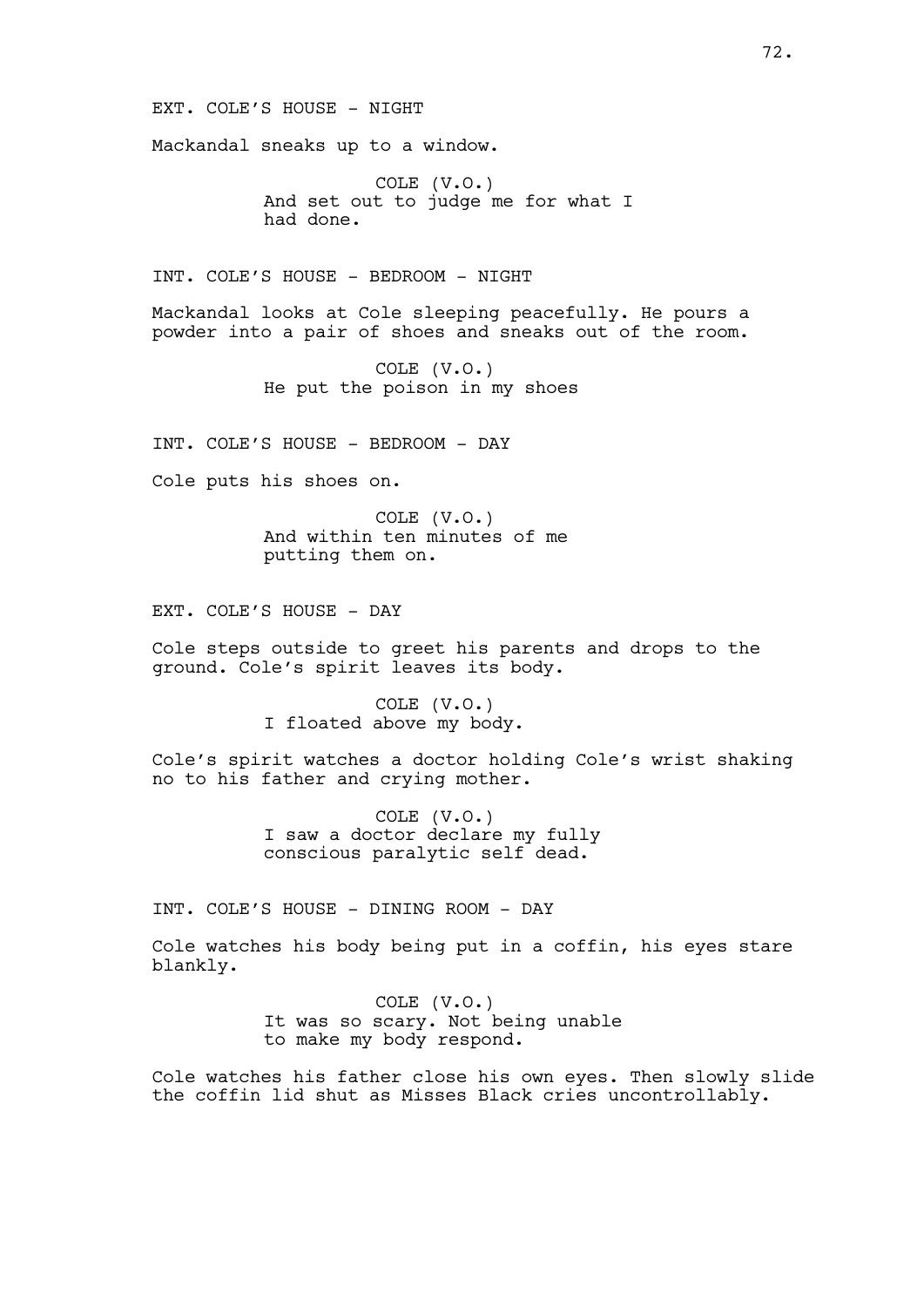EXT. COLE'S HOUSE - NIGHT

Mackandal sneaks up to a window.

COLE (V.O.) And set out to judge me for what I had done.

INT. COLE'S HOUSE - BEDROOM - NIGHT

Mackandal looks at Cole sleeping peacefully. He pours a powder into a pair of shoes and sneaks out of the room.

> COLE (V.O.) He put the poison in my shoes

INT. COLE'S HOUSE - BEDROOM - DAY

Cole puts his shoes on.

COLE (V.O.) And within ten minutes of me putting them on.

EXT. COLE'S HOUSE - DAY

Cole steps outside to greet his parents and drops to the ground. Cole's spirit leaves its body.

> COLE (V.O.) I floated above my body.

Cole's spirit watches a doctor holding Cole's wrist shaking no to his father and crying mother.

> COLE (V.O.) I saw a doctor declare my fully conscious paralytic self dead.

INT. COLE'S HOUSE - DINING ROOM - DAY

Cole watches his body being put in a coffin, his eyes stare blankly.

> COLE (V.O.) It was so scary. Not being unable to make my body respond.

Cole watches his father close his own eyes. Then slowly slide the coffin lid shut as Misses Black cries uncontrollably.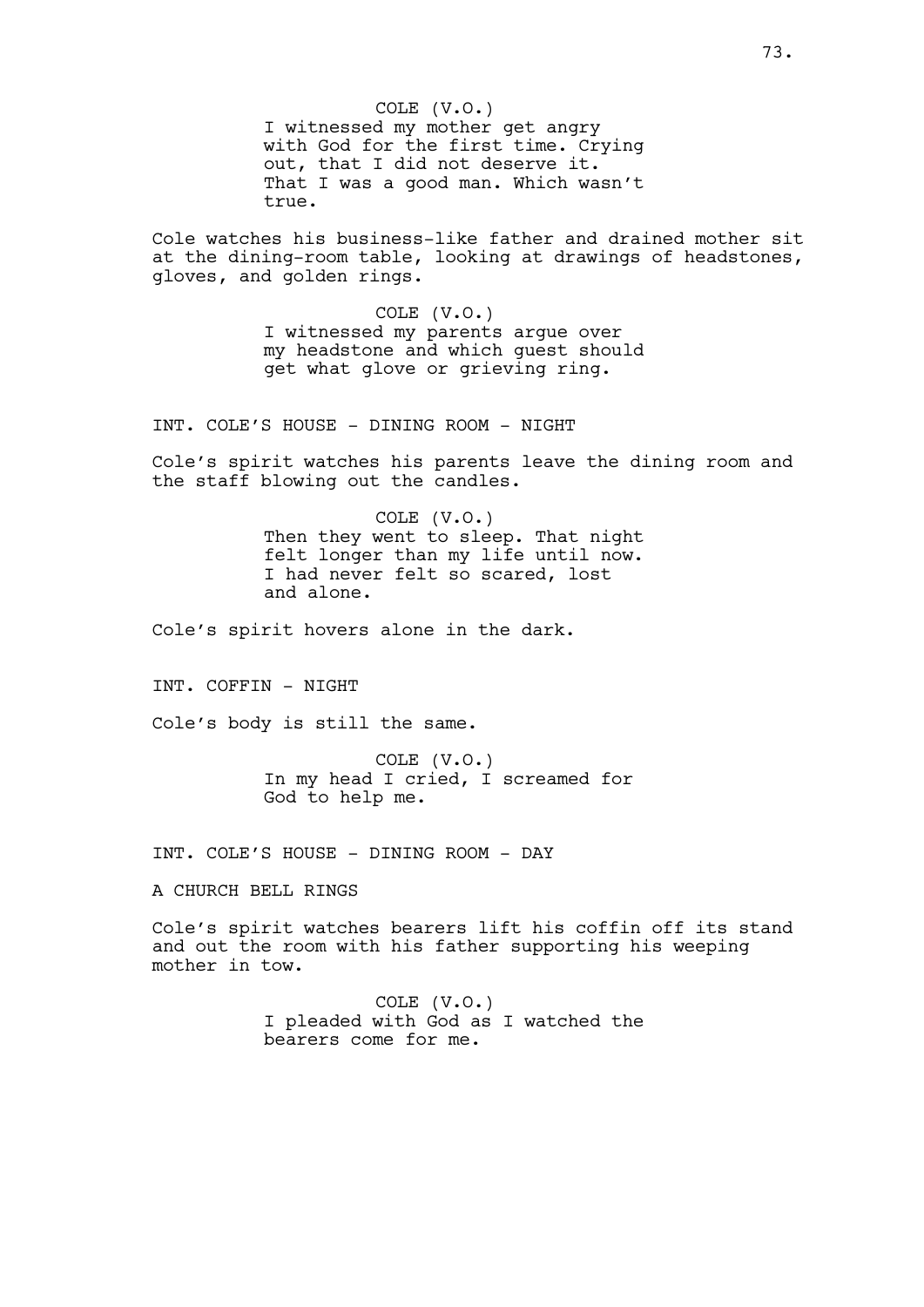COLE (V.O.) I witnessed my mother get angry with God for the first time. Crying out, that I did not deserve it. That I was a good man. Which wasn't true.

Cole watches his business-like father and drained mother sit at the dining-room table, looking at drawings of headstones, gloves, and golden rings.

> COLE (V.O.) I witnessed my parents argue over my headstone and which guest should get what glove or grieving ring.

INT. COLE'S HOUSE - DINING ROOM - NIGHT

Cole's spirit watches his parents leave the dining room and the staff blowing out the candles.

> COLE (V.O.) Then they went to sleep. That night felt longer than my life until now. I had never felt so scared, lost and alone.

Cole's spirit hovers alone in the dark.

INT. COFFIN - NIGHT

Cole's body is still the same.

COLE (V.O.) In my head I cried, I screamed for God to help me.

INT. COLE'S HOUSE - DINING ROOM - DAY

A CHURCH BELL RINGS

Cole's spirit watches bearers lift his coffin off its stand and out the room with his father supporting his weeping mother in tow.

> COLE (V.O.) I pleaded with God as I watched the bearers come for me.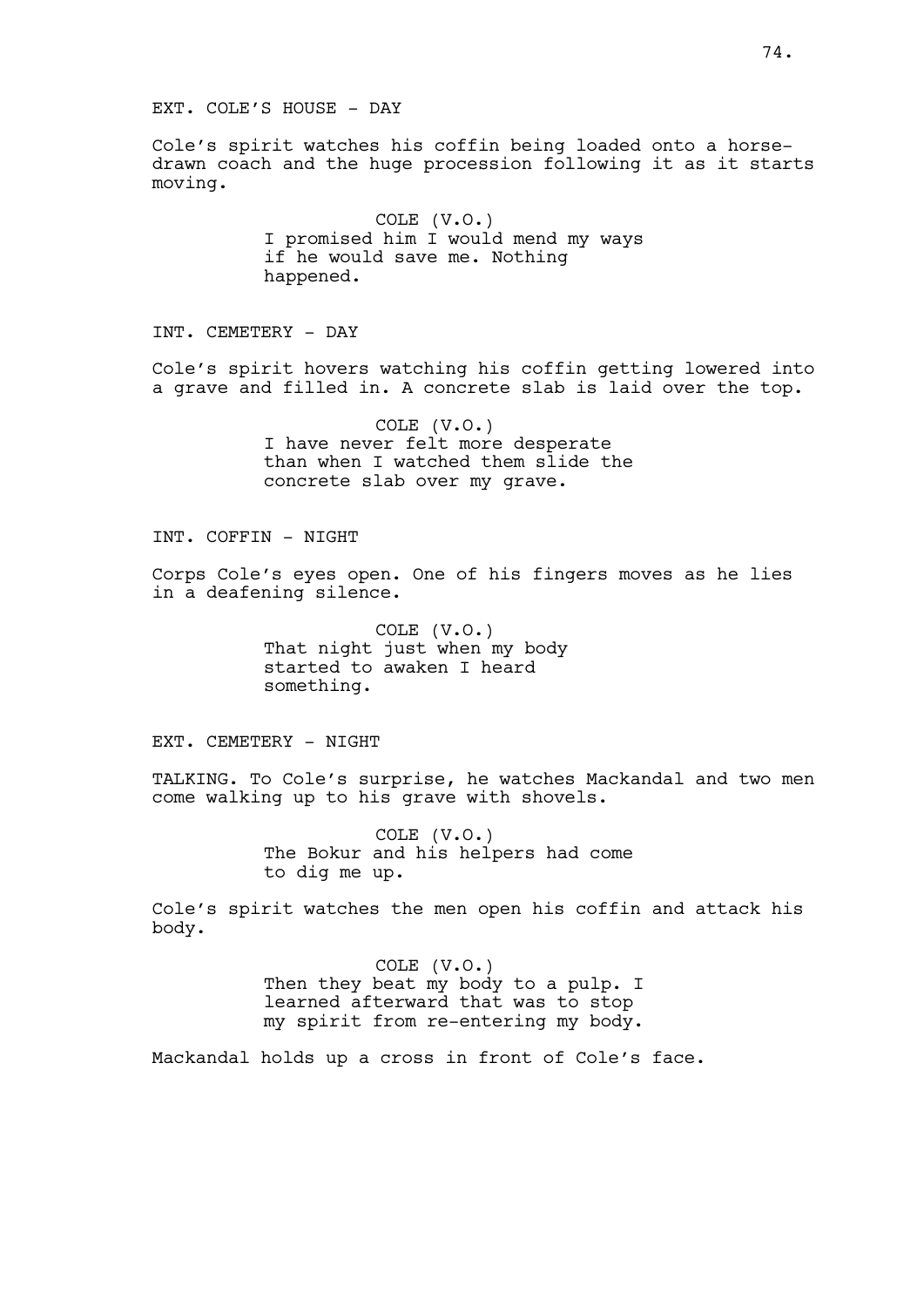EXT. COLE'S HOUSE - DAY

Cole's spirit watches his coffin being loaded onto a horsedrawn coach and the huge procession following it as it starts moving.

> COLE (V.O.) I promised him I would mend my ways if he would save me. Nothing happened.

INT. CEMETERY - DAY

Cole's spirit hovers watching his coffin getting lowered into a grave and filled in. A concrete slab is laid over the top.

> COLE (V.O.) I have never felt more desperate than when I watched them slide the concrete slab over my grave.

INT. COFFIN - NIGHT

Corps Cole's eyes open. One of his fingers moves as he lies in a deafening silence.

> COLE (V.O.) That night just when my body started to awaken I heard something.

EXT. CEMETERY - NIGHT

TALKING. To Cole's surprise, he watches Mackandal and two men come walking up to his grave with shovels.

> COLE (V.O.) The Bokur and his helpers had come to dig me up.

Cole's spirit watches the men open his coffin and attack his body.

> COLE (V.O.) Then they beat my body to a pulp. I learned afterward that was to stop my spirit from re-entering my body.

Mackandal holds up a cross in front of Cole's face.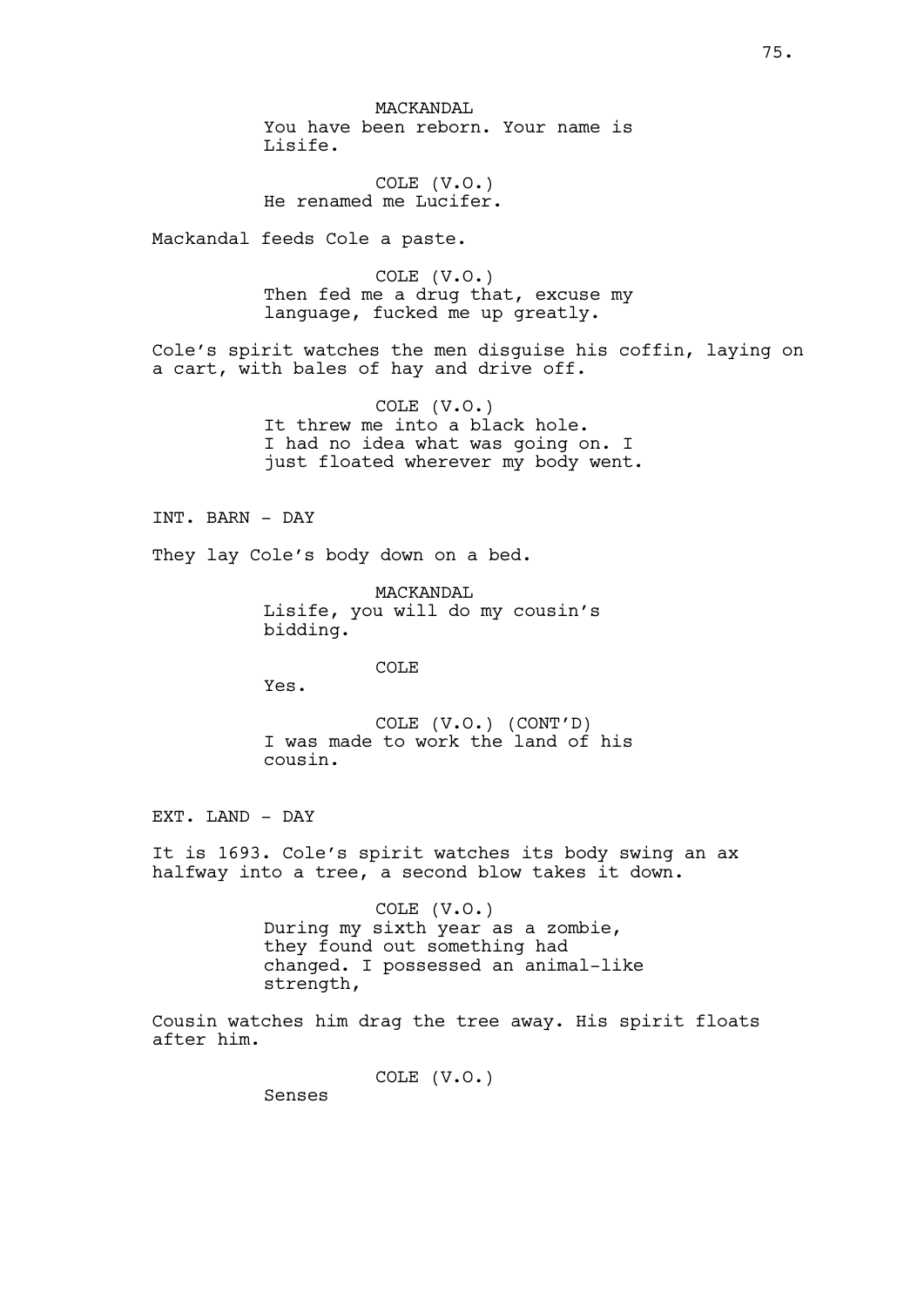MACKANDAL You have been reborn. Your name is Lisife.

COLE (V.O.) He renamed me Lucifer.

Mackandal feeds Cole a paste.

COLE (V.O.) Then fed me a drug that, excuse my language, fucked me up greatly.

Cole's spirit watches the men disguise his coffin, laying on a cart, with bales of hay and drive off.

> COLE (V.O.) It threw me into a black hole. I had no idea what was going on. I just floated wherever my body went.

INT. BARN - DAY

They lay Cole's body down on a bed.

MACKANDAL Lisife, you will do my cousin's bidding.

COLE

Yes.

COLE (V.O.) (CONT'D) I was made to work the land of his cousin.

EXT. LAND - DAY

It is 1693. Cole's spirit watches its body swing an ax halfway into a tree, a second blow takes it down.

> COLE (V.O.) During my sixth year as a zombie, they found out something had changed. I possessed an animal-like strength,

Cousin watches him drag the tree away. His spirit floats after him.

COLE (V.O.)

Senses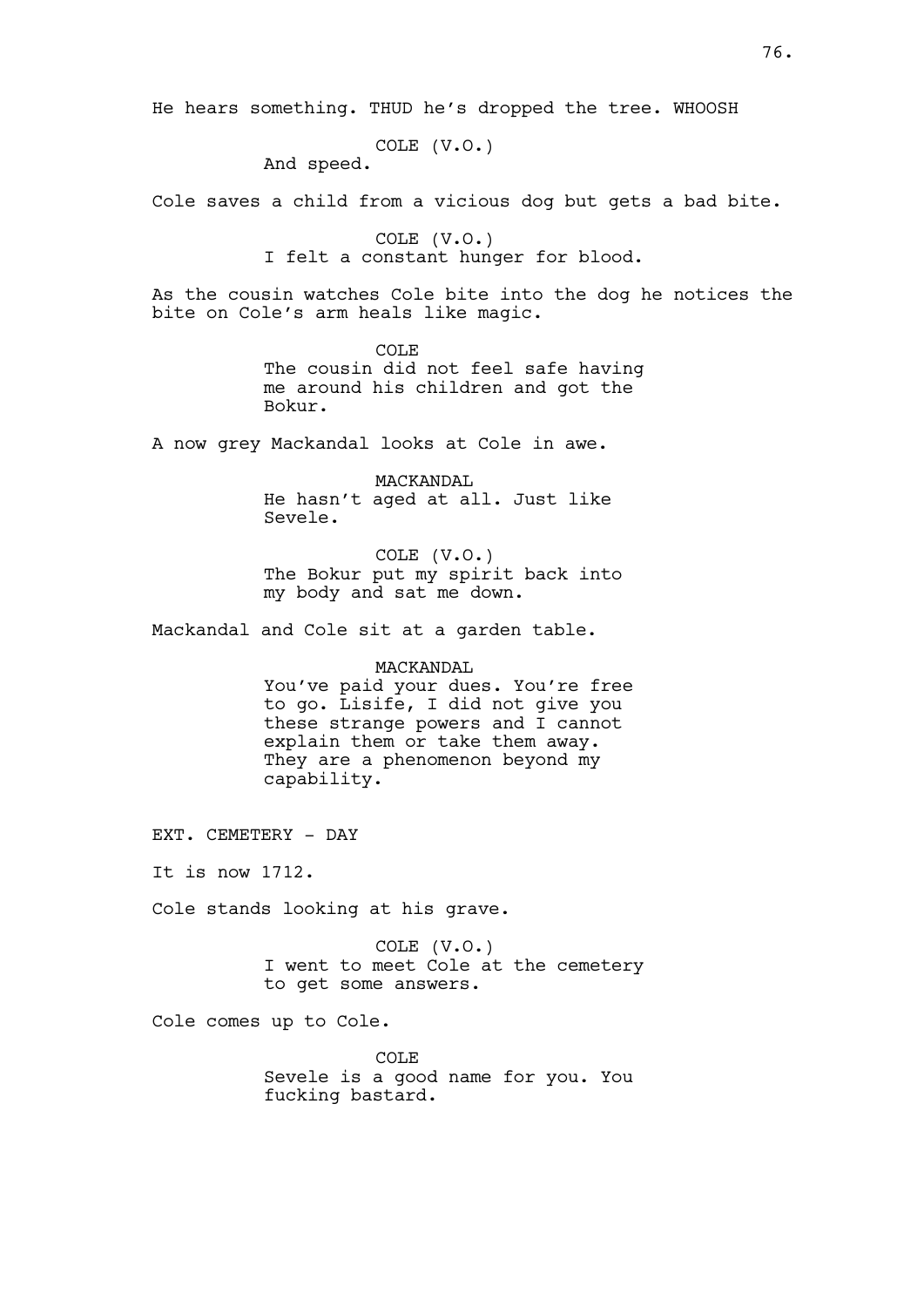He hears something. THUD he's dropped the tree. WHOOSH

COLE (V.O.)

And speed.

Cole saves a child from a vicious dog but gets a bad bite.

COLE (V.O.) I felt a constant hunger for blood.

As the cousin watches Cole bite into the dog he notices the bite on Cole's arm heals like magic.

> COLE The cousin did not feel safe having me around his children and got the Bokur.

A now grey Mackandal looks at Cole in awe.

MACKANDAL He hasn't aged at all. Just like Sevele.

COLE (V.O.) The Bokur put my spirit back into my body and sat me down.

Mackandal and Cole sit at a garden table.

## MACKANDAL

You've paid your dues. You're free to go. Lisife, I did not give you these strange powers and I cannot explain them or take them away. They are a phenomenon beyond my capability.

EXT. CEMETERY - DAY

It is now 1712.

Cole stands looking at his grave.

COLE (V.O.) I went to meet Cole at the cemetery to get some answers.

Cole comes up to Cole.

COLE Sevele is a good name for you. You fucking bastard.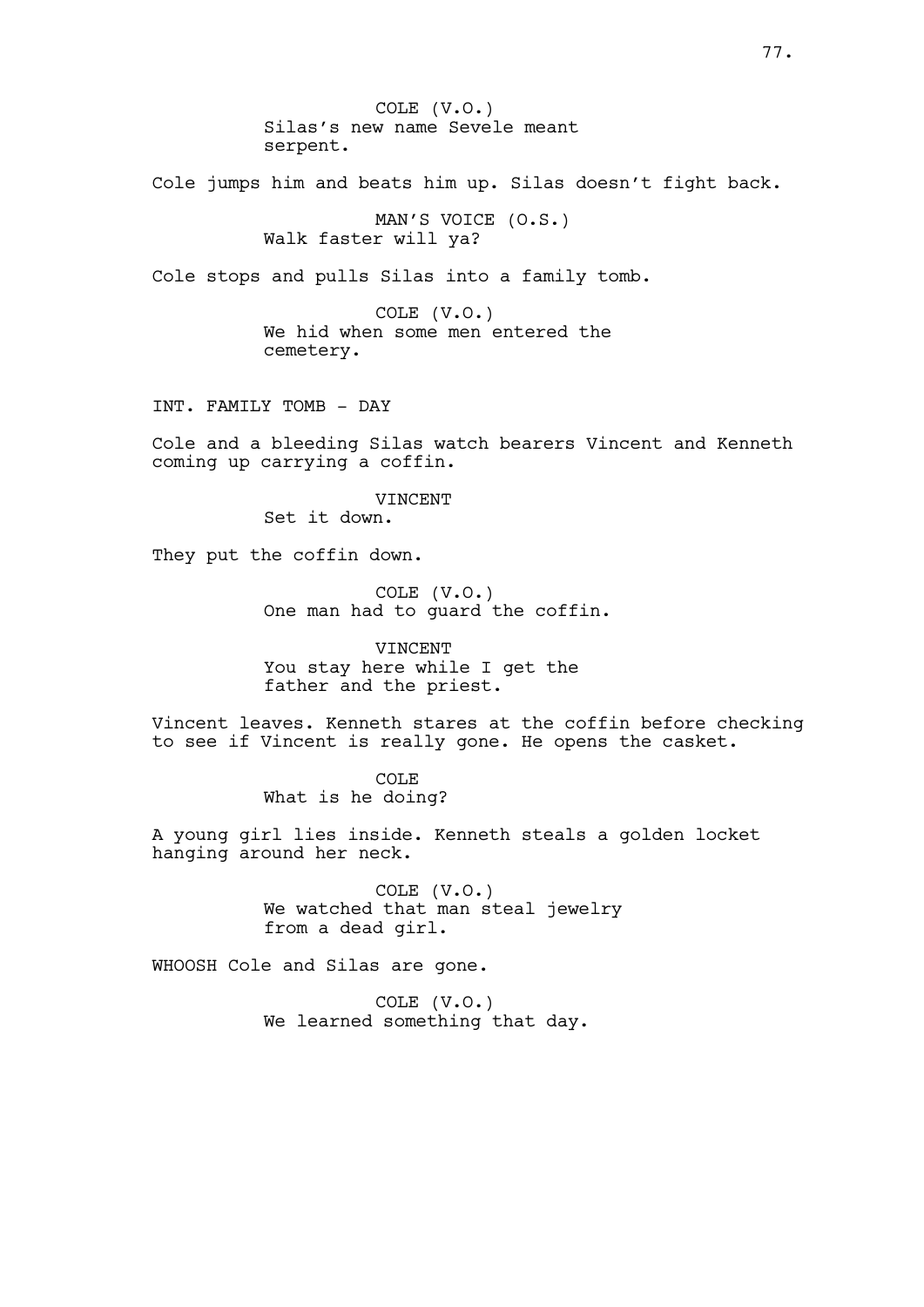COLE (V.O.) Silas's new name Sevele meant serpent.

Cole jumps him and beats him up. Silas doesn't fight back.

MAN'S VOICE (O.S.) Walk faster will ya?

Cole stops and pulls Silas into a family tomb.

COLE (V.O.) We hid when some men entered the cemetery.

INT. FAMILY TOMB - DAY

Cole and a bleeding Silas watch bearers Vincent and Kenneth coming up carrying a coffin.

> VINCENT Set it down.

They put the coffin down.

COLE (V.O.) One man had to guard the coffin.

VINCENT You stay here while I get the father and the priest.

Vincent leaves. Kenneth stares at the coffin before checking to see if Vincent is really gone. He opens the casket.

> COLE What is he doing?

A young girl lies inside. Kenneth steals a golden locket hanging around her neck.

> COLE (V.O.) We watched that man steal jewelry from a dead girl.

WHOOSH Cole and Silas are gone.

COLE (V.O.) We learned something that day.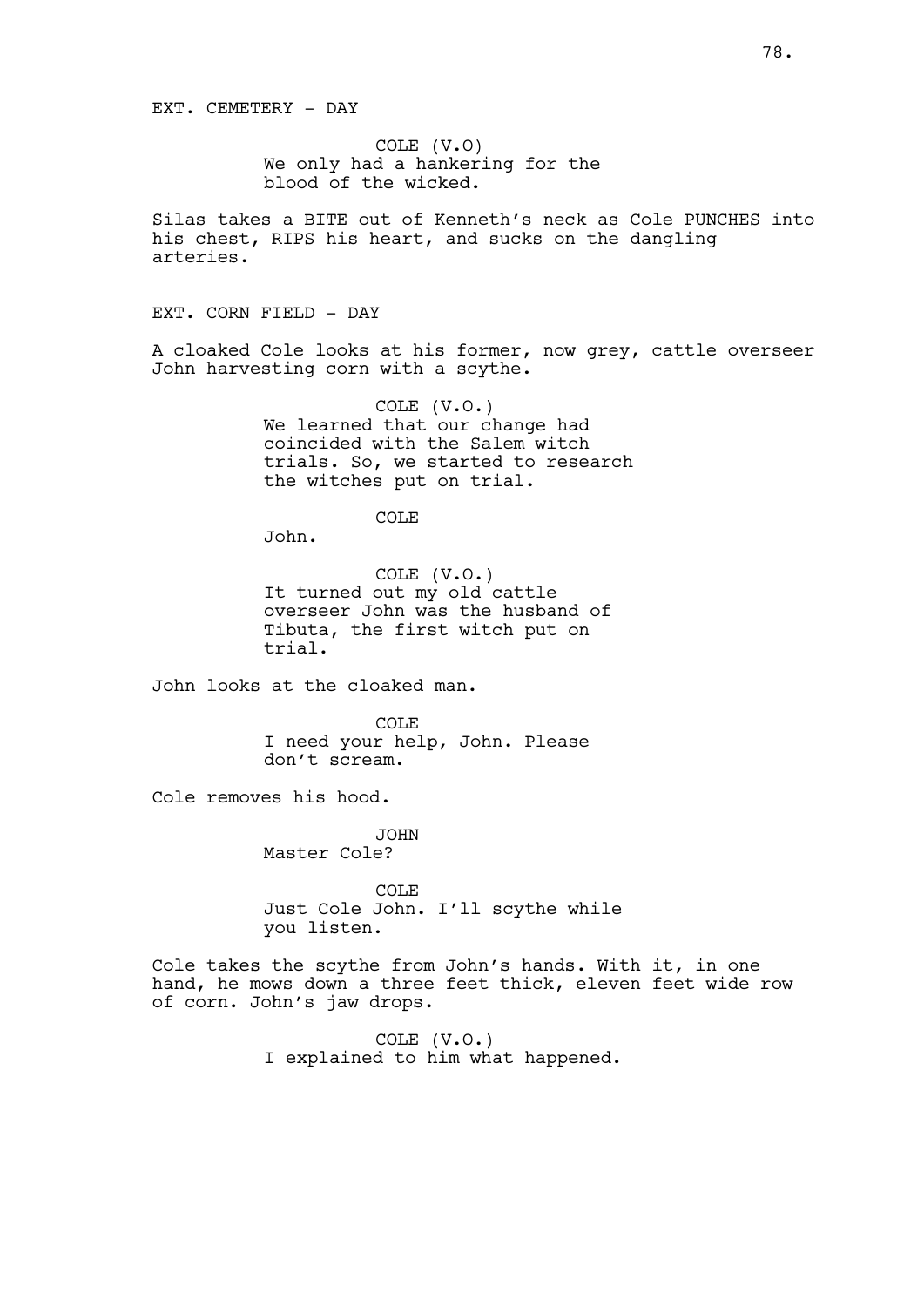COLE (V.O) We only had a hankering for the blood of the wicked.

Silas takes a BITE out of Kenneth's neck as Cole PUNCHES into his chest, RIPS his heart, and sucks on the dangling arteries.

EXT. CORN FIELD - DAY

A cloaked Cole looks at his former, now grey, cattle overseer John harvesting corn with a scythe.

> COLE (V.O.) We learned that our change had coincided with the Salem witch trials. So, we started to research the witches put on trial.

> > COLE

John.

COLE (V.O.) It turned out my old cattle overseer John was the husband of Tibuta, the first witch put on trial.

John looks at the cloaked man.

COLE I need your help, John. Please don't scream.

Cole removes his hood.

JOHN Master Cole?

COLE Just Cole John. I'll scythe while you listen.

Cole takes the scythe from John's hands. With it, in one hand, he mows down a three feet thick, eleven feet wide row of corn. John's jaw drops.

> COLE (V.O.) I explained to him what happened.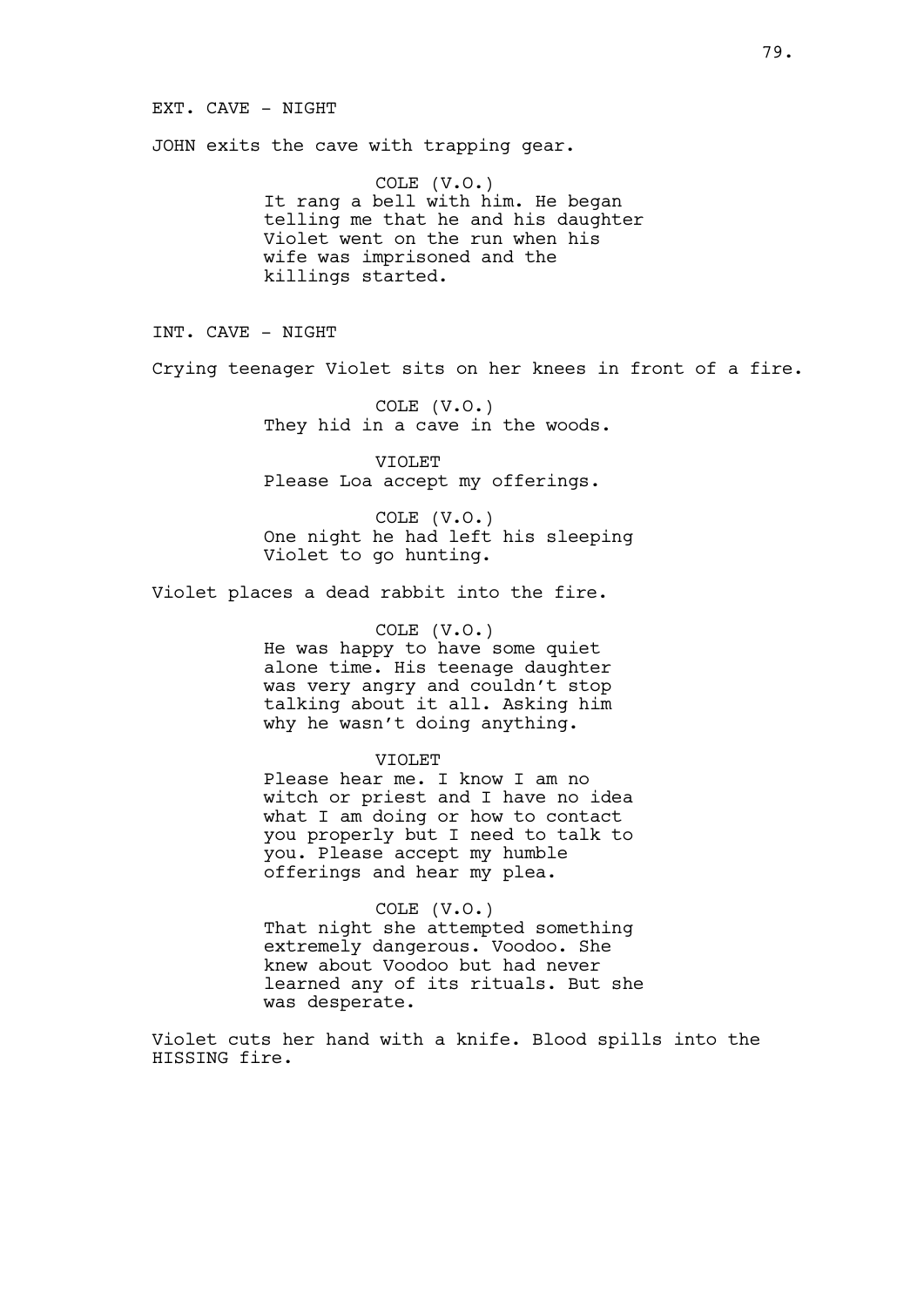## EXT. CAVE - NIGHT

JOHN exits the cave with trapping gear.

COLE (V.O.) It rang a bell with him. He began telling me that he and his daughter Violet went on the run when his wife was imprisoned and the killings started.

INT. CAVE - NIGHT

Crying teenager Violet sits on her knees in front of a fire.

COLE (V.O.) They hid in a cave in the woods.

VIOLET Please Loa accept my offerings.

COLE (V.O.) One night he had left his sleeping Violet to go hunting.

Violet places a dead rabbit into the fire.

COLE (V.O.) He was happy to have some quiet alone time. His teenage daughter was very angry and couldn't stop talking about it all. Asking him why he wasn't doing anything.

VIOLET

Please hear me. I know I am no witch or priest and I have no idea what I am doing or how to contact you properly but I need to talk to you. Please accept my humble offerings and hear my plea.

COLE (V.O.) That night she attempted something extremely dangerous. Voodoo. She knew about Voodoo but had never learned any of its rituals. But she was desperate.

Violet cuts her hand with a knife. Blood spills into the HISSING fire.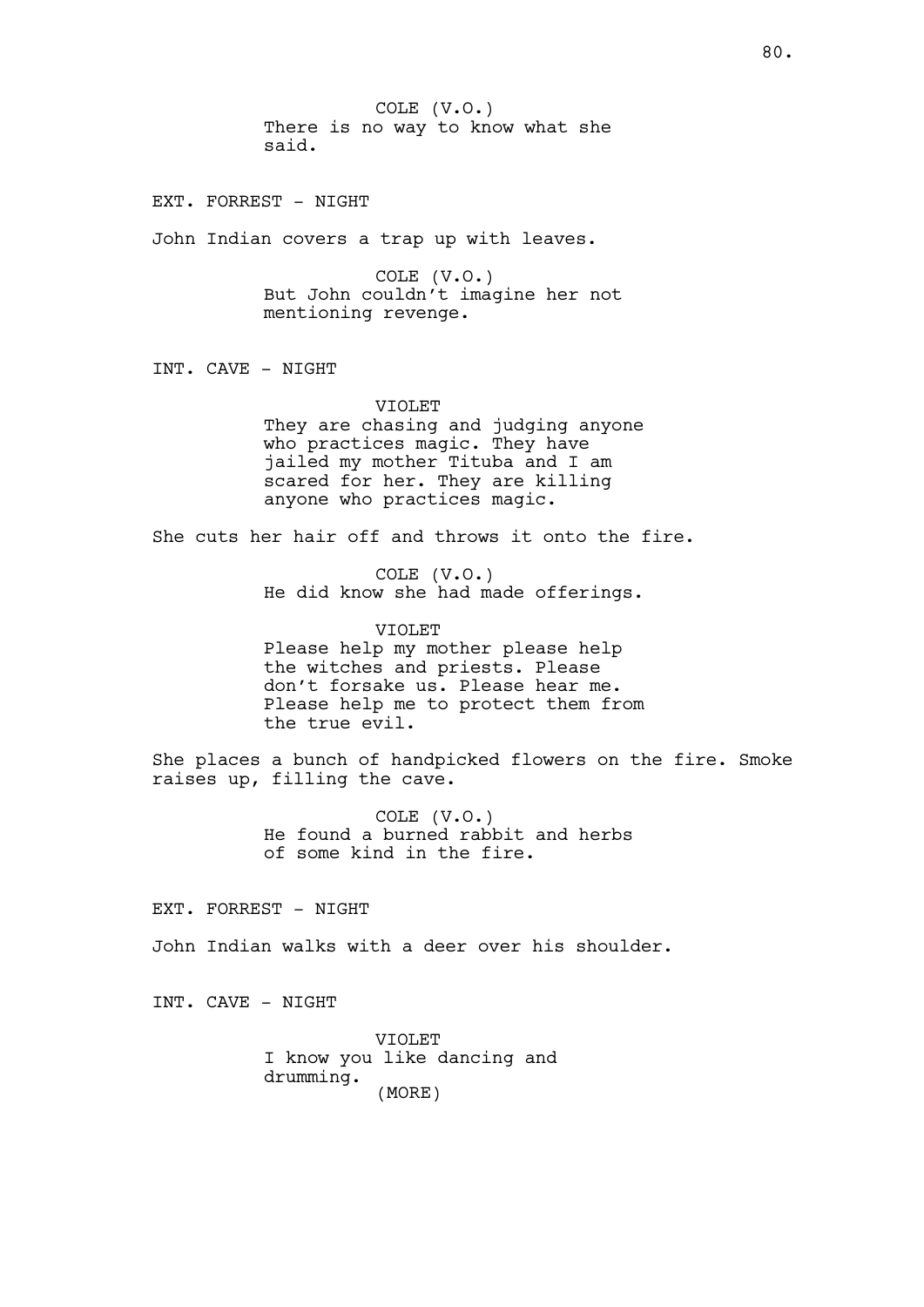COLE (V.O.) There is no way to know what she said.

EXT. FORREST - NIGHT

John Indian covers a trap up with leaves.

COLE (V.O.) But John couldn't imagine her not mentioning revenge.

INT. CAVE - NIGHT

VIOLET

They are chasing and judging anyone who practices magic. They have jailed my mother Tituba and I am scared for her. They are killing anyone who practices magic.

She cuts her hair off and throws it onto the fire.

COLE (V.O.) He did know she had made offerings.

VIOLET Please help my mother please help the witches and priests. Please don't forsake us. Please hear me. Please help me to protect them from the true evil.

She places a bunch of handpicked flowers on the fire. Smoke raises up, filling the cave.

> COLE (V.O.) He found a burned rabbit and herbs of some kind in the fire.

EXT. FORREST - NIGHT

John Indian walks with a deer over his shoulder.

INT. CAVE - NIGHT

VIOLET I know you like dancing and drumming. (MORE)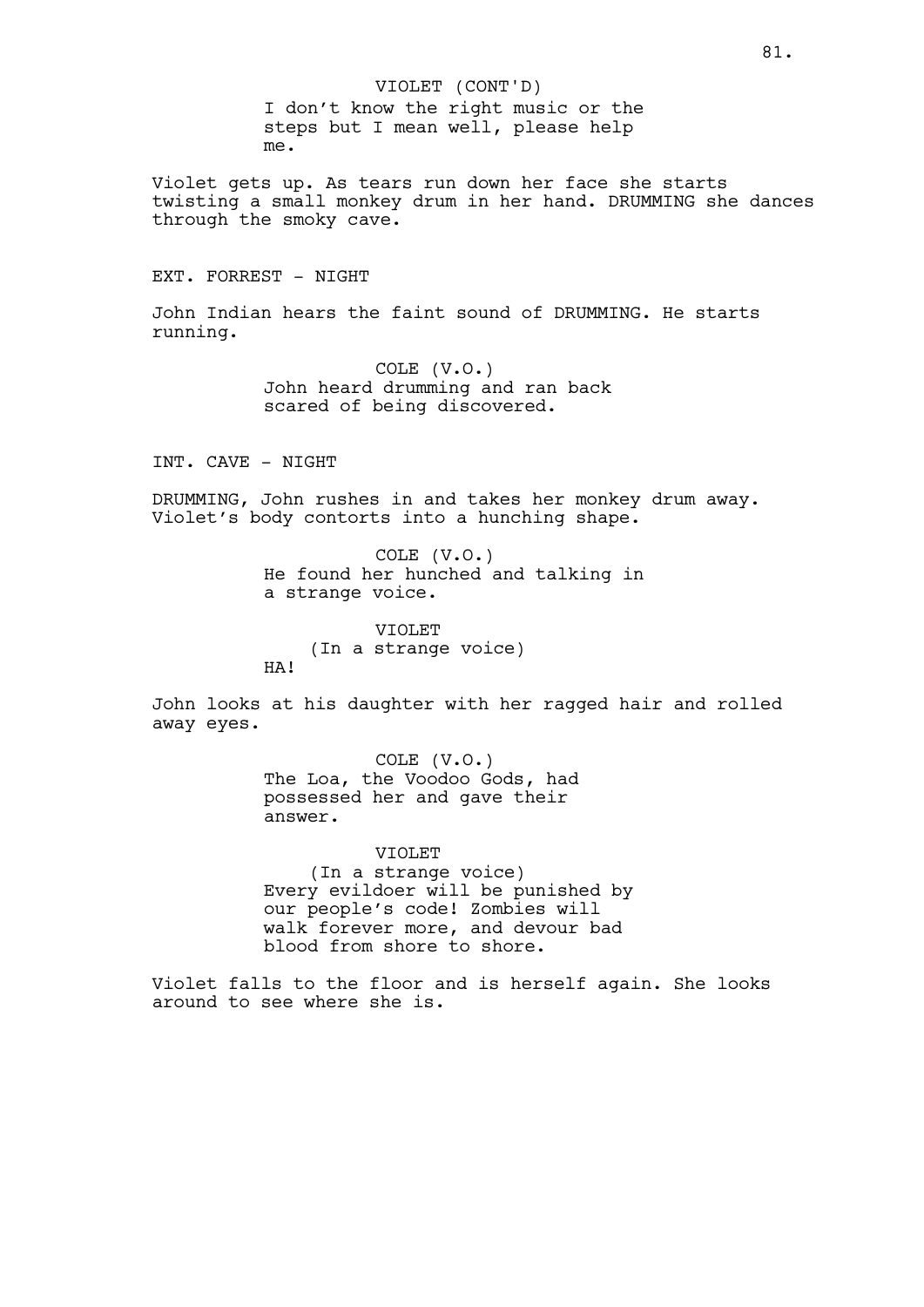I don't know the right music or the steps but I mean well, please help me. VIOLET (CONT'D)

Violet gets up. As tears run down her face she starts twisting a small monkey drum in her hand. DRUMMING she dances through the smoky cave.

# EXT. FORREST - NIGHT

John Indian hears the faint sound of DRUMMING. He starts running.

> COLE (V.O.) John heard drumming and ran back scared of being discovered.

INT. CAVE - NIGHT

DRUMMING, John rushes in and takes her monkey drum away. Violet's body contorts into a hunching shape.

> COLE (V.O.) He found her hunched and talking in a strange voice.

VIOLET (In a strange voice) HA!

John looks at his daughter with her ragged hair and rolled away eyes.

> COLE (V.O.) The Loa, the Voodoo Gods, had possessed her and gave their answer.

VIOLET (In a strange voice) Every evildoer will be punished by our people's code! Zombies will walk forever more, and devour bad blood from shore to shore.

Violet falls to the floor and is herself again. She looks around to see where she is.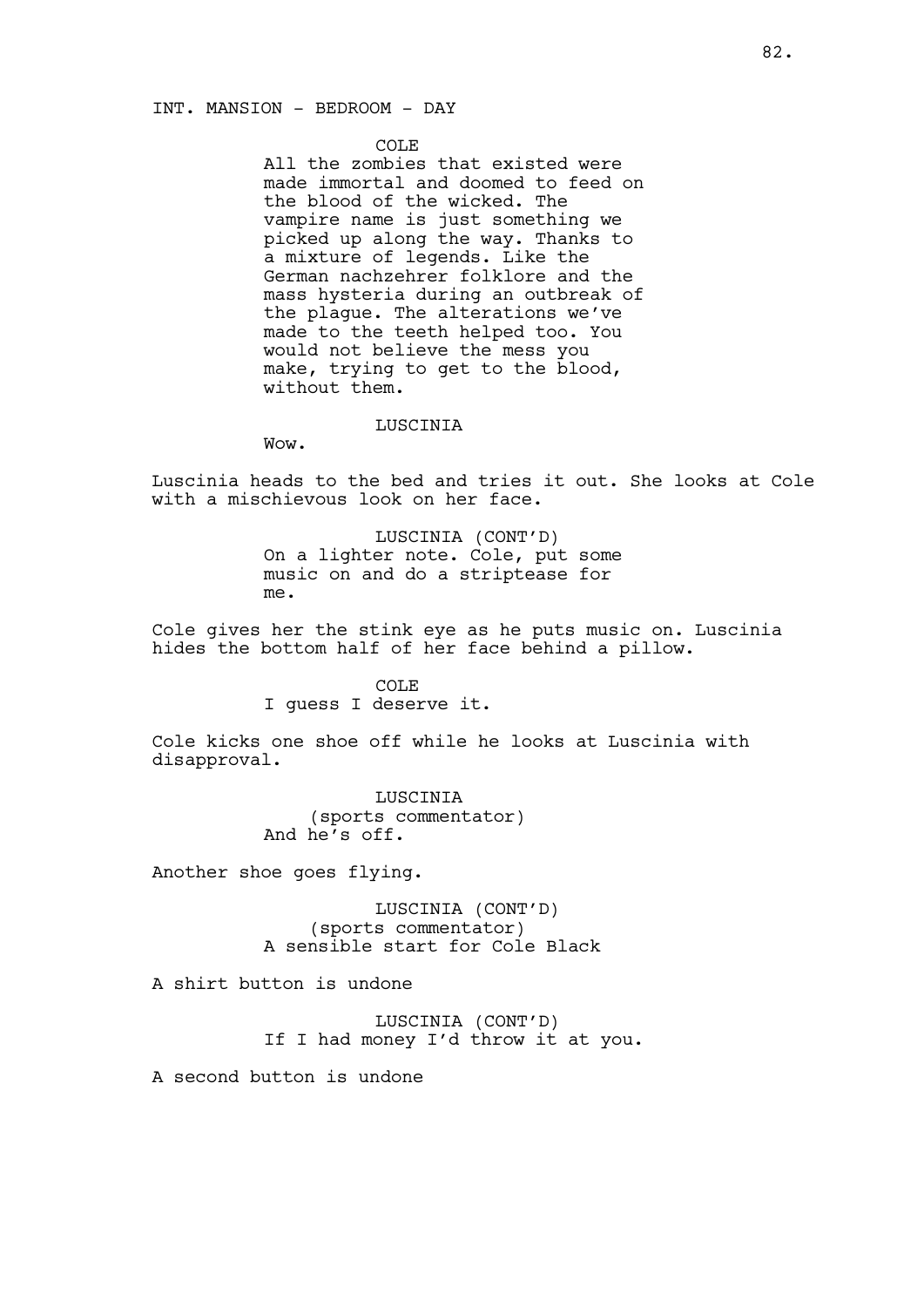### INT. MANSION - BEDROOM - DAY

#### COLE

All the zombies that existed were made immortal and doomed to feed on the blood of the wicked. The vampire name is just something we picked up along the way. Thanks to a mixture of legends. Like the German nachzehrer folklore and the mass hysteria during an outbreak of the plague. The alterations we've made to the teeth helped too. You would not believe the mess you make, trying to get to the blood, without them.

#### LUSCINIA

Wow.

Luscinia heads to the bed and tries it out. She looks at Cole with a mischievous look on her face.

> LUSCINIA (CONT'D) On a lighter note. Cole, put some music on and do a striptease for me.

Cole gives her the stink eye as he puts music on. Luscinia hides the bottom half of her face behind a pillow.

> COLE I guess I deserve it.

Cole kicks one shoe off while he looks at Luscinia with disapproval.

> LUSCINIA (sports commentator) And he's off.

Another shoe goes flying.

LUSCINIA (CONT'D) (sports commentator) A sensible start for Cole Black

A shirt button is undone

LUSCINIA (CONT'D) If I had money I'd throw it at you.

A second button is undone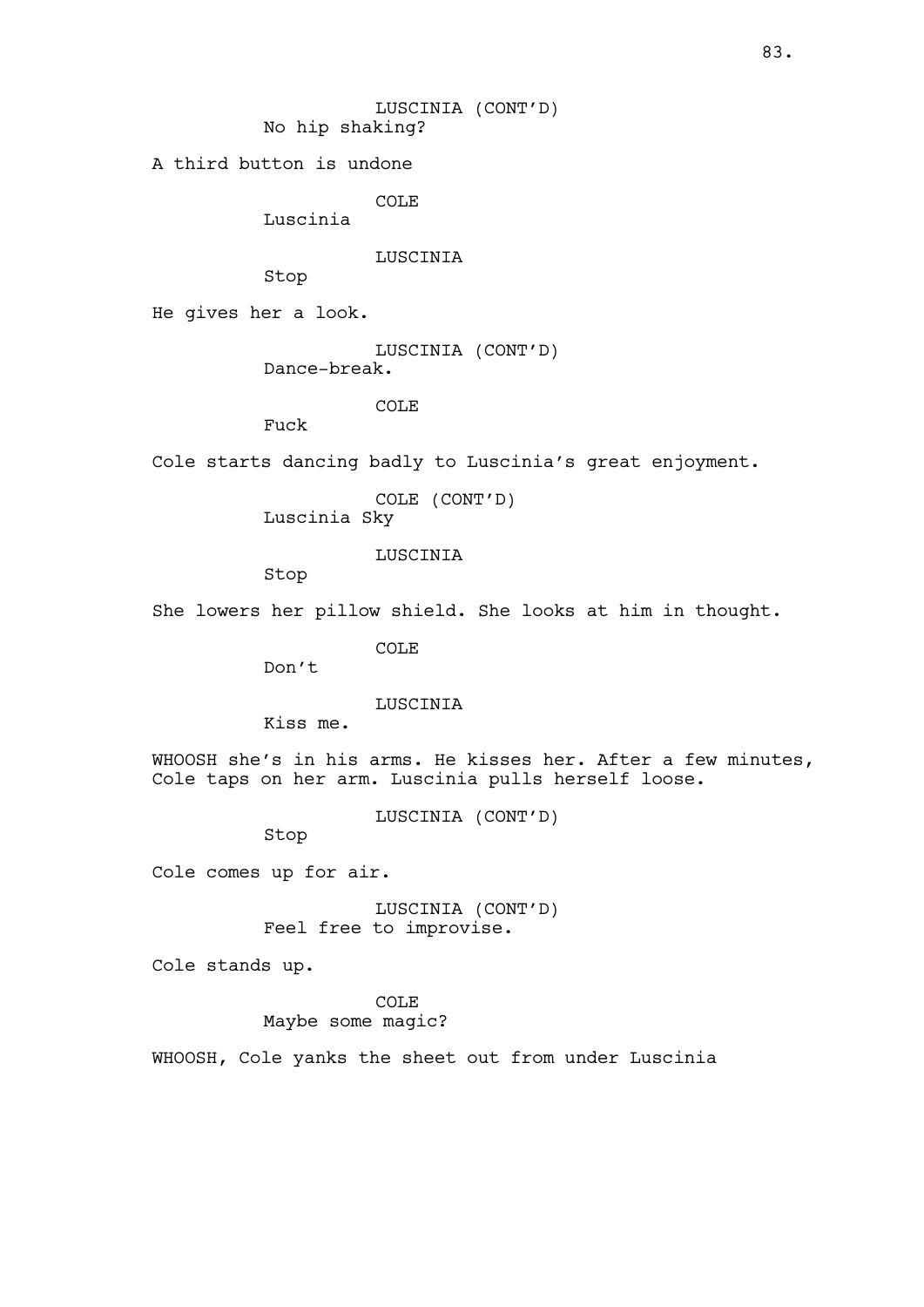LUSCINIA (CONT'D) No hip shaking?

A third button is undone

COLE

Luscinia

LUSCINIA

Stop

He gives her a look.

LUSCINIA (CONT'D)

Dance-break.

COLE<sub></sub>

Fuck

Cole starts dancing badly to Luscinia's great enjoyment.

COLE (CONT'D)

Luscinia Sky

LUSCINIA

Stop

She lowers her pillow shield. She looks at him in thought.

COLE

Don't

LUSCINIA

Kiss me.

WHOOSH she's in his arms. He kisses her. After a few minutes, Cole taps on her arm. Luscinia pulls herself loose.

LUSCINIA (CONT'D)

Stop

Cole comes up for air.

LUSCINIA (CONT'D) Feel free to improvise.

Cole stands up.

COLE

Maybe some magic?

WHOOSH, Cole yanks the sheet out from under Luscinia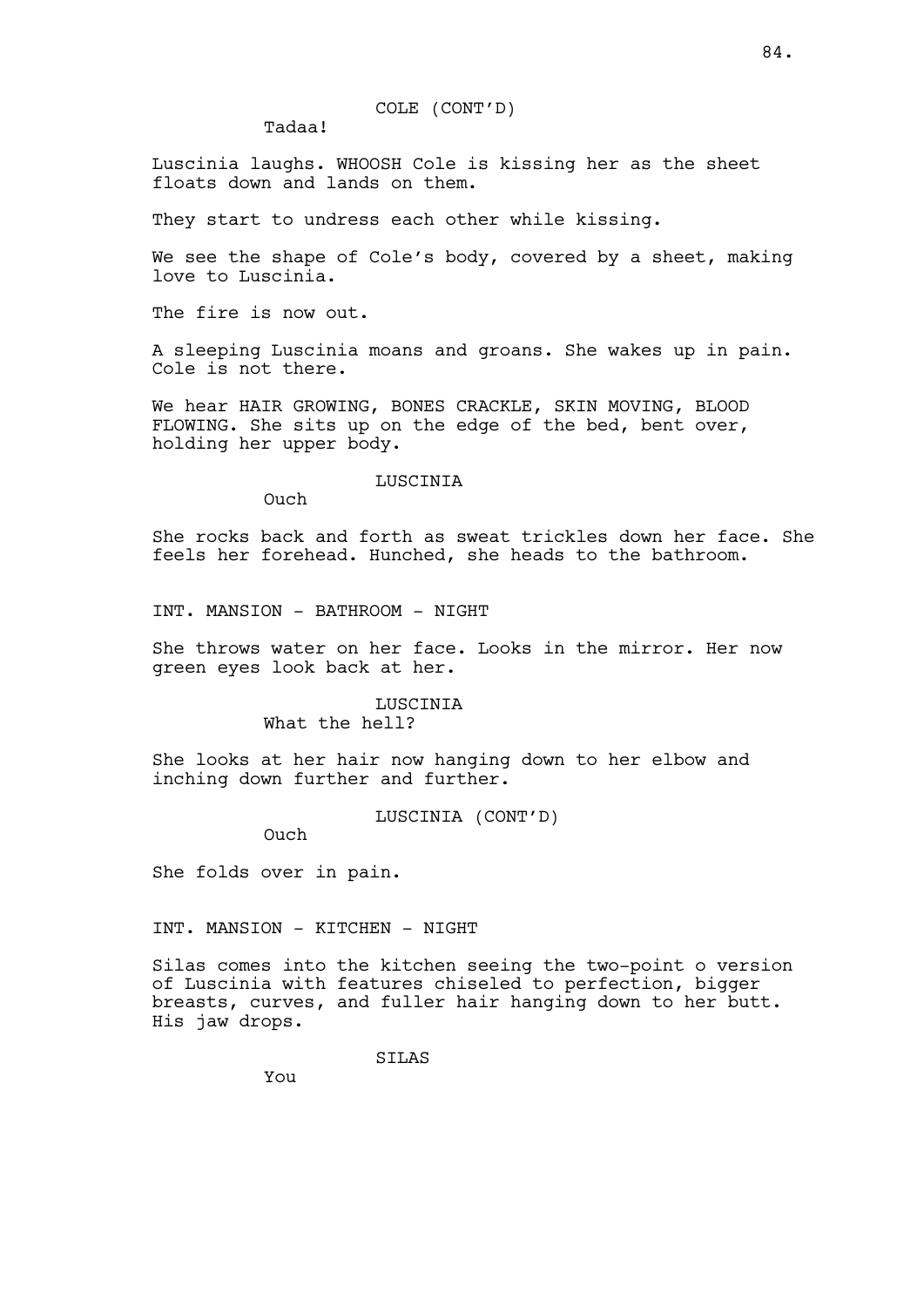COLE (CONT'D)

Tadaa!

Luscinia laughs. WHOOSH Cole is kissing her as the sheet floats down and lands on them.

They start to undress each other while kissing.

We see the shape of Cole's body, covered by a sheet, making love to Luscinia.

The fire is now out.

A sleeping Luscinia moans and groans. She wakes up in pain. Cole is not there.

We hear HAIR GROWING, BONES CRACKLE, SKIN MOVING, BLOOD FLOWING. She sits up on the edge of the bed, bent over, holding her upper body.

#### LUSCINIA

Ouch

She rocks back and forth as sweat trickles down her face. She feels her forehead. Hunched, she heads to the bathroom.

INT. MANSION - BATHROOM - NIGHT

She throws water on her face. Looks in the mirror. Her now green eyes look back at her.

## LUSCINIA What the hell?

She looks at her hair now hanging down to her elbow and inching down further and further.

LUSCINIA (CONT'D)

Ouch

She folds over in pain.

INT. MANSION - KITCHEN - NIGHT

Silas comes into the kitchen seeing the two-point o version of Luscinia with features chiseled to perfection, bigger breasts, curves, and fuller hair hanging down to her butt. His jaw drops.

SILAS

You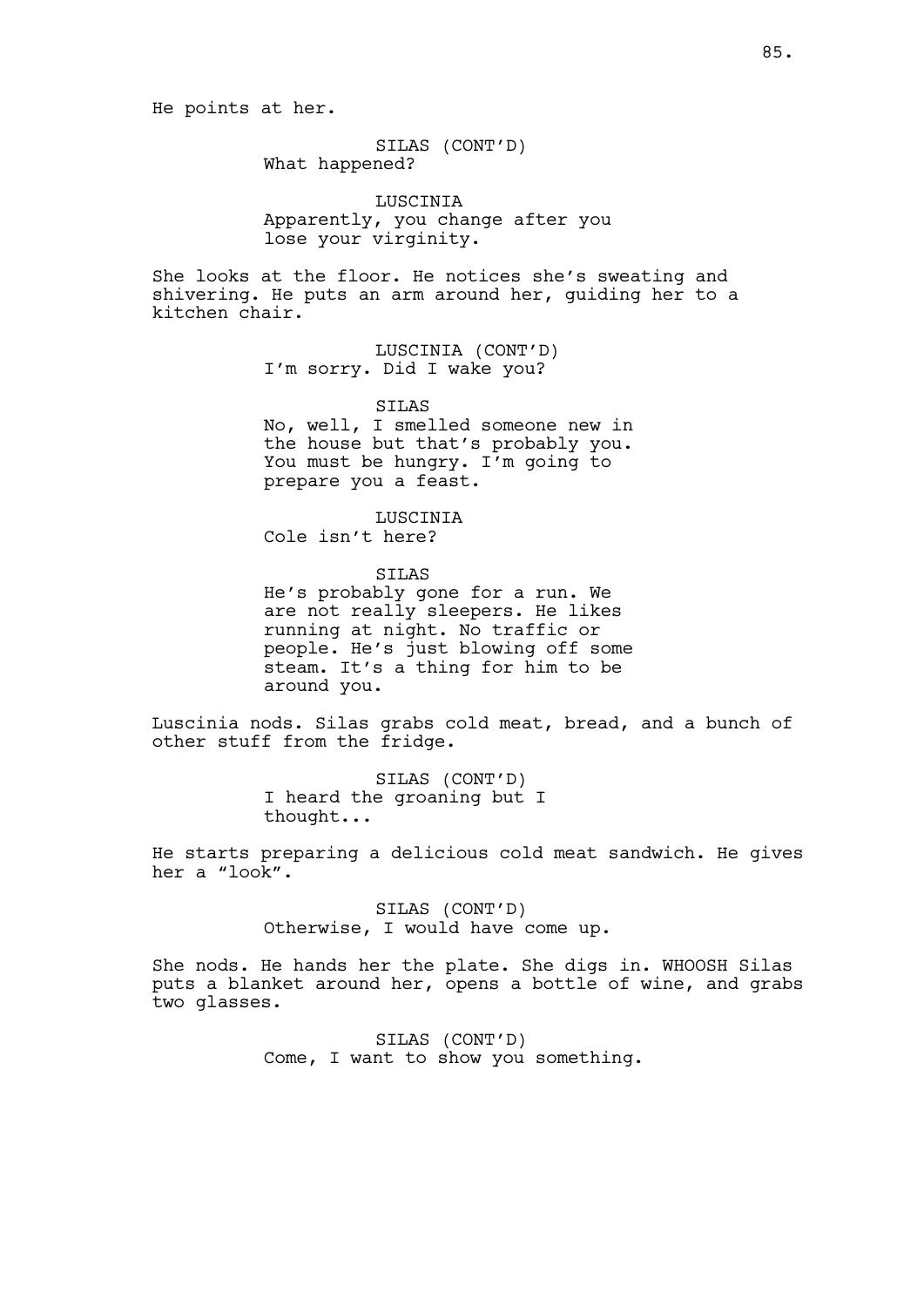He points at her.

SILAS (CONT'D) What happened?

LUSCINIA Apparently, you change after you lose your virginity.

She looks at the floor. He notices she's sweating and shivering. He puts an arm around her, guiding her to a kitchen chair.

> LUSCINIA (CONT'D) I'm sorry. Did I wake you?

SILAS No, well, I smelled someone new in the house but that's probably you. You must be hungry. I'm going to prepare you a feast.

LUSCINIA Cole isn't here?

SILAS He's probably gone for a run. We are not really sleepers. He likes running at night. No traffic or people. He's just blowing off some steam. It's a thing for him to be around you.

Luscinia nods. Silas grabs cold meat, bread, and a bunch of other stuff from the fridge.

> SILAS (CONT'D) I heard the groaning but I thought...

He starts preparing a delicious cold meat sandwich. He gives her a "look".

> SILAS (CONT'D) Otherwise, I would have come up.

She nods. He hands her the plate. She digs in. WHOOSH Silas puts a blanket around her, opens a bottle of wine, and grabs two glasses.

> SILAS (CONT'D) Come, I want to show you something.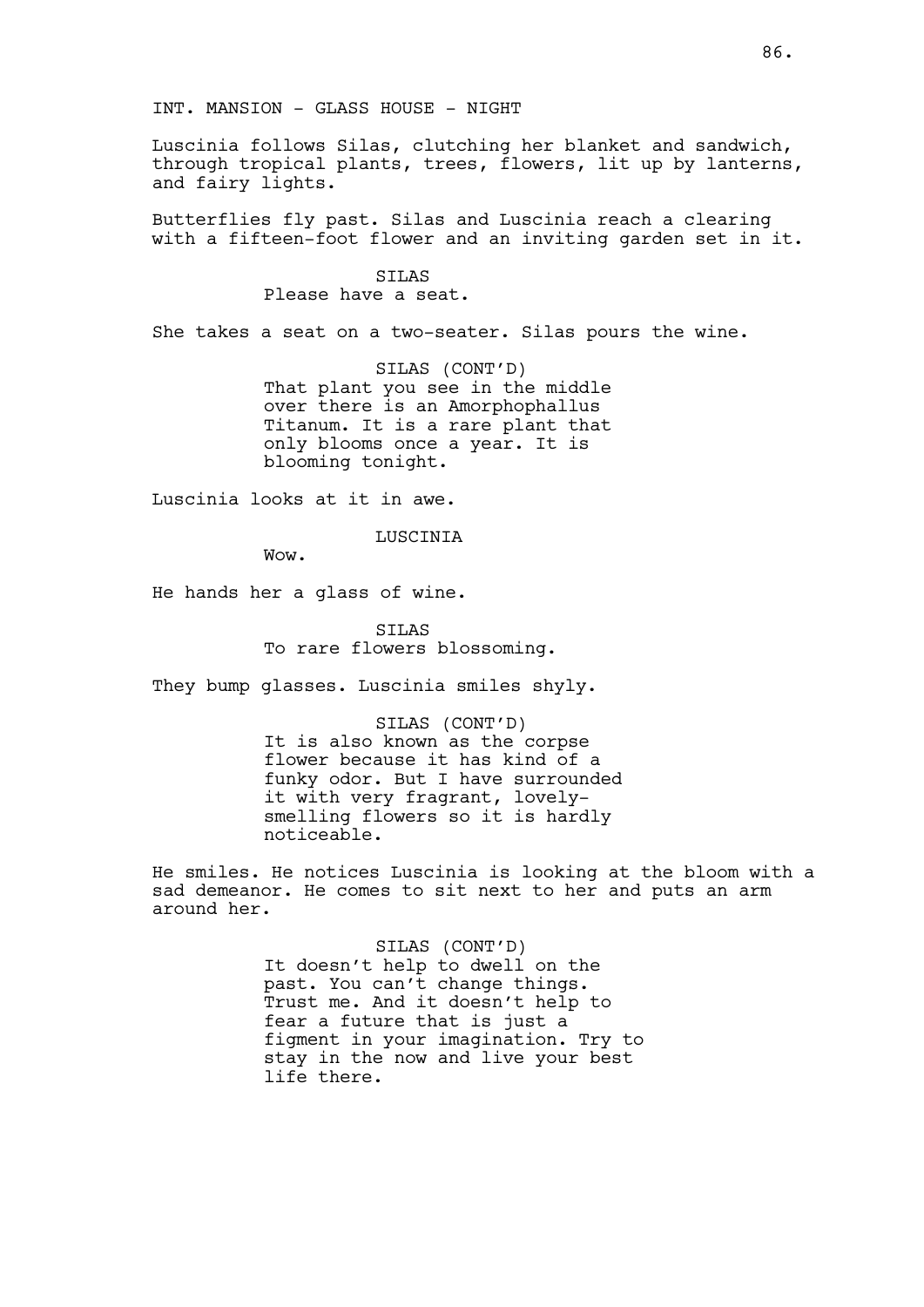INT. MANSION - GLASS HOUSE - NIGHT

Luscinia follows Silas, clutching her blanket and sandwich, through tropical plants, trees, flowers, lit up by lanterns, and fairy lights.

Butterflies fly past. Silas and Luscinia reach a clearing with a fifteen-foot flower and an inviting garden set in it.

> SILAS Please have a seat.

She takes a seat on a two-seater. Silas pours the wine.

SILAS (CONT'D) That plant you see in the middle over there is an Amorphophallus Titanum. It is a rare plant that only blooms once a year. It is blooming tonight.

Luscinia looks at it in awe.

LUSCINIA

Wow.

He hands her a glass of wine.

SILAS To rare flowers blossoming.

They bump glasses. Luscinia smiles shyly.

SILAS (CONT'D) It is also known as the corpse flower because it has kind of a funky odor. But I have surrounded it with very fragrant, lovelysmelling flowers so it is hardly noticeable.

He smiles. He notices Luscinia is looking at the bloom with a sad demeanor. He comes to sit next to her and puts an arm around her.

> SILAS (CONT'D) It doesn't help to dwell on the past. You can't change things. Trust me. And it doesn't help to fear a future that is just a figment in your imagination. Try to stay in the now and live your best life there.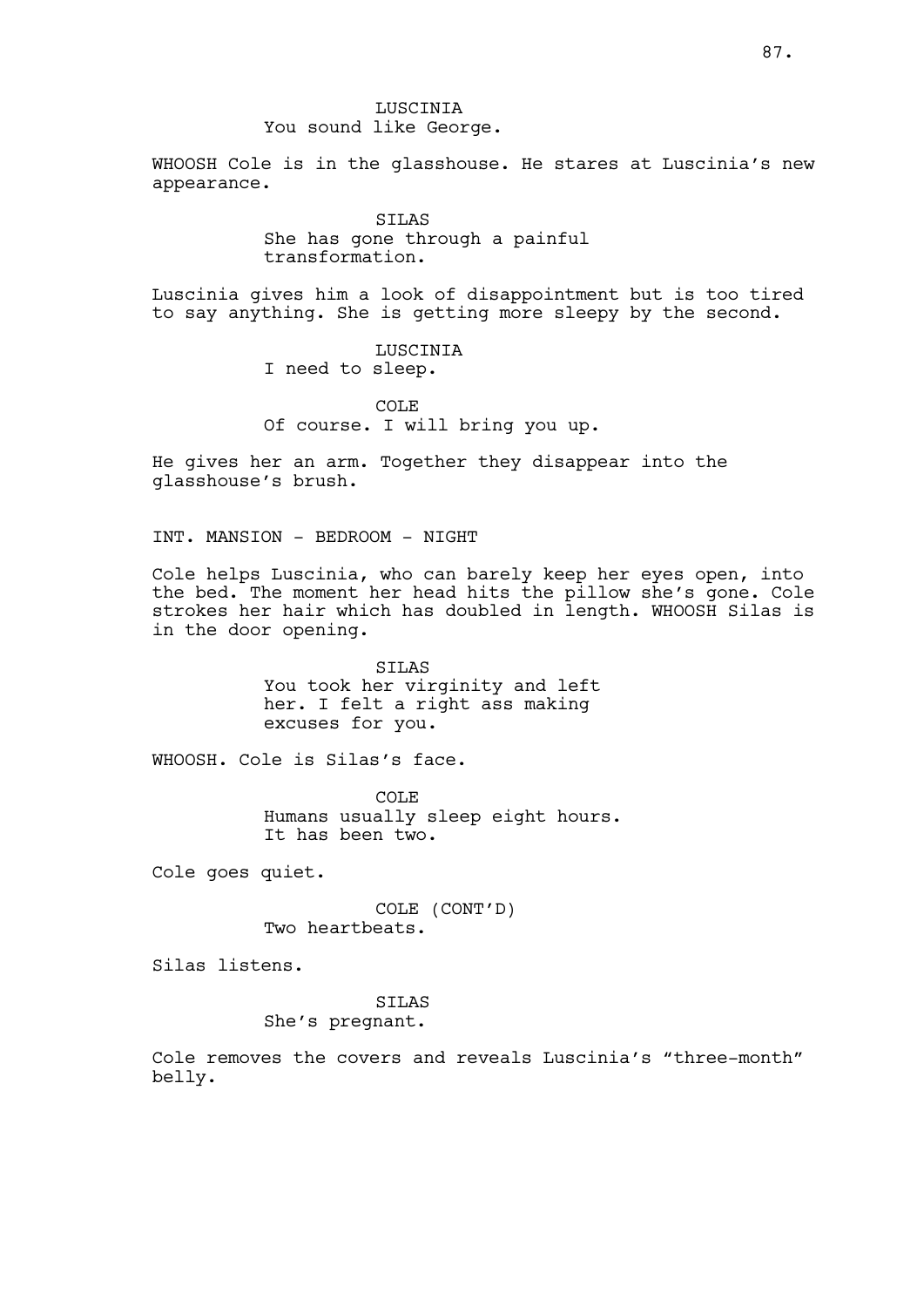LUSCINIA You sound like George.

WHOOSH Cole is in the glasshouse. He stares at Luscinia's new appearance.

> SILAS She has gone through a painful transformation.

Luscinia gives him a look of disappointment but is too tired to say anything. She is getting more sleepy by the second.

> LUSCINIA I need to sleep.

COLE Of course. I will bring you up.

He gives her an arm. Together they disappear into the glasshouse's brush.

INT. MANSION - BEDROOM - NIGHT

Cole helps Luscinia, who can barely keep her eyes open, into the bed. The moment her head hits the pillow she's gone. Cole strokes her hair which has doubled in length. WHOOSH Silas is in the door opening.

> SILAS You took her virginity and left her. I felt a right ass making excuses for you.

WHOOSH. Cole is Silas's face.

COLE Humans usually sleep eight hours. It has been two.

Cole goes quiet.

COLE (CONT'D) Two heartbeats.

Silas listens.

# SILAS

# She's pregnant.

Cole removes the covers and reveals Luscinia's "three-month" belly.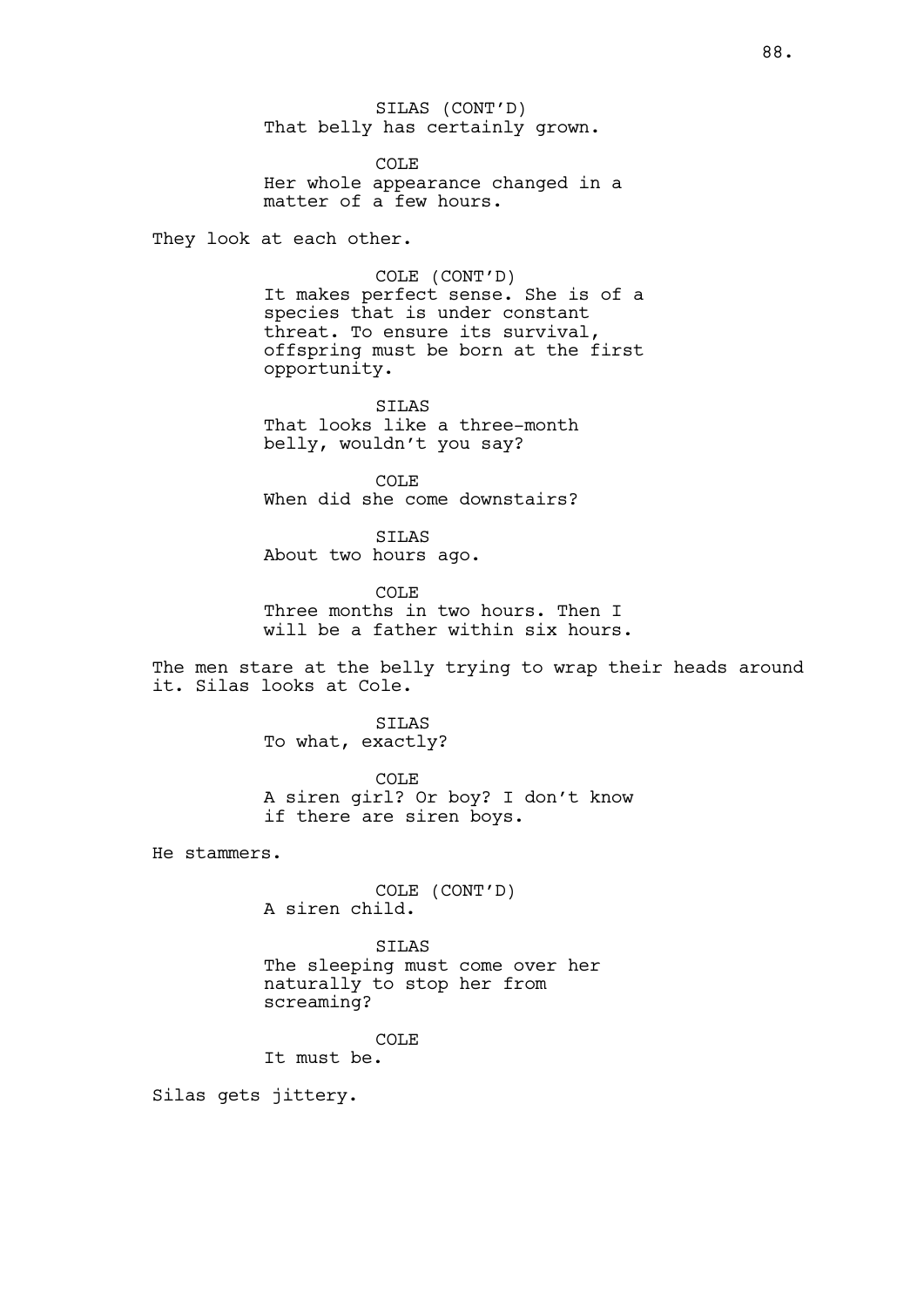SILAS (CONT'D) That belly has certainly grown.

COLE Her whole appearance changed in a matter of a few hours.

They look at each other.

COLE (CONT'D) It makes perfect sense. She is of a species that is under constant threat. To ensure its survival, offspring must be born at the first opportunity.

SILAS That looks like a three-month belly, wouldn't you say?

COLE When did she come downstairs?

SILAS About two hours ago.

COLE Three months in two hours. Then I will be a father within six hours.

The men stare at the belly trying to wrap their heads around it. Silas looks at Cole.

> SILAS To what, exactly?

COLE A siren girl? Or boy? I don't know if there are siren boys.

He stammers.

COLE (CONT'D) A siren child.

SILAS The sleeping must come over her naturally to stop her from screaming?

COLE

It must be.

Silas gets jittery.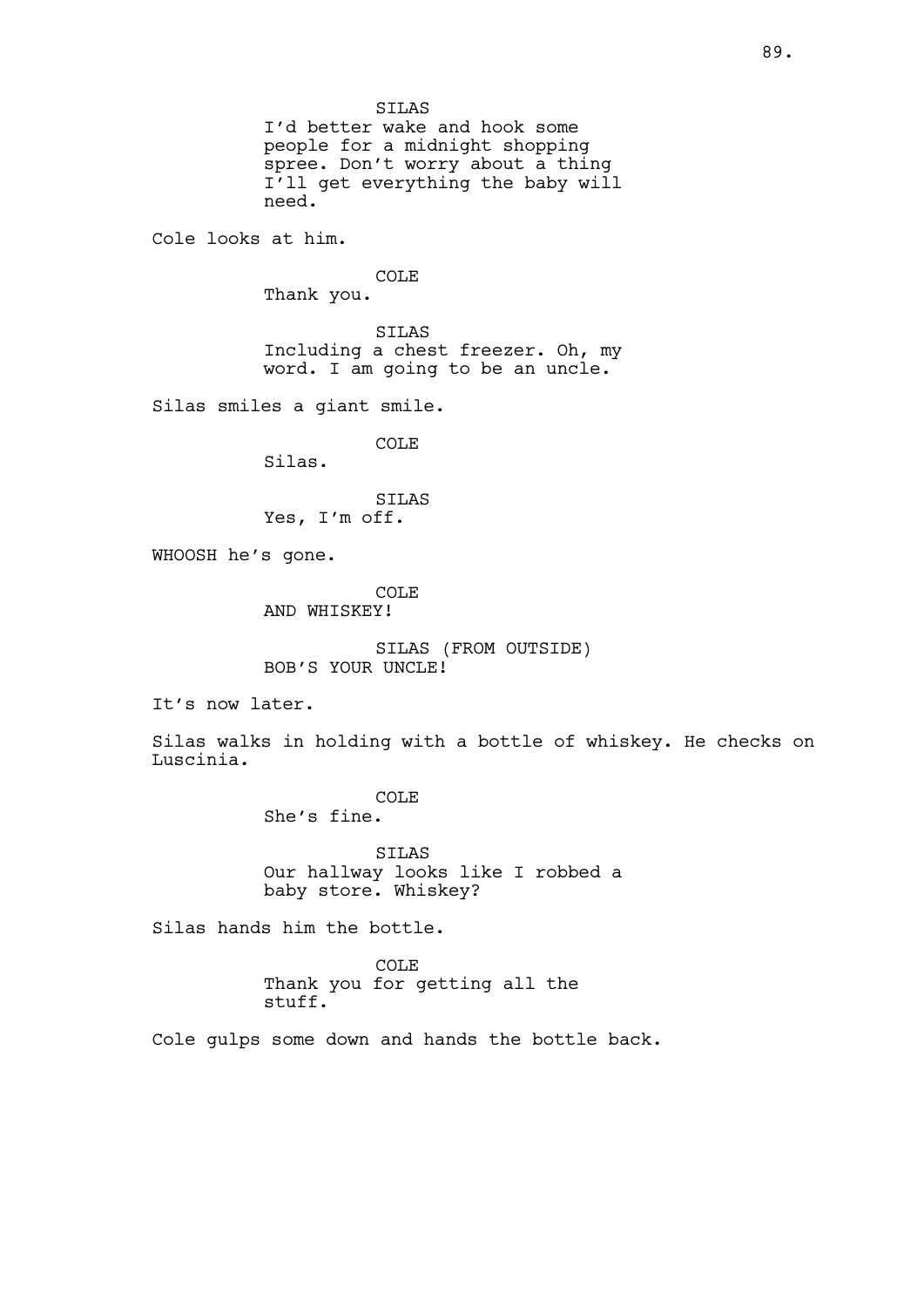SILAS I'd better wake and hook some people for a midnight shopping spree. Don't worry about a thing I'll get everything the baby will need. Cole looks at him. COLE Thank you. SILAS Including a chest freezer. Oh, my word. I am going to be an uncle. Silas smiles a giant smile. COLE Silas. SILAS Yes, I'm off. WHOOSH he's gone. COLE AND WHISKEY! SILAS (FROM OUTSIDE) BOB'S YOUR UNCLE! It's now later. Silas walks in holding with a bottle of whiskey. He checks on Luscinia. COLE She's fine. SILAS Our hallway looks like I robbed a baby store. Whiskey? Silas hands him the bottle. COLE Thank you for getting all the stuff. Cole gulps some down and hands the bottle back.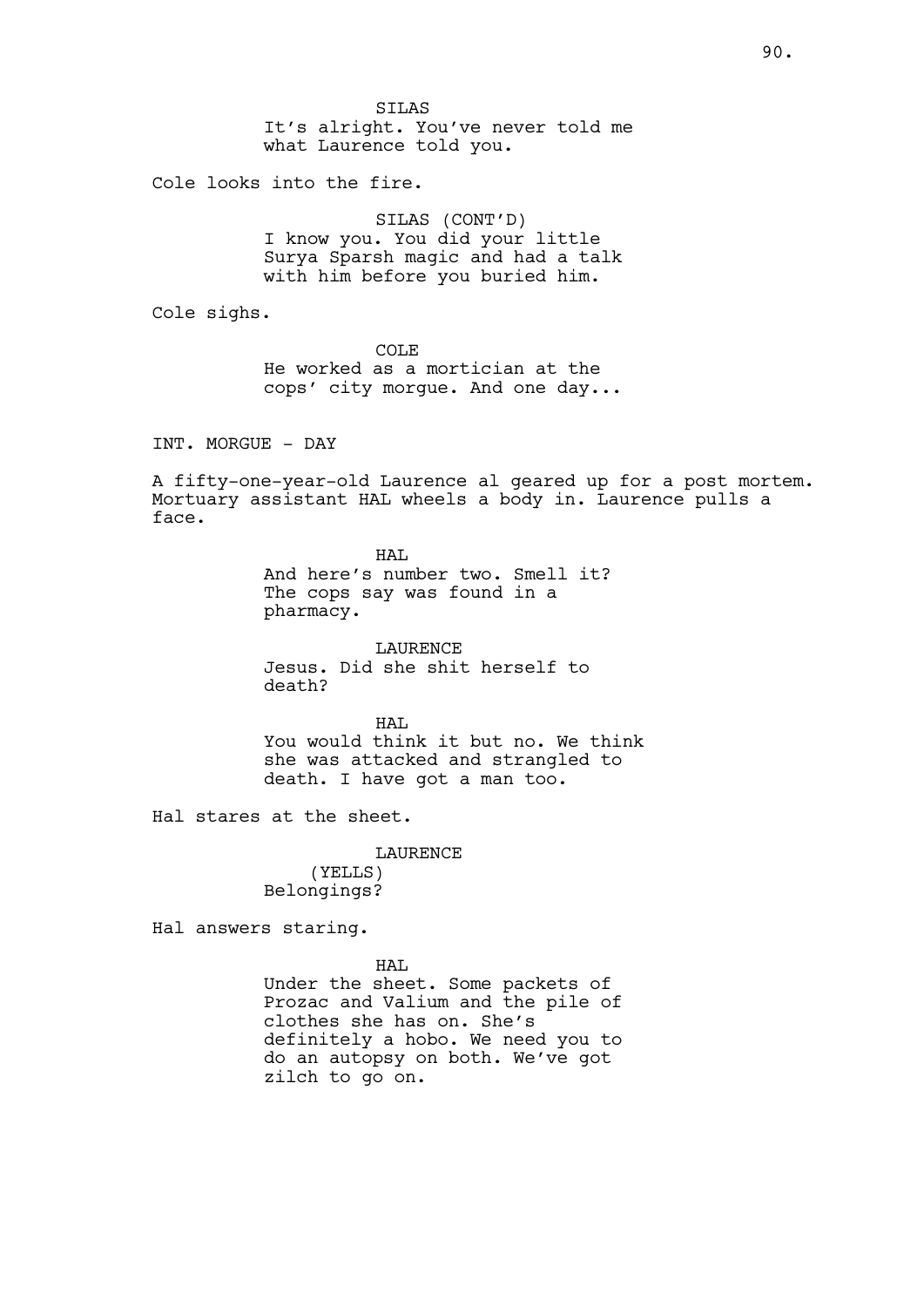SILAS It's alright. You've never told me what Laurence told you.

Cole looks into the fire.

SILAS (CONT'D) I know you. You did your little Surya Sparsh magic and had a talk with him before you buried him.

Cole sighs.

COLE He worked as a mortician at the cops' city morgue. And one day...

INT. MORGUE - DAY

A fifty-one-year-old Laurence al geared up for a post mortem. Mortuary assistant HAL wheels a body in. Laurence pulls a face.

> HAT. And here's number two. Smell it? The cops say was found in a pharmacy.

LAURENCE Jesus. Did she shit herself to death?

HAL You would think it but no. We think she was attacked and strangled to death. I have got a man too.

Hal stares at the sheet.

LAURENCE (YELLS) Belongings?

Hal answers staring.

HAL Under the sheet. Some packets of Prozac and Valium and the pile of clothes she has on. She's definitely a hobo. We need you to do an autopsy on both. We've got zilch to go on.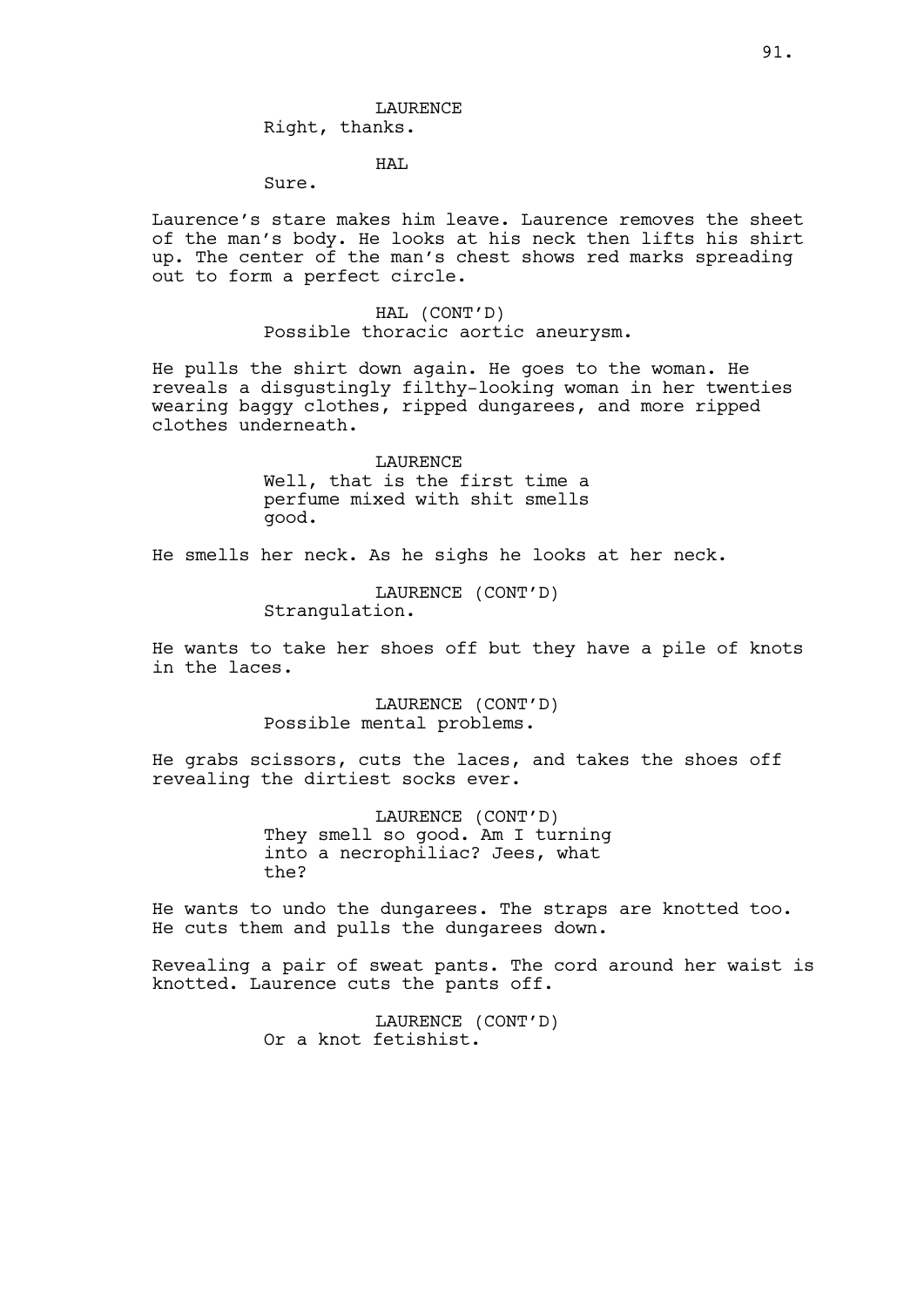# LAURENCE Right, thanks.

# HAL

# Sure.

Laurence's stare makes him leave. Laurence removes the sheet of the man's body. He looks at his neck then lifts his shirt up. The center of the man's chest shows red marks spreading out to form a perfect circle.

> HAL (CONT'D) Possible thoracic aortic aneurysm.

He pulls the shirt down again. He goes to the woman. He reveals a disgustingly filthy-looking woman in her twenties wearing baggy clothes, ripped dungarees, and more ripped clothes underneath.

> LAURENCE Well, that is the first time a perfume mixed with shit smells good.

He smells her neck. As he sighs he looks at her neck.

LAURENCE (CONT'D) Strangulation.

He wants to take her shoes off but they have a pile of knots in the laces.

> LAURENCE (CONT'D) Possible mental problems.

He grabs scissors, cuts the laces, and takes the shoes off revealing the dirtiest socks ever.

> LAURENCE (CONT'D) They smell so good. Am I turning into a necrophiliac? Jees, what the?

He wants to undo the dungarees. The straps are knotted too. He cuts them and pulls the dungarees down.

Revealing a pair of sweat pants. The cord around her waist is knotted. Laurence cuts the pants off.

> LAURENCE (CONT'D) Or a knot fetishist.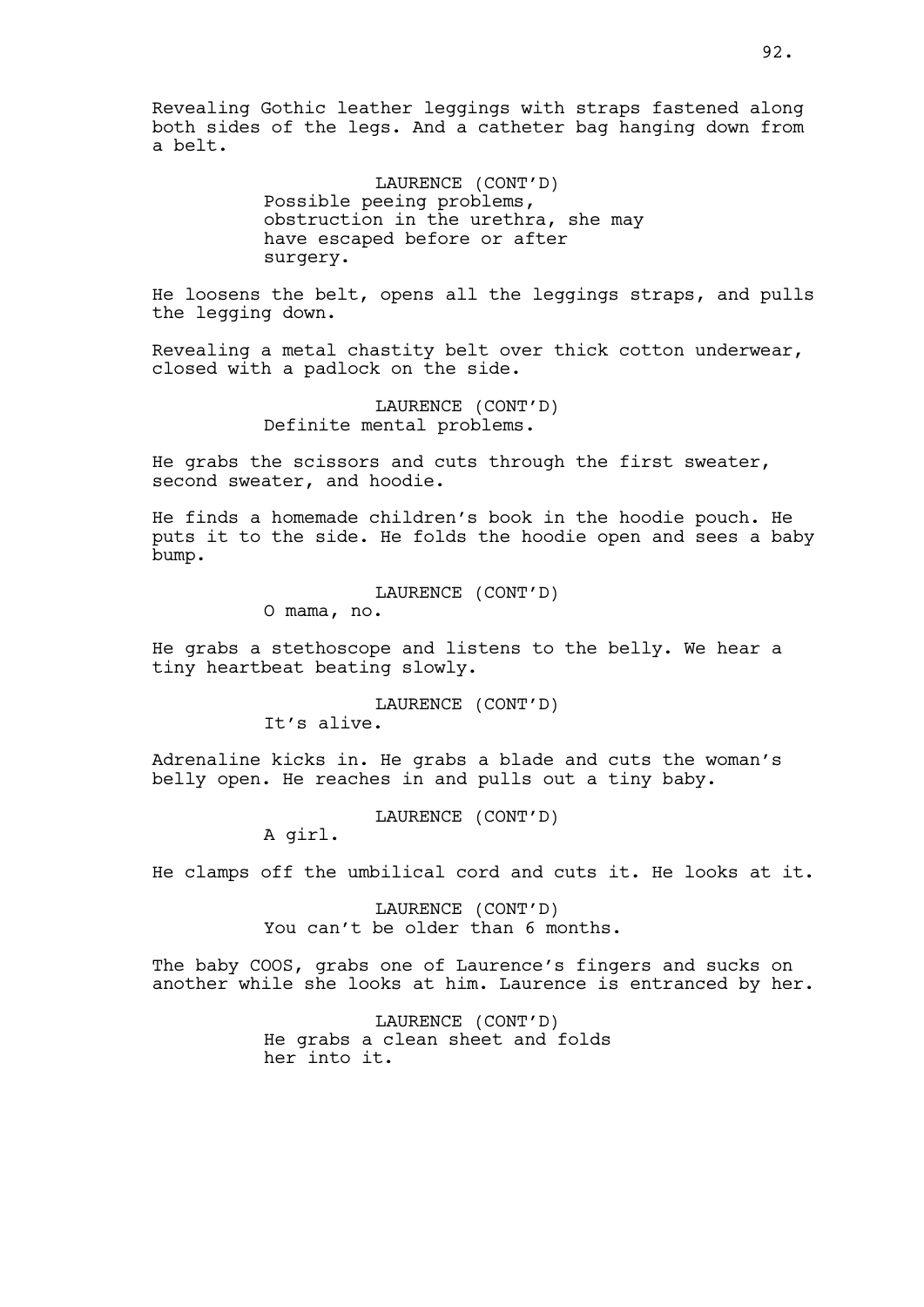Revealing Gothic leather leggings with straps fastened along both sides of the legs. And a catheter bag hanging down from a belt.

> LAURENCE (CONT'D) Possible peeing problems, obstruction in the urethra, she may have escaped before or after surgery.

He loosens the belt, opens all the leggings straps, and pulls the legging down.

Revealing a metal chastity belt over thick cotton underwear, closed with a padlock on the side.

> LAURENCE (CONT'D) Definite mental problems.

He grabs the scissors and cuts through the first sweater, second sweater, and hoodie.

He finds a homemade children's book in the hoodie pouch. He puts it to the side. He folds the hoodie open and sees a baby bump.

LAURENCE (CONT'D)

O mama, no.

He grabs a stethoscope and listens to the belly. We hear a tiny heartbeat beating slowly.

> LAURENCE (CONT'D) It's alive.

Adrenaline kicks in. He grabs a blade and cuts the woman's belly open. He reaches in and pulls out a tiny baby.

LAURENCE (CONT'D)

A girl.

He clamps off the umbilical cord and cuts it. He looks at it.

LAURENCE (CONT'D) You can't be older than 6 months.

The baby COOS, grabs one of Laurence's fingers and sucks on another while she looks at him. Laurence is entranced by her.

> LAURENCE (CONT'D) He grabs a clean sheet and folds her into it.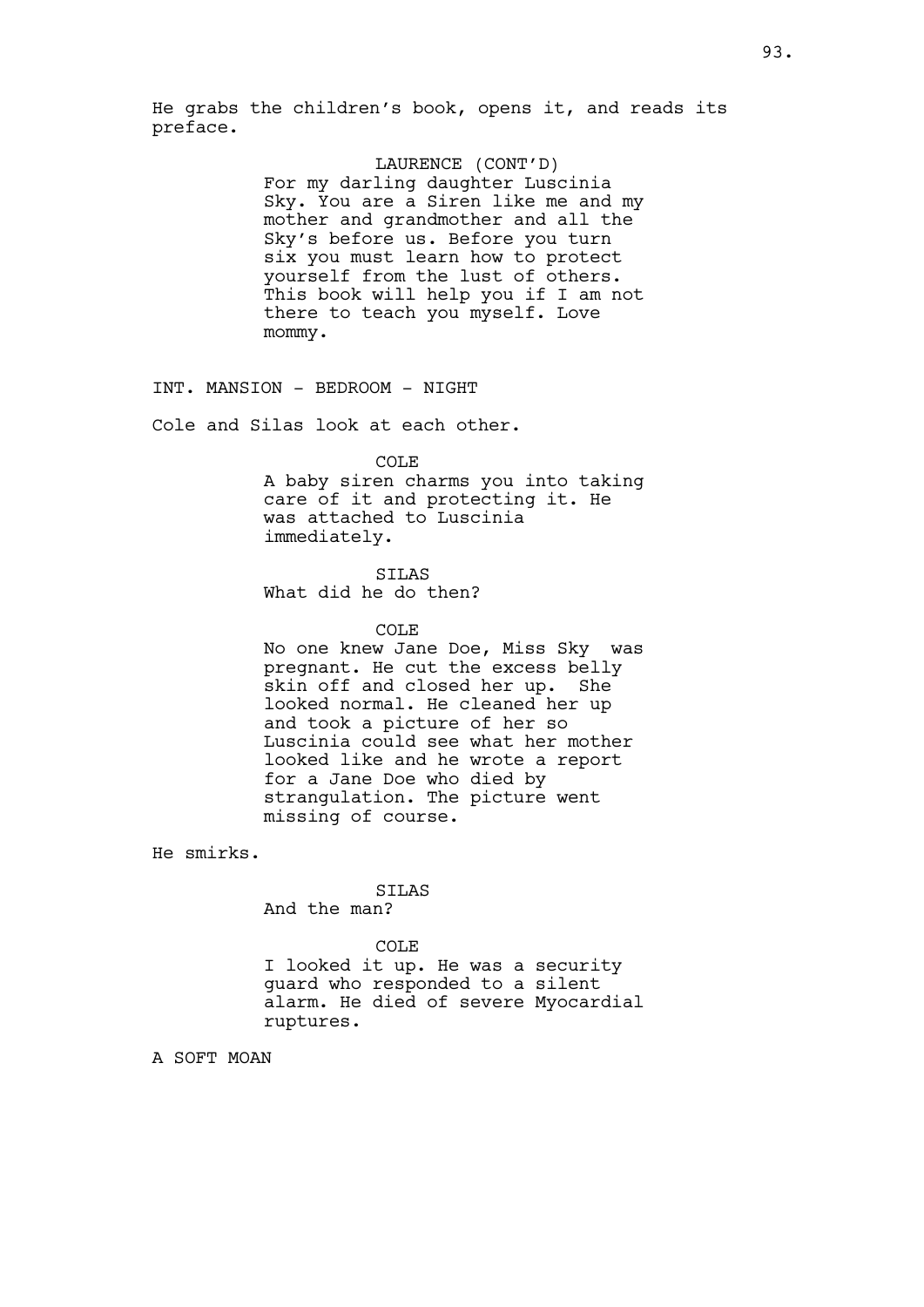He grabs the children's book, opens it, and reads its preface.

# LAURENCE (CONT'D)

For my darling daughter Luscinia Sky. You are a Siren like me and my mother and grandmother and all the Sky's before us. Before you turn six you must learn how to protect yourself from the lust of others. This book will help you if I am not there to teach you myself. Love mommy.

INT. MANSION - BEDROOM - NIGHT

Cole and Silas look at each other.

COLE

A baby siren charms you into taking care of it and protecting it. He was attached to Luscinia immediately.

SILAS What did he do then?

## COLE

No one knew Jane Doe, Miss Sky was pregnant. He cut the excess belly skin off and closed her up. She looked normal. He cleaned her up and took a picture of her so Luscinia could see what her mother looked like and he wrote a report for a Jane Doe who died by strangulation. The picture went missing of course.

He smirks.

#### SILAS

And the man?

#### COLE

I looked it up. He was a security guard who responded to a silent alarm. He died of severe Myocardial ruptures.

A SOFT MOAN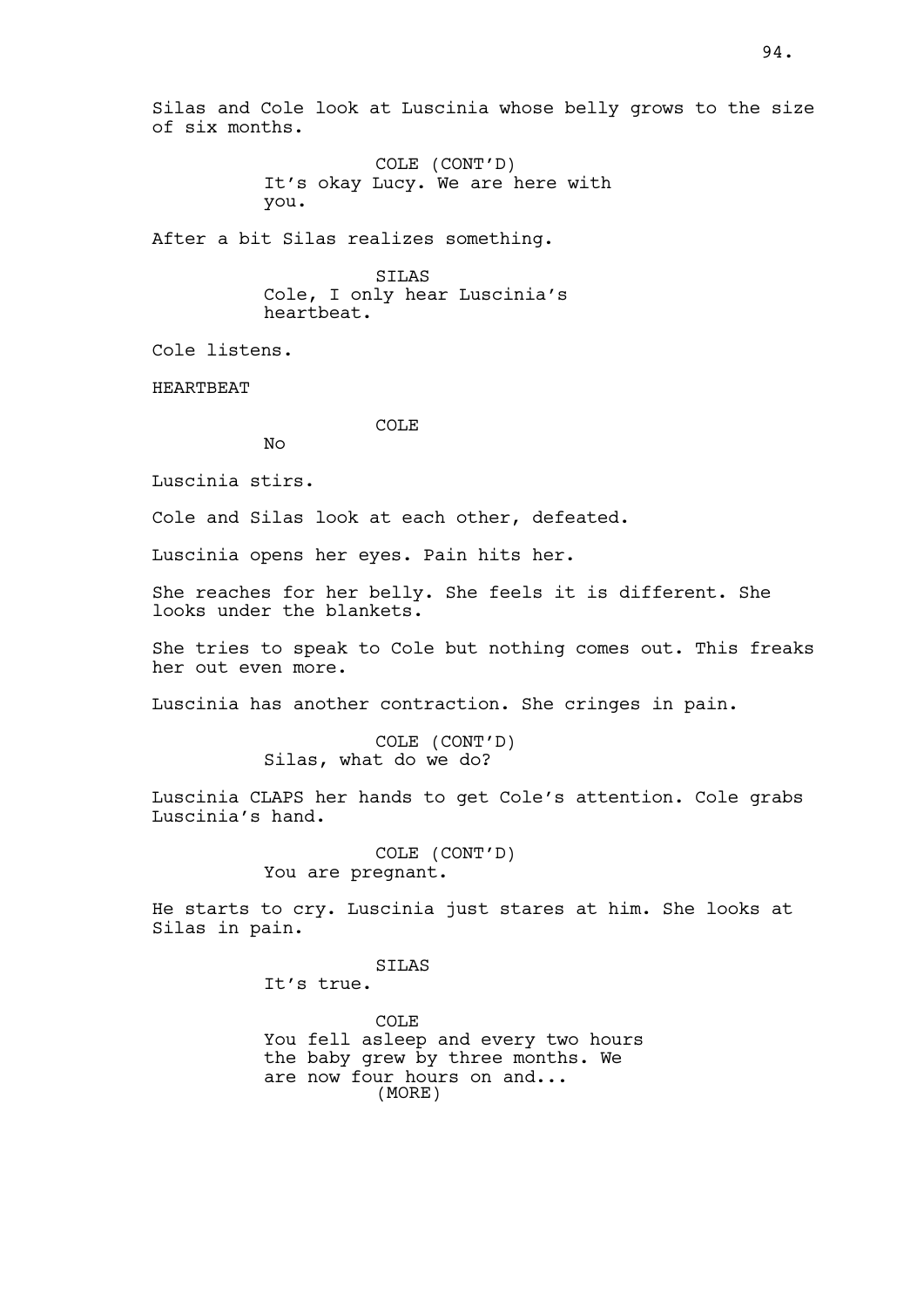Silas and Cole look at Luscinia whose belly grows to the size of six months.

> COLE (CONT'D) It's okay Lucy. We are here with you.

After a bit Silas realizes something.

SILAS Cole, I only hear Luscinia's heartbeat.

Cole listens.

HEARTBEAT

COLE

Luscinia stirs.

No

Cole and Silas look at each other, defeated.

Luscinia opens her eyes. Pain hits her.

She reaches for her belly. She feels it is different. She looks under the blankets.

She tries to speak to Cole but nothing comes out. This freaks her out even more.

Luscinia has another contraction. She cringes in pain.

COLE (CONT'D) Silas, what do we do?

Luscinia CLAPS her hands to get Cole's attention. Cole grabs Luscinia's hand.

> COLE (CONT'D) You are pregnant.

He starts to cry. Luscinia just stares at him. She looks at Silas in pain.

SILAS

It's true.

COLE You fell asleep and every two hours the baby grew by three months. We are now four hours on and... (MORE)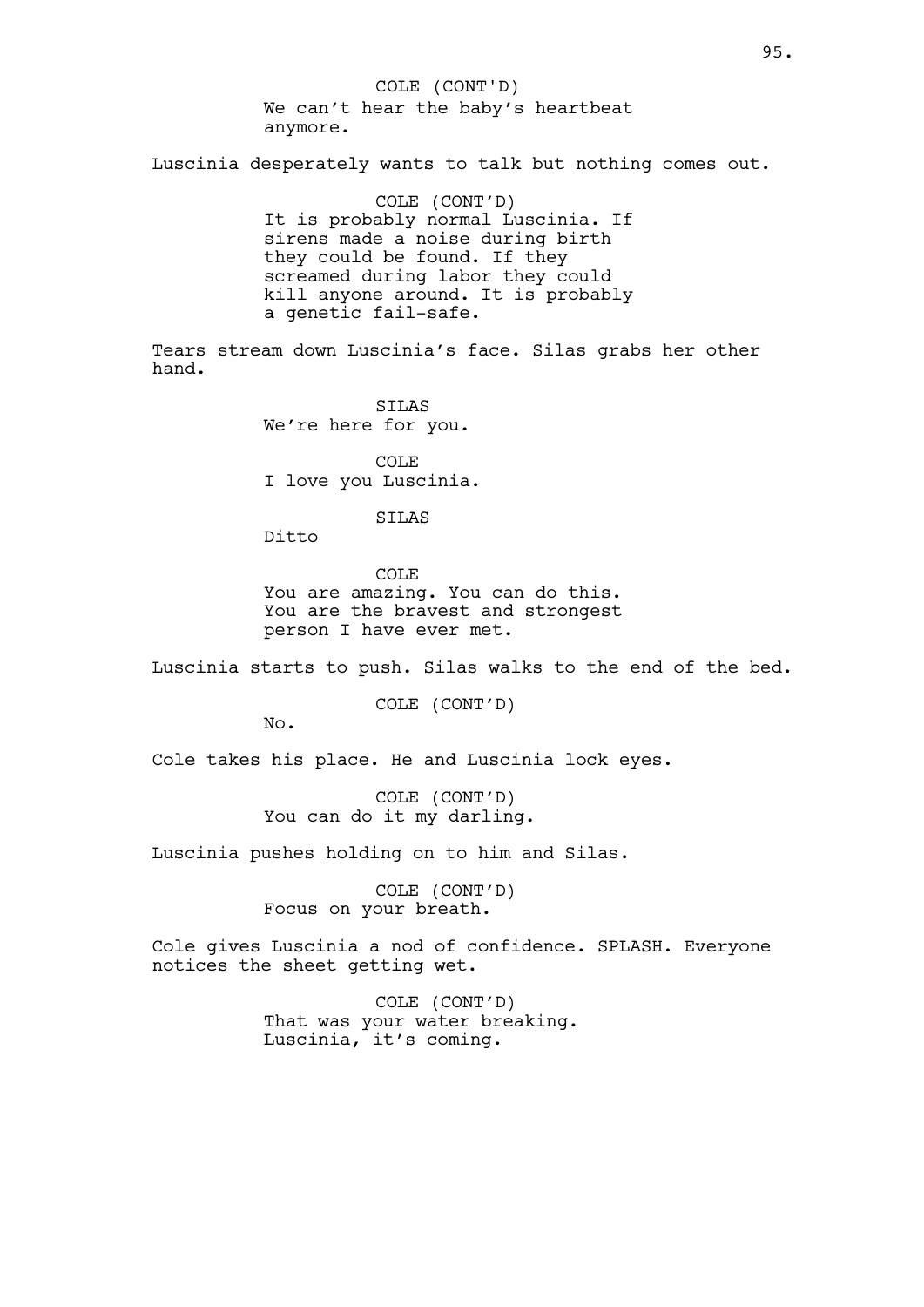We can't hear the baby's heartbeat anymore. COLE (CONT'D)

Luscinia desperately wants to talk but nothing comes out.

COLE (CONT'D) It is probably normal Luscinia. If sirens made a noise during birth they could be found. If they screamed during labor they could kill anyone around. It is probably a genetic fail-safe.

Tears stream down Luscinia's face. Silas grabs her other hand.

> STLAS We're here for you.

COLE I love you Luscinia.

SILAS

Ditto

COLE You are amazing. You can do this. You are the bravest and strongest person I have ever met.

Luscinia starts to push. Silas walks to the end of the bed.

COLE (CONT'D)

No.

Cole takes his place. He and Luscinia lock eyes.

COLE (CONT'D) You can do it my darling.

Luscinia pushes holding on to him and Silas.

COLE (CONT'D) Focus on your breath.

Cole gives Luscinia a nod of confidence. SPLASH. Everyone notices the sheet getting wet.

> COLE (CONT'D) That was your water breaking. Luscinia, it's coming.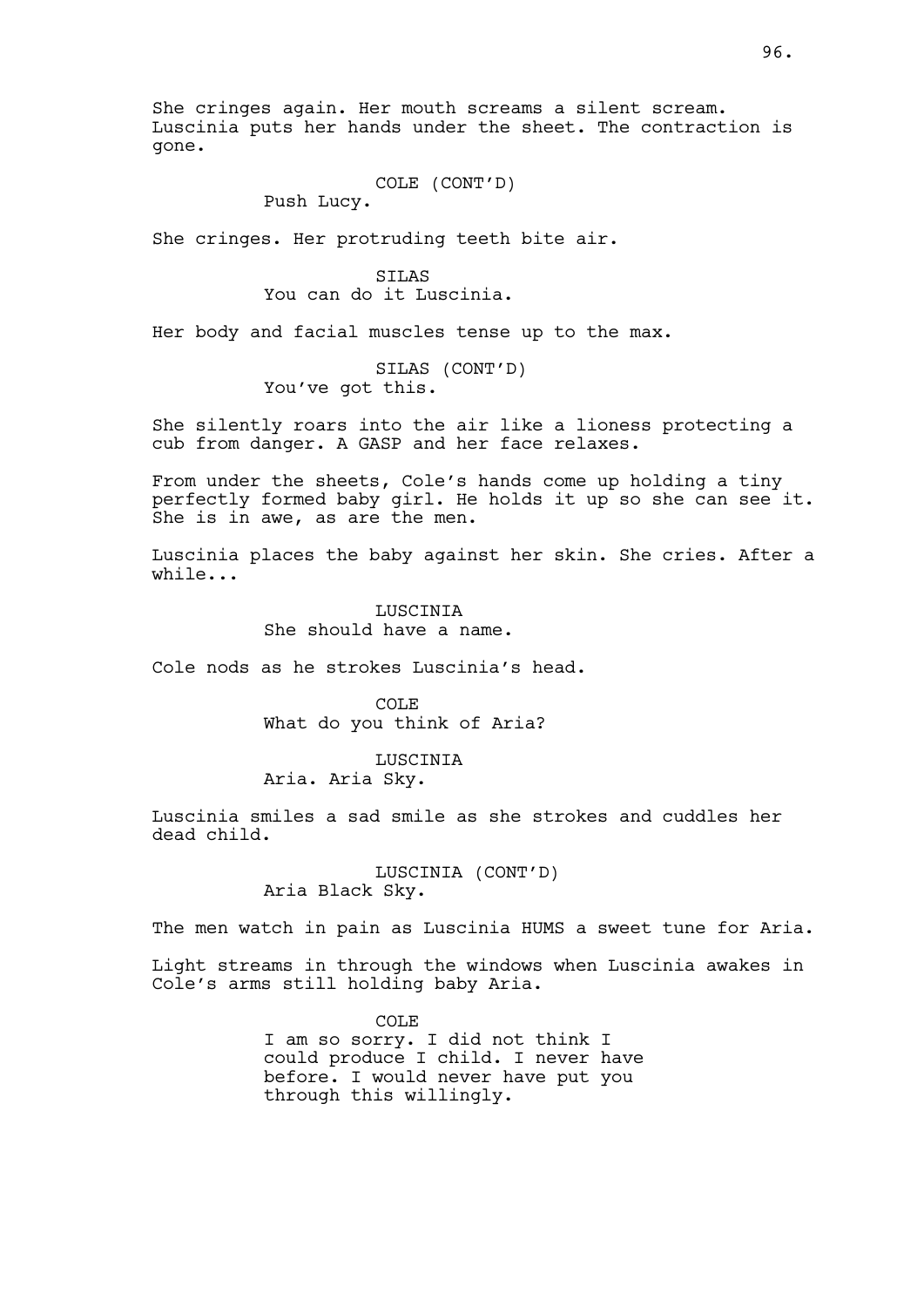She cringes again. Her mouth screams a silent scream. Luscinia puts her hands under the sheet. The contraction is gone.

COLE (CONT'D)

Push Lucy.

She cringes. Her protruding teeth bite air.

STLAS You can do it Luscinia.

Her body and facial muscles tense up to the max.

SILAS (CONT'D) You've got this.

She silently roars into the air like a lioness protecting a cub from danger. A GASP and her face relaxes.

From under the sheets, Cole's hands come up holding a tiny perfectly formed baby girl. He holds it up so she can see it. She is in awe, as are the men.

Luscinia places the baby against her skin. She cries. After a while...

> **LUSCINIA** She should have a name.

Cole nods as he strokes Luscinia's head.

COLE What do you think of Aria?

LUSCINIA Aria. Aria Sky.

Luscinia smiles a sad smile as she strokes and cuddles her dead child.

> LUSCINIA (CONT'D) Aria Black Sky.

The men watch in pain as Luscinia HUMS a sweet tune for Aria.

Light streams in through the windows when Luscinia awakes in Cole's arms still holding baby Aria.

> COLE I am so sorry. I did not think I could produce I child. I never have before. I would never have put you through this willingly.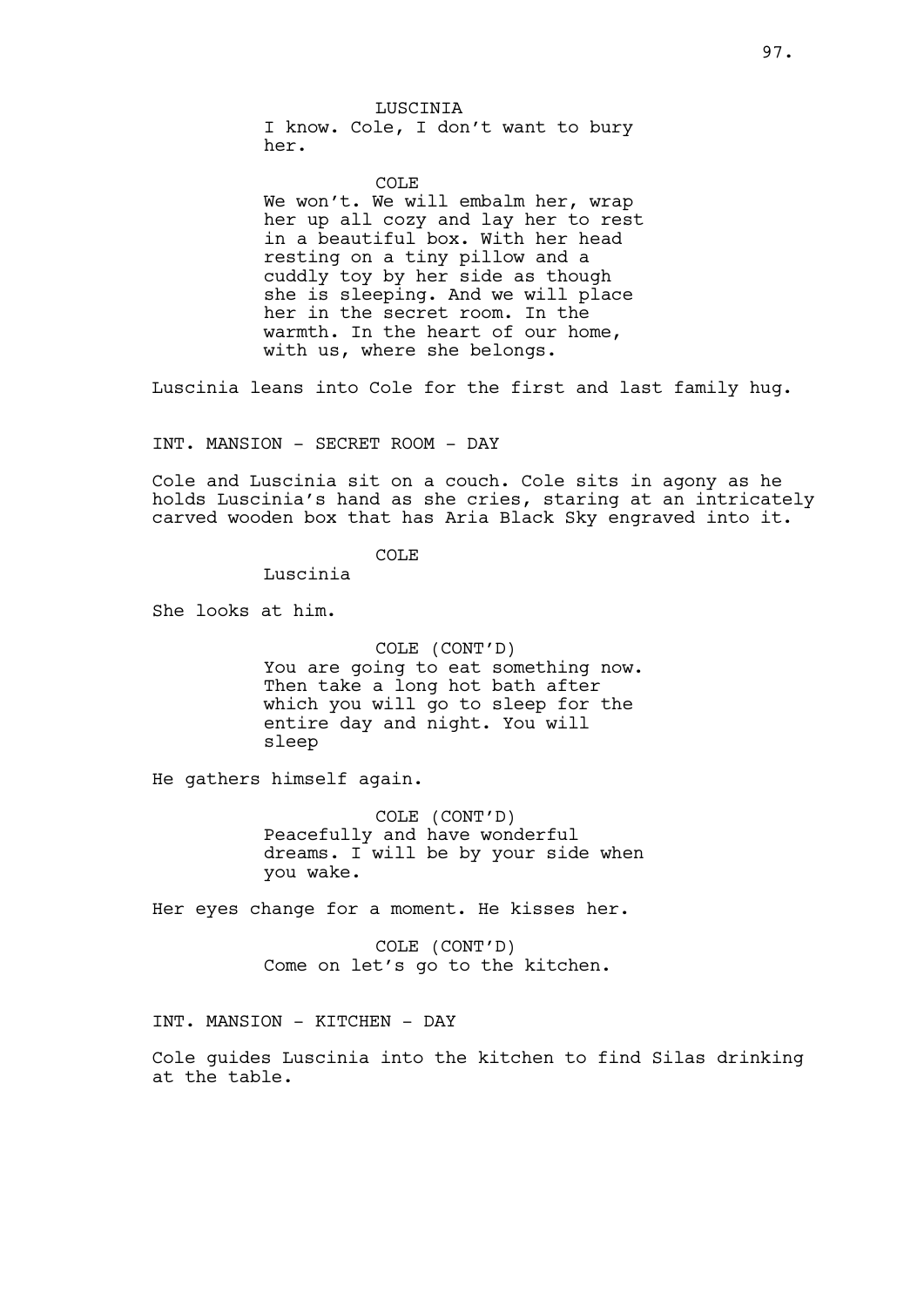LUSCINIA I know. Cole, I don't want to bury her.

#### COLE<sub></sub>

We won't. We will embalm her, wrap her up all cozy and lay her to rest in a beautiful box. With her head resting on a tiny pillow and a cuddly toy by her side as though she is sleeping. And we will place her in the secret room. In the warmth. In the heart of our home, with us, where she belongs.

Luscinia leans into Cole for the first and last family hug.

INT. MANSION - SECRET ROOM - DAY

Cole and Luscinia sit on a couch. Cole sits in agony as he holds Luscinia's hand as she cries, staring at an intricately carved wooden box that has Aria Black Sky engraved into it.

# COLE

Luscinia

She looks at him.

COLE (CONT'D) You are going to eat something now. Then take a long hot bath after which you will go to sleep for the entire day and night. You will sleep

He gathers himself again.

COLE (CONT'D) Peacefully and have wonderful dreams. I will be by your side when you wake.

Her eyes change for a moment. He kisses her.

COLE (CONT'D) Come on let's go to the kitchen.

INT. MANSION - KITCHEN - DAY

Cole guides Luscinia into the kitchen to find Silas drinking at the table.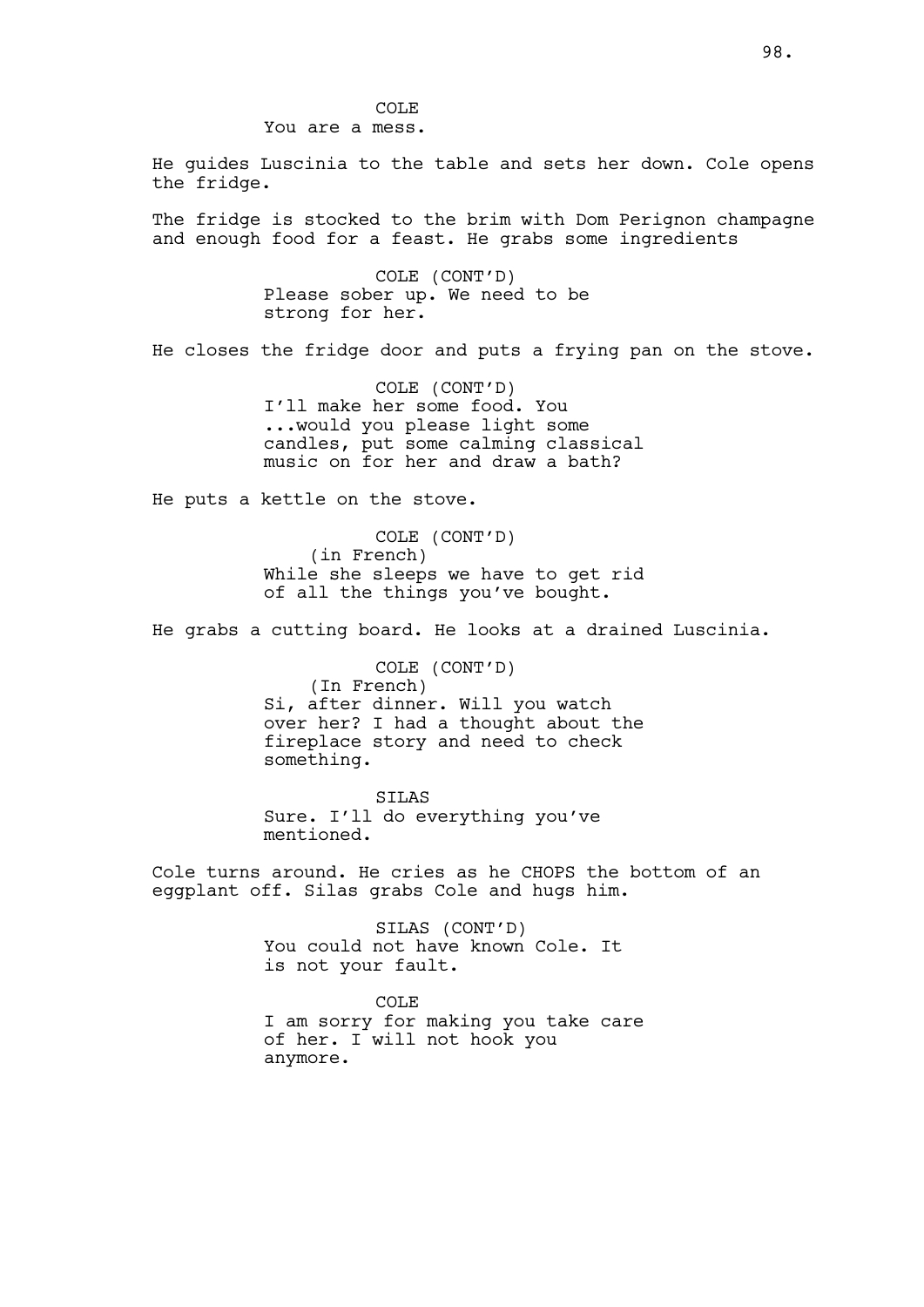He guides Luscinia to the table and sets her down. Cole opens the fridge.

The fridge is stocked to the brim with Dom Perignon champagne and enough food for a feast. He grabs some ingredients

> COLE (CONT'D) Please sober up. We need to be strong for her.

He closes the fridge door and puts a frying pan on the stove.

COLE (CONT'D) I'll make her some food. You ...would you please light some candles, put some calming classical music on for her and draw a bath?

He puts a kettle on the stove.

COLE (CONT'D) (in French) While she sleeps we have to get rid of all the things you've bought.

He grabs a cutting board. He looks at a drained Luscinia.

COLE (CONT'D) (In French) Si, after dinner. Will you watch over her? I had a thought about the fireplace story and need to check something.

SILAS Sure. I'll do everything you've mentioned.

Cole turns around. He cries as he CHOPS the bottom of an eggplant off. Silas grabs Cole and hugs him.

> SILAS (CONT'D) You could not have known Cole. It is not your fault.

COLE I am sorry for making you take care of her. I will not hook you anymore.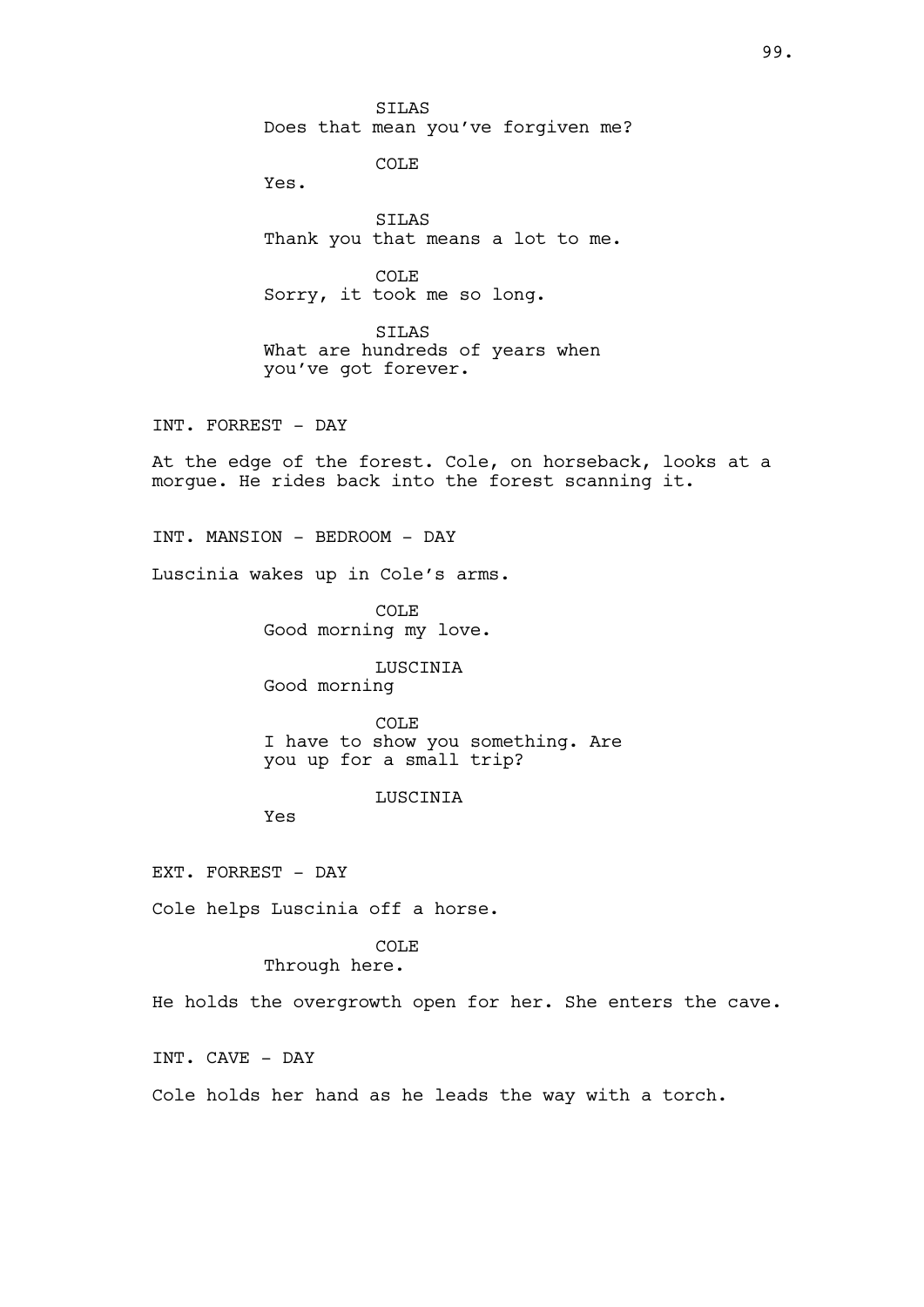SILAS Does that mean you've forgiven me?

COLE

Yes.

SILAS Thank you that means a lot to me.

COLE Sorry, it took me so long.

SILAS What are hundreds of years when you've got forever.

INT. FORREST - DAY

At the edge of the forest. Cole, on horseback, looks at a morgue. He rides back into the forest scanning it.

INT. MANSION - BEDROOM - DAY

Luscinia wakes up in Cole's arms.

COLE Good morning my love.

LUSCINIA Good morning

COLE I have to show you something. Are you up for a small trip?

LUSCINIA

Yes

EXT. FORREST - DAY

Cole helps Luscinia off a horse.

# COLE

# Through here.

He holds the overgrowth open for her. She enters the cave.

INT. CAVE - DAY

Cole holds her hand as he leads the way with a torch.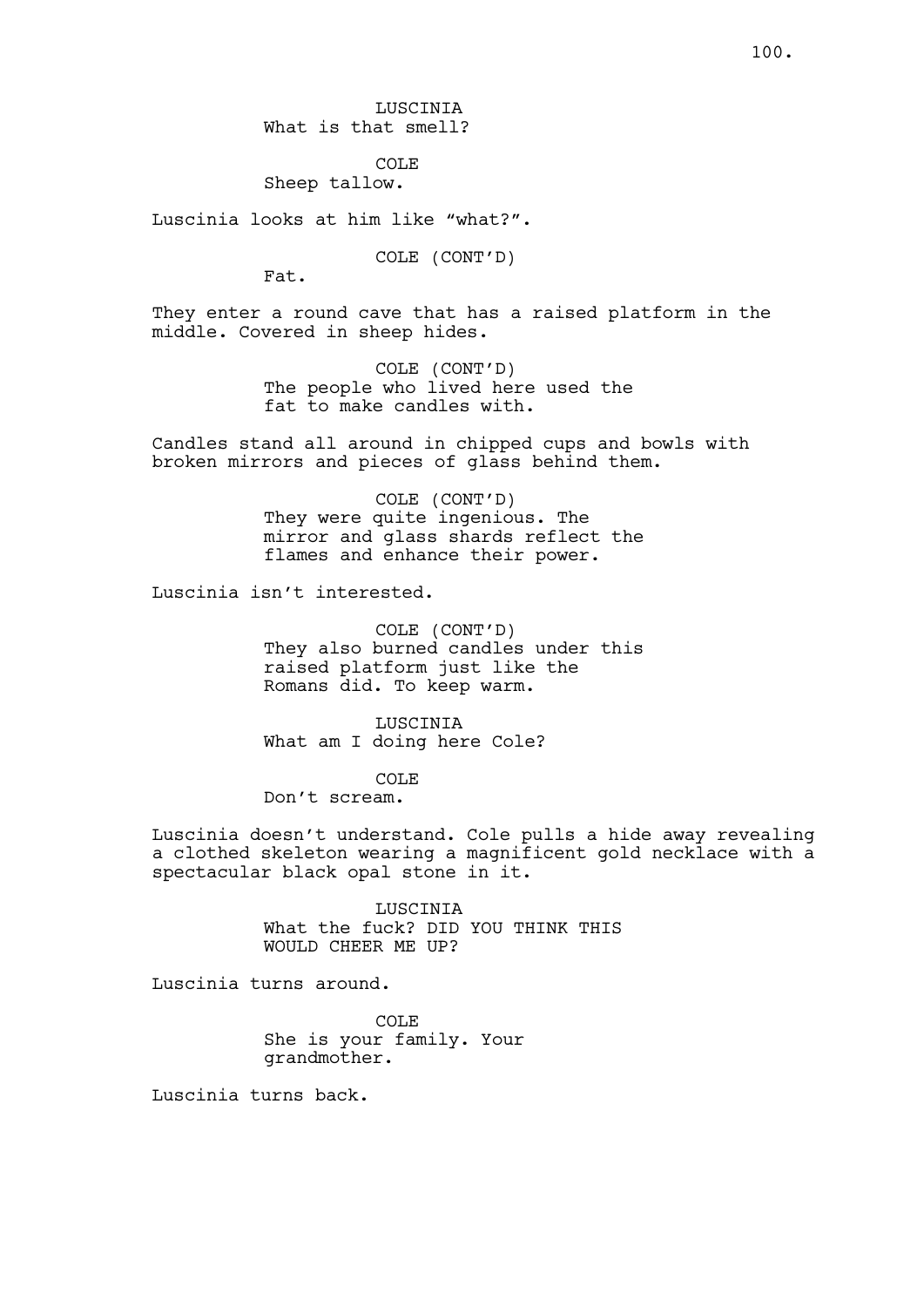LUSCINIA What is that smell?

COLE Sheep tallow.

Luscinia looks at him like "what?".

COLE (CONT'D)

Fat.

They enter a round cave that has a raised platform in the middle. Covered in sheep hides.

> COLE (CONT'D) The people who lived here used the fat to make candles with.

Candles stand all around in chipped cups and bowls with broken mirrors and pieces of glass behind them.

> COLE (CONT'D) They were quite ingenious. The mirror and glass shards reflect the flames and enhance their power.

Luscinia isn't interested.

COLE (CONT'D) They also burned candles under this raised platform just like the Romans did. To keep warm.

LUSCINIA What am I doing here Cole?

COLE

Don't scream.

Luscinia doesn't understand. Cole pulls a hide away revealing a clothed skeleton wearing a magnificent gold necklace with a spectacular black opal stone in it.

> LUSCINIA What the fuck? DID YOU THINK THIS WOULD CHEER ME UP?

Luscinia turns around.

COLE She is your family. Your grandmother.

Luscinia turns back.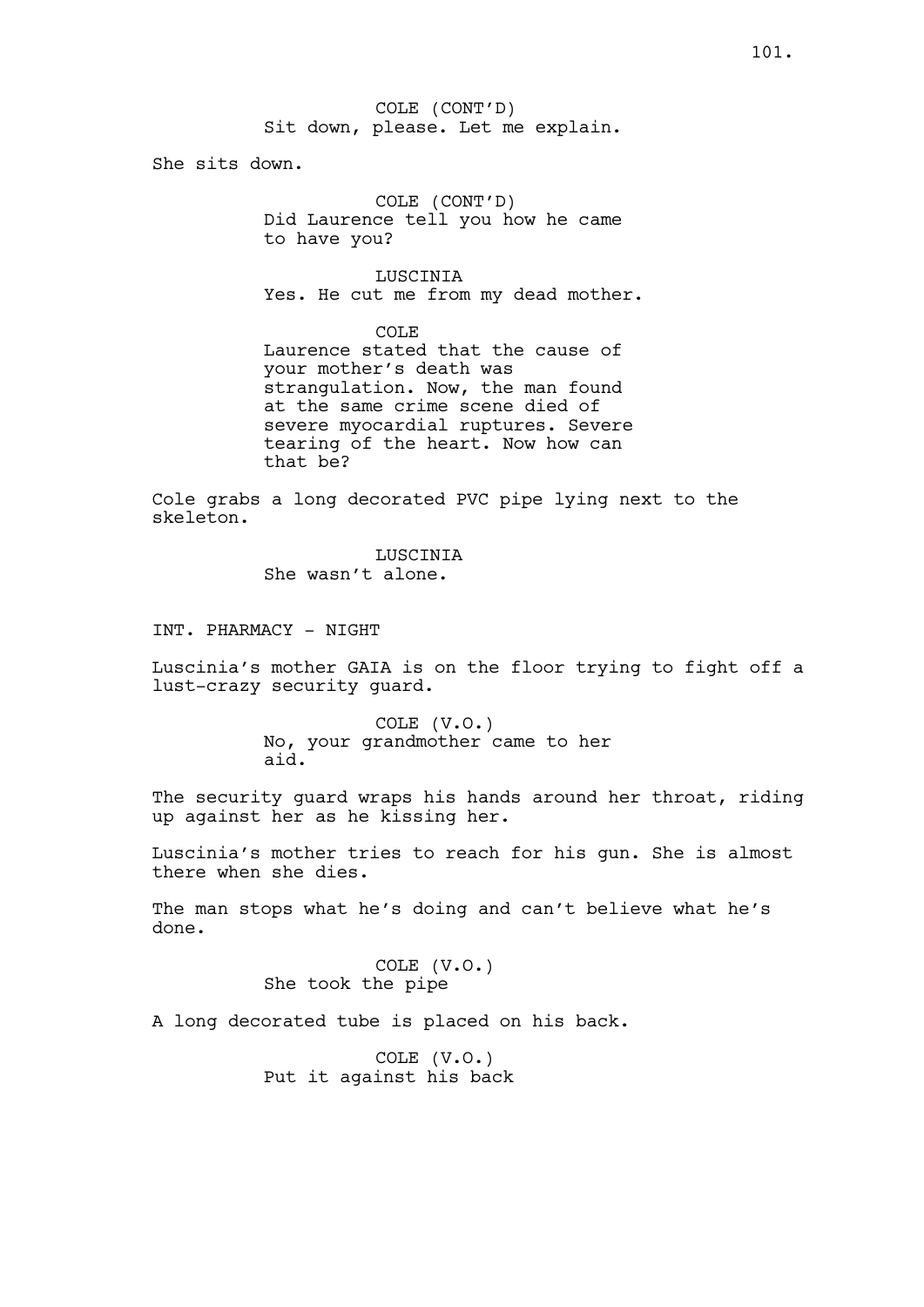COLE (CONT'D) Sit down, please. Let me explain.

She sits down.

COLE (CONT'D) Did Laurence tell you how he came to have you?

LUSCINIA Yes. He cut me from my dead mother.

COLE Laurence stated that the cause of your mother's death was strangulation. Now, the man found at the same crime scene died of severe myocardial ruptures. Severe tearing of the heart. Now how can that be?

Cole grabs a long decorated PVC pipe lying next to the skeleton.

> LUSCINIA She wasn't alone.

INT. PHARMACY - NIGHT

Luscinia's mother GAIA is on the floor trying to fight off a lust-crazy security guard.

> COLE (V.O.) No, your grandmother came to her aid.

The security guard wraps his hands around her throat, riding up against her as he kissing her.

Luscinia's mother tries to reach for his gun. She is almost there when she dies.

The man stops what he's doing and can't believe what he's done.

> COLE (V.O.) She took the pipe

A long decorated tube is placed on his back.

COLE (V.O.) Put it against his back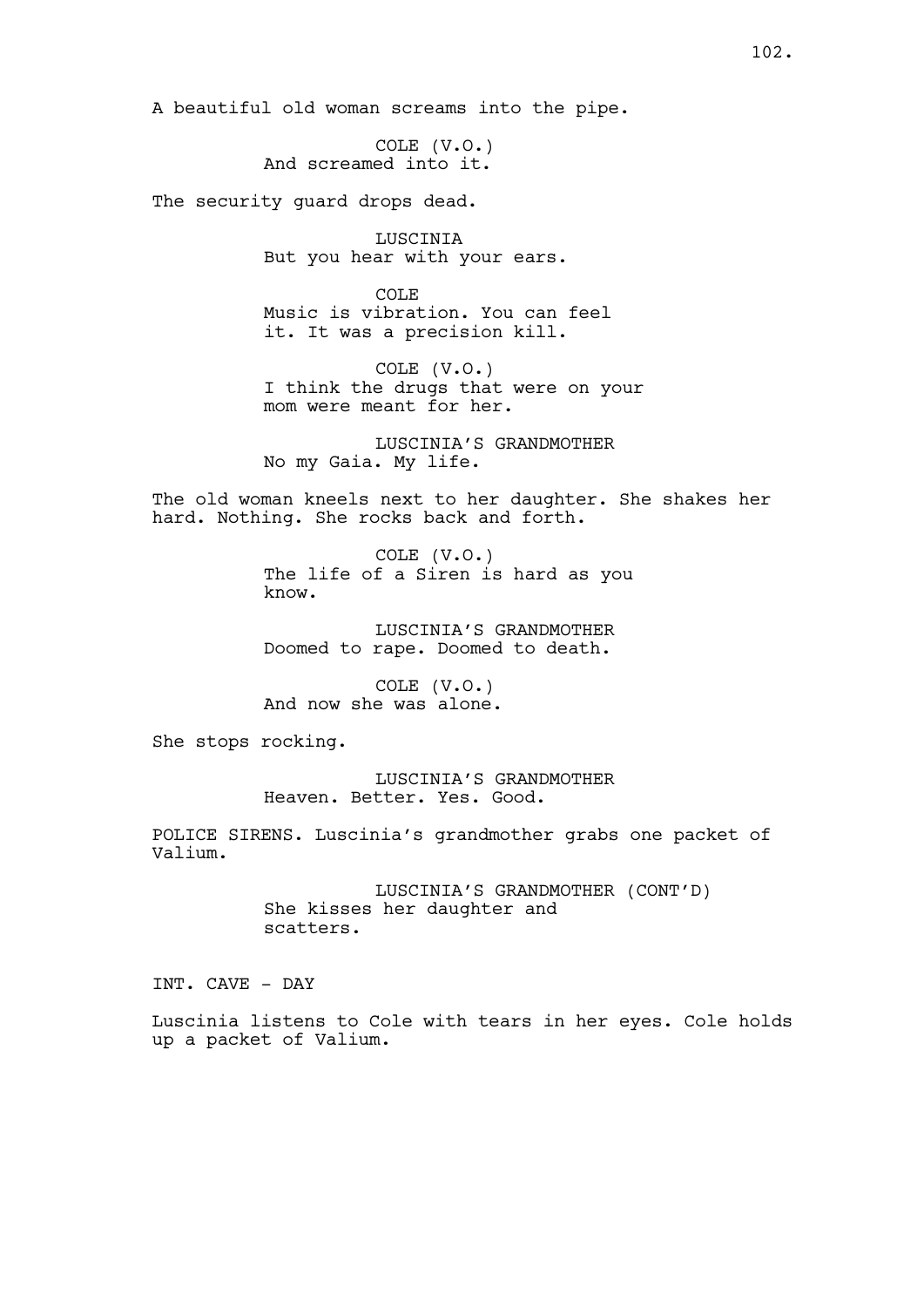A beautiful old woman screams into the pipe.

COLE (V.O.) And screamed into it.

The security quard drops dead.

LUSCINIA But you hear with your ears.

COLE Music is vibration. You can feel it. It was a precision kill.

COLE (V.O.) I think the drugs that were on your mom were meant for her.

LUSCINIA'S GRANDMOTHER No my Gaia. My life.

The old woman kneels next to her daughter. She shakes her hard. Nothing. She rocks back and forth.

> COLE (V.O.) The life of a Siren is hard as you know.

LUSCINIA'S GRANDMOTHER Doomed to rape. Doomed to death.

COLE (V.O.) And now she was alone.

She stops rocking.

LUSCINIA'S GRANDMOTHER Heaven. Better. Yes. Good.

POLICE SIRENS. Luscinia's grandmother grabs one packet of Valium.

> LUSCINIA'S GRANDMOTHER (CONT'D) She kisses her daughter and scatters.

INT. CAVE - DAY

Luscinia listens to Cole with tears in her eyes. Cole holds up a packet of Valium.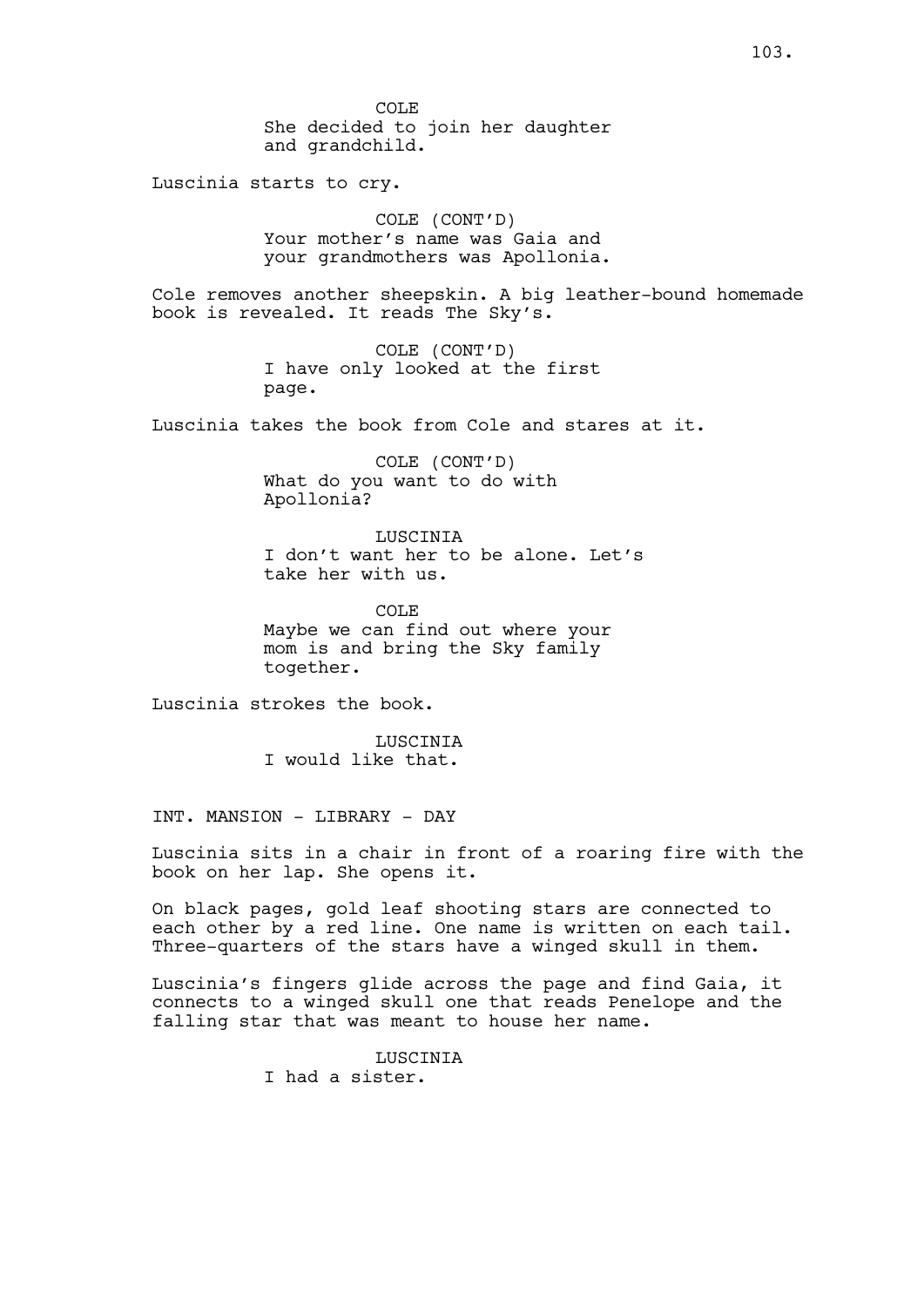COLE She decided to join her daughter and grandchild.

Luscinia starts to cry.

COLE (CONT'D) Your mother's name was Gaia and your grandmothers was Apollonia.

Cole removes another sheepskin. A big leather-bound homemade book is revealed. It reads The Sky's.

> COLE (CONT'D) I have only looked at the first page.

Luscinia takes the book from Cole and stares at it.

COLE (CONT'D) What do you want to do with Apollonia?

LUSCINIA I don't want her to be alone. Let's take her with us.

COLE Maybe we can find out where your mom is and bring the Sky family together.

Luscinia strokes the book.

**LUSCINIA** I would like that.

INT. MANSION - LIBRARY - DAY

Luscinia sits in a chair in front of a roaring fire with the book on her lap. She opens it.

On black pages, gold leaf shooting stars are connected to each other by a red line. One name is written on each tail. Three-quarters of the stars have a winged skull in them.

Luscinia's fingers glide across the page and find Gaia, it connects to a winged skull one that reads Penelope and the falling star that was meant to house her name.

> LUSCINIA I had a sister.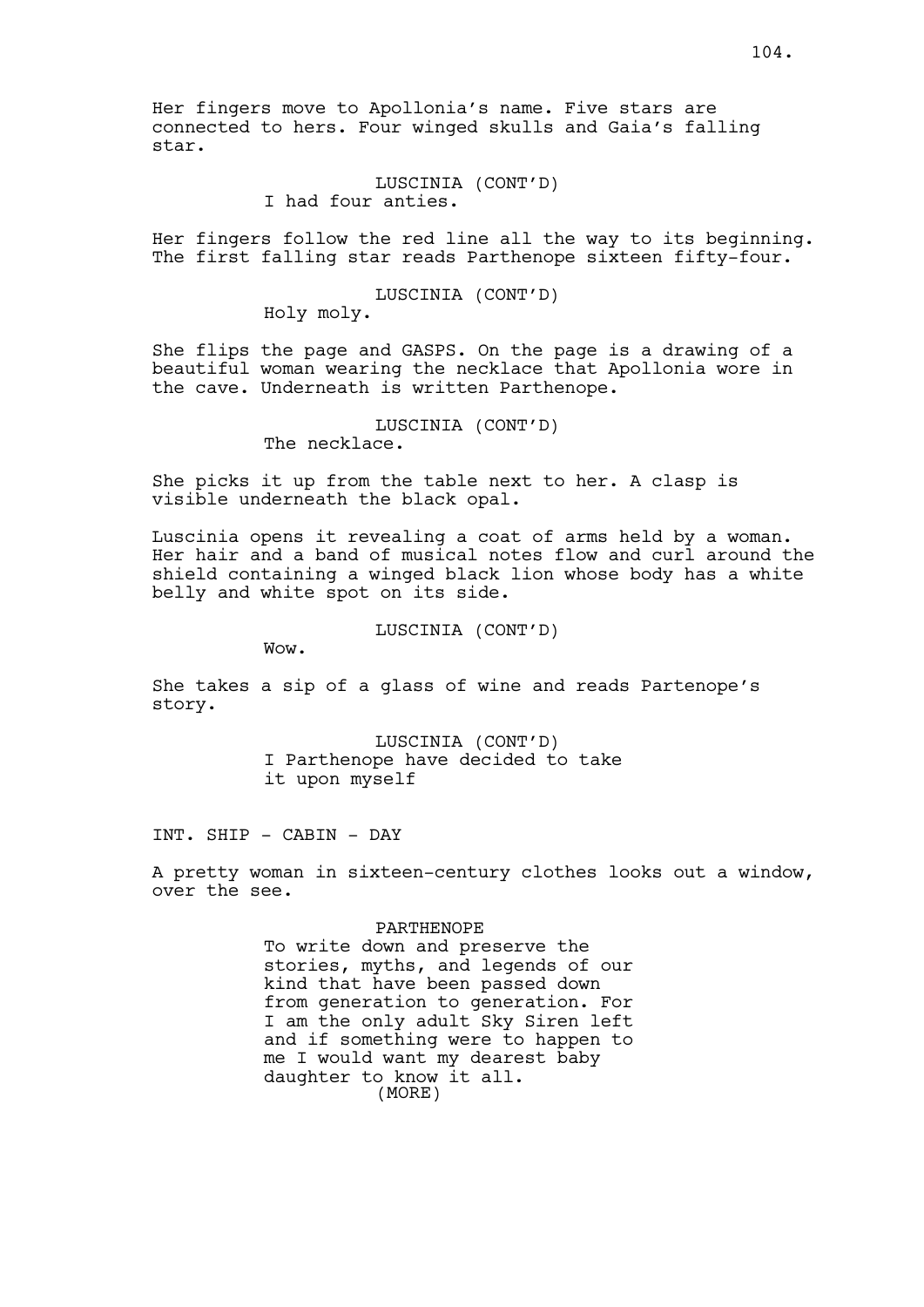Her fingers move to Apollonia's name. Five stars are connected to hers. Four winged skulls and Gaia's falling star.

> LUSCINIA (CONT'D) I had four anties.

Her fingers follow the red line all the way to its beginning. The first falling star reads Parthenope sixteen fifty-four.

# LUSCINIA (CONT'D)

Holy moly.

She flips the page and GASPS. On the page is a drawing of a beautiful woman wearing the necklace that Apollonia wore in the cave. Underneath is written Parthenope.

## LUSCINIA (CONT'D)

The necklace.

She picks it up from the table next to her. A clasp is visible underneath the black opal.

Luscinia opens it revealing a coat of arms held by a woman. Her hair and a band of musical notes flow and curl around the shield containing a winged black lion whose body has a white belly and white spot on its side.

#### LUSCINIA (CONT'D)

Wow.

She takes a sip of a glass of wine and reads Partenope's story.

> LUSCINIA (CONT'D) I Parthenope have decided to take it upon myself

INT. SHIP - CABIN - DAY

A pretty woman in sixteen-century clothes looks out a window, over the see.

#### PARTHENOPE

To write down and preserve the stories, myths, and legends of our kind that have been passed down from generation to generation. For I am the only adult Sky Siren left and if something were to happen to me I would want my dearest baby daughter to know it all. (MORE)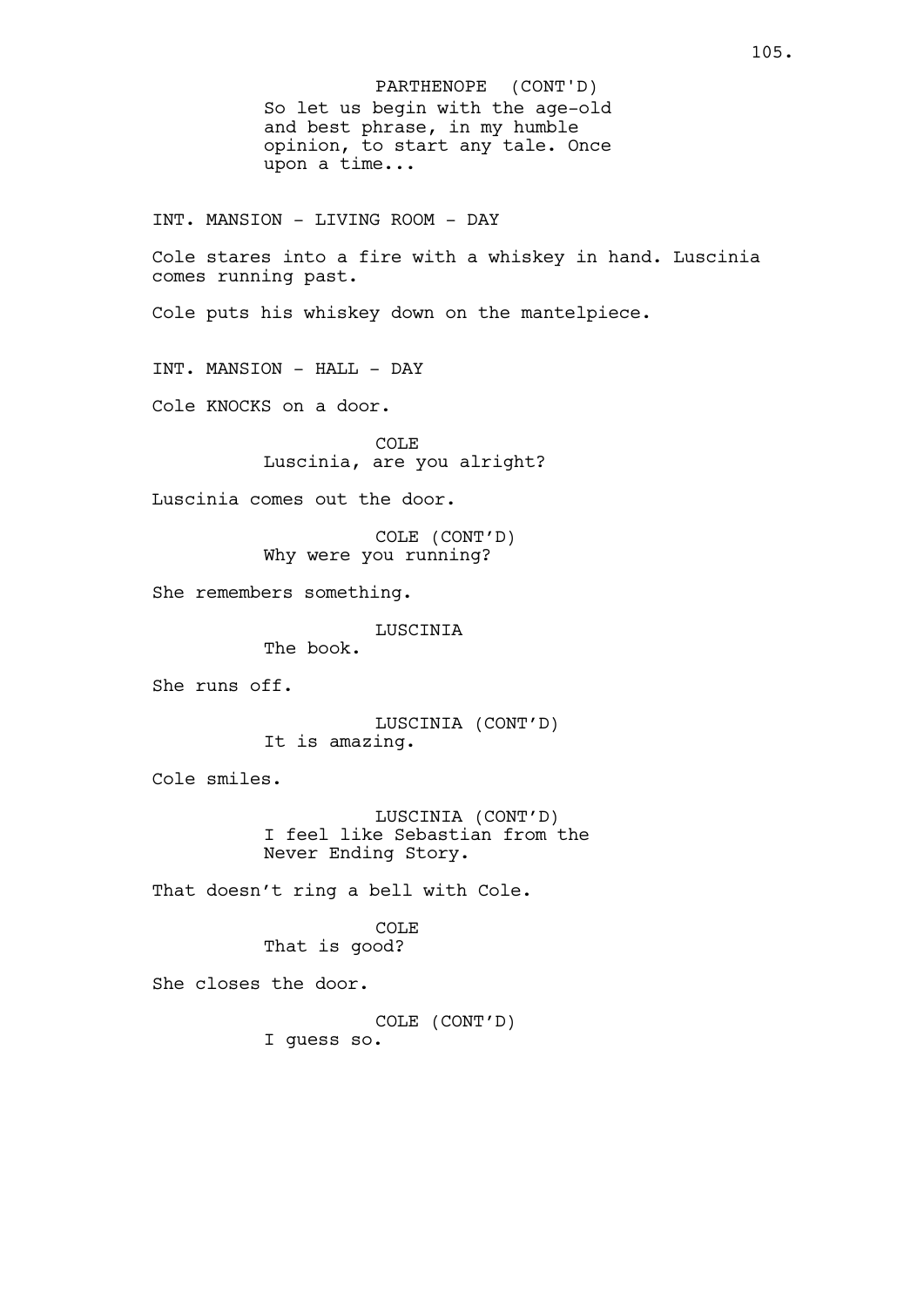So let us begin with the age-old and best phrase, in my humble opinion, to start any tale. Once upon a time... INT. MANSION - LIVING ROOM - DAY Cole stares into a fire with a whiskey in hand. Luscinia comes running past. Cole puts his whiskey down on the mantelpiece. INT. MANSION - HALL - DAY Cole KNOCKS on a door. COLE Luscinia, are you alright? Luscinia comes out the door. COLE (CONT'D) Why were you running? She remembers something. LUSCINIA The book. She runs off. LUSCINIA (CONT'D) It is amazing. Cole smiles. LUSCINIA (CONT'D) I feel like Sebastian from the Never Ending Story. That doesn't ring a bell with Cole. COLE That is good? She closes the door. COLE (CONT'D) I guess so. PARTHENOPE (CONT'D)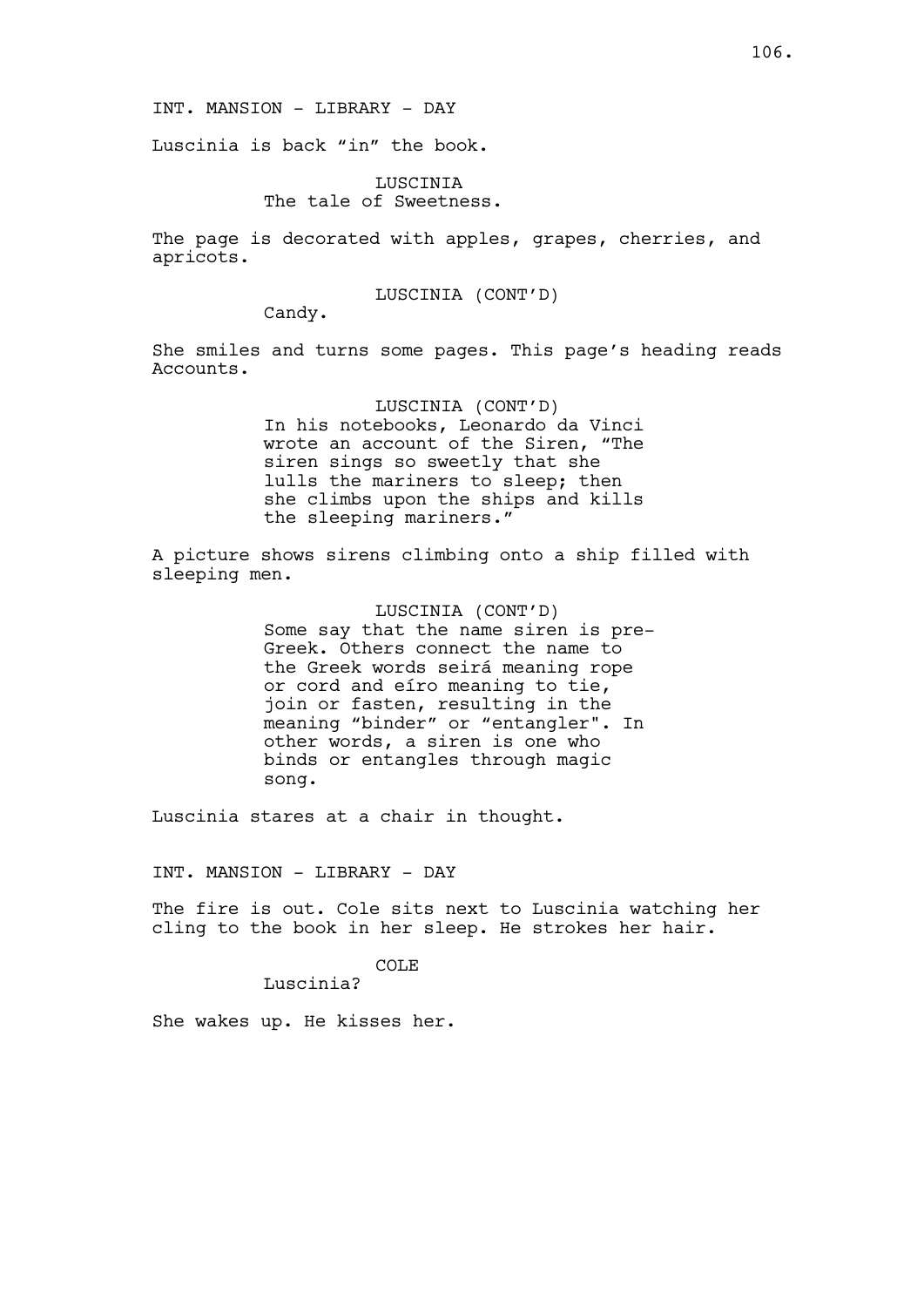Luscinia is back "in" the book.

LUSCINIA The tale of Sweetness.

The page is decorated with apples, grapes, cherries, and apricots.

LUSCINIA (CONT'D)

Candy.

She smiles and turns some pages. This page's heading reads Accounts.

> LUSCINIA (CONT'D) In his notebooks, Leonardo da Vinci wrote an account of the Siren, "The siren sings so sweetly that she lulls the mariners to sleep; then she climbs upon the ships and kills the sleeping mariners."

A picture shows sirens climbing onto a ship filled with sleeping men.

> LUSCINIA (CONT'D) Some say that the name siren is pre-Greek. Others connect the name to the Greek words seirá meaning rope or cord and eíro meaning to tie, join or fasten, resulting in the meaning "binder" or "entangler". In other words, a siren is one who binds or entangles through magic song.

Luscinia stares at a chair in thought.

INT. MANSION - LIBRARY - DAY

The fire is out. Cole sits next to Luscinia watching her cling to the book in her sleep. He strokes her hair.

COLE

Luscinia?

She wakes up. He kisses her.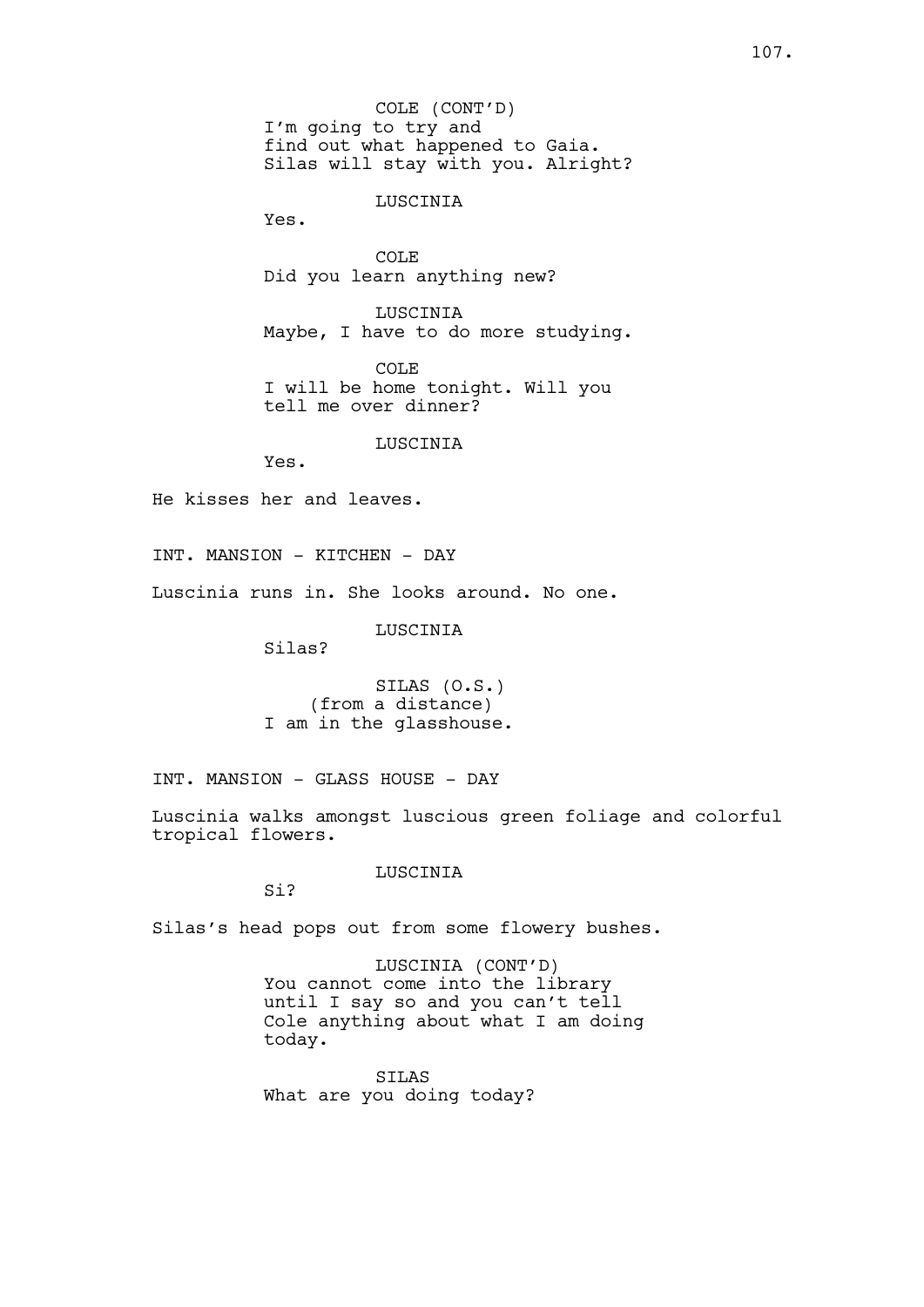COLE (CONT'D) I'm going to try and find out what happened to Gaia. Silas will stay with you. Alright?

LUSCINIA

Yes.

COLE Did you learn anything new?

LUSCINIA Maybe, I have to do more studying.

COLE I will be home tonight. Will you tell me over dinner?

LUSCINIA

Yes.

He kisses her and leaves.

INT. MANSION - KITCHEN - DAY

Luscinia runs in. She looks around. No one.

LUSCINIA

Silas?

SILAS (O.S.) (from a distance) I am in the glasshouse.

INT. MANSION - GLASS HOUSE - DAY

Luscinia walks amongst luscious green foliage and colorful tropical flowers.

LUSCINIA

Si?

Silas's head pops out from some flowery bushes.

LUSCINIA (CONT'D) You cannot come into the library until I say so and you can't tell Cole anything about what I am doing today.

SILAS What are you doing today?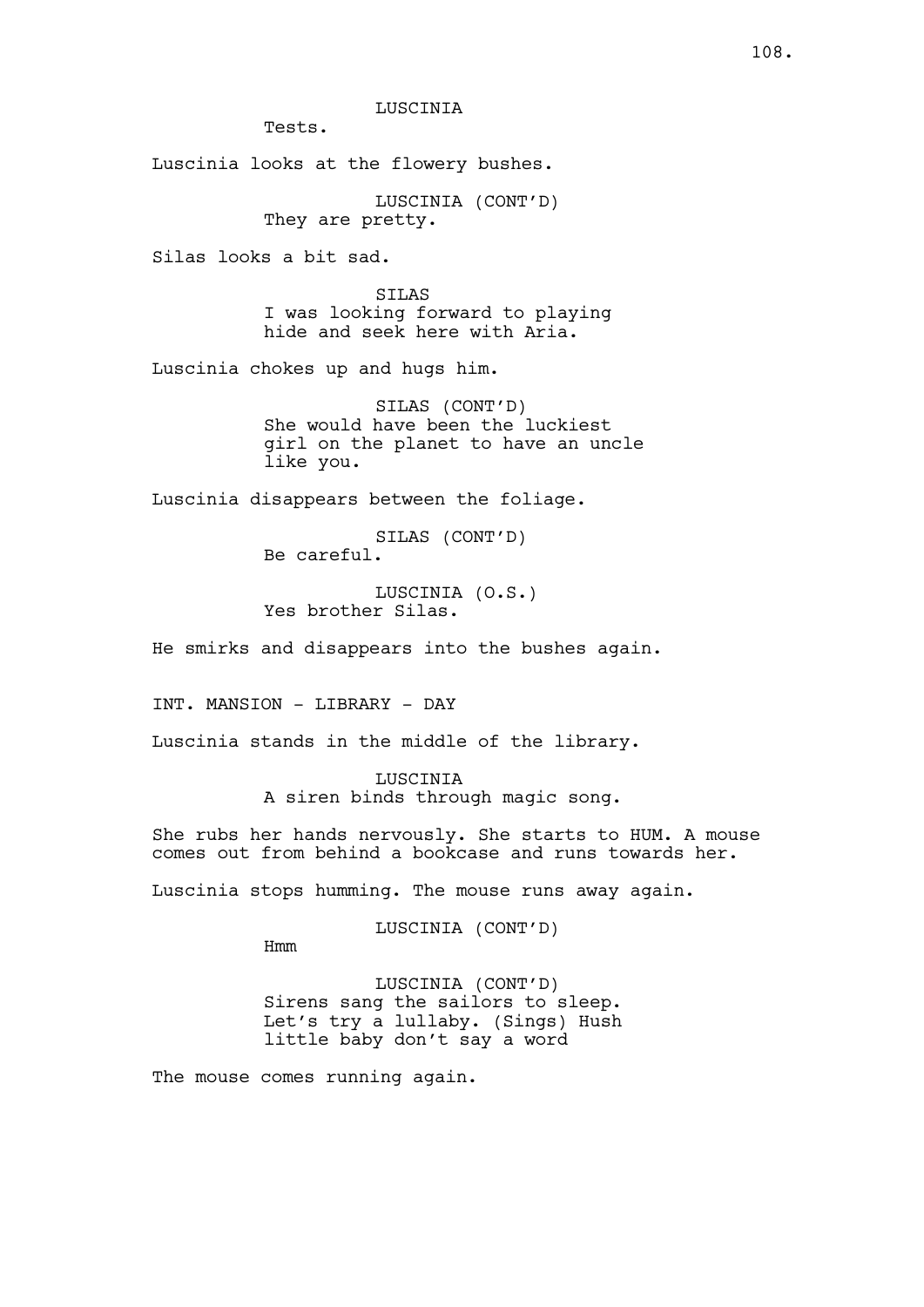LUSCINIA

Tests.

Luscinia looks at the flowery bushes.

LUSCINIA (CONT'D) They are pretty.

Silas looks a bit sad.

SILAS I was looking forward to playing hide and seek here with Aria.

Luscinia chokes up and hugs him.

SILAS (CONT'D) She would have been the luckiest girl on the planet to have an uncle like you.

Luscinia disappears between the foliage.

SILAS (CONT'D) Be careful.

LUSCINIA (O.S.) Yes brother Silas.

He smirks and disappears into the bushes again.

INT. MANSION - LIBRARY - DAY

Luscinia stands in the middle of the library.

LUSCINIA A siren binds through magic song.

She rubs her hands nervously. She starts to HUM. A mouse comes out from behind a bookcase and runs towards her.

Luscinia stops humming. The mouse runs away again.

LUSCINIA (CONT'D)

Hmm

LUSCINIA (CONT'D) Sirens sang the sailors to sleep.

Let's try a lullaby. (Sings) Hush little baby don't say a word

The mouse comes running again.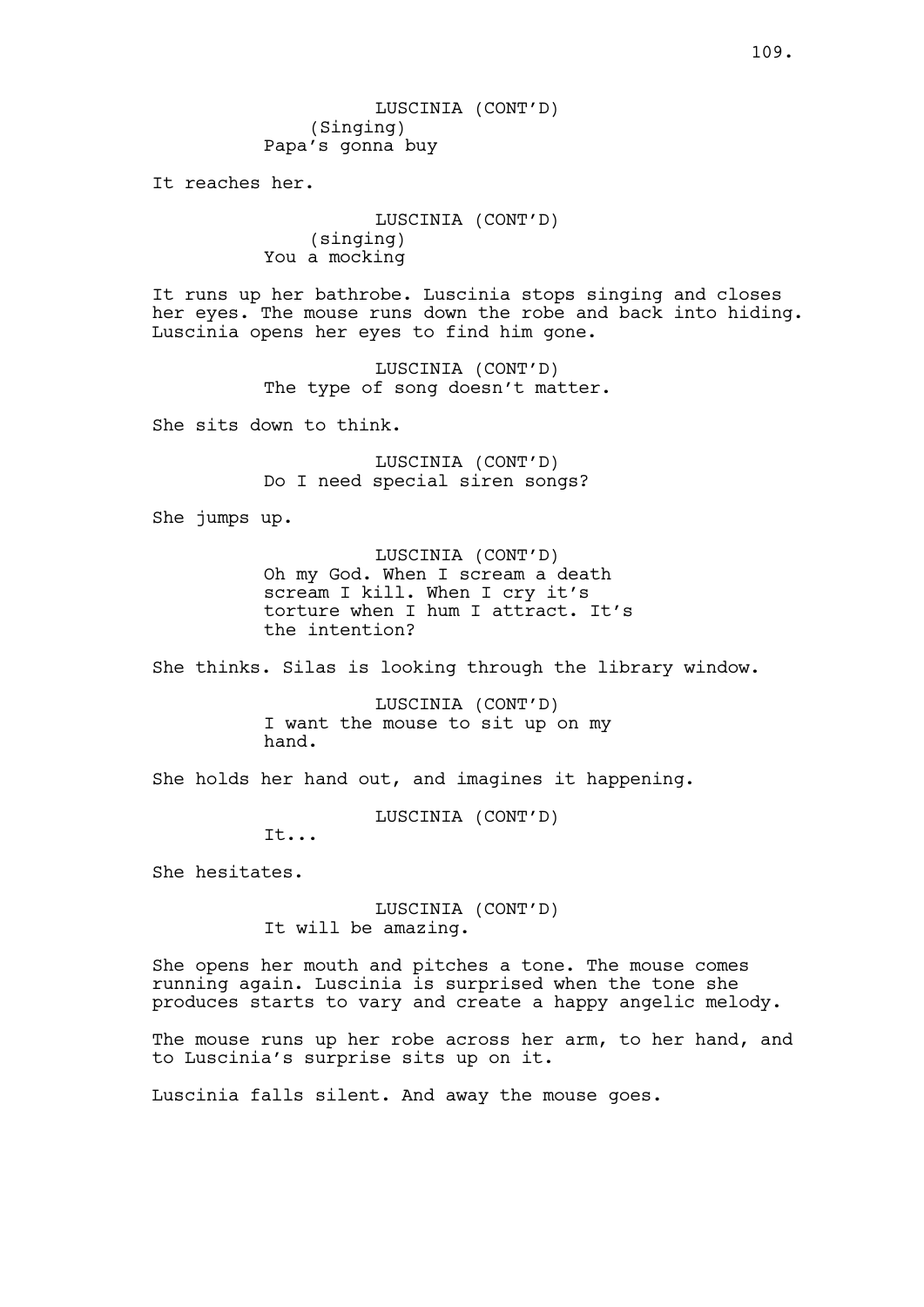LUSCINIA (CONT'D) (Singing) Papa's gonna buy

It reaches her.

LUSCINIA (CONT'D) (singing) You a mocking

It runs up her bathrobe. Luscinia stops singing and closes her eyes. The mouse runs down the robe and back into hiding. Luscinia opens her eyes to find him gone.

> LUSCINIA (CONT'D) The type of song doesn't matter.

She sits down to think.

LUSCINIA (CONT'D) Do I need special siren songs?

She jumps up.

LUSCINIA (CONT'D) Oh my God. When I scream a death scream I kill. When I cry it's torture when I hum I attract. It's the intention?

She thinks. Silas is looking through the library window.

LUSCINIA (CONT'D) I want the mouse to sit up on my hand.

She holds her hand out, and imagines it happening.

LUSCINIA (CONT'D)

It...

She hesitates.

LUSCINIA (CONT'D) It will be amazing.

She opens her mouth and pitches a tone. The mouse comes running again. Luscinia is surprised when the tone she produces starts to vary and create a happy angelic melody.

The mouse runs up her robe across her arm, to her hand, and to Luscinia's surprise sits up on it.

Luscinia falls silent. And away the mouse goes.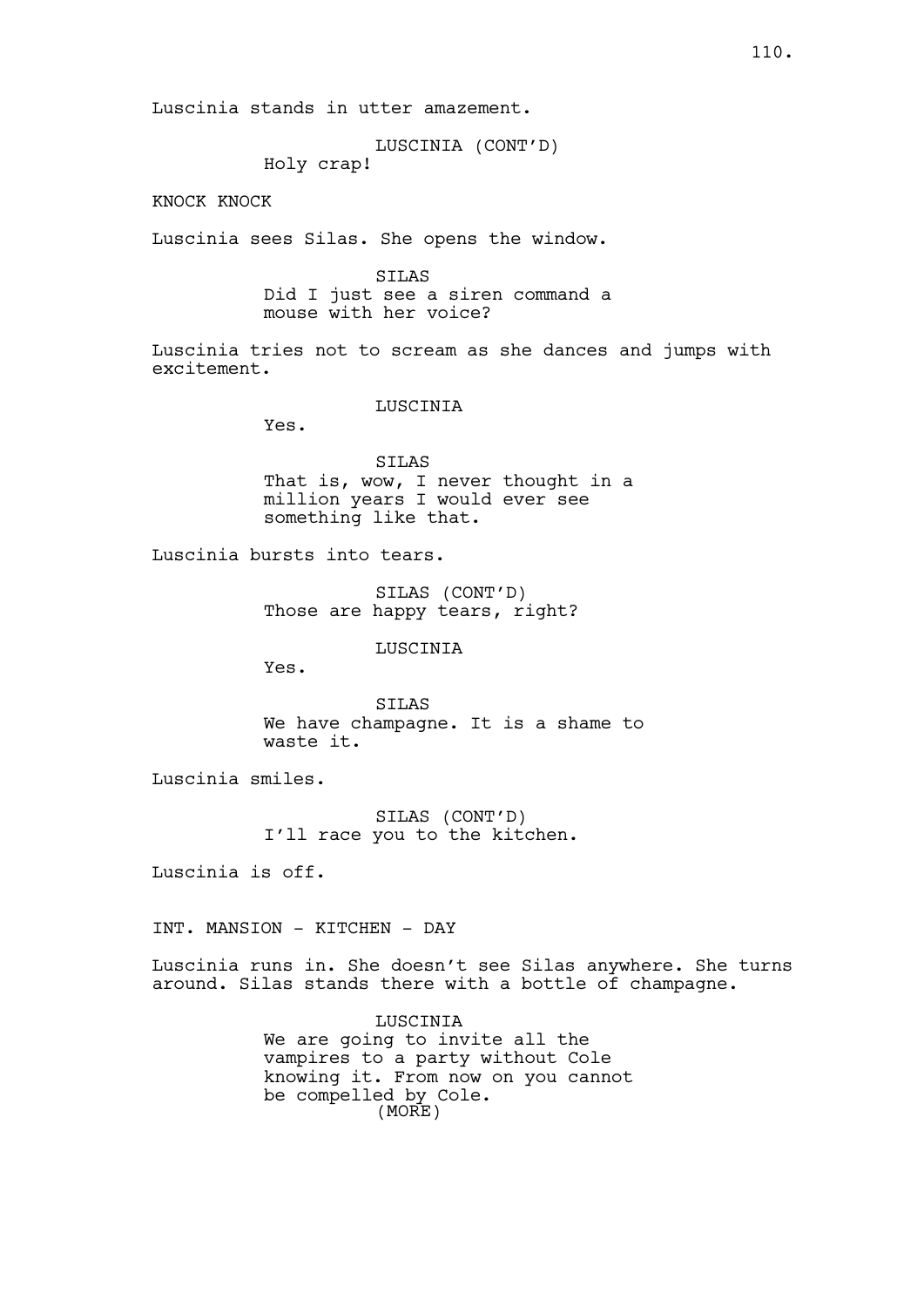Luscinia stands in utter amazement.

LUSCINIA (CONT'D)

Holy crap!

KNOCK KNOCK

Luscinia sees Silas. She opens the window.

SILAS

Did I just see a siren command a mouse with her voice?

Luscinia tries not to scream as she dances and jumps with excitement.

LUSCINIA

Yes.

SILAS That is, wow, I never thought in a million years I would ever see something like that.

Luscinia bursts into tears.

SILAS (CONT'D) Those are happy tears, right?

LUSCINIA

Yes.

SILAS We have champagne. It is a shame to waste it.

Luscinia smiles.

SILAS (CONT'D) I'll race you to the kitchen.

Luscinia is off.

INT. MANSION - KITCHEN - DAY

Luscinia runs in. She doesn't see Silas anywhere. She turns around. Silas stands there with a bottle of champagne.

> LUSCINIA We are going to invite all the vampires to a party without Cole knowing it. From now on you cannot be compelled by Cole. (MORE)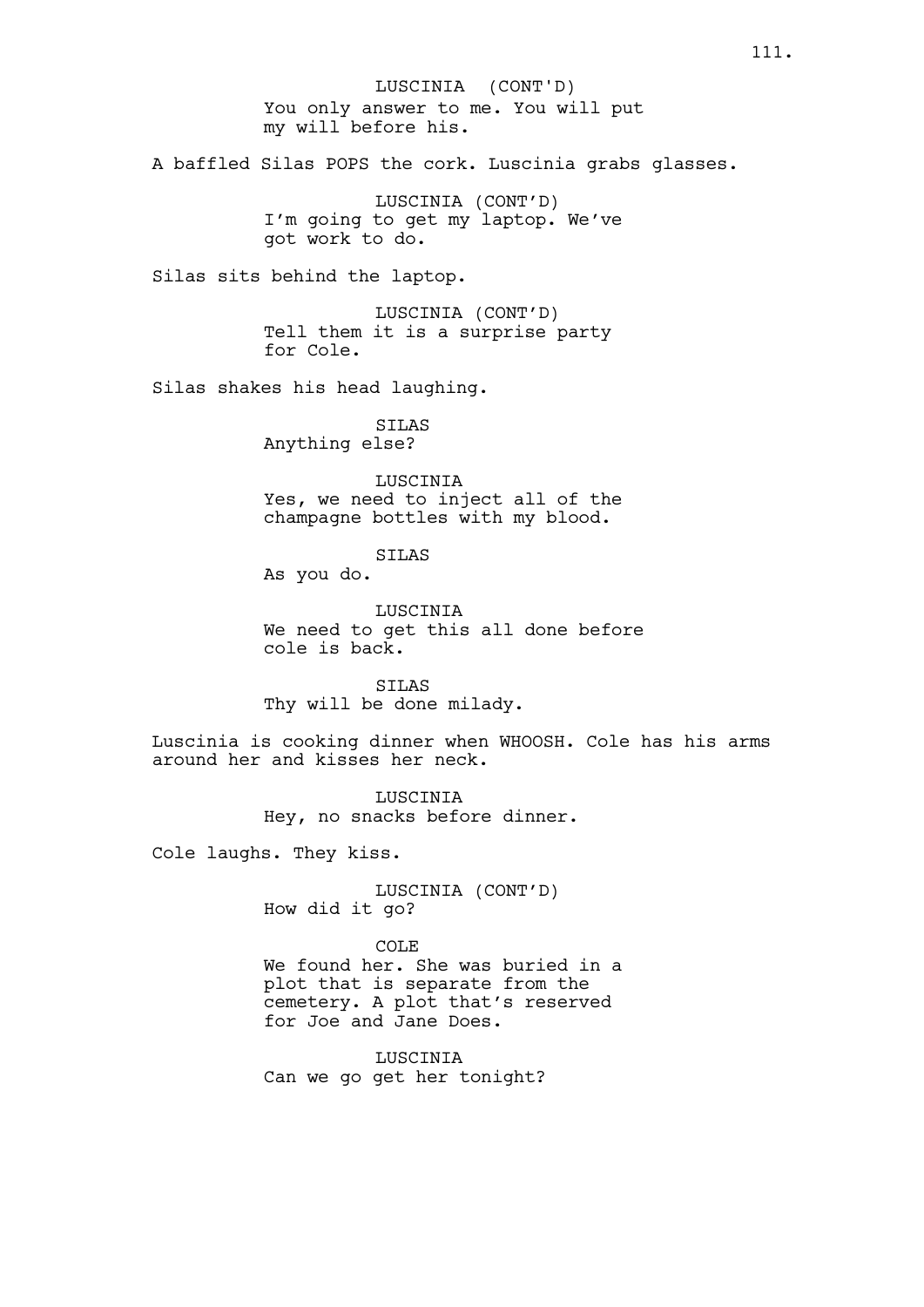You only answer to me. You will put my will before his. A baffled Silas POPS the cork. Luscinia grabs glasses. LUSCINIA (CONT'D) I'm going to get my laptop. We've got work to do. Silas sits behind the laptop. LUSCINIA (CONT'D) Tell them it is a surprise party for Cole. Silas shakes his head laughing. SILAS Anything else? LUSCINIA Yes, we need to inject all of the champagne bottles with my blood. SILAS As you do. LUSCINIA We need to get this all done before cole is back. SILAS Thy will be done milady. Luscinia is cooking dinner when WHOOSH. Cole has his arms around her and kisses her neck. LUSCINIA Hey, no snacks before dinner. Cole laughs. They kiss. LUSCINIA (CONT'D) How did it go? COLE We found her. She was buried in a plot that is separate from the cemetery. A plot that's reserved for Joe and Jane Does. LUSCINIA Can we go get her tonight? LUSCINIA (CONT'D)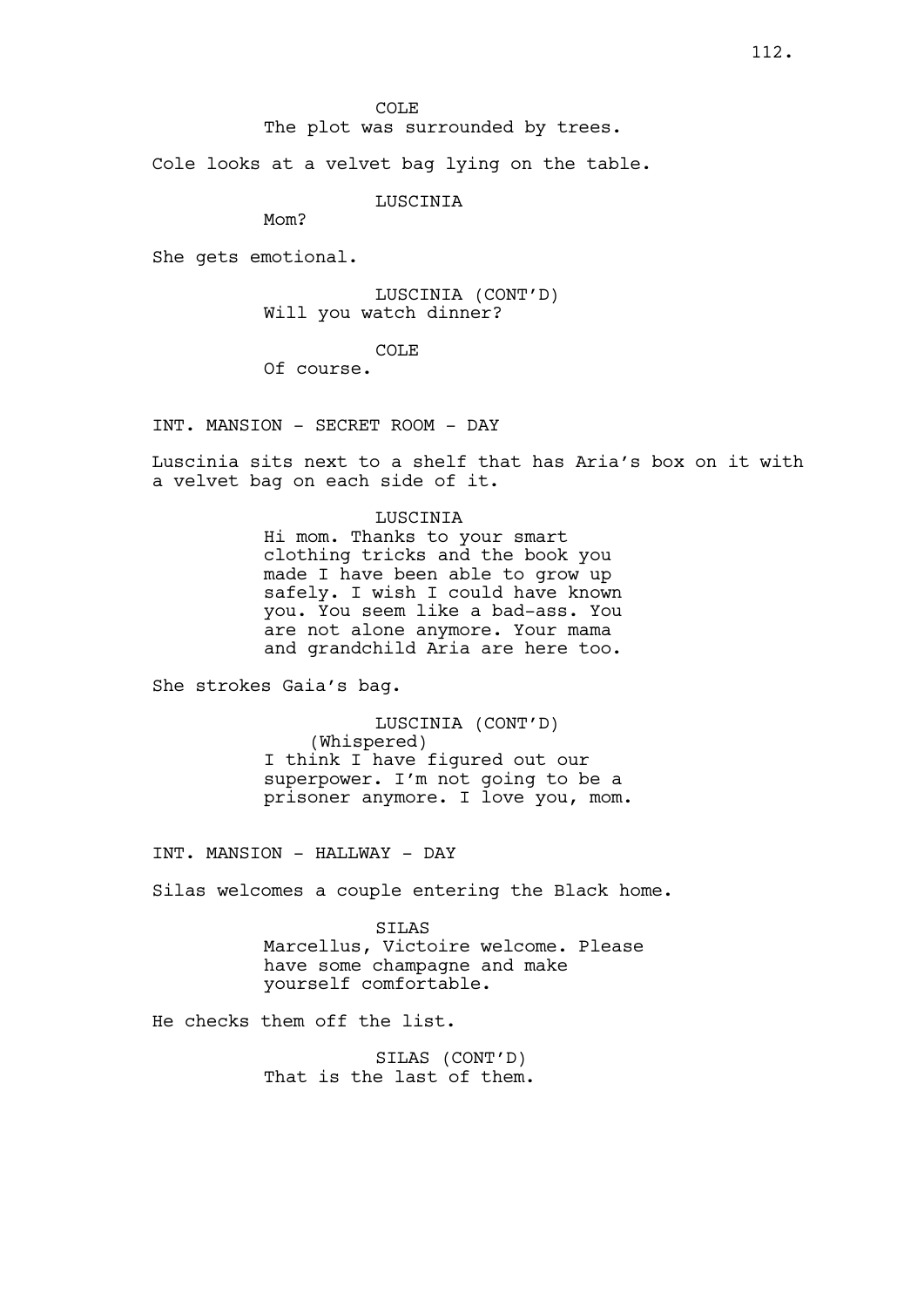The plot was surrounded by trees.

Cole looks at a velvet bag lying on the table.

**LUSCINIA** 

Mom?

She gets emotional.

LUSCINIA (CONT'D) Will you watch dinner?

COLE

Of course.

INT. MANSION - SECRET ROOM - DAY

Luscinia sits next to a shelf that has Aria's box on it with a velvet bag on each side of it.

## LUSCINIA

Hi mom. Thanks to your smart clothing tricks and the book you made I have been able to grow up safely. I wish I could have known you. You seem like a bad-ass. You are not alone anymore. Your mama and grandchild Aria are here too.

She strokes Gaia's bag.

LUSCINIA (CONT'D) (Whispered) I think I have figured out our superpower. I'm not going to be a prisoner anymore. I love you, mom.

INT. MANSION - HALLWAY - DAY

Silas welcomes a couple entering the Black home.

SILAS Marcellus, Victoire welcome. Please have some champagne and make yourself comfortable.

He checks them off the list.

SILAS (CONT'D) That is the last of them.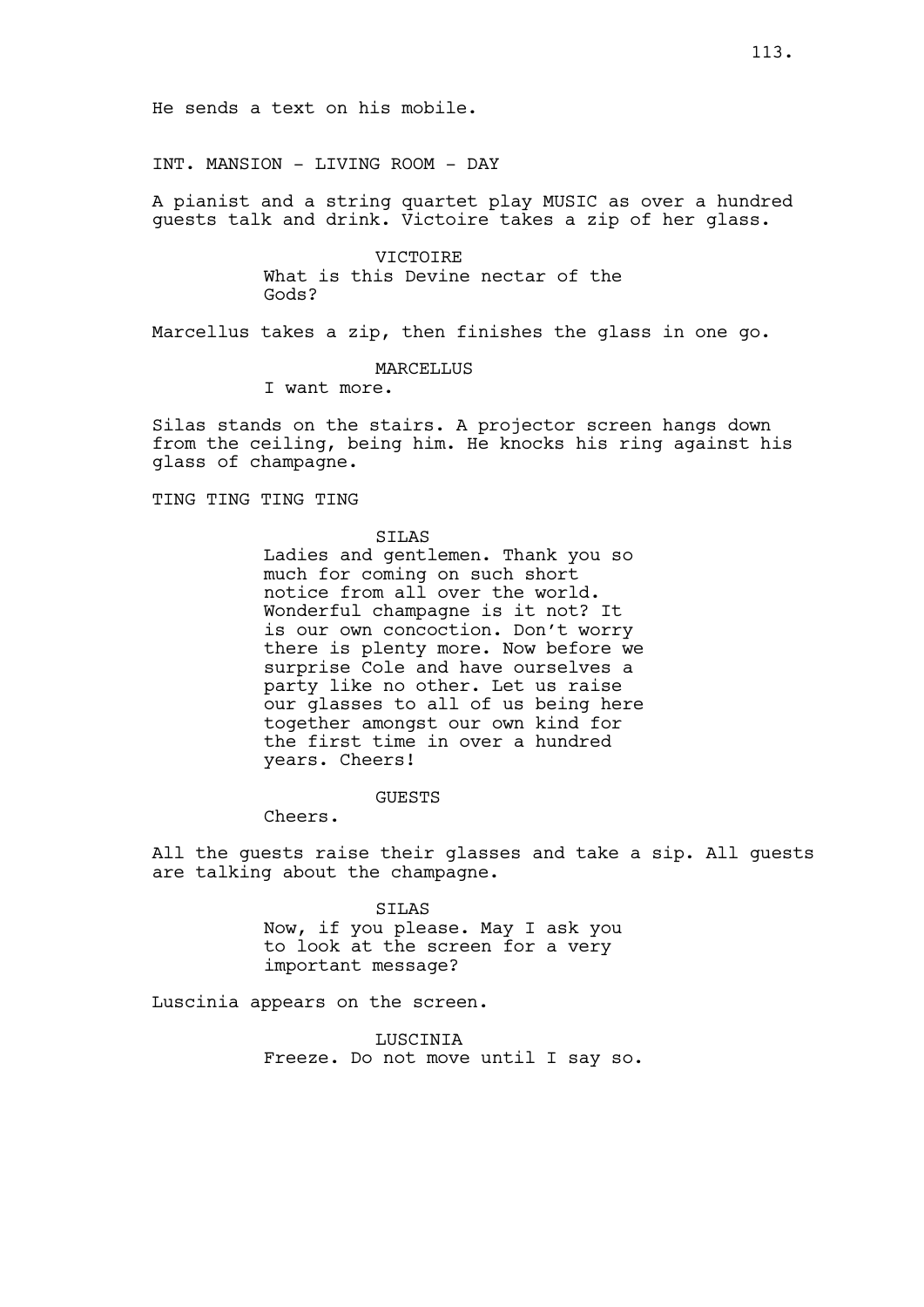INT. MANSION - LIVING ROOM - DAY

A pianist and a string quartet play MUSIC as over a hundred guests talk and drink. Victoire takes a zip of her glass.

> VICTOIRE What is this Devine nectar of the Gods?

Marcellus takes a zip, then finishes the glass in one go.

MARCELLUS

I want more.

Silas stands on the stairs. A projector screen hangs down from the ceiling, being him. He knocks his ring against his glass of champagne.

TING TING TING TING

## SILAS

Ladies and gentlemen. Thank you so much for coming on such short notice from all over the world. Wonderful champagne is it not? It is our own concoction. Don't worry there is plenty more. Now before we surprise Cole and have ourselves a party like no other. Let us raise our glasses to all of us being here together amongst our own kind for the first time in over a hundred years. Cheers!

GUESTS

Cheers.

All the guests raise their glasses and take a sip. All guests are talking about the champagne.

> SILAS Now, if you please. May I ask you to look at the screen for a very important message?

Luscinia appears on the screen.

LUSCINIA Freeze. Do not move until I say so.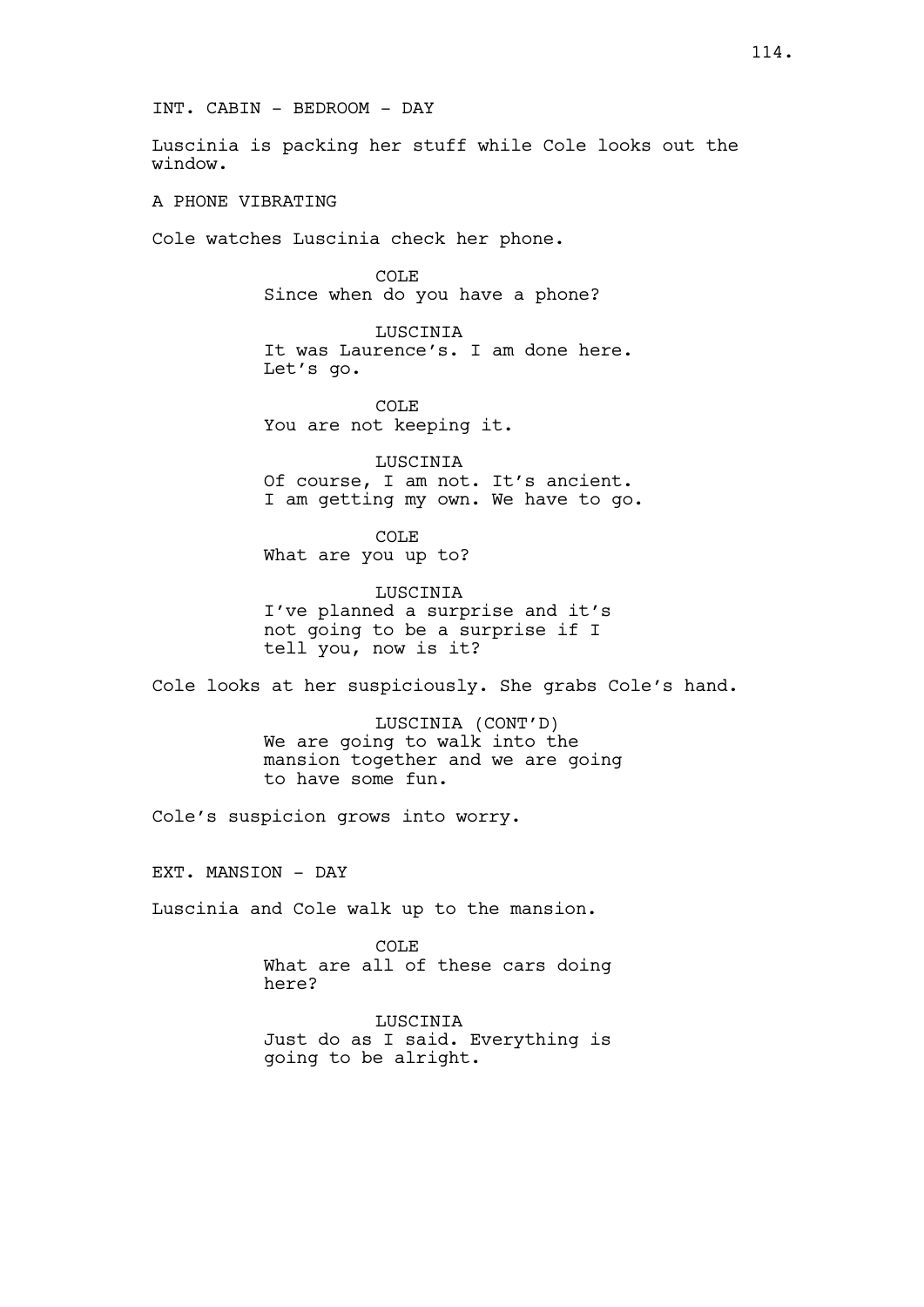INT. CABIN - BEDROOM - DAY

Luscinia is packing her stuff while Cole looks out the window.

A PHONE VIBRATING

Cole watches Luscinia check her phone.

COLE Since when do you have a phone?

LUSCINIA It was Laurence's. I am done here. Let's go.

COLE You are not keeping it.

LUSCINIA Of course, I am not. It's ancient. I am getting my own. We have to go.

COLE What are you up to?

LUSCINIA I've planned a surprise and it's not going to be a surprise if I tell you, now is it?

Cole looks at her suspiciously. She grabs Cole's hand.

LUSCINIA (CONT'D) We are going to walk into the mansion together and we are going to have some fun.

Cole's suspicion grows into worry.

EXT. MANSION - DAY

Luscinia and Cole walk up to the mansion.

COLE What are all of these cars doing here?

LUSCINIA Just do as I said. Everything is going to be alright.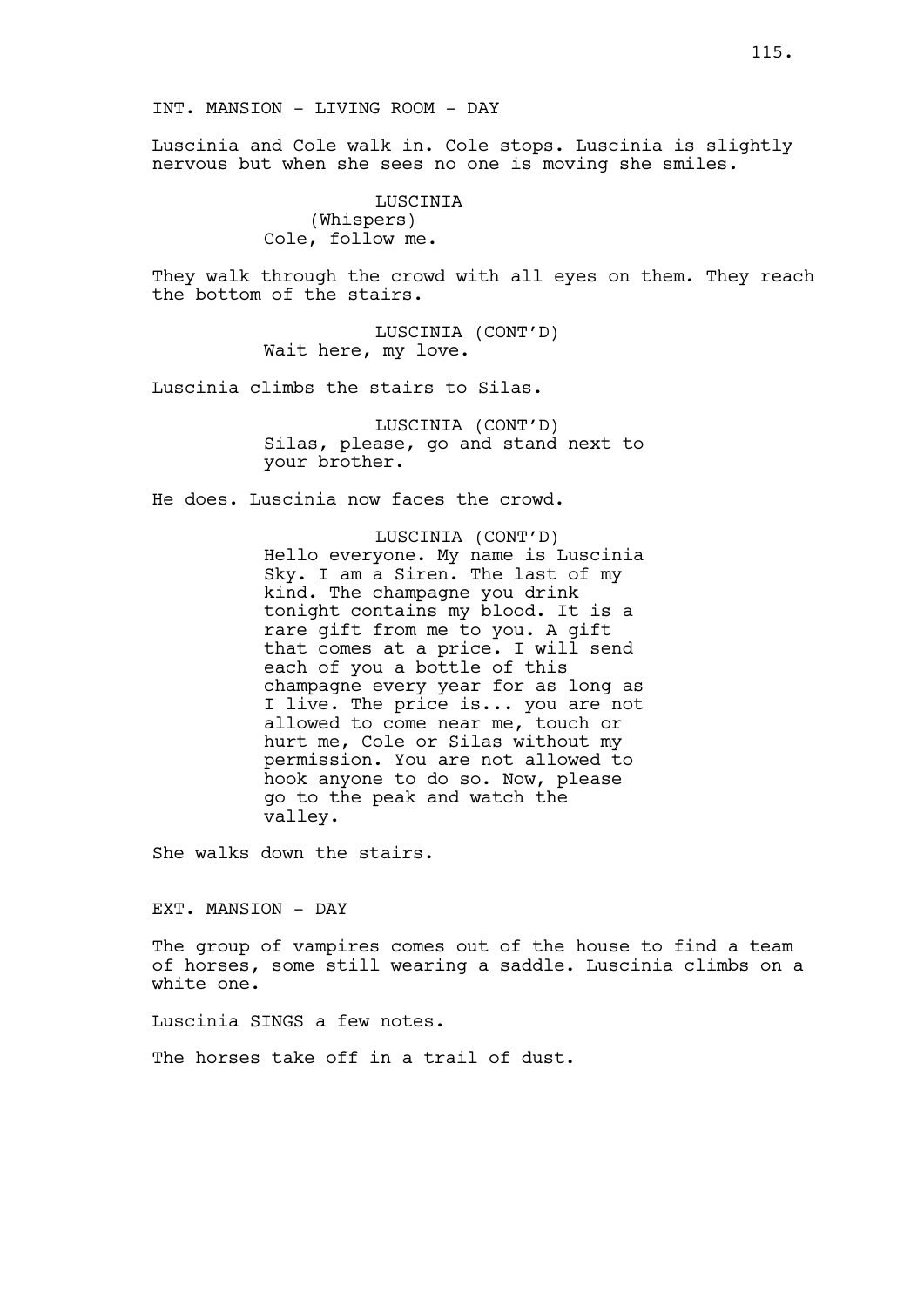Luscinia and Cole walk in. Cole stops. Luscinia is slightly nervous but when she sees no one is moving she smiles.

> LUSCINIA (Whispers) Cole, follow me.

They walk through the crowd with all eyes on them. They reach the bottom of the stairs.

> LUSCINIA (CONT'D) Wait here, my love.

Luscinia climbs the stairs to Silas.

LUSCINIA (CONT'D) Silas, please, go and stand next to your brother.

He does. Luscinia now faces the crowd.

LUSCINIA (CONT'D) Hello everyone. My name is Luscinia Sky. I am a Siren. The last of my kind. The champagne you drink tonight contains my blood. It is a rare gift from me to you. A gift that comes at a price. I will send each of you a bottle of this champagne every year for as long as I live. The price is... you are not allowed to come near me, touch or hurt me, Cole or Silas without my permission. You are not allowed to hook anyone to do so. Now, please go to the peak and watch the valley.

She walks down the stairs.

EXT. MANSION - DAY

The group of vampires comes out of the house to find a team of horses, some still wearing a saddle. Luscinia climbs on a white one.

Luscinia SINGS a few notes.

The horses take off in a trail of dust.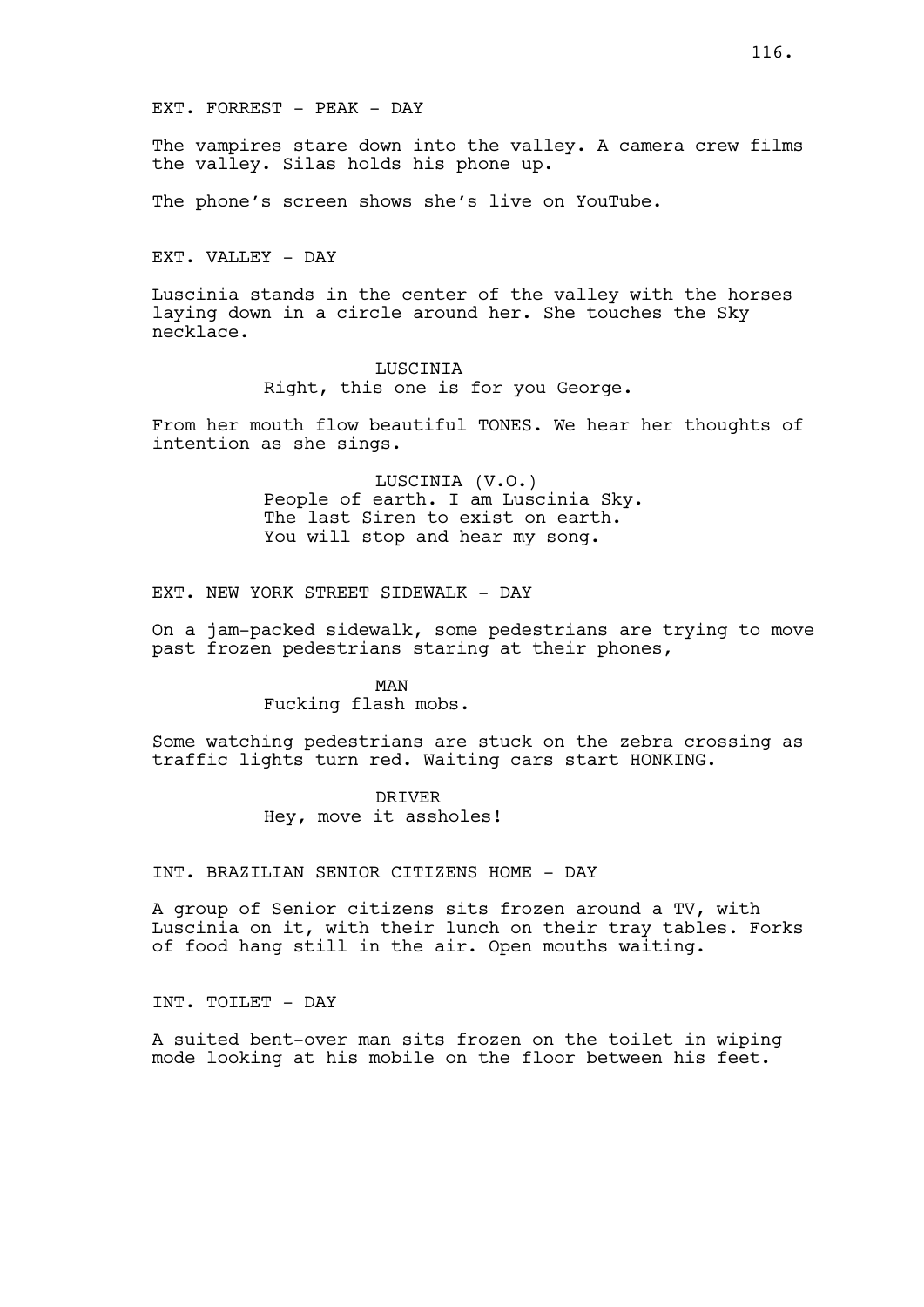The vampires stare down into the valley. A camera crew films the valley. Silas holds his phone up.

The phone's screen shows she's live on YouTube.

EXT. VALLEY - DAY

Luscinia stands in the center of the valley with the horses laying down in a circle around her. She touches the Sky necklace.

> LUSCINIA Right, this one is for you George.

From her mouth flow beautiful TONES. We hear her thoughts of intention as she sings.

> LUSCINIA (V.O.) People of earth. I am Luscinia Sky. The last Siren to exist on earth. You will stop and hear my song.

EXT. NEW YORK STREET SIDEWALK - DAY

On a jam-packed sidewalk, some pedestrians are trying to move past frozen pedestrians staring at their phones,

> MAN Fucking flash mobs.

Some watching pedestrians are stuck on the zebra crossing as traffic lights turn red. Waiting cars start HONKING.

> DRIVER Hey, move it assholes!

INT. BRAZILIAN SENIOR CITIZENS HOME - DAY

A group of Senior citizens sits frozen around a TV, with Luscinia on it, with their lunch on their tray tables. Forks of food hang still in the air. Open mouths waiting.

INT. TOILET - DAY

A suited bent-over man sits frozen on the toilet in wiping mode looking at his mobile on the floor between his feet.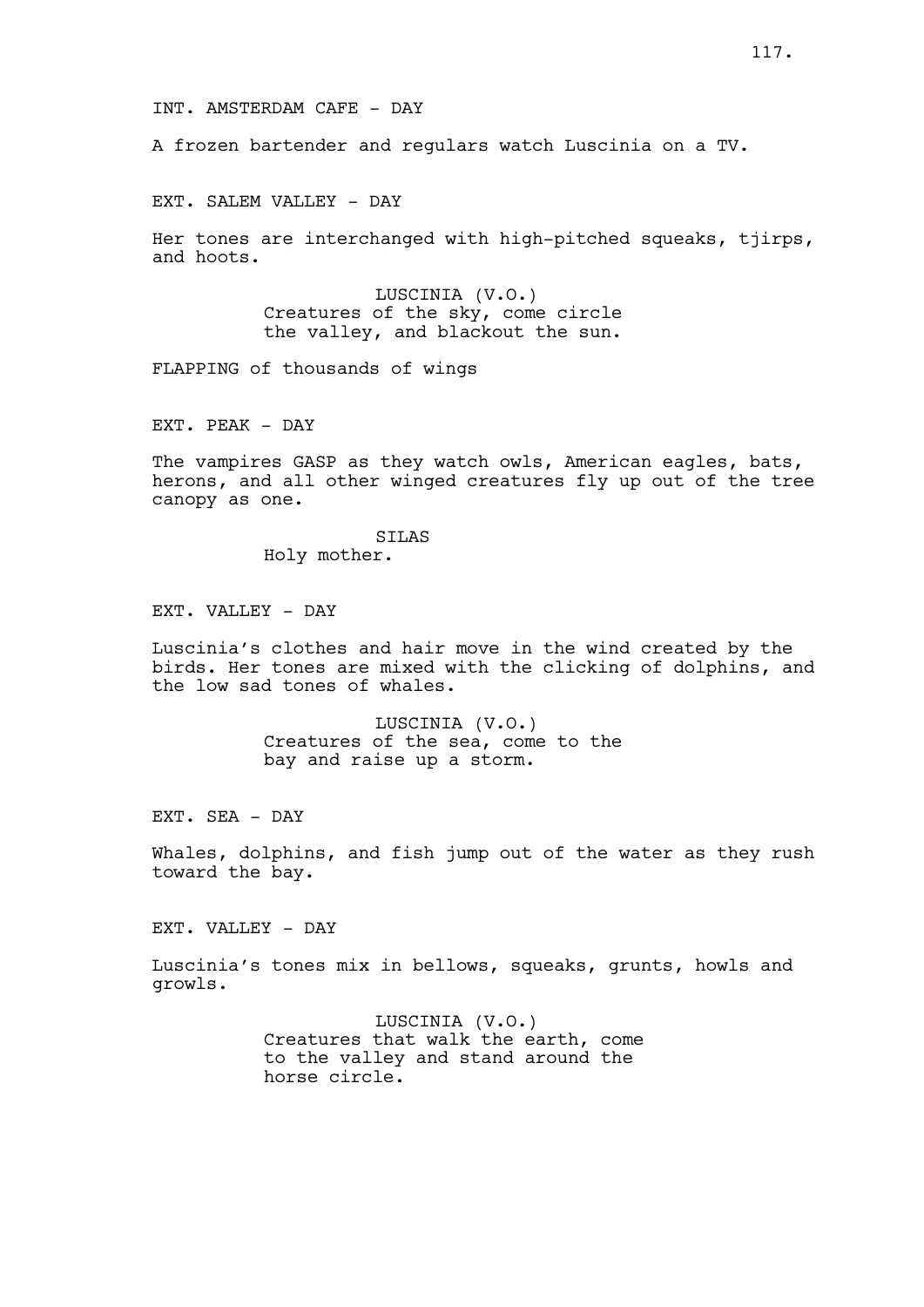A frozen bartender and regulars watch Luscinia on a TV.

EXT. SALEM VALLEY - DAY

Her tones are interchanged with high-pitched squeaks, tjirps, and hoots.

> LUSCINIA (V.O.) Creatures of the sky, come circle the valley, and blackout the sun.

FLAPPING of thousands of wings

EXT. PEAK - DAY

The vampires GASP as they watch owls, American eagles, bats, herons, and all other winged creatures fly up out of the tree canopy as one.

> SILAS Holy mother.

EXT. VALLEY - DAY

Luscinia's clothes and hair move in the wind created by the birds. Her tones are mixed with the clicking of dolphins, and the low sad tones of whales.

> LUSCINIA (V.O.) Creatures of the sea, come to the bay and raise up a storm.

EXT. SEA - DAY

Whales, dolphins, and fish jump out of the water as they rush toward the bay.

EXT. VALLEY - DAY

Luscinia's tones mix in bellows, squeaks, grunts, howls and growls.

> LUSCINIA (V.O.) Creatures that walk the earth, come to the valley and stand around the horse circle.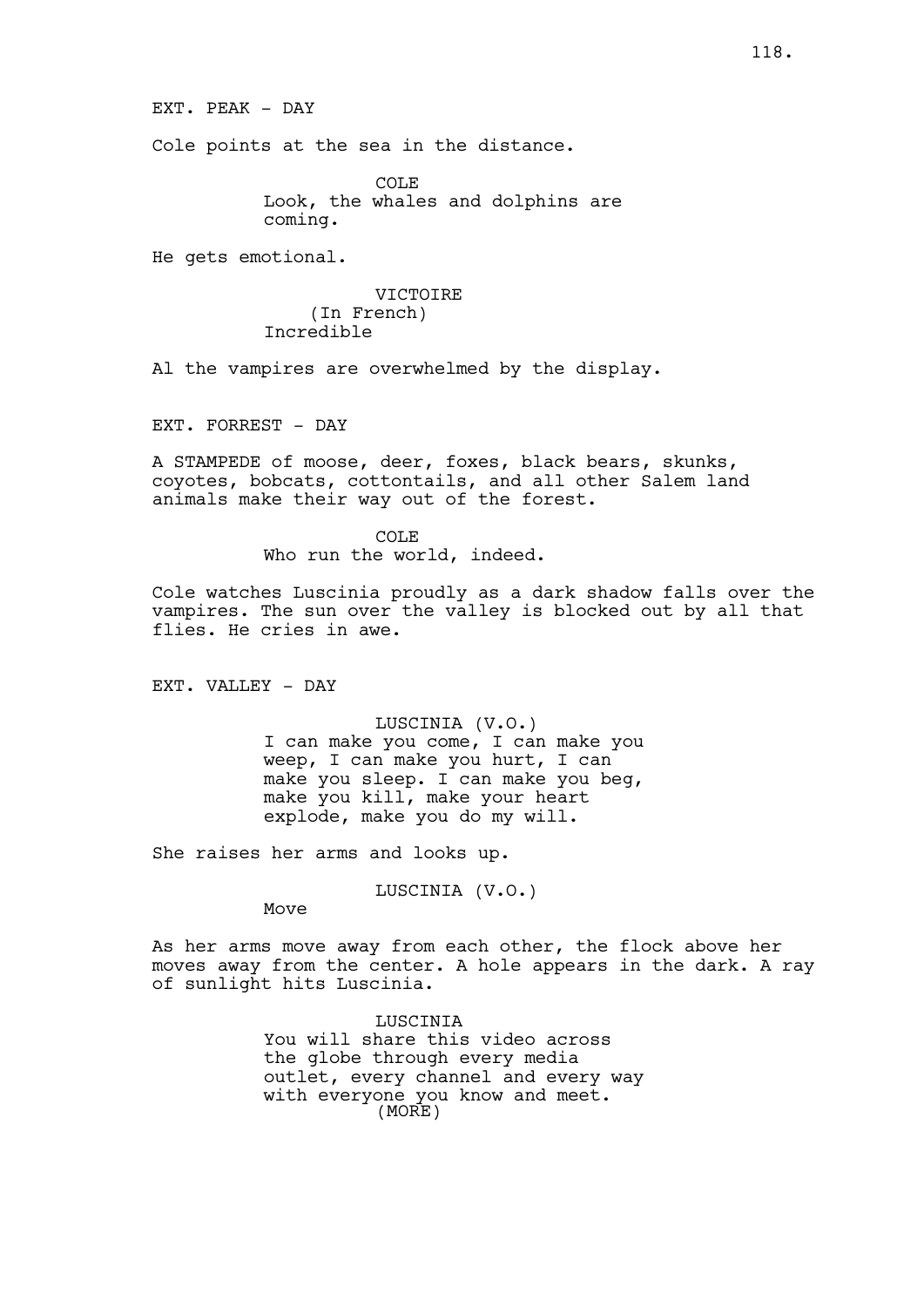Cole points at the sea in the distance.

COLE<sub></sub> Look, the whales and dolphins are coming.

He gets emotional.

## VICTOIRE (In French) Incredible

Al the vampires are overwhelmed by the display.

EXT. FORREST - DAY

A STAMPEDE of moose, deer, foxes, black bears, skunks, coyotes, bobcats, cottontails, and all other Salem land animals make their way out of the forest.

> COLE Who run the world, indeed.

Cole watches Luscinia proudly as a dark shadow falls over the vampires. The sun over the valley is blocked out by all that flies. He cries in awe.

EXT. VALLEY - DAY

LUSCINIA (V.O.) I can make you come, I can make you weep, I can make you hurt, I can make you sleep. I can make you beg, make you kill, make your heart explode, make you do my will.

She raises her arms and looks up.

LUSCINIA (V.O.)

Move

As her arms move away from each other, the flock above her moves away from the center. A hole appears in the dark. A ray of sunlight hits Luscinia.

> LUSCINIA You will share this video across the globe through every media outlet, every channel and every way with everyone you know and meet. (MORE)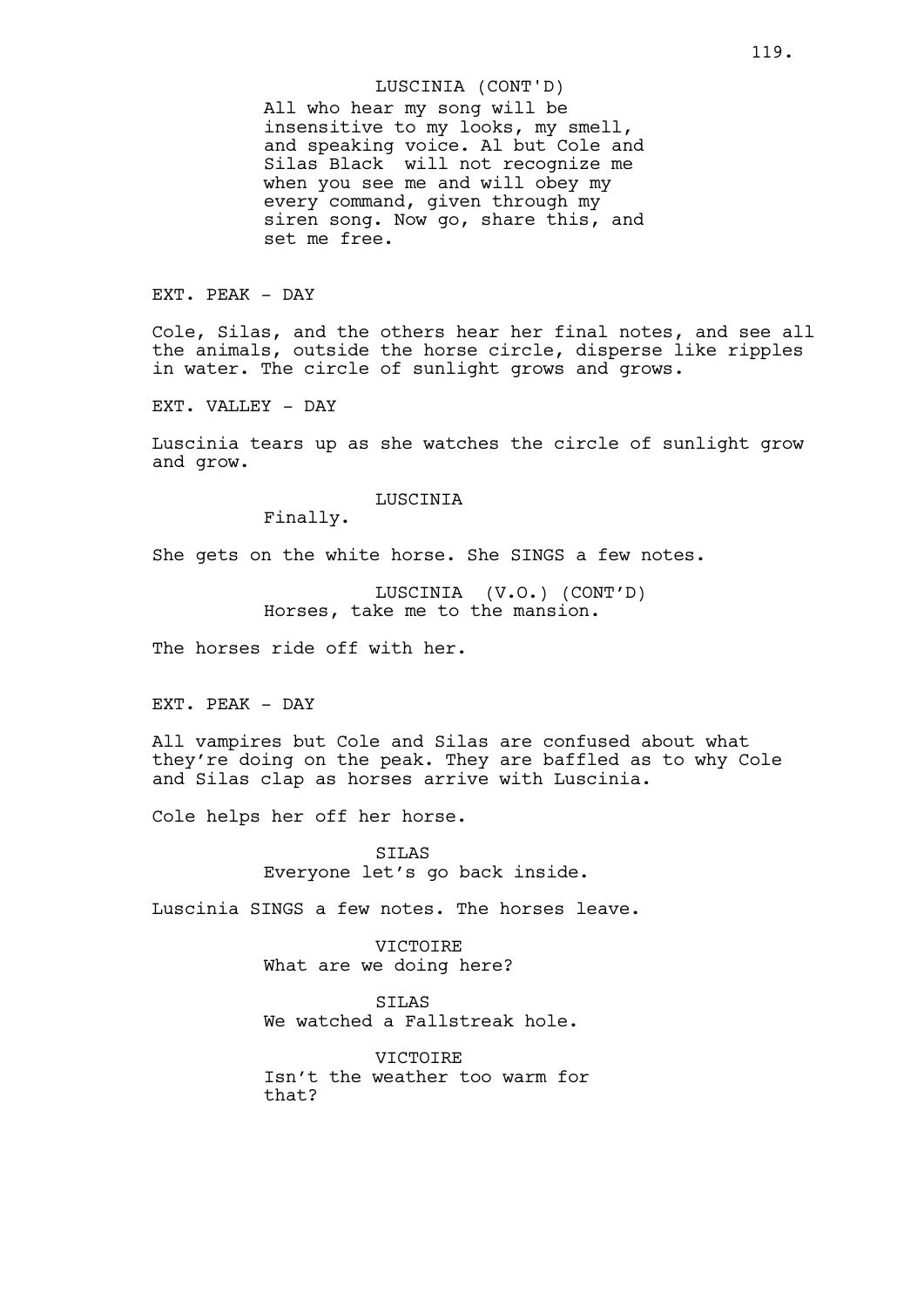All who hear my song will be insensitive to my looks, my smell, and speaking voice. Al but Cole and Silas Black will not recognize me when you see me and will obey my every command, given through my siren song. Now go, share this, and set me free. LUSCINIA (CONT'D)

EXT. PEAK - DAY

Cole, Silas, and the others hear her final notes, and see all the animals, outside the horse circle, disperse like ripples in water. The circle of sunlight grows and grows.

EXT. VALLEY - DAY

Luscinia tears up as she watches the circle of sunlight grow and grow.

LUSCINIA

Finally.

She gets on the white horse. She SINGS a few notes.

LUSCINIA (V.O.) (CONT'D) Horses, take me to the mansion.

The horses ride off with her.

EXT. PEAK - DAY

All vampires but Cole and Silas are confused about what they're doing on the peak. They are baffled as to why Cole and Silas clap as horses arrive with Luscinia.

Cole helps her off her horse.

SILAS Everyone let's go back inside.

Luscinia SINGS a few notes. The horses leave.

**VICTOIRE** What are we doing here?

SILAS We watched a Fallstreak hole.

VICTOIRE Isn't the weather too warm for that?